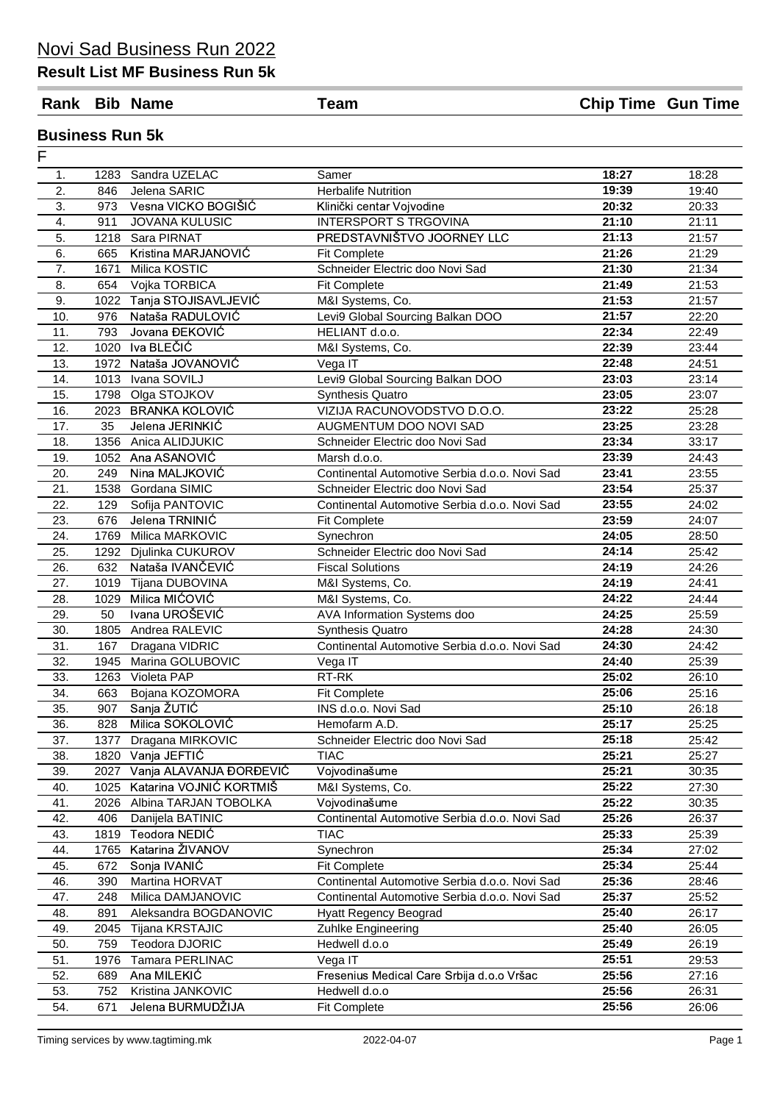#### **Result List MF Business Run 5k**

**Rank Bib Name Team Chip Time Gun Time**

#### **Business Run 5k**

| F                |      |                         |                                               |       |       |
|------------------|------|-------------------------|-----------------------------------------------|-------|-------|
| 1.               | 1283 | Sandra UZELAC           | Samer                                         | 18:27 | 18:28 |
| 2.               | 846  | Jelena SARIC            | <b>Herbalife Nutrition</b>                    | 19:39 | 19:40 |
| 3.               | 973  | Vesna VICKO BOGIŠIĆ     | Klinički centar Vojvodine                     | 20:32 | 20:33 |
| 4.               | 911  | <b>JOVANA KULUSIC</b>   | <b>INTERSPORT S TRGOVINA</b>                  | 21:10 | 21:11 |
| 5.               | 1218 | Sara PIRNAT             | PREDSTAVNIŠTVO JOORNEY LLC                    | 21:13 | 21:57 |
| 6.               | 665  | Kristina MARJANOVIĆ     | <b>Fit Complete</b>                           | 21:26 | 21:29 |
| $\overline{7}$ . | 1671 | Milica KOSTIC           | Schneider Electric doo Novi Sad               | 21:30 | 21:34 |
| 8.               | 654  | Vojka TORBICA           | <b>Fit Complete</b>                           | 21:49 | 21:53 |
| 9.               | 1022 | Tanja STOJISAVLJEVIĆ    | M&I Systems, Co.                              | 21:53 | 21:57 |
| 10.              | 976  | Nataša RADULOVIĆ        | Levi9 Global Sourcing Balkan DOO              | 21:57 | 22:20 |
| 11.              | 793  | Jovana ĐEKOVIĆ          | HELIANT d.o.o.                                | 22:34 | 22:49 |
| 12.              |      | 1020 Iva BLEČIĆ         | M&I Systems, Co.                              | 22:39 | 23:44 |
| 13.              |      | 1972 Nataša JOVANOVIĆ   | Vega IT                                       | 22:48 | 24:51 |
| 14.              |      | 1013 Ivana SOVILJ       | Levi9 Global Sourcing Balkan DOO              | 23:03 | 23:14 |
| 15.              |      | 1798 Olga STOJKOV       | <b>Synthesis Quatro</b>                       | 23:05 | 23:07 |
| 16.              |      | 2023 BRANKA KOLOVIĆ     | VIZIJA RACUNOVODSTVO D.O.O.                   | 23:22 | 25:28 |
| 17.              | 35   | Jelena JERINKIĆ         | AUGMENTUM DOO NOVI SAD                        | 23:25 | 23:28 |
| 18.              | 1356 | Anica ALIDJUKIC         | Schneider Electric doo Novi Sad               | 23:34 | 33:17 |
| 19.              |      | 1052 Ana ASANOVIĆ       | Marsh d.o.o.                                  | 23:39 | 24:43 |
| 20.              | 249  | Nina MALJKOVIĆ          | Continental Automotive Serbia d.o.o. Novi Sad | 23:41 | 23:55 |
| 21.              | 1538 | Gordana SIMIC           | Schneider Electric doo Novi Sad               | 23:54 | 25:37 |
| 22.              | 129  | Sofija PANTOVIC         | Continental Automotive Serbia d.o.o. Novi Sad | 23:55 | 24:02 |
| 23.              | 676  | Jelena TRNINIĆ          | <b>Fit Complete</b>                           | 23:59 | 24:07 |
| 24.              | 1769 | Milica MARKOVIC         | Synechron                                     | 24:05 | 28:50 |
| 25.              |      | 1292 Djulinka CUKUROV   | Schneider Electric doo Novi Sad               | 24:14 | 25:42 |
| 26.              | 632  | Nataša IVANČEVIĆ        | <b>Fiscal Solutions</b>                       | 24:19 | 24:26 |
| 27.              | 1019 | Tijana DUBOVINA         | M&I Systems, Co.                              | 24:19 | 24:41 |
| 28.              | 1029 | Milica MIĆOVIĆ          | M&I Systems, Co.                              | 24:22 | 24:44 |
| 29.              | 50   | Ivana UROŠEVIĆ          | AVA Information Systems doo                   | 24:25 | 25:59 |
| 30.              | 1805 | Andrea RALEVIC          | <b>Synthesis Quatro</b>                       | 24:28 | 24:30 |
| 31.              | 167  | Dragana VIDRIC          | Continental Automotive Serbia d.o.o. Novi Sad | 24:30 | 24:42 |
| 32.              | 1945 | Marina GOLUBOVIC        | Vega IT                                       | 24:40 | 25:39 |
| 33.              |      | 1263 Violeta PAP        | RT-RK                                         | 25:02 | 26:10 |
| 34.              | 663  | Bojana KOZOMORA         | <b>Fit Complete</b>                           | 25:06 | 25:16 |
| 35.              | 907  | Sanja ŽUTIĆ             | INS d.o.o. Novi Sad                           | 25:10 | 26:18 |
| 36.              | 828  | Milica SOKOLOVIĆ        | Hemofarm A.D.                                 | 25:17 | 25:25 |
| 37.              | 1377 | Dragana MIRKOVIC        | Schneider Electric doo Novi Sad               | 25:18 | 25:42 |
| 38.              | 1820 | Vanja JEFTIĆ            | <b>TIAC</b>                                   | 25:21 | 25:27 |
| 39.              | 2027 | Vanja ALAVANJA ĐORĐEVIĆ | Vojvodinašume                                 | 25:21 | 30:35 |
| 40.              | 1025 | Katarina VOJNIĆ KORTMIŠ | M&I Systems, Co.                              | 25:22 | 27:30 |
| 41.              | 2026 | Albina TARJAN TOBOLKA   | Vojvodinašume                                 | 25:22 | 30:35 |
| 42.              | 406  | Danijela BATINIC        | Continental Automotive Serbia d.o.o. Novi Sad | 25:26 | 26:37 |
| 43.              | 1819 | Teodora NEDIĆ           | <b>TIAC</b>                                   | 25:33 | 25:39 |
| 44.              | 1765 | Katarina ŽIVANOV        | Synechron                                     | 25:34 | 27:02 |
| 45.              | 672  | Sonja IVANIĆ            | <b>Fit Complete</b>                           | 25:34 | 25:44 |
| 46.              | 390  | Martina HORVAT          | Continental Automotive Serbia d.o.o. Novi Sad | 25:36 | 28:46 |
| 47.              | 248  | Milica DAMJANOVIC       | Continental Automotive Serbia d.o.o. Novi Sad | 25:37 | 25:52 |
| 48.              | 891  | Aleksandra BOGDANOVIC   | <b>Hyatt Regency Beograd</b>                  | 25:40 | 26:17 |
| 49.              | 2045 | Tijana KRSTAJIC         | Zuhlke Engineering                            | 25:40 | 26:05 |
| 50.              | 759  | Teodora DJORIC          | Hedwell d.o.o                                 | 25:49 | 26:19 |
| 51.              | 1976 | Tamara PERLINAC         | Vega IT                                       | 25:51 | 29:53 |
| 52.              | 689  | Ana MILEKIĆ             | Fresenius Medical Care Srbija d.o.o Vršac     | 25:56 | 27:16 |
| 53.              | 752  | Kristina JANKOVIC       | Hedwell d.o.o                                 | 25:56 | 26:31 |
| 54.              | 671  | Jelena BURMUDŽIJA       | <b>Fit Complete</b>                           | 25:56 | 26:06 |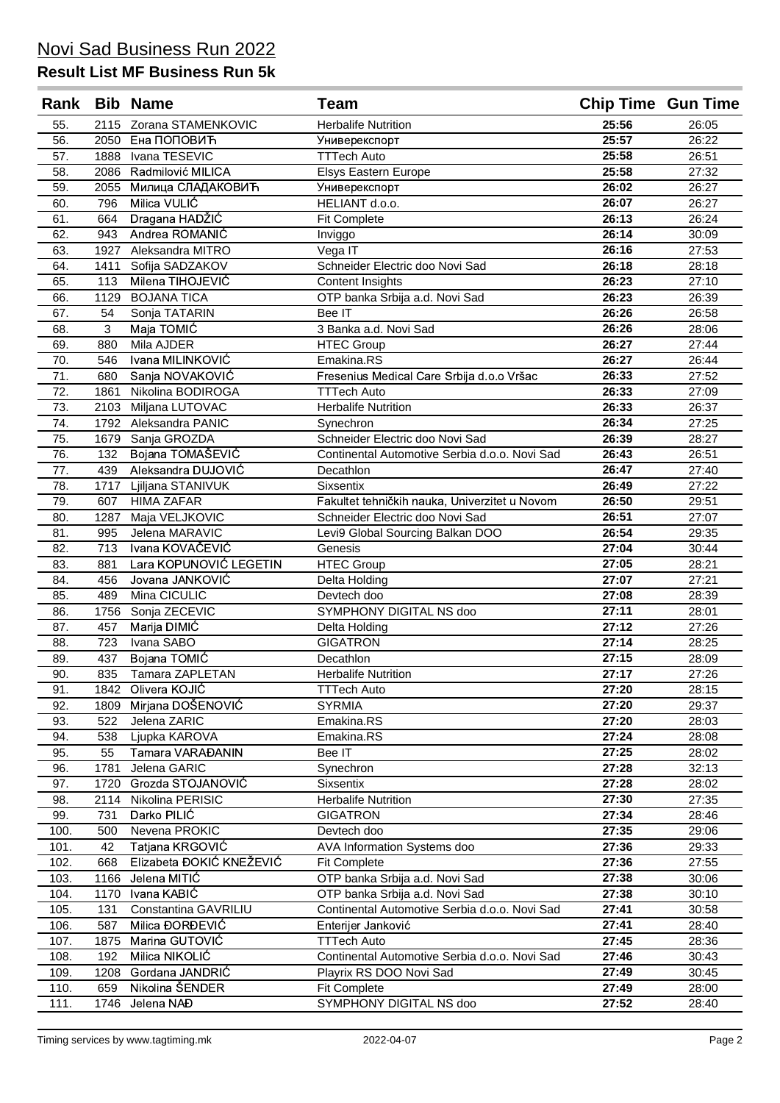| Rank |      | <b>Bib Name</b>          | <b>Team</b>                                   | <b>Chip Time Gun Time</b> |       |
|------|------|--------------------------|-----------------------------------------------|---------------------------|-------|
| 55.  |      | 2115 Zorana STAMENKOVIC  | <b>Herbalife Nutrition</b>                    | 25:56                     | 26:05 |
| 56.  |      | 2050 Ена ПОПОВИЋ         | Универекспорт                                 | 25:57                     | 26:22 |
| 57.  | 1888 | Ivana TESEVIC            | <b>TTTech Auto</b>                            | 25:58                     | 26:51 |
| 58.  | 2086 | Radmilović MILICA        | Elsys Eastern Europe                          | 25:58                     | 27:32 |
| 59.  | 2055 | Милица СЛАДАКОВИЋ        | Универекспорт                                 | 26:02                     | 26:27 |
| 60.  | 796  | Milica VULIĆ             | HELIANT d.o.o.                                | 26:07                     | 26:27 |
| 61.  | 664  | Dragana HADŽIĆ           | <b>Fit Complete</b>                           | 26:13                     | 26:24 |
| 62.  | 943  | Andrea ROMANIC           | Inviggo                                       | 26:14                     | 30:09 |
| 63.  | 1927 | Aleksandra MITRO         | Vega IT                                       | 26:16                     | 27:53 |
| 64.  | 1411 | Sofija SADZAKOV          | Schneider Electric doo Novi Sad               | 26:18                     | 28:18 |
| 65.  | 113  | Milena TIHOJEVIĆ         | Content Insights                              | 26:23                     | 27:10 |
| 66.  | 1129 | <b>BOJANA TICA</b>       | OTP banka Srbija a.d. Novi Sad                | 26:23                     | 26:39 |
| 67.  | 54   | Sonja TATARIN            | Bee IT                                        | 26:26                     | 26:58 |
| 68.  | 3    | Maja TOMIĆ               | 3 Banka a.d. Novi Sad                         | 26:26                     | 28:06 |
| 69.  | 880  | Mila AJDER               | <b>HTEC Group</b>                             | 26:27                     | 27:44 |
| 70.  | 546  | Ivana MILINKOVIĆ         | Emakina.RS                                    | 26:27                     | 26:44 |
| 71.  | 680  | Sanja NOVAKOVIĆ          | Fresenius Medical Care Srbija d.o.o Vršac     | 26:33                     | 27:52 |
| 72.  | 1861 | Nikolina BODIROGA        | <b>TTTech Auto</b>                            | 26:33                     | 27:09 |
| 73.  | 2103 | Miljana LUTOVAC          | <b>Herbalife Nutrition</b>                    | 26:33                     | 26:37 |
| 74.  |      | 1792 Aleksandra PANIC    | Synechron                                     | 26:34                     | 27:25 |
| 75.  | 1679 | Sanja GROZDA             | Schneider Electric doo Novi Sad               | 26:39                     | 28:27 |
| 76.  | 132  | Bojana TOMAŠEVIĆ         | Continental Automotive Serbia d.o.o. Novi Sad | 26:43                     | 26:51 |
| 77.  | 439  | Aleksandra DUJOVIĆ       | Decathlon                                     | 26:47                     | 27:40 |
| 78.  | 1717 | Ljiljana STANIVUK        | Sixsentix                                     | 26:49                     | 27:22 |
| 79.  | 607  | <b>HIMA ZAFAR</b>        | Fakultet tehničkih nauka, Univerzitet u Novom | 26:50                     | 29:51 |
| 80.  | 1287 | Maja VELJKOVIC           | Schneider Electric doo Novi Sad               | 26:51                     | 27:07 |
| 81.  | 995  | Jelena MARAVIC           | Levi9 Global Sourcing Balkan DOO              | 26:54                     | 29:35 |
| 82.  | 713  | Ivana KOVAČEVIĆ          | Genesis                                       | 27:04                     | 30:44 |
| 83.  | 881  | Lara KOPUNOVIĆ LEGETIN   | <b>HTEC Group</b>                             | 27:05                     | 28:21 |
| 84.  | 456  | Jovana JANKOVIĆ          | Delta Holding                                 | 27:07                     | 27:21 |
| 85.  | 489  | Mina CICULIC             | Devtech doo                                   | 27:08                     | 28:39 |
| 86.  | 1756 | Sonja ZECEVIC            | SYMPHONY DIGITAL NS doo                       | 27:11                     | 28:01 |
| 87.  | 457  | Marija DIMIĆ             | Delta Holding                                 | 27:12                     | 27:26 |
| 88.  | 723  | Ivana SABO               | <b>GIGATRON</b>                               | 27:14                     | 28:25 |
| 89.  | 437  | Bojana TOMIĆ             | Decathlon                                     | 27:15                     | 28:09 |
| 90.  | 835  | Tamara ZAPLETAN          | <b>Herbalife Nutrition</b>                    | 27:17                     | 27:26 |
| 91.  |      | 1842 Olivera KOJIĆ       | <b>TTTech Auto</b>                            | 27:20                     | 28:15 |
| 92.  | 1809 | Mirjana DOŠENOVIĆ        | <b>SYRMIA</b>                                 | 27:20                     | 29:37 |
| 93.  | 522  | Jelena ZARIC             | Emakina.RS                                    | 27:20                     | 28:03 |
| 94.  | 538  | Ljupka KAROVA            | Emakina.RS                                    | 27:24                     | 28:08 |
| 95.  | 55   | Tamara VARAĐANIN         | Bee IT                                        | 27:25                     | 28:02 |
| 96.  | 1781 | Jelena GARIC             | Synechron                                     | 27:28                     | 32:13 |
| 97.  | 1720 | Grozda STOJANOVIĆ        | <b>Sixsentix</b>                              | 27:28                     | 28:02 |
| 98.  | 2114 | Nikolina PERISIC         | <b>Herbalife Nutrition</b>                    | 27:30                     | 27:35 |
| 99.  | 731  | Darko PILIĆ              | <b>GIGATRON</b>                               | 27:34                     | 28:46 |
| 100. | 500  | Nevena PROKIC            | Devtech doo                                   | 27:35                     | 29:06 |
| 101. | 42   | Tatjana KRGOVIĆ          | AVA Information Systems doo                   | 27:36                     | 29:33 |
| 102. | 668  | Elizabeta ĐOKIĆ KNEŽEVIĆ | <b>Fit Complete</b>                           | 27:36                     | 27:55 |
| 103. | 1166 | Jelena MITIĆ             | OTP banka Srbija a.d. Novi Sad                | 27:38                     | 30:06 |
| 104. | 1170 | Ivana KABIĆ              | OTP banka Srbija a.d. Novi Sad                | 27:38                     | 30:10 |
| 105. | 131  | Constantina GAVRILIU     | Continental Automotive Serbia d.o.o. Novi Sad | 27:41                     | 30:58 |
| 106. | 587  | Milica ĐORĐEVIĆ          | Enterijer Janković                            | 27:41                     | 28:40 |
| 107. | 1875 | Marina GUTOVIĆ           | <b>TTTech Auto</b>                            | 27:45                     | 28:36 |
| 108. | 192  | Milica NIKOLIĆ           | Continental Automotive Serbia d.o.o. Novi Sad | 27:46                     | 30:43 |
| 109. | 1208 | Gordana JANDRIĆ          | Playrix RS DOO Novi Sad                       | 27:49                     | 30:45 |
| 110. | 659  | Nikolina ŠENDER          | <b>Fit Complete</b>                           | 27:49                     | 28:00 |
| 111. | 1746 | Jelena NAĐ               | SYMPHONY DIGITAL NS doo                       | 27:52                     | 28:40 |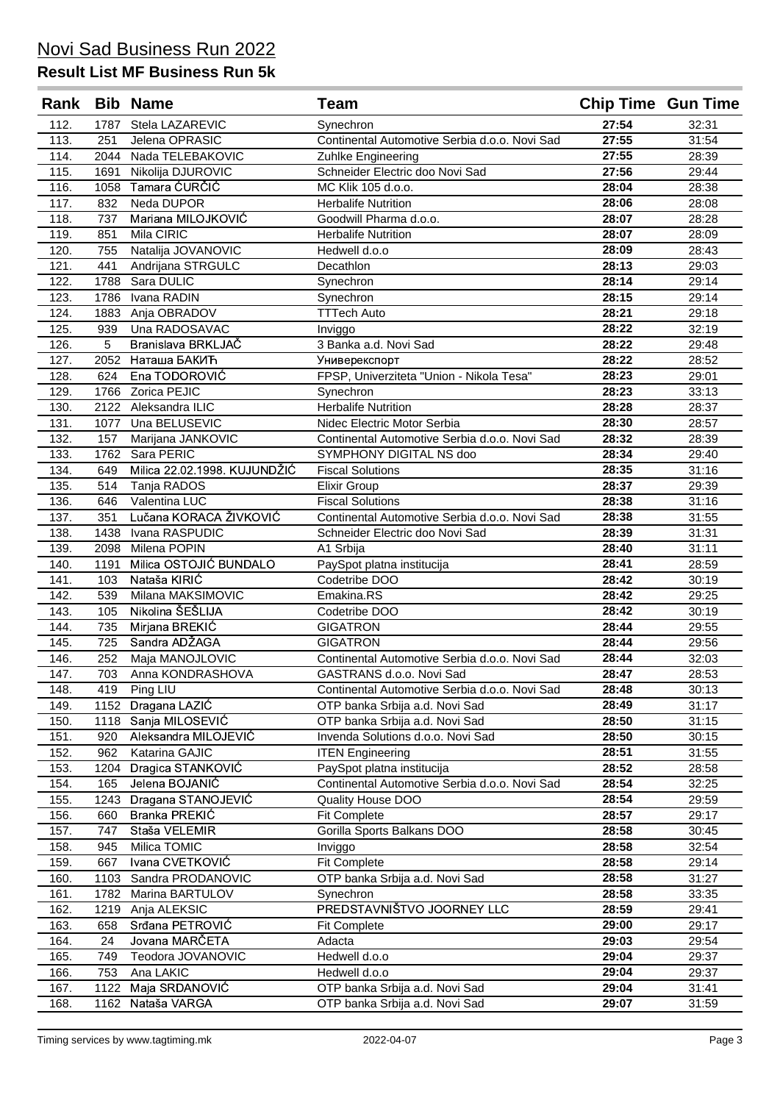| Rank         |              | <b>Bib Name</b>                  | <b>Team</b>                                                      | <b>Chip Time Gun Time</b> |                |
|--------------|--------------|----------------------------------|------------------------------------------------------------------|---------------------------|----------------|
| 112.         | 1787         | Stela LAZAREVIC                  | Synechron                                                        | 27:54                     | 32:31          |
| 113.         | 251          | Jelena OPRASIC                   | Continental Automotive Serbia d.o.o. Novi Sad                    | 27:55                     | 31:54          |
| 114.         | 2044         | Nada TELEBAKOVIC                 | Zuhlke Engineering                                               | 27:55                     | 28:39          |
| 115.         | 1691         | Nikolija DJUROVIC                | Schneider Electric doo Novi Sad                                  | 27:56                     | 29:44          |
| 116.         | 1058         | Tamara ĆURČIĆ                    | MC Klik 105 d.o.o.                                               | 28:04                     | 28:38          |
| 117.         | 832          | Neda DUPOR                       | <b>Herbalife Nutrition</b>                                       | 28:06                     | 28:08          |
| 118.         | 737          | Mariana MILOJKOVIĆ               | Goodwill Pharma d.o.o.                                           | 28:07                     | 28:28          |
| 119.         | 851          | Mila CIRIC                       | <b>Herbalife Nutrition</b>                                       | 28:07                     | 28:09          |
| 120.         | 755          | Natalija JOVANOVIC               | Hedwell d.o.o                                                    | 28:09                     | 28:43          |
| 121.         | 441          | Andrijana STRGULC                | Decathlon                                                        | 28:13                     | 29:03          |
| 122.         | 1788         | Sara DULIC                       | Synechron                                                        | 28:14                     | 29:14          |
| 123.         | 1786         | Ivana RADIN                      | Synechron                                                        | 28:15                     | 29:14          |
| 124.         | 1883         | Anja OBRADOV                     | <b>TTTech Auto</b>                                               | 28:21                     | 29:18          |
| 125.         | 939          | Una RADOSAVAC                    | Inviggo                                                          | 28:22                     | 32:19          |
| 126.         | 5            | Branislava BRKLJAČ               | 3 Banka a.d. Novi Sad                                            | 28:22                     | 29:48          |
| 127.         | 2052         | Наташа БАКИЋ                     | Универекспорт                                                    | 28:22                     | 28:52          |
| 128.         | 624          | Ena TODOROVIĆ                    | FPSP, Univerziteta "Union - Nikola Tesa"                         | 28:23                     | 29:01          |
| 129.         | 1766<br>2122 | Zorica PEJIC<br>Aleksandra ILIC  | Synechron<br><b>Herbalife Nutrition</b>                          | 28:23<br>28:28            | 33:13          |
| 130.<br>131. | 1077         | Una BELUSEVIC                    | Nidec Electric Motor Serbia                                      | 28:30                     | 28:37<br>28:57 |
| 132.         | 157          | Marijana JANKOVIC                | Continental Automotive Serbia d.o.o. Novi Sad                    | 28:32                     | 28:39          |
| 133.         | 1762         | Sara PERIC                       | SYMPHONY DIGITAL NS doo                                          | 28:34                     | 29:40          |
| 134.         | 649          | Milica 22.02.1998. KUJUNDŽIĆ     | <b>Fiscal Solutions</b>                                          | 28:35                     | 31:16          |
| 135.         | 514          | Tanja RADOS                      | <b>Elixir Group</b>                                              | 28:37                     | 29:39          |
| 136.         | 646          | Valentina LUC                    | <b>Fiscal Solutions</b>                                          | 28:38                     | 31:16          |
| 137.         | 351          | Lučana KORACA ŽIVKOVIĆ           | Continental Automotive Serbia d.o.o. Novi Sad                    | 28:38                     | 31:55          |
| 138.         | 1438         | Ivana RASPUDIC                   | Schneider Electric doo Novi Sad                                  | 28:39                     | 31:31          |
| 139.         | 2098         | Milena POPIN                     | A1 Srbija                                                        | 28:40                     | 31:11          |
| 140.         | 1191         | Milica OSTOJIĆ BUNDALO           | PaySpot platna institucija                                       | 28:41                     | 28:59          |
| 141.         | 103          | Nataša KIRIĆ                     | Codetribe DOO                                                    | 28:42                     | 30:19          |
| 142.         | 539          | Milana MAKSIMOVIC                | Emakina.RS                                                       | 28:42                     | 29:25          |
| 143.         | 105          | Nikolina ŠEŠLIJA                 | Codetribe DOO                                                    | 28:42                     | 30:19          |
| 144.         | 735          | Mirjana BREKIĆ                   | <b>GIGATRON</b>                                                  | 28:44                     | 29:55          |
| 145.         | 725          | Sandra ADŽAGA                    | <b>GIGATRON</b>                                                  | 28:44                     | 29:56          |
| 146.         | 252          | Maja MANOJLOVIC                  | Continental Automotive Serbia d.o.o. Novi Sad                    | 28:44                     | 32:03          |
| 147.         | 703          | Anna KONDRASHOVA                 | GASTRANS d.o.o. Novi Sad                                         | 28:47                     | 28:53          |
| 148.         | 419          | Ping LIU                         | Continental Automotive Serbia d.o.o. Novi Sad                    | 28:48                     | 30:13          |
| 149.<br>150. | 1152<br>1118 | Dragana LAZIĆ<br>Sanja MILOSEVIĆ | OTP banka Srbija a.d. Novi Sad<br>OTP banka Srbija a.d. Novi Sad | 28:49<br>28:50            | 31:17<br>31:15 |
| 151.         | 920          | Aleksandra MILOJEVIĆ             | Invenda Solutions d.o.o. Novi Sad                                | 28:50                     | 30:15          |
| 152.         | 962          | Katarina GAJIC                   | <b>ITEN Engineering</b>                                          | 28:51                     | 31:55          |
| 153.         | 1204         | Dragica STANKOVIĆ                | PaySpot platna institucija                                       | 28:52                     | 28:58          |
| 154.         | 165          | Jelena BOJANIĆ                   | Continental Automotive Serbia d.o.o. Novi Sad                    | 28:54                     | 32:25          |
| 155.         | 1243         | Dragana STANOJEVIĆ               | <b>Quality House DOO</b>                                         | 28:54                     | 29:59          |
| 156.         | 660          | Branka PREKIĆ                    | Fit Complete                                                     | 28:57                     | 29:17          |
| 157.         | 747          | Staša VELEMIR                    | Gorilla Sports Balkans DOO                                       | 28:58                     | 30:45          |
| 158.         | 945          | Milica TOMIC                     | Inviggo                                                          | 28:58                     | 32:54          |
| 159.         | 667          | Ivana CVETKOVIĆ                  | Fit Complete                                                     | 28:58                     | 29:14          |
| 160.         | 1103         | Sandra PRODANOVIC                | OTP banka Srbija a.d. Novi Sad                                   | 28:58                     | 31:27          |
| 161.         | 1782         | Marina BARTULOV                  | Synechron                                                        | 28:58                     | 33:35          |
| 162.         | 1219         | Anja ALEKSIC                     | PREDSTAVNIŠTVO JOORNEY LLC                                       | 28:59                     | 29:41          |
| 163.         | 658          | Srđana PETROVIĆ                  | <b>Fit Complete</b>                                              | 29:00                     | 29:17          |
| 164.         | 24           | Jovana MARČETA                   | Adacta                                                           | 29:03                     | 29:54          |
| 165.         | 749          | Teodora JOVANOVIC                | Hedwell d.o.o                                                    | 29:04                     | 29:37          |
| 166.         | 753          | Ana LAKIC<br>Maja SRDANOVIĆ      | Hedwell d.o.o<br>OTP banka Srbija a.d. Novi Sad                  | 29:04<br>29:04            | 29:37          |
| 167.<br>168. | 1122<br>1162 | Nataša VARGA                     | OTP banka Srbija a.d. Novi Sad                                   | 29:07                     | 31:41<br>31:59 |
|              |              |                                  |                                                                  |                           |                |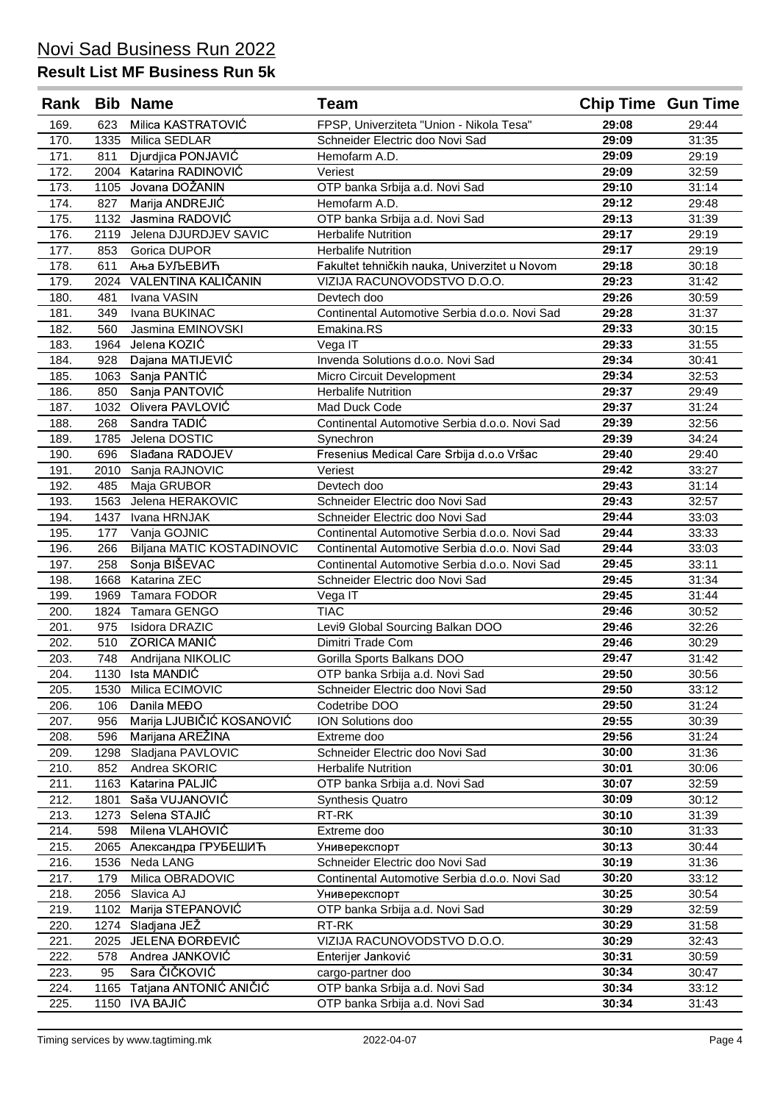| Rank         |              | <b>Bib Name</b>                 | <b>Team</b>                                         | <b>Chip Time Gun Time</b> |                |
|--------------|--------------|---------------------------------|-----------------------------------------------------|---------------------------|----------------|
| 169.         | 623          | Milica KASTRATOVIĆ              | FPSP, Univerziteta "Union - Nikola Tesa"            | 29:08                     | 29:44          |
| 170.         | 1335         | Milica SEDLAR                   | Schneider Electric doo Novi Sad                     | 29:09                     | 31:35          |
| 171.         | 811          | Djurdjica PONJAVIĆ              | Hemofarm A.D.                                       | 29:09                     | 29:19          |
| 172.         | 2004         | Katarina RADINOVIĆ              | Veriest                                             | 29:09                     | 32:59          |
| 173.         | 1105         | Jovana DOŽANIN                  | OTP banka Srbija a.d. Novi Sad                      | 29:10                     | 31:14          |
| 174.         | 827          | Marija ANDREJIĆ                 | Hemofarm A.D.                                       | 29:12                     | 29:48          |
| 175.         |              | 1132 Jasmina RADOVIĆ            | OTP banka Srbija a.d. Novi Sad                      | 29:13                     | 31:39          |
| 176.         | 2119         | Jelena DJURDJEV SAVIC           | <b>Herbalife Nutrition</b>                          | 29:17                     | 29:19          |
| 177.         | 853          | Gorica DUPOR                    | <b>Herbalife Nutrition</b>                          | 29:17                     | 29:19          |
| 178.         | 611          | Ања БУЉЕВИЋ                     | Fakultet tehničkih nauka, Univerzitet u Novom       | 29:18                     | 30:18          |
| 179.         |              | 2024 VALENTINA KALIČANIN        | VIZIJA RACUNOVODSTVO D.O.O.                         | 29:23                     | 31:42          |
| 180.         | 481          | Ivana VASIN                     | Devtech doo                                         | 29:26                     | 30:59          |
| 181.         | 349          | Ivana BUKINAC                   | Continental Automotive Serbia d.o.o. Novi Sad       | 29:28                     | 31:37          |
| 182.         | 560          | Jasmina EMINOVSKI               | Emakina.RS                                          | 29:33                     | 30:15          |
| 183.         | 1964         | Jelena KOZIĆ                    | Vega IT                                             | 29:33                     | 31:55          |
| 184.         | 928          | Dajana MATIJEVIĆ                | Invenda Solutions d.o.o. Novi Sad                   | 29:34                     | 30:41          |
| 185.         | 1063         | Sanja PANTIĆ                    | Micro Circuit Development                           | 29:34                     | 32:53          |
| 186.         | 850          | Sanja PANTOVIĆ                  | <b>Herbalife Nutrition</b>                          | 29:37                     | 29:49          |
| 187.         | 1032         | Olivera PAVLOVIĆ                | Mad Duck Code                                       | 29:37                     | 31:24          |
| 188.         | 268          | Sandra TADIĆ                    | Continental Automotive Serbia d.o.o. Novi Sad       | 29:39                     | 32:56          |
| 189.         | 1785         | Jelena DOSTIC                   | Synechron                                           | 29:39                     | 34:24          |
| 190.         | 696          | Slađana RADOJEV                 | Fresenius Medical Care Srbija d.o.o Vršac           | 29:40                     | 29:40          |
| 191.         | 2010         | Sanja RAJNOVIC                  | Veriest                                             | 29:42                     | 33:27          |
| 192.         | 485          | Maja GRUBOR                     | Devtech doo                                         | 29:43                     | 31:14          |
| 193.         | 1563         | Jelena HERAKOVIC                | Schneider Electric doo Novi Sad                     | 29:43                     | 32:57          |
| 194.         | 1437         | Ivana HRNJAK                    | Schneider Electric doo Novi Sad                     | 29:44                     | 33:03          |
| 195.         | 177          | Vanja GOJNIC                    | Continental Automotive Serbia d.o.o. Novi Sad       | 29:44                     | 33:33          |
| 196.         | 266          | Biljana MATIC KOSTADINOVIC      | Continental Automotive Serbia d.o.o. Novi Sad       | 29:44                     | 33:03          |
| 197.         | 258          | Sonja BIŠEVAC                   | Continental Automotive Serbia d.o.o. Novi Sad       | 29:45                     | 33:11          |
| 198.         | 1668         | Katarina ZEC                    | Schneider Electric doo Novi Sad                     | 29:45                     | 31:34          |
| 199.         | 1969         | Tamara FODOR                    | Vega IT                                             | 29:45                     | 31:44          |
| 200.         | 1824         | Tamara GENGO                    | <b>TIAC</b>                                         | 29:46                     | 30:52          |
| 201.         | 975          | Isidora DRAZIC                  | Levi9 Global Sourcing Balkan DOO                    | 29:46                     | 32:26          |
| 202.         | 510          | <b>ZORICA MANIĆ</b>             | Dimitri Trade Com                                   | 29:46                     | 30:29          |
| 203.         | 748          | Andrijana NIKOLIC               | Gorilla Sports Balkans DOO                          | 29:47                     | 31:42          |
| 204.         |              | 1130 Ista MANDIĆ                | OTP banka Srbija a.d. Novi Sad                      | 29:50                     | 30:56          |
| 205.         | 1530         | Milica ECIMOVIC                 | Schneider Electric doo Novi Sad                     | 29:50                     | 33:12          |
| 206.         | 106          | Danila MEĐO                     | Codetribe DOO                                       | 29:50                     | 31:24          |
| 207.         | 956          | Marija LJUBIČIĆ KOSANOVIĆ       | ION Solutions doo                                   | 29:55                     | 30:39          |
| 208.         | 596          | Marijana AREŽINA                | Extreme doo                                         | 29:56                     | 31:24          |
| 209.         | 1298         | Sladjana PAVLOVIC               | Schneider Electric doo Novi Sad                     | 30:00                     | 31:36          |
| 210.         | 852          | Andrea SKORIC                   | <b>Herbalife Nutrition</b>                          | 30:01                     | 30:06          |
| 211.         | 1163         | Katarina PALJIĆ                 | OTP banka Srbija a.d. Novi Sad                      | 30:07                     | 32:59          |
| 212.         | 1801         | Saša VUJANOVIĆ                  | <b>Synthesis Quatro</b>                             | 30:09                     | 30:12          |
| 213.         | 1273         | Selena STAJIĆ                   | RT-RK                                               | 30:10                     | 31:39          |
| 214.         | 598          | Milena VLAHOVIĆ                 | Extreme doo                                         | 30:10                     | 31:33          |
| 215.         | 2065         | Александра ГРУБЕШИЋ             | Универекспорт                                       | 30:13                     | 30:44          |
| 216.         | 1536         | Neda LANG                       | Schneider Electric doo Novi Sad                     | 30:19                     | 31:36          |
| 217.         | 179          | Milica OBRADOVIC                | Continental Automotive Serbia d.o.o. Novi Sad       | 30:20                     | 33:12          |
| 218.         | 2056         | Slavica AJ                      | Универекспорт                                       | 30:25                     | 30:54          |
| 219.         | 1102         | Marija STEPANOVIĆ               | OTP banka Srbija a.d. Novi Sad                      | 30:29                     | 32:59          |
| 220.         | 1274         | Sladjana JEŽ<br>JELENA ĐORĐEVIĆ | RT-RK                                               | 30:29                     | 31:58          |
| 221.         | 2025         | Andrea JANKOVIC                 | VIZIJA RACUNOVODSTVO D.O.O.                         | 30:29<br>30:31            | 32:43          |
| 222.         | 578          | Sara ČIČKOVIĆ                   | Enterijer Janković                                  | 30:34                     | 30:59          |
| 223.         | 95           | Tatjana ANTONIC ANIČIĆ          | cargo-partner doo<br>OTP banka Srbija a.d. Novi Sad | 30:34                     | 30:47          |
| 224.<br>225. | 1165<br>1150 | <b>IVA BAJIĆ</b>                | OTP banka Srbija a.d. Novi Sad                      | 30:34                     | 33:12<br>31:43 |
|              |              |                                 |                                                     |                           |                |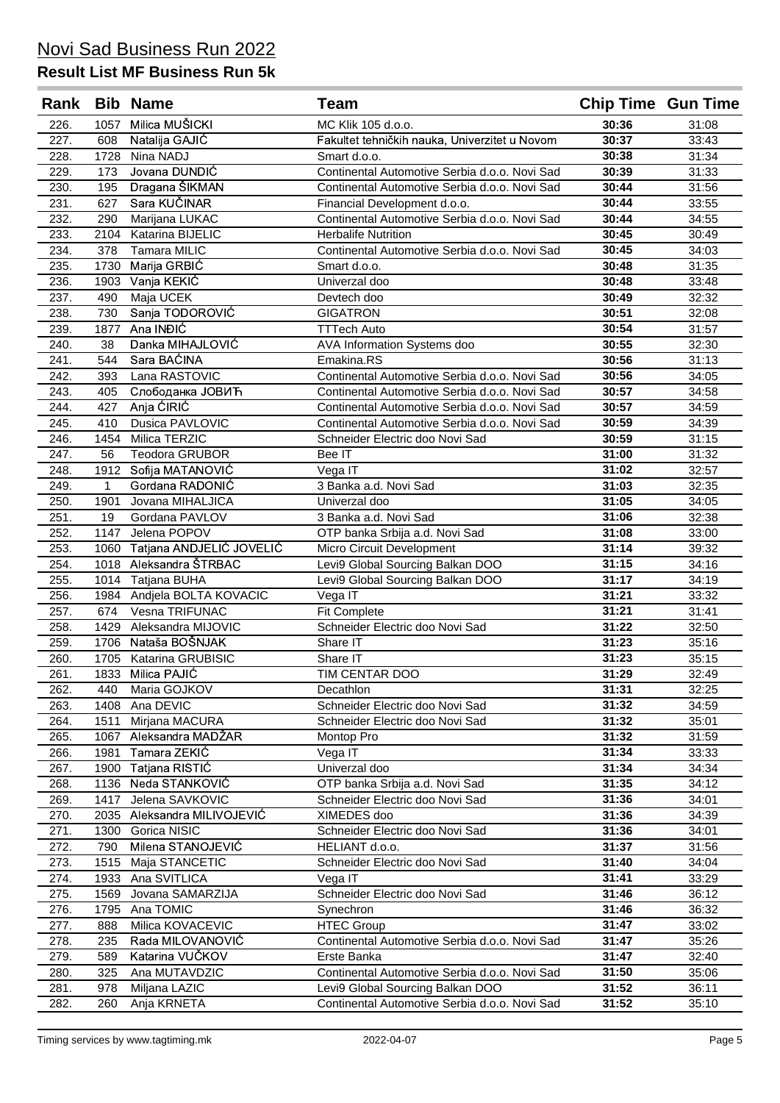| Rank |              | <b>Bib Name</b>          | Team                                          | <b>Chip Time Gun Time</b> |       |
|------|--------------|--------------------------|-----------------------------------------------|---------------------------|-------|
| 226. | 1057         | Milica MUŠICKI           | MC Klik 105 d.o.o.                            | 30:36                     | 31:08 |
| 227. | 608          | Natalija GAJIĆ           | Fakultet tehničkih nauka, Univerzitet u Novom | 30:37                     | 33:43 |
| 228. | 1728         | Nina NADJ                | Smart d.o.o.                                  | 30:38                     | 31:34 |
| 229. | 173          | Jovana DUNDIĆ            | Continental Automotive Serbia d.o.o. Novi Sad | 30:39                     | 31:33 |
| 230. | 195          | Dragana ŠIKMAN           | Continental Automotive Serbia d.o.o. Novi Sad | 30:44                     | 31:56 |
| 231. | 627          | Sara KUČINAR             | Financial Development d.o.o.                  | 30:44                     | 33:55 |
| 232. | 290          | Marijana LUKAC           | Continental Automotive Serbia d.o.o. Novi Sad | 30:44                     | 34:55 |
| 233. | 2104         | Katarina BIJELIC         | <b>Herbalife Nutrition</b>                    | 30:45                     | 30:49 |
| 234. | 378          | <b>Tamara MILIC</b>      | Continental Automotive Serbia d.o.o. Novi Sad | 30:45                     | 34:03 |
| 235. | 1730         | Marija GRBIĆ             | Smart d.o.o.                                  | 30:48                     | 31:35 |
| 236. | 1903         | Vanja KEKIĆ              | Univerzal doo                                 | 30:48                     | 33:48 |
| 237. | 490          | Maja UCEK                | Devtech doo                                   | 30:49                     | 32:32 |
| 238. | 730          | Sanja TODOROVIĆ          | <b>GIGATRON</b>                               | 30:51                     | 32:08 |
| 239. | 1877         | Ana INĐIĆ                | <b>TTTech Auto</b>                            | 30:54                     | 31:57 |
| 240. | 38           | Danka MIHAJLOVIĆ         | AVA Information Systems doo                   | 30:55                     | 32:30 |
| 241. | 544          | Sara BAĆINA              | Emakina.RS                                    | 30:56                     | 31:13 |
| 242. | 393          | Lana RASTOVIC            | Continental Automotive Serbia d.o.o. Novi Sad | 30:56                     | 34:05 |
| 243. | 405          | Слободанка ЈОВИЋ         | Continental Automotive Serbia d.o.o. Novi Sad | 30:57                     | 34:58 |
| 244. | 427          | Anja ĆIRIĆ               | Continental Automotive Serbia d.o.o. Novi Sad | 30:57                     | 34:59 |
| 245. | 410          | <b>Dusica PAVLOVIC</b>   | Continental Automotive Serbia d.o.o. Novi Sad | 30:59                     | 34:39 |
| 246. | 1454         | Milica TERZIC            | Schneider Electric doo Novi Sad               | 30:59                     | 31:15 |
| 247. | 56           | <b>Teodora GRUBOR</b>    | Bee IT                                        | 31:00                     | 31:32 |
| 248. | 1912         | Sofija MATANOVIĆ         | Vega IT                                       | 31:02                     | 32:57 |
| 249. | $\mathbf{1}$ | Gordana RADONIĆ          | 3 Banka a.d. Novi Sad                         | 31:03                     | 32:35 |
| 250. | 1901         | Jovana MIHALJICA         | Univerzal doo                                 | 31:05                     | 34:05 |
| 251. | 19           | Gordana PAVLOV           | 3 Banka a.d. Novi Sad                         | 31:06                     | 32:38 |
| 252. | 1147         | Jelena POPOV             | OTP banka Srbija a.d. Novi Sad                | 31:08                     | 33:00 |
| 253. | 1060         | Tatjana ANDJELIĆ JOVELIĆ | Micro Circuit Development                     | 31:14                     | 39:32 |
| 254. | 1018         | Aleksandra ŠTRBAC        | Levi9 Global Sourcing Balkan DOO              | 31:15                     | 34:16 |
| 255. | 1014         | Tatjana BUHA             | Levi9 Global Sourcing Balkan DOO              | 31:17                     | 34:19 |
| 256. | 1984         | Andjela BOLTA KOVACIC    | Vega IT                                       | 31:21                     | 33:32 |
| 257. | 674          | Vesna TRIFUNAC           | Fit Complete                                  | 31:21                     | 31:41 |
| 258. | 1429         | Aleksandra MIJOVIC       | Schneider Electric doo Novi Sad               | 31:22                     | 32:50 |
| 259. | 1706         | Nataša BOŠNJAK           | Share IT                                      | 31:23                     | 35:16 |
| 260. | 1705         | Katarina GRUBISIC        | Share IT                                      | 31:23                     | 35:15 |
| 261. |              | 1833 Milica PAJIĆ        | TIM CENTAR DOO                                | 31:29                     | 32:49 |
| 262. | 440          | Maria GOJKOV             | Decathlon                                     | 31:31                     | 32:25 |
| 263. | 1408         | Ana DEVIC                | Schneider Electric doo Novi Sad               | 31:32                     | 34:59 |
| 264. | 1511         | Mirjana MACURA           | Schneider Electric doo Novi Sad               | 31:32                     | 35:01 |
| 265. | 1067         | Aleksandra MADŽAR        | Montop Pro                                    | 31:32                     | 31:59 |
| 266. | 1981         | Tamara ZEKIĆ             | Vega IT                                       | 31:34                     | 33:33 |
| 267. | 1900         | Tatjana RISTIĆ           | Univerzal doo                                 | 31:34                     | 34:34 |
| 268. | 1136         | Neda STANKOVIĆ           | OTP banka Srbija a.d. Novi Sad                | 31:35                     | 34:12 |
| 269. | 1417         | Jelena SAVKOVIC          | Schneider Electric doo Novi Sad               | 31:36                     | 34:01 |
| 270. | 2035         | Aleksandra MILIVOJEVIĆ   | XIMEDES doo                                   | 31:36                     | 34:39 |
| 271. | 1300         | Gorica NISIC             | Schneider Electric doo Novi Sad               | 31:36                     | 34:01 |
| 272. | 790          | Milena STANOJEVIĆ        | HELIANT d.o.o.                                | 31:37                     | 31:56 |
| 273. | 1515         | Maja STANCETIC           | Schneider Electric doo Novi Sad               | 31:40                     | 34:04 |
| 274. | 1933         | Ana SVITLICA             | Vega IT                                       | 31:41                     | 33:29 |
| 275. | 1569         | Jovana SAMARZIJA         | Schneider Electric doo Novi Sad               | 31:46                     | 36:12 |
| 276. | 1795         | Ana TOMIC                | Synechron                                     | 31:46                     | 36:32 |
| 277. | 888          | Milica KOVACEVIC         | <b>HTEC Group</b>                             | 31:47                     | 33:02 |
| 278. | 235          | Rada MILOVANOVIĆ         | Continental Automotive Serbia d.o.o. Novi Sad | 31:47                     | 35:26 |
| 279. | 589          | Katarina VUČKOV          | Erste Banka                                   | 31:47                     | 32:40 |
| 280. | 325          | Ana MUTAVDZIC            | Continental Automotive Serbia d.o.o. Novi Sad | 31:50                     | 35:06 |
| 281. | 978          | Miljana LAZIC            | Levi9 Global Sourcing Balkan DOO              | 31:52                     | 36:11 |
| 282. | 260          | Anja KRNETA              | Continental Automotive Serbia d.o.o. Novi Sad | 31:52                     | 35:10 |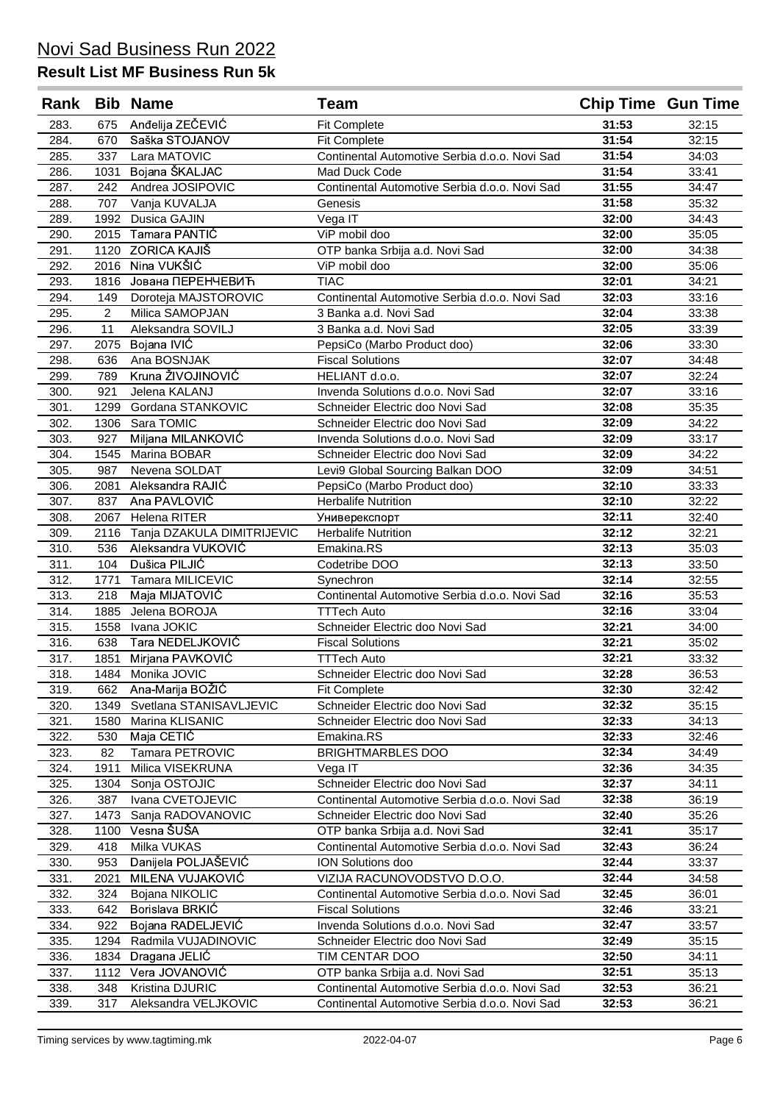| Rank |                | <b>Bib Name</b>            | <b>Team</b>                                   | <b>Chip Time Gun Time</b> |       |
|------|----------------|----------------------------|-----------------------------------------------|---------------------------|-------|
| 283. | 675            | Anđelija ZEČEVIĆ           | <b>Fit Complete</b>                           | 31:53                     | 32:15 |
| 284. | 670            | Saška STOJANOV             | <b>Fit Complete</b>                           | 31:54                     | 32:15 |
| 285. | 337            | Lara MATOVIC               | Continental Automotive Serbia d.o.o. Novi Sad | 31:54                     | 34:03 |
| 286. | 1031           | Bojana ŠKALJAC             | Mad Duck Code                                 | 31:54                     | 33:41 |
| 287. | 242            | Andrea JOSIPOVIC           | Continental Automotive Serbia d.o.o. Novi Sad | 31:55                     | 34:47 |
| 288. | 707            | Vanja KUVALJA              | Genesis                                       | 31:58                     | 35:32 |
| 289. | 1992           | Dusica GAJIN               | Vega IT                                       | 32:00                     | 34:43 |
| 290. | 2015           | Tamara PANTIĆ              | ViP mobil doo                                 | 32:00                     | 35:05 |
| 291. | 1120           | ZORICA KAJIŠ               | OTP banka Srbija a.d. Novi Sad                | 32:00                     | 34:38 |
| 292. | 2016           | Nina VUKŠIĆ                | ViP mobil doo                                 | 32:00                     | 35:06 |
| 293. | 1816           | Јована ПЕРЕНЧЕВИЋ          | <b>TIAC</b>                                   | 32:01                     | 34:21 |
| 294. | 149            | Doroteja MAJSTOROVIC       | Continental Automotive Serbia d.o.o. Novi Sad | 32:03                     | 33:16 |
| 295. | $\overline{2}$ | Milica SAMOPJAN            | 3 Banka a.d. Novi Sad                         | 32:04                     | 33:38 |
| 296. | 11             | Aleksandra SOVILJ          | 3 Banka a.d. Novi Sad                         | 32:05                     | 33:39 |
| 297. | 2075           | Bojana IVIĆ                | PepsiCo (Marbo Product doo)                   | 32:06                     | 33:30 |
| 298. | 636            | Ana BOSNJAK                | <b>Fiscal Solutions</b>                       | 32:07                     | 34:48 |
| 299. | 789            | Kruna ŽIVOJINOVIĆ          | HELIANT d.o.o.                                | 32:07                     | 32:24 |
| 300. | 921            | Jelena KALANJ              | Invenda Solutions d.o.o. Novi Sad             | 32:07                     | 33:16 |
| 301. | 1299           | Gordana STANKOVIC          | Schneider Electric doo Novi Sad               | 32:08                     | 35:35 |
| 302. | 1306           | Sara TOMIC                 | Schneider Electric doo Novi Sad               | 32:09                     | 34:22 |
| 303. | 927            | Miljana MILANKOVIĆ         | Invenda Solutions d.o.o. Novi Sad             | 32:09                     | 33:17 |
| 304. | 1545           | Marina BOBAR               | Schneider Electric doo Novi Sad               | 32:09                     | 34:22 |
| 305. | 987            | Nevena SOLDAT              | Levi9 Global Sourcing Balkan DOO              | 32:09                     | 34:51 |
| 306. | 2081           | Aleksandra RAJIĆ           | PepsiCo (Marbo Product doo)                   | 32:10                     | 33:33 |
| 307. | 837            | Ana PAVLOVIĆ               | <b>Herbalife Nutrition</b>                    | 32:10                     | 32:22 |
| 308. | 2067           | Helena RITER               | Универекспорт                                 | 32:11                     | 32:40 |
| 309. | 2116           | Tanja DZAKULA DIMITRIJEVIC | <b>Herbalife Nutrition</b>                    | 32:12                     | 32:21 |
| 310. | 536            | Aleksandra VUKOVIĆ         | Emakina.RS                                    | 32:13                     | 35:03 |
| 311. | 104            | Dušica PILJIĆ              | Codetribe DOO                                 | 32:13                     | 33:50 |
| 312. | 1771           | Tamara MILICEVIC           | Synechron                                     | 32:14                     | 32:55 |
| 313. | 218            | Maja MIJATOVIĆ             | Continental Automotive Serbia d.o.o. Novi Sad | 32:16                     | 35:53 |
| 314. | 1885           | Jelena BOROJA              | <b>TTTech Auto</b>                            | 32:16                     | 33:04 |
| 315. | 1558           | Ivana JOKIC                | Schneider Electric doo Novi Sad               | 32:21                     | 34:00 |
| 316. | 638            | Tara NEDELJKOVIĆ           | <b>Fiscal Solutions</b>                       | 32:21                     | 35:02 |
| 317. | 1851           | Mirjana PAVKOVIĆ           | <b>TTTech Auto</b>                            | 32:21                     | 33:32 |
| 318. | 1484           | Monika JOVIC               | Schneider Electric doo Novi Sad               | 32:28                     | 36:53 |
| 319. | 662            | Ana-Marija BOŽIĆ           | <b>Fit Complete</b>                           | 32:30                     | 32:42 |
| 320. | 1349           | Svetlana STANISAVLJEVIC    | Schneider Electric doo Novi Sad               | 32:32                     | 35:15 |
| 321. | 1580           | Marina KLISANIC            | Schneider Electric doo Novi Sad               | 32:33                     | 34:13 |
| 322. | 530            | Maja CETIĆ                 | Emakina.RS                                    | 32:33                     | 32:46 |
| 323. | 82             | Tamara PETROVIC            | <b>BRIGHTMARBLES DOO</b>                      | 32:34                     | 34:49 |
| 324. | 1911           | Milica VISEKRUNA           | Vega IT                                       | 32:36                     | 34:35 |
| 325. | 1304           | Sonja OSTOJIC              | Schneider Electric doo Novi Sad               | 32:37                     | 34:11 |
| 326. | 387            | Ivana CVETOJEVIC           | Continental Automotive Serbia d.o.o. Novi Sad | 32:38                     | 36:19 |
| 327. | 1473           | Sanja RADOVANOVIC          | Schneider Electric doo Novi Sad               | 32:40                     | 35:26 |
| 328. | 1100           | Vesna ŠUŠA                 | OTP banka Srbija a.d. Novi Sad                | 32:41                     | 35:17 |
| 329. | 418            | Milka VUKAS                | Continental Automotive Serbia d.o.o. Novi Sad | 32:43                     | 36:24 |
| 330. | 953            | Danijela POLJAŠEVIĆ        | ION Solutions doo                             | 32:44                     | 33:37 |
| 331. | 2021           | MILENA VUJAKOVIĆ           | VIZIJA RACUNOVODSTVO D.O.O.                   | 32:44                     | 34:58 |
| 332. | 324            | Bojana NIKOLIC             | Continental Automotive Serbia d.o.o. Novi Sad | 32:45                     | 36:01 |
| 333. | 642            | Borislava BRKIĆ            | <b>Fiscal Solutions</b>                       | 32:46                     | 33:21 |
| 334. | 922            | Bojana RADELJEVIĆ          | Invenda Solutions d.o.o. Novi Sad             | 32:47                     | 33:57 |
| 335. | 1294           | Radmila VUJADINOVIC        | Schneider Electric doo Novi Sad               | 32:49                     | 35:15 |
| 336. | 1834           | Dragana JELIĆ              | TIM CENTAR DOO                                | 32:50                     | 34:11 |
| 337. | 1112           | Vera JOVANOVIĆ             | OTP banka Srbija a.d. Novi Sad                | 32:51                     | 35:13 |
| 338. | 348            | Kristina DJURIC            | Continental Automotive Serbia d.o.o. Novi Sad | 32:53                     | 36:21 |
| 339. | 317            | Aleksandra VELJKOVIC       | Continental Automotive Serbia d.o.o. Novi Sad | 32:53                     | 36:21 |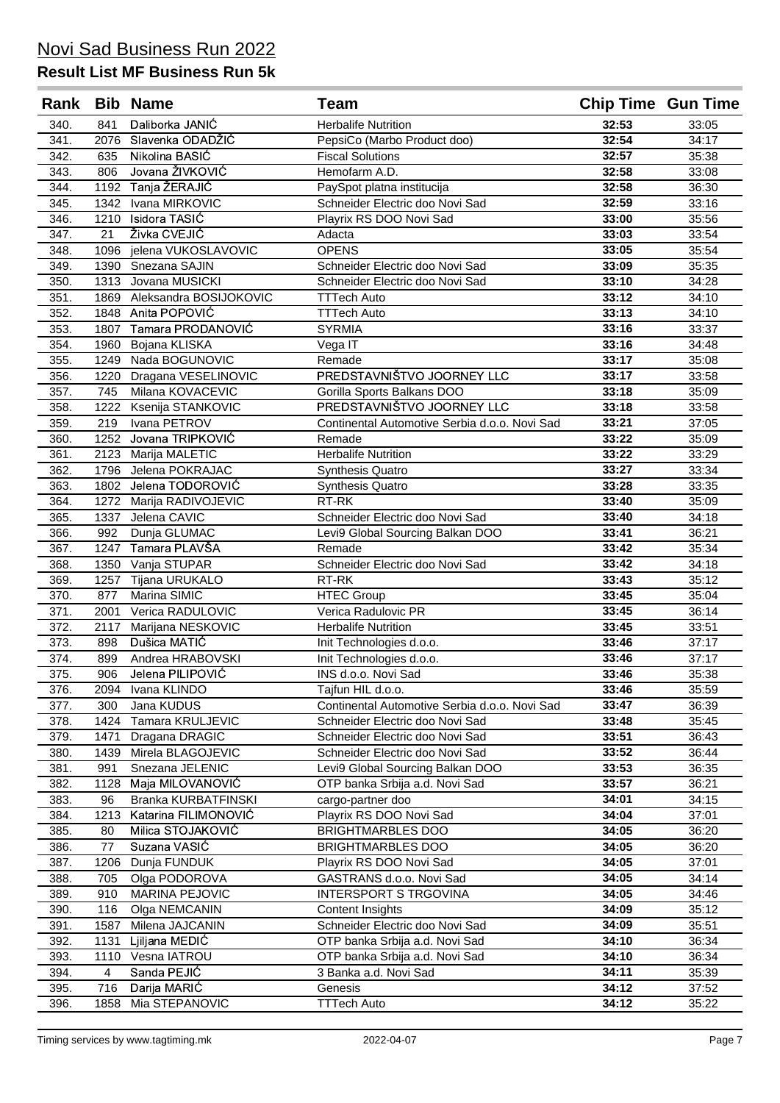| Rank |      | <b>Bib Name</b>             | <b>Team</b>                                   | <b>Chip Time Gun Time</b> |       |
|------|------|-----------------------------|-----------------------------------------------|---------------------------|-------|
| 340. | 841  | Daliborka JANIĆ             | <b>Herbalife Nutrition</b>                    | 32:53                     | 33:05 |
| 341. | 2076 | Slavenka ODADŽIĆ            | PepsiCo (Marbo Product doo)                   | 32:54                     | 34:17 |
| 342. | 635  | Nikolina BASIĆ              | <b>Fiscal Solutions</b>                       | 32:57                     | 35:38 |
| 343. | 806  | Jovana ŽIVKOVIĆ             | Hemofarm A.D.                                 | 32:58                     | 33:08 |
| 344. |      | 1192 Tanja ŽERAJIĆ          | PaySpot platna institucija                    | 32:58                     | 36:30 |
| 345. |      | 1342 Ivana MIRKOVIC         | Schneider Electric doo Novi Sad               | 32:59                     | 33:16 |
| 346. |      | 1210 Isidora TASIĆ          | Playrix RS DOO Novi Sad                       | 33:00                     | 35:56 |
| 347. | 21   | Živka CVEJIĆ                | Adacta                                        | 33:03                     | 33:54 |
| 348. | 1096 | jelena VUKOSLAVOVIC         | <b>OPENS</b>                                  | 33:05                     | 35:54 |
| 349. | 1390 | Snezana SAJIN               | Schneider Electric doo Novi Sad               | 33:09                     | 35:35 |
| 350. | 1313 | Jovana MUSICKI              | Schneider Electric doo Novi Sad               | 33:10                     | 34:28 |
| 351. |      | 1869 Aleksandra BOSIJOKOVIC | <b>TTTech Auto</b>                            | 33:12                     | 34:10 |
| 352. | 1848 | Anita POPOVIĆ               | <b>TTTech Auto</b>                            | 33:13                     | 34:10 |
| 353. | 1807 | Tamara PRODANOVIĆ           | <b>SYRMIA</b>                                 | 33:16                     | 33:37 |
| 354. | 1960 | Bojana KLISKA               | Vega IT                                       | 33:16                     | 34:48 |
| 355. | 1249 | Nada BOGUNOVIC              | Remade                                        | 33:17                     | 35:08 |
| 356. | 1220 | Dragana VESELINOVIC         | PREDSTAVNIŠTVO JOORNEY LLC                    | 33:17                     | 33:58 |
| 357. | 745  | Milana KOVACEVIC            | Gorilla Sports Balkans DOO                    | 33:18                     | 35:09 |
| 358. | 1222 | Ksenija STANKOVIC           | PREDSTAVNIŠTVO JOORNEY LLC                    | 33:18                     | 33:58 |
| 359. | 219  | Ivana PETROV                | Continental Automotive Serbia d.o.o. Novi Sad | 33:21                     | 37:05 |
| 360. | 1252 | Jovana TRIPKOVIĆ            | Remade                                        | 33:22                     | 35:09 |
| 361. |      | 2123 Marija MALETIC         | <b>Herbalife Nutrition</b>                    | 33:22                     | 33:29 |
| 362. | 1796 | Jelena POKRAJAC             | <b>Synthesis Quatro</b>                       | 33:27                     | 33:34 |
| 363. |      | 1802 Jelena TODOROVIĆ       | <b>Synthesis Quatro</b>                       | 33:28                     | 33:35 |
| 364. | 1272 | Marija RADIVOJEVIC          | RT-RK                                         | 33:40                     | 35:09 |
| 365. | 1337 | Jelena CAVIC                | Schneider Electric doo Novi Sad               | 33:40                     | 34:18 |
| 366. | 992  | Dunja GLUMAC                | Levi9 Global Sourcing Balkan DOO              | 33:41                     | 36:21 |
| 367. | 1247 | Tamara PLAVŠA               | Remade                                        | 33:42                     | 35:34 |
| 368. |      | 1350 Vanja STUPAR           | Schneider Electric doo Novi Sad               | 33:42                     | 34:18 |
| 369. | 1257 | Tijana URUKALO              | RT-RK                                         | 33:43                     | 35:12 |
| 370. | 877  | Marina SIMIC                | <b>HTEC Group</b>                             | 33:45                     | 35:04 |
| 371. | 2001 | Verica RADULOVIC            | Verica Radulovic PR                           | 33:45                     | 36:14 |
| 372. | 2117 | Marijana NESKOVIC           | <b>Herbalife Nutrition</b>                    | 33:45                     | 33:51 |
| 373. | 898  | Dušica MATIĆ                | Init Technologies d.o.o.                      | 33:46                     | 37:17 |
| 374. | 899  | Andrea HRABOVSKI            | Init Technologies d.o.o.                      | 33:46                     | 37:17 |
| 375. | 906  | Jelena PILIPOVIĆ            | INS d.o.o. Novi Sad                           | 33:46                     | 35:38 |
| 376. | 2094 | Ivana KLINDO                | Tajfun HIL d.o.o.                             | 33:46                     | 35:59 |
| 377. | 300  | Jana KUDUS                  | Continental Automotive Serbia d.o.o. Novi Sad | 33:47                     | 36:39 |
| 378. | 1424 | Tamara KRULJEVIC            | Schneider Electric doo Novi Sad               | 33:48                     | 35:45 |
| 379. | 1471 | Dragana DRAGIC              | Schneider Electric doo Novi Sad               | 33:51                     | 36:43 |
| 380. | 1439 | Mirela BLAGOJEVIC           | Schneider Electric doo Novi Sad               | 33:52                     | 36:44 |
| 381. | 991  | Snezana JELENIC             | Levi9 Global Sourcing Balkan DOO              | 33:53                     | 36:35 |
| 382. | 1128 | Maja MILOVANOVIĆ            | OTP banka Srbija a.d. Novi Sad                | 33:57                     | 36:21 |
| 383. | 96   | Branka KURBATFINSKI         | cargo-partner doo                             | 34:01                     | 34:15 |
| 384. | 1213 | Katarina FILIMONOVIĆ        | Playrix RS DOO Novi Sad                       | 34:04                     | 37:01 |
| 385. | 80   | Milica STOJAKOVIĆ           | BRIGHTMARBLES DOO                             | 34:05                     | 36:20 |
| 386. | 77   | Suzana VASIĆ                | <b>BRIGHTMARBLES DOO</b>                      | 34:05                     | 36:20 |
| 387. | 1206 | Dunja FUNDUK                | Playrix RS DOO Novi Sad                       | 34:05                     | 37:01 |
| 388. | 705  | Olga PODOROVA               | GASTRANS d.o.o. Novi Sad                      | 34:05                     | 34:14 |
| 389. | 910  | <b>MARINA PEJOVIC</b>       | <b>INTERSPORT S TRGOVINA</b>                  | 34:05                     | 34:46 |
| 390. | 116  | Olga NEMCANIN               | Content Insights                              | 34:09                     | 35:12 |
| 391. | 1587 | Milena JAJCANIN             | Schneider Electric doo Novi Sad               | 34:09                     | 35:51 |
| 392. | 1131 | Ljiljana MEDIĆ              | OTP banka Srbija a.d. Novi Sad                | 34:10                     | 36:34 |
| 393. | 1110 | Vesna IATROU                | OTP banka Srbija a.d. Novi Sad                | 34:10                     | 36:34 |
| 394. | 4    | Sanda PEJIĆ                 | 3 Banka a.d. Novi Sad                         | 34:11                     | 35:39 |
| 395. | 716  | Darija MARIĆ                | Genesis                                       | 34:12                     | 37:52 |
| 396. | 1858 | Mia STEPANOVIC              | <b>TTTech Auto</b>                            | 34:12                     | 35:22 |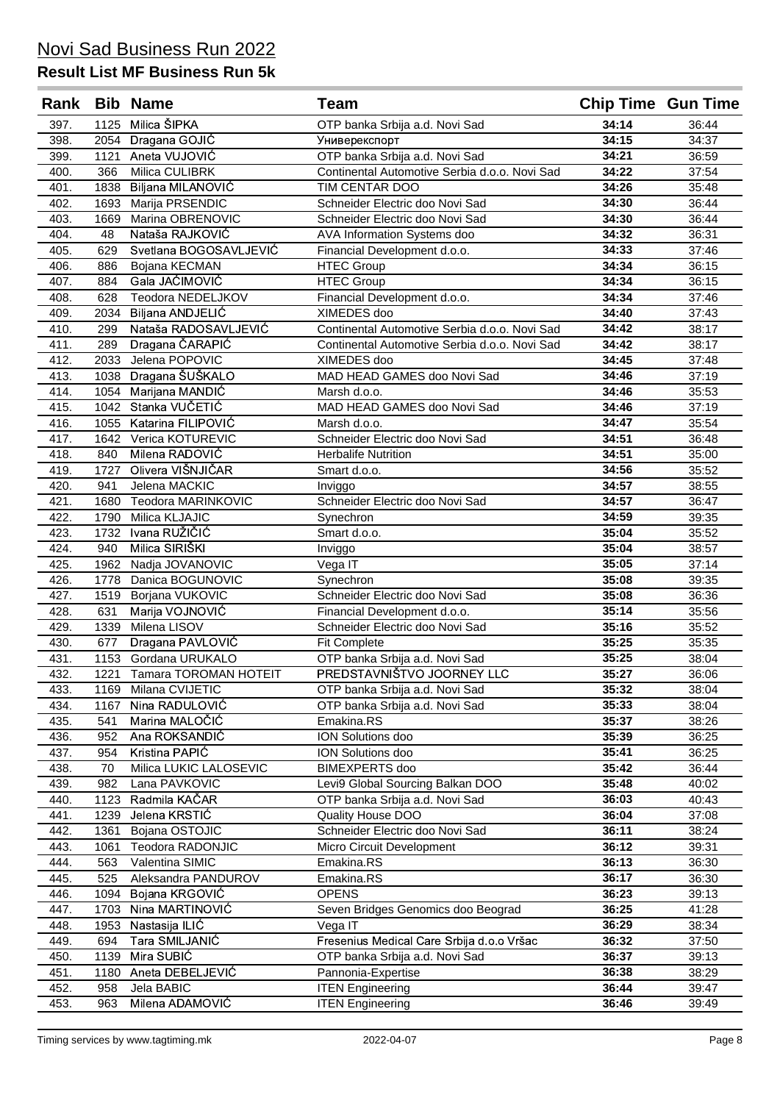| Rank |      | <b>Bib Name</b>            | <b>Team</b>                                   | <b>Chip Time Gun Time</b> |       |
|------|------|----------------------------|-----------------------------------------------|---------------------------|-------|
| 397. | 1125 | Milica ŠIPKA               | OTP banka Srbija a.d. Novi Sad                | 34:14                     | 36:44 |
| 398. | 2054 | Dragana GOJIĆ              | Универекспорт                                 | 34:15                     | 34:37 |
| 399. | 1121 | Aneta VUJOVIĆ              | OTP banka Srbija a.d. Novi Sad                | 34:21                     | 36:59 |
| 400. | 366  | Milica CULIBRK             | Continental Automotive Serbia d.o.o. Novi Sad | 34:22                     | 37:54 |
| 401. | 1838 | Biljana MILANOVIĆ          | TIM CENTAR DOO                                | 34:26                     | 35:48 |
| 402. | 1693 | Marija PRSENDIC            | Schneider Electric doo Novi Sad               | 34:30                     | 36:44 |
| 403. | 1669 | Marina OBRENOVIC           | Schneider Electric doo Novi Sad               | 34:30                     | 36:44 |
| 404. | 48   | Nataša RAJKOVIĆ            | AVA Information Systems doo                   | 34:32                     | 36:31 |
| 405. | 629  | Svetlana BOGOSAVLJEVIĆ     | Financial Development d.o.o.                  | 34:33                     | 37:46 |
| 406. | 886  | Bojana KECMAN              | <b>HTEC Group</b>                             | 34:34                     | 36:15 |
| 407. | 884  | Gala JAĆIMOVIĆ             | <b>HTEC Group</b>                             | 34:34                     | 36:15 |
| 408. | 628  | Teodora NEDELJKOV          | Financial Development d.o.o.                  | 34:34                     | 37:46 |
| 409. | 2034 | Biljana ANDJELIĆ           | XIMEDES doo                                   | 34:40                     | 37:43 |
| 410. | 299  | Nataša RADOSAVLJEVIĆ       | Continental Automotive Serbia d.o.o. Novi Sad | 34:42                     | 38:17 |
| 411. | 289  | Dragana ČARAPIĆ            | Continental Automotive Serbia d.o.o. Novi Sad | 34:42                     | 38:17 |
| 412. | 2033 | Jelena POPOVIC             | XIMEDES doo                                   | 34:45                     | 37:48 |
| 413. | 1038 | Dragana ŠUŠKALO            | MAD HEAD GAMES doo Novi Sad                   | 34:46                     | 37:19 |
| 414. | 1054 | Marijana MANDIĆ            | Marsh d.o.o.                                  | 34:46                     | 35:53 |
| 415. | 1042 | Stanka VUČETIĆ             | MAD HEAD GAMES doo Novi Sad                   | 34:46                     | 37:19 |
| 416. | 1055 | Katarina FILIPOVIĆ         | Marsh d.o.o.                                  | 34:47                     | 35:54 |
| 417. | 1642 | Verica KOTUREVIC           | Schneider Electric doo Novi Sad               | 34:51                     | 36:48 |
| 418. | 840  | Milena RADOVIĆ             | <b>Herbalife Nutrition</b>                    | 34:51                     | 35:00 |
| 419. | 1727 | Olivera VIŠNJIČAR          | Smart d.o.o.                                  | 34:56                     | 35:52 |
| 420. | 941  | Jelena MACKIC              | Inviggo                                       | 34:57                     | 38:55 |
| 421. | 1680 | Teodora MARINKOVIC         | Schneider Electric doo Novi Sad               | 34:57                     | 36:47 |
| 422. | 1790 | Milica KLJAJIC             | Synechron                                     | 34:59                     | 39:35 |
| 423. | 1732 | Ivana RUŽIČIĆ              | Smart d.o.o.                                  | 35:04                     | 35:52 |
| 424. | 940  | Milica SIRIŠKI             | Inviggo                                       | 35:04                     | 38:57 |
| 425. | 1962 | Nadja JOVANOVIC            | Vega IT                                       | 35:05                     | 37:14 |
| 426. | 1778 | Danica BOGUNOVIC           | Synechron                                     | 35:08                     | 39:35 |
| 427. | 1519 | Borjana VUKOVIC            | Schneider Electric doo Novi Sad               | 35:08                     | 36:36 |
| 428. | 631  | Marija VOJNOVIĆ            | Financial Development d.o.o.                  | 35:14                     | 35:56 |
| 429. | 1339 | Milena LISOV               | Schneider Electric doo Novi Sad               | 35:16                     | 35:52 |
| 430. | 677  | Dragana PAVLOVIĆ           | <b>Fit Complete</b>                           | 35:25                     | 35:35 |
| 431. | 1153 | Gordana URUKALO            | OTP banka Srbija a.d. Novi Sad                | 35:25                     | 38:04 |
| 432. |      | 1221 Tamara TOROMAN HOTEIT | PREDSTAVNIŠTVO JOORNEY LLC                    | 35:27                     | 36:06 |
| 433. | 1169 | Milana CVIJETIC            | OTP banka Srbija a.d. Novi Sad                | 35:32                     | 38:04 |
| 434. | 1167 | Nina RADULOVIĆ             | OTP banka Srbija a.d. Novi Sad                | 35:33                     | 38:04 |
| 435. | 541  | Marina MALOČIĆ             | Emakina.RS                                    | 35:37                     | 38:26 |
| 436. | 952  | Ana ROKSANDIĆ              | ION Solutions doo                             | 35:39                     | 36:25 |
| 437. | 954  | Kristina PAPIĆ             | ION Solutions doo                             | 35:41                     | 36:25 |
| 438. | 70   | Milica LUKIC LALOSEVIC     | BIMEXPERTS doo                                | 35:42                     | 36:44 |
| 439. | 982  | Lana PAVKOVIC              | Levi9 Global Sourcing Balkan DOO              | 35:48                     | 40:02 |
| 440. | 1123 | Radmila KAČAR              | OTP banka Srbija a.d. Novi Sad                | 36:03                     | 40:43 |
| 441. | 1239 | Jelena KRSTIĆ              | Quality House DOO                             | 36:04                     | 37:08 |
| 442. | 1361 | Bojana OSTOJIC             | Schneider Electric doo Novi Sad               | 36:11                     | 38:24 |
| 443. | 1061 | Teodora RADONJIC           | Micro Circuit Development                     | 36:12                     | 39:31 |
| 444. | 563  | Valentina SIMIC            | Emakina.RS                                    | 36:13                     | 36:30 |
| 445. | 525  | Aleksandra PANDUROV        | Emakina.RS                                    | 36:17                     | 36:30 |
| 446. | 1094 | Bojana KRGOVIĆ             | <b>OPENS</b>                                  | 36:23                     | 39:13 |
| 447. | 1703 | Nina MARTINOVIĆ            | Seven Bridges Genomics doo Beograd            | 36:25                     | 41:28 |
| 448. | 1953 | Nastasija ILIĆ             | Vega IT                                       | 36:29                     | 38:34 |
| 449. | 694  | Tara SMILJANIĆ             | Fresenius Medical Care Srbija d.o.o Vršac     | 36:32                     | 37:50 |
| 450. | 1139 | Mira SUBIĆ                 | OTP banka Srbija a.d. Novi Sad                | 36:37                     | 39:13 |
| 451. | 1180 | Aneta DEBELJEVIĆ           | Pannonia-Expertise                            | 36:38                     | 38:29 |
| 452. | 958  | Jela BABIC                 | <b>ITEN Engineering</b>                       | 36:44                     | 39:47 |
| 453. | 963  | Milena ADAMOVIĆ            | <b>ITEN Engineering</b>                       | 36:46                     | 39:49 |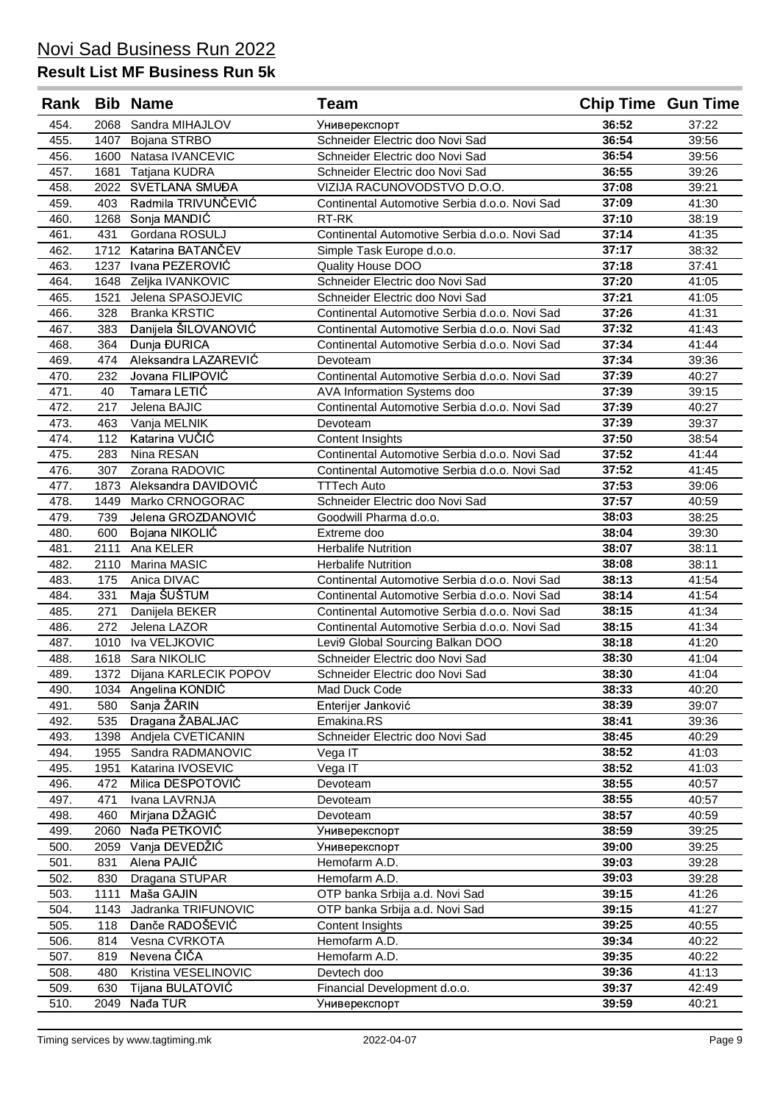| Rank         |             | <b>Bib Name</b>                      | <b>Team</b>                                                                  | <b>Chip Time Gun Time</b> |                |
|--------------|-------------|--------------------------------------|------------------------------------------------------------------------------|---------------------------|----------------|
| 454.         | 2068        | Sandra MIHAJLOV                      | Универекспорт                                                                | 36:52                     | 37:22          |
| 455.         | 1407        | Bojana STRBO                         | Schneider Electric doo Novi Sad                                              | 36:54                     | 39:56          |
| 456.         | 1600        | Natasa IVANCEVIC                     | Schneider Electric doo Novi Sad                                              | 36:54                     | 39:56          |
| 457.         | 1681        | Tatjana KUDRA                        | Schneider Electric doo Novi Sad                                              | 36:55                     | 39:26          |
| 458.         | 2022        | SVETLANA SMUĐA                       | VIZIJA RACUNOVODSTVO D.O.O.                                                  | 37:08                     | 39:21          |
| 459.         | 403         | Radmila TRIVUNČEVIĆ                  | Continental Automotive Serbia d.o.o. Novi Sad                                | 37:09                     | 41:30          |
| 460.         | 1268        | Sonja MANDIĆ                         | RT-RK                                                                        | 37:10                     | 38:19          |
| 461.         | 431         | Gordana ROSULJ                       | Continental Automotive Serbia d.o.o. Novi Sad                                | 37:14                     | 41:35          |
| 462.         | 1712        | Katarina BATANČEV                    | Simple Task Europe d.o.o.                                                    | 37:17                     | 38:32          |
| 463.         | 1237        | Ivana PEZEROVIĆ                      | Quality House DOO                                                            | 37:18                     | 37:41          |
| 464.         |             | 1648 Zeljka IVANKOVIC                | Schneider Electric doo Novi Sad                                              | 37:20                     | 41:05          |
| 465.         | 1521        | Jelena SPASOJEVIC                    | Schneider Electric doo Novi Sad                                              | 37:21                     | 41:05          |
| 466.         | 328         | <b>Branka KRSTIC</b>                 | Continental Automotive Serbia d.o.o. Novi Sad                                | 37:26                     | 41:31          |
| 467.         | 383         | Danijela ŠILOVANOVIĆ                 | Continental Automotive Serbia d.o.o. Novi Sad                                | 37:32                     | 41:43          |
| 468.         | 364         | Dunja ĐURICA<br>Aleksandra LAZAREVIĆ | Continental Automotive Serbia d.o.o. Novi Sad                                | 37:34                     | 41:44          |
| 469.         | 474         | Jovana FILIPOVIĆ                     | Devoteam                                                                     | 37:34<br>37:39            | 39:36          |
| 470.<br>471. | 232<br>40   | Tamara LETIĆ                         | Continental Automotive Serbia d.o.o. Novi Sad                                | 37:39                     | 40:27<br>39:15 |
| 472.         | 217         | Jelena BAJIC                         | AVA Information Systems doo<br>Continental Automotive Serbia d.o.o. Novi Sad | 37:39                     | 40:27          |
| 473.         | 463         | Vanja MELNIK                         | Devoteam                                                                     | 37:39                     | 39:37          |
| 474.         | 112         | Katarina VUČIĆ                       | Content Insights                                                             | 37:50                     | 38:54          |
| 475.         | 283         | Nina RESAN                           | Continental Automotive Serbia d.o.o. Novi Sad                                | 37:52                     | 41:44          |
| 476.         | 307         | Zorana RADOVIC                       | Continental Automotive Serbia d.o.o. Novi Sad                                | 37:52                     | 41:45          |
| 477.         | 1873        | Aleksandra DAVIDOVIĆ                 | <b>TTTech Auto</b>                                                           | 37:53                     | 39:06          |
| 478.         | 1449        | Marko CRNOGORAC                      | Schneider Electric doo Novi Sad                                              | 37:57                     | 40:59          |
| 479.         | 739         | Jelena GROZDANOVIĆ                   | Goodwill Pharma d.o.o.                                                       | 38:03                     | 38:25          |
| 480.         | 600         | Bojana NIKOLIĆ                       | Extreme doo                                                                  | 38:04                     | 39:30          |
| 481.         | 2111        | Ana KELER                            | <b>Herbalife Nutrition</b>                                                   | 38:07                     | 38:11          |
| 482.         | 2110        | Marina MASIC                         | <b>Herbalife Nutrition</b>                                                   | 38:08                     | 38:11          |
| 483.         | 175         | Anica DIVAC                          | Continental Automotive Serbia d.o.o. Novi Sad                                | 38:13                     | 41:54          |
| 484.         | 331         | Maja ŠUŠTUM                          | Continental Automotive Serbia d.o.o. Novi Sad                                | 38:14                     | 41:54          |
| 485.         | 271         | Danijela BEKER                       | Continental Automotive Serbia d.o.o. Novi Sad                                | 38:15                     | 41:34          |
| 486.         | 272         | Jelena LAZOR                         | Continental Automotive Serbia d.o.o. Novi Sad                                | 38:15                     | 41:34          |
| 487.         | 1010        | Iva VELJKOVIC                        | Levi9 Global Sourcing Balkan DOO                                             | 38:18                     | 41:20          |
| 488.         | 1618        | Sara NIKOLIC                         | Schneider Electric doo Novi Sad                                              | 38:30                     | 41:04          |
| 489.         | 1372        | Dijana KARLECIK POPOV                | Schneider Electric doo Novi Sad                                              | 38:30                     | 41:04          |
| 490.         |             | 1034 Angelina KONDIĆ                 | Mad Duck Code                                                                | 38:33                     | 40:20          |
| 491.         | 580         | Sanja ŽARIN                          | Enterijer Janković                                                           | 38:39                     | 39:07          |
| 492.         | 535         | Dragana ŽABALJAC                     | Emakina.RS                                                                   | 38:41                     | 39:36          |
| 493.         | 1398        | Andjela CVETICANIN                   | Schneider Electric doo Novi Sad                                              | 38:45                     | 40:29          |
| 494.         | 1955        | Sandra RADMANOVIC                    | Vega IT                                                                      | 38:52                     | 41:03          |
| 495.         | 1951        | Katarina IVOSEVIC                    | Vega IT                                                                      | 38:52                     | 41:03          |
| 496.         | 472         | Milica DESPOTOVIĆ                    | Devoteam                                                                     | 38:55                     | 40:57          |
| 497.         | 471         | Ivana LAVRNJA                        | Devoteam                                                                     | 38:55                     | 40:57          |
| 498.         | 460         | Mirjana DŽAGIĆ                       | Devoteam                                                                     | 38:57                     | 40:59          |
| 499.         | 2060        | Nađa PETKOVIĆ                        | Универекспорт                                                                | 38:59                     | 39:25          |
| 500.         | 2059        | Vanja DEVEDŽIĆ                       | Универекспорт                                                                | 39:00                     | 39:25          |
| 501.         | 831         | Alena PAJIĆ                          | Hemofarm A.D.                                                                | 39:03                     | 39:28          |
| 502.         | 830         | Dragana STUPAR                       | Hemofarm A.D.                                                                | 39:03<br>39:15            | 39:28          |
| 503.         | 1111        | Maša GAJIN<br>Jadranka TRIFUNOVIC    | OTP banka Srbija a.d. Novi Sad                                               | 39:15                     | 41:26          |
| 504.<br>505. | 1143<br>118 | Danče RADOŠEVIĆ                      | OTP banka Srbija a.d. Novi Sad<br>Content Insights                           | 39:25                     | 41:27<br>40:55 |
| 506.         | 814         | Vesna CVRKOTA                        | Hemofarm A.D.                                                                | 39:34                     | 40:22          |
| 507.         | 819         | Nevena ČIČA                          | Hemofarm A.D.                                                                | 39:35                     | 40:22          |
| 508.         | 480         | Kristina VESELINOVIC                 | Devtech doo                                                                  | 39:36                     | 41:13          |
| 509.         | 630         | Tijana BULATOVIĆ                     | Financial Development d.o.o.                                                 | 39:37                     | 42:49          |
| 510.         | 2049        | Nađa TUR                             | Универекспорт                                                                | 39:59                     | 40:21          |
|              |             |                                      |                                                                              |                           |                |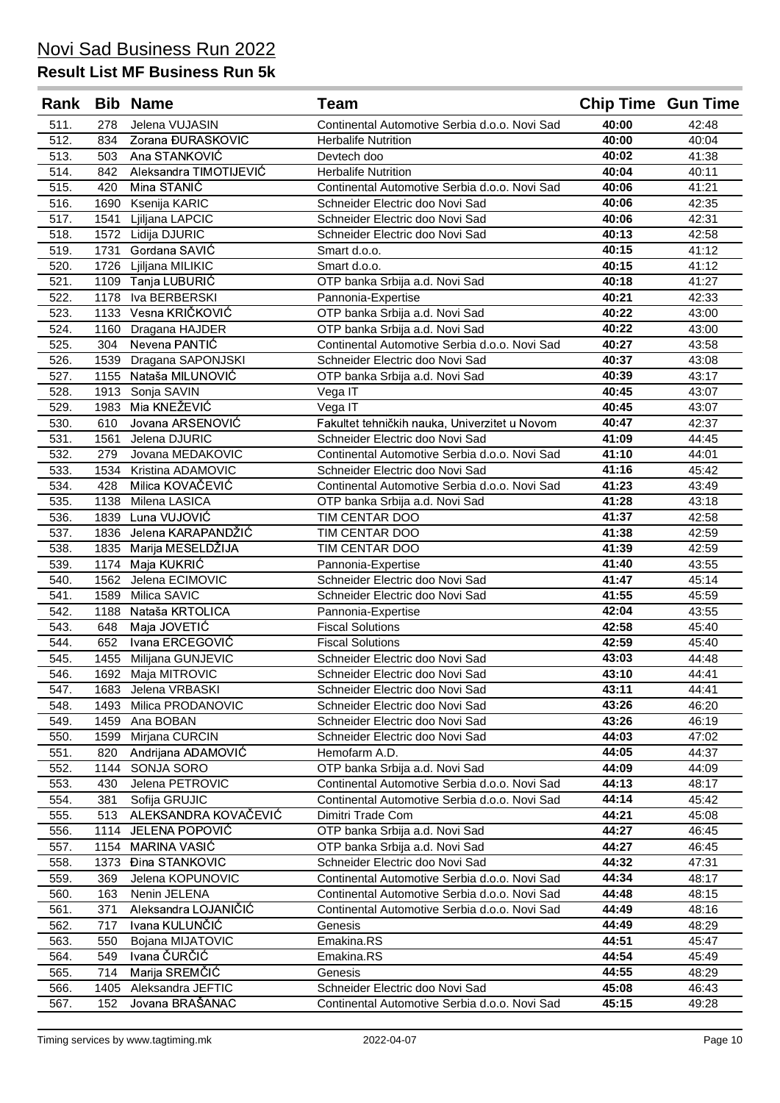| Rank |      | <b>Bib Name</b>        | Team                                          | <b>Chip Time Gun Time</b> |       |
|------|------|------------------------|-----------------------------------------------|---------------------------|-------|
| 511. | 278  | Jelena VUJASIN         | Continental Automotive Serbia d.o.o. Novi Sad | 40:00                     | 42:48 |
| 512. | 834  | Zorana ĐURASKOVIC      | <b>Herbalife Nutrition</b>                    | 40:00                     | 40:04 |
| 513. | 503  | Ana STANKOVIĆ          | Devtech doo                                   | 40:02                     | 41:38 |
| 514. | 842  | Aleksandra TIMOTIJEVIĆ | <b>Herbalife Nutrition</b>                    | 40:04                     | 40:11 |
| 515. | 420  | Mina STANIĆ            | Continental Automotive Serbia d.o.o. Novi Sad | 40:06                     | 41:21 |
| 516. | 1690 | Ksenija KARIC          | Schneider Electric doo Novi Sad               | 40:06                     | 42:35 |
| 517. | 1541 | Ljiljana LAPCIC        | Schneider Electric doo Novi Sad               | 40:06                     | 42:31 |
| 518. | 1572 | Lidija DJURIC          | Schneider Electric doo Novi Sad               | 40:13                     | 42:58 |
| 519. | 1731 | Gordana SAVIĆ          | Smart d.o.o.                                  | 40:15                     | 41:12 |
| 520. | 1726 | Ljiljana MILIKIC       | Smart d.o.o.                                  | 40:15                     | 41:12 |
| 521. |      | 1109 Tanja LUBURIĆ     | OTP banka Srbija a.d. Novi Sad                | 40:18                     | 41:27 |
| 522. | 1178 | Iva BERBERSKI          | Pannonia-Expertise                            | 40:21                     | 42:33 |
| 523. |      | 1133 Vesna KRIČKOVIĆ   | OTP banka Srbija a.d. Novi Sad                | 40:22                     | 43:00 |
| 524. | 1160 | Dragana HAJDER         | OTP banka Srbija a.d. Novi Sad                | 40:22                     | 43:00 |
| 525. | 304  | Nevena PANTIC          | Continental Automotive Serbia d.o.o. Novi Sad | 40:27                     | 43:58 |
| 526. | 1539 | Dragana SAPONJSKI      | Schneider Electric doo Novi Sad               | 40:37                     | 43:08 |
| 527. | 1155 | Nataša MILUNOVIĆ       | OTP banka Srbija a.d. Novi Sad                | 40:39                     | 43:17 |
| 528. |      | 1913 Sonja SAVIN       | Vega IT                                       | 40:45                     | 43:07 |
| 529. | 1983 | Mia KNEŽEVIĆ           | Vega IT                                       | 40:45                     | 43:07 |
| 530. | 610  | Jovana ARSENOVIĆ       | Fakultet tehničkih nauka, Univerzitet u Novom | 40:47                     | 42:37 |
| 531. | 1561 | Jelena DJURIC          | Schneider Electric doo Novi Sad               | 41:09                     | 44:45 |
| 532. | 279  | Jovana MEDAKOVIC       | Continental Automotive Serbia d.o.o. Novi Sad | 41:10                     | 44:01 |
| 533. | 1534 | Kristina ADAMOVIC      | Schneider Electric doo Novi Sad               | 41:16                     | 45:42 |
| 534. | 428  | Milica KOVAČEVIĆ       | Continental Automotive Serbia d.o.o. Novi Sad | 41:23                     | 43:49 |
| 535. | 1138 | Milena LASICA          | OTP banka Srbija a.d. Novi Sad                | 41:28                     | 43:18 |
| 536. | 1839 | Luna VUJOVIĆ           | TIM CENTAR DOO                                | 41:37                     | 42:58 |
| 537. | 1836 | Jelena KARAPANDŽIĆ     | TIM CENTAR DOO                                | 41:38                     | 42:59 |
| 538. | 1835 | Marija MESELDŽIJA      | TIM CENTAR DOO                                | 41:39                     | 42:59 |
| 539. | 1174 | Maja KUKRIĆ            | Pannonia-Expertise                            | 41:40                     | 43:55 |
| 540. | 1562 | Jelena ECIMOVIC        | Schneider Electric doo Novi Sad               | 41:47                     | 45:14 |
| 541. | 1589 | Milica SAVIC           | Schneider Electric doo Novi Sad               | 41:55                     | 45:59 |
| 542. | 1188 | Nataša KRTOLICA        | Pannonia-Expertise                            | 42:04                     | 43:55 |
| 543. | 648  | Maja JOVETIĆ           | <b>Fiscal Solutions</b>                       | 42:58                     | 45:40 |
| 544. | 652  | Ivana ERCEGOVIĆ        | <b>Fiscal Solutions</b>                       | 42:59                     | 45:40 |
| 545. | 1455 | Milijana GUNJEVIC      | Schneider Electric doo Novi Sad               | 43:03                     | 44:48 |
| 546. |      | 1692 Maja MITROVIC     | Schneider Electric doo Novi Sad               | 43:10                     | 44:41 |
| 547. | 1683 | Jelena VRBASKI         | Schneider Electric doo Novi Sad               | 43:11                     | 44:41 |
| 548. | 1493 | Milica PRODANOVIC      | Schneider Electric doo Novi Sad               | 43:26                     | 46:20 |
| 549. | 1459 | Ana BOBAN              | Schneider Electric doo Novi Sad               | 43:26                     | 46:19 |
| 550. | 1599 | Mirjana CURCIN         | Schneider Electric doo Novi Sad               | 44:03                     | 47:02 |
| 551. | 820  | Andrijana ADAMOVIC     | Hemofarm A.D.                                 | 44:05                     | 44:37 |
| 552. | 1144 | SONJA SORO             | OTP banka Srbija a.d. Novi Sad                | 44:09                     | 44:09 |
| 553. | 430  | Jelena PETROVIC        | Continental Automotive Serbia d.o.o. Novi Sad | 44:13                     | 48:17 |
| 554. | 381  | Sofija GRUJIC          | Continental Automotive Serbia d.o.o. Novi Sad | 44:14                     | 45:42 |
| 555. | 513  | ALEKSANDRA KOVAČEVIĆ   | Dimitri Trade Com                             | 44:21                     | 45:08 |
| 556. | 1114 | JELENA POPOVIĆ         | OTP banka Srbija a.d. Novi Sad                | 44:27                     | 46:45 |
| 557. | 1154 | MARINA VASIĆ           | OTP banka Srbija a.d. Novi Sad                | 44:27                     | 46:45 |
| 558. | 1373 | Đina STANKOVIC         | Schneider Electric doo Novi Sad               | 44:32                     | 47:31 |
| 559. | 369  | Jelena KOPUNOVIC       | Continental Automotive Serbia d.o.o. Novi Sad | 44:34                     | 48:17 |
| 560. | 163  | Nenin JELENA           | Continental Automotive Serbia d.o.o. Novi Sad | 44:48                     | 48:15 |
| 561. | 371  | Aleksandra LOJANIČIĆ   | Continental Automotive Serbia d.o.o. Novi Sad | 44:49                     | 48:16 |
| 562. | 717  | Ivana KULUNČIĆ         | Genesis                                       | 44:49                     | 48:29 |
| 563. | 550  | Bojana MIJATOVIC       | Emakina.RS                                    | 44:51                     | 45:47 |
| 564. | 549  | Ivana ČURČIĆ           | Emakina.RS                                    | 44:54                     | 45:49 |
| 565. | 714  | Marija SREMČIĆ         | Genesis                                       | 44:55                     | 48:29 |
| 566. | 1405 | Aleksandra JEFTIC      | Schneider Electric doo Novi Sad               | 45:08                     | 46:43 |
| 567. | 152  | Jovana BRAŠANAC        | Continental Automotive Serbia d.o.o. Novi Sad | 45:15                     | 49:28 |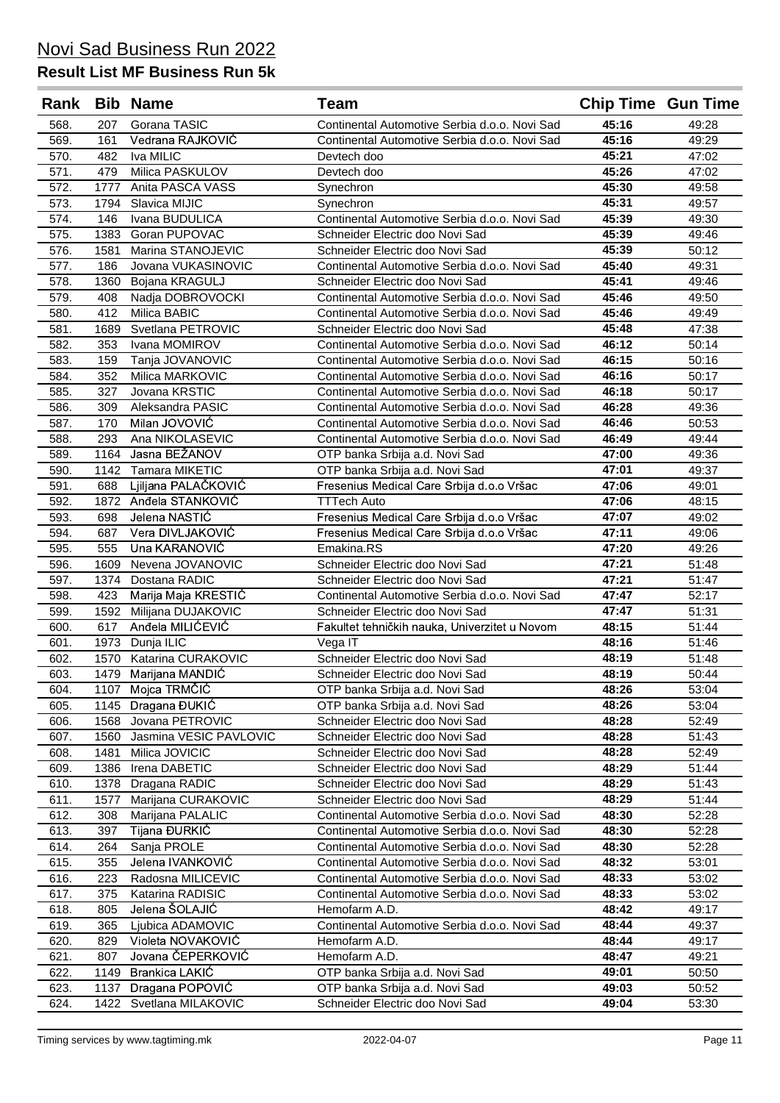| Rank         |            | <b>Bib Name</b>                    | <b>Team</b>                                                      | <b>Chip Time Gun Time</b> |                |
|--------------|------------|------------------------------------|------------------------------------------------------------------|---------------------------|----------------|
| 568.         | 207        | Gorana TASIC                       | Continental Automotive Serbia d.o.o. Novi Sad                    | 45:16                     | 49:28          |
| 569.         | 161        | Vedrana RAJKOVIĆ                   | Continental Automotive Serbia d.o.o. Novi Sad                    | 45:16                     | 49:29          |
| 570.         | 482        | Iva MILIC                          | Devtech doo                                                      | 45:21                     | 47:02          |
| 571.         | 479        | Milica PASKULOV                    | Devtech doo                                                      | 45:26                     | 47:02          |
| 572.         | 1777       | Anita PASCA VASS                   | Synechron                                                        | 45:30                     | 49:58          |
| 573.         | 1794       | Slavica MIJIC                      | Synechron                                                        | 45:31                     | 49:57          |
| 574.         | 146        | Ivana BUDULICA                     | Continental Automotive Serbia d.o.o. Novi Sad                    | 45:39                     | 49:30          |
| 575.         | 1383       | Goran PUPOVAC                      | Schneider Electric doo Novi Sad                                  | 45:39                     | 49:46          |
| 576.         | 1581       | Marina STANOJEVIC                  | Schneider Electric doo Novi Sad                                  | 45:39                     | 50:12          |
| 577.         | 186        | Jovana VUKASINOVIC                 | Continental Automotive Serbia d.o.o. Novi Sad                    | 45:40                     | 49:31          |
| 578.         | 1360       | Bojana KRAGULJ                     | Schneider Electric doo Novi Sad                                  | 45:41                     | 49:46          |
| 579.         | 408        | Nadja DOBROVOCKI                   | Continental Automotive Serbia d.o.o. Novi Sad                    | 45:46                     | 49:50          |
| 580.         | 412        | Milica BABIC                       | Continental Automotive Serbia d.o.o. Novi Sad                    | 45:46                     | 49:49          |
| 581.         | 1689       | Svetlana PETROVIC                  | Schneider Electric doo Novi Sad                                  | 45:48                     | 47:38          |
| 582.         | 353        | Ivana MOMIROV                      | Continental Automotive Serbia d.o.o. Novi Sad                    | 46:12                     | 50:14          |
| 583.         | 159        | Tanja JOVANOVIC                    | Continental Automotive Serbia d.o.o. Novi Sad                    | 46:15                     | 50:16          |
| 584.         | 352        | Milica MARKOVIC                    | Continental Automotive Serbia d.o.o. Novi Sad                    | 46:16                     | 50:17          |
| 585.         | 327        | Jovana KRSTIC                      | Continental Automotive Serbia d.o.o. Novi Sad                    | 46:18                     | 50:17          |
| 586.         | 309        | Aleksandra PASIC                   | Continental Automotive Serbia d.o.o. Novi Sad                    | 46:28                     | 49:36          |
| 587.         | 170        | Milan JOVOVIĆ                      | Continental Automotive Serbia d.o.o. Novi Sad                    | 46:46                     | 50:53          |
| 588.         | 293        | Ana NIKOLASEVIC                    | Continental Automotive Serbia d.o.o. Novi Sad                    | 46:49                     | 49:44          |
| 589.         | 1164       | Jasna BEŽANOV                      | OTP banka Srbija a.d. Novi Sad                                   | 47:00                     | 49:36          |
| 590.         | 1142       | <b>Tamara MIKETIC</b>              | OTP banka Srbija a.d. Novi Sad                                   | 47:01                     | 49:37          |
| 591.         | 688        | Ljiljana PALAČKOVIĆ                | Fresenius Medical Care Srbija d.o.o Vršac                        | 47:06                     | 49:01          |
| 592.         | 1872       | Anđela STANKOVIĆ                   | <b>TTTech Auto</b>                                               | 47:06                     | 48:15          |
| 593.         | 698        | Jelena NASTIĆ                      | Fresenius Medical Care Srbija d.o.o Vršac                        | 47:07                     | 49:02          |
| 594.         | 687        | Vera DIVLJAKOVIĆ                   | Fresenius Medical Care Srbija d.o.o Vršac                        | 47:11                     | 49:06          |
| 595.         | 555        | Una KARANOVIĆ                      | Emakina.RS                                                       | 47:20                     | 49:26          |
| 596.         | 1609       | Nevena JOVANOVIC                   | Schneider Electric doo Novi Sad                                  | 47:21                     | 51:48          |
| 597.         | 1374       | Dostana RADIC                      | Schneider Electric doo Novi Sad                                  | 47:21                     | 51:47          |
| 598.         | 423        | Marija Maja KRESTIĆ                | Continental Automotive Serbia d.o.o. Novi Sad                    | 47:47                     | 52:17          |
| 599.         | 1592       | Milijana DUJAKOVIC                 | Schneider Electric doo Novi Sad                                  | 47:47                     | 51:31          |
| 600.         | 617        | Anđela MILIĆEVIĆ                   | Fakultet tehničkih nauka, Univerzitet u Novom                    | 48:15                     | 51:44          |
| 601.         | 1973       | Dunja ILIC                         | Vega IT                                                          | 48:16                     | 51:46          |
| 602.         | 1570       | Katarina CURAKOVIC                 | Schneider Electric doo Novi Sad                                  | 48:19                     | 51:48          |
| 603.         |            | 1479 Marijana MANDIĆ               | Schneider Electric doo Novi Sad                                  | 48:19                     | 50:44          |
| 604.         | 1107       | Mojca TRMČIĆ                       | OTP banka Srbija a.d. Novi Sad                                   | 48:26                     | 53:04          |
| 605.         | 1145       | Dragana ĐUKIĆ                      | OTP banka Srbija a.d. Novi Sad                                   | 48:26                     | 53:04          |
| 606.         | 1568       | Jovana PETROVIC                    | Schneider Electric doo Novi Sad                                  | 48:28                     | 52:49          |
| 607.         | 1560       | Jasmina VESIC PAVLOVIC             | Schneider Electric doo Novi Sad                                  | 48:28                     | 51:43          |
| 608.         | 1481       | Milica JOVICIC                     | Schneider Electric doo Novi Sad                                  | 48:28                     | 52:49          |
| 609.         | 1386       | Irena DABETIC                      | Schneider Electric doo Novi Sad                                  | 48:29                     | 51:44          |
| 610.         | 1378       | Dragana RADIC                      | Schneider Electric doo Novi Sad                                  | 48:29                     | 51:43          |
| 611.         | 1577       | Marijana CURAKOVIC                 | Schneider Electric doo Novi Sad                                  | 48:29                     | 51:44          |
| 612.         | 308        | Marijana PALALIC                   | Continental Automotive Serbia d.o.o. Novi Sad                    | 48:30                     | 52:28          |
| 613.         | 397        | Tijana ĐURKIĆ                      | Continental Automotive Serbia d.o.o. Novi Sad                    | 48:30                     | 52:28          |
| 614.         | 264        | Sanja PROLE                        | Continental Automotive Serbia d.o.o. Novi Sad                    | 48:30                     | 52:28          |
| 615.         | 355        | Jelena IVANKOVIĆ                   | Continental Automotive Serbia d.o.o. Novi Sad                    | 48:32                     | 53:01          |
| 616.         | 223        | Radosna MILICEVIC                  | Continental Automotive Serbia d.o.o. Novi Sad                    | 48:33<br>48:33            | 53:02          |
| 617.         | 375        | Katarina RADISIC<br>Jelena ŠOLAJIĆ | Continental Automotive Serbia d.o.o. Novi Sad                    | 48:42                     | 53:02          |
| 618.         | 805<br>365 | Ljubica ADAMOVIC                   | Hemofarm A.D.                                                    | 48:44                     | 49:17<br>49:37 |
| 619.         | 829        | Violeta NOVAKOVIĆ                  | Continental Automotive Serbia d.o.o. Novi Sad<br>Hemofarm A.D.   | 48:44                     |                |
| 620.         | 807        | Jovana ČEPERKOVIĆ                  | Hemofarm A.D.                                                    | 48:47                     | 49:17<br>49:21 |
| 621.         | 1149       | Brankica LAKIĆ                     |                                                                  | 49:01                     | 50:50          |
| 622.<br>623. | 1137       | Dragana POPOVIĆ                    | OTP banka Srbija a.d. Novi Sad<br>OTP banka Srbija a.d. Novi Sad | 49:03                     | 50:52          |
| 624.         | 1422       | Svetlana MILAKOVIC                 | Schneider Electric doo Novi Sad                                  | 49:04                     | 53:30          |
|              |            |                                    |                                                                  |                           |                |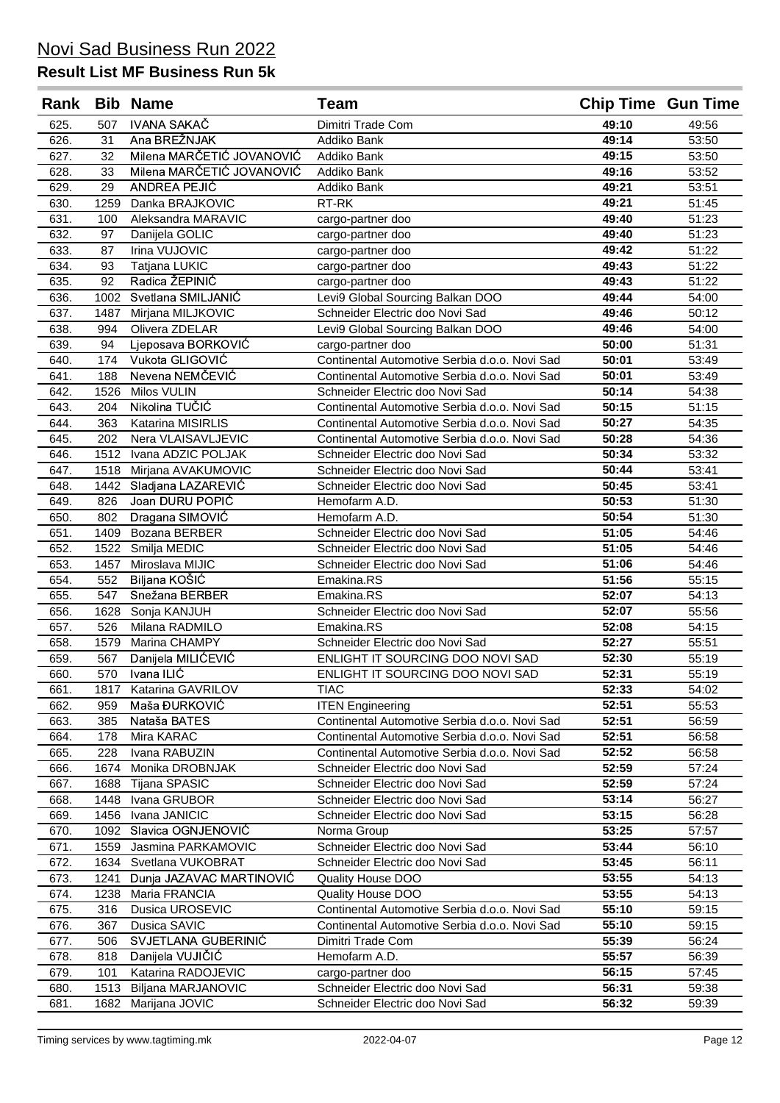|              |              | Rank Bib Name                    | <b>Team</b>                                                                      | <b>Chip Time Gun Time</b> |                |
|--------------|--------------|----------------------------------|----------------------------------------------------------------------------------|---------------------------|----------------|
| 625.         | 507          | <b>IVANA SAKAČ</b>               | Dimitri Trade Com                                                                | 49:10                     | 49:56          |
| 626.         | 31           | Ana BREŽNJAK                     | Addiko Bank                                                                      | 49:14                     | 53:50          |
| 627.         | 32           | Milena MARČETIĆ JOVANOVIĆ        | Addiko Bank                                                                      | 49:15                     | 53:50          |
| 628.         | 33           | Milena MARČETIĆ JOVANOVIĆ        | Addiko Bank                                                                      | 49:16                     | 53:52          |
| 629.         | 29           | ANDREA PEJIĆ                     | Addiko Bank                                                                      | 49:21                     | 53:51          |
| 630.         | 1259         | Danka BRAJKOVIC                  | RT-RK                                                                            | 49:21                     | 51:45          |
| 631.         | 100          | Aleksandra MARAVIC               | cargo-partner doo                                                                | 49:40                     | 51:23          |
| 632.         | 97           | Danijela GOLIC                   | cargo-partner doo                                                                | 49:40                     | 51:23          |
| 633.         | 87           | Irina VUJOVIC                    | cargo-partner doo                                                                | 49:42                     | 51:22          |
| 634.         | 93           | Tatjana LUKIC                    | cargo-partner doo                                                                | 49:43                     | 51:22          |
| 635.         | 92           | Radica ŽEPINIĆ                   | cargo-partner doo                                                                | 49:43                     | 51:22          |
| 636.         | 1002         | Svetlana SMILJANIĆ               | Levi9 Global Sourcing Balkan DOO                                                 | 49:44                     | 54:00          |
| 637.         | 1487         | Mirjana MILJKOVIC                | Schneider Electric doo Novi Sad                                                  | 49:46                     | 50:12          |
| 638.         | 994          | Olivera ZDELAR                   | Levi9 Global Sourcing Balkan DOO                                                 | 49:46                     | 54:00          |
| 639.         | 94           | Ljeposava BORKOVIĆ               | cargo-partner doo                                                                | 50:00                     | 51:31          |
| 640.         | 174          | Vukota GLIGOVIĆ                  | Continental Automotive Serbia d.o.o. Novi Sad                                    | 50:01                     | 53:49          |
| 641.         | 188          | Nevena NEMČEVIĆ                  | Continental Automotive Serbia d.o.o. Novi Sad                                    | 50:01                     | 53:49          |
| 642.         | 1526         | Milos VULIN                      | Schneider Electric doo Novi Sad                                                  | 50:14                     | 54:38          |
| 643.         | 204          | Nikolina TUČIĆ                   | Continental Automotive Serbia d.o.o. Novi Sad                                    | 50:15                     | 51:15          |
| 644.         | 363          | Katarina MISIRLIS                | Continental Automotive Serbia d.o.o. Novi Sad                                    | 50:27                     | 54:35          |
| 645.         | 202          | Nera VLAISAVLJEVIC               | Continental Automotive Serbia d.o.o. Novi Sad                                    | 50:28                     | 54:36          |
| 646.         | 1512         | Ivana ADZIC POLJAK               | Schneider Electric doo Novi Sad                                                  | 50:34                     | 53:32          |
| 647.         | 1518         | Mirjana AVAKUMOVIC               | Schneider Electric doo Novi Sad                                                  | 50:44                     | 53:41          |
| 648.         |              | 1442 Sladjana LAZAREVIĆ          | Schneider Electric doo Novi Sad                                                  | 50:45                     | 53:41          |
| 649.         | 826          | Joan DURU POPIĆ                  | Hemofarm A.D.                                                                    | 50:53                     | 51:30          |
| 650.         | 802          | Dragana SIMOVIĆ                  | Hemofarm A.D.                                                                    | 50:54                     | 51:30          |
| 651.         | 1409         | Bozana BERBER                    | Schneider Electric doo Novi Sad                                                  | 51:05                     | 54:46          |
| 652.         | 1522         | Smilja MEDIC                     | Schneider Electric doo Novi Sad                                                  | 51:05                     | 54:46          |
| 653.         | 1457         | Miroslava MIJIC                  | Schneider Electric doo Novi Sad                                                  | 51:06                     | 54:46          |
| 654.         | 552          | Biljana KOŠIĆ                    | Emakina.RS                                                                       | 51:56                     | 55:15          |
| 655.         | 547          | Snežana BERBER                   | Emakina.RS                                                                       | 52:07                     | 54:13          |
| 656.         | 1628         | Sonja KANJUH                     | Schneider Electric doo Novi Sad                                                  | 52:07                     | 55:56          |
| 657.         | 526          | Milana RADMILO                   | Emakina.RS                                                                       | 52:08                     | 54:15          |
| 658.         | 1579         | Marina CHAMPY                    | Schneider Electric doo Novi Sad                                                  | 52:27                     | 55:51          |
| 659.         | 567          | Danijela MILIĆEVIĆ               | ENLIGHT IT SOURCING DOO NOVI SAD                                                 | 52:30                     | 55:19          |
| 660.         | 570          | Ivana ILIĆ                       | ENLIGHT IT SOURCING DOO NOVI SAD                                                 | 52:31                     | 55:19          |
| 661.         | 1817         | Katarina GAVRILOV                | <b>TIAC</b>                                                                      | 52:33                     | 54:02          |
| 662.         | 959          | Maša ĐURKOVIĆ                    | <b>ITEN Engineering</b>                                                          | 52:51                     | 55:53          |
| 663.         | 385          | Nataša BATES                     | Continental Automotive Serbia d.o.o. Novi Sad                                    | 52:51                     | 56:59          |
| 664.         | 178          | Mira KARAC                       | Continental Automotive Serbia d.o.o. Novi Sad                                    | 52:51                     | 56:58          |
| 665.         | 228<br>1674  | Ivana RABUZIN<br>Monika DROBNJAK | Continental Automotive Serbia d.o.o. Novi Sad<br>Schneider Electric doo Novi Sad | 52:52<br>52:59            | 56:58<br>57:24 |
| 666.         |              | Tijana SPASIC                    | Schneider Electric doo Novi Sad                                                  | 52:59                     | 57:24          |
| 667.         | 1688<br>1448 | Ivana GRUBOR                     | Schneider Electric doo Novi Sad                                                  | 53:14                     | 56:27          |
| 668.<br>669. | 1456         | Ivana JANICIC                    | Schneider Electric doo Novi Sad                                                  | 53:15                     | 56:28          |
| 670.         | 1092         | Slavica OGNJENOVIĆ               | Norma Group                                                                      | 53:25                     | 57:57          |
| 671.         | 1559         | Jasmina PARKAMOVIC               | Schneider Electric doo Novi Sad                                                  | 53:44                     | 56:10          |
| 672.         | 1634         | Svetlana VUKOBRAT                | Schneider Electric doo Novi Sad                                                  | 53:45                     | 56:11          |
| 673.         | 1241         | Dunja JAZAVAC MARTINOVIĆ         | Quality House DOO                                                                | 53:55                     | 54:13          |
| 674.         | 1238         | Maria FRANCIA                    | Quality House DOO                                                                | 53:55                     | 54:13          |
| 675.         | 316          | Dusica UROSEVIC                  | Continental Automotive Serbia d.o.o. Novi Sad                                    | 55:10                     | 59:15          |
| 676.         | 367          | Dusica SAVIC                     | Continental Automotive Serbia d.o.o. Novi Sad                                    | 55:10                     | 59:15          |
| 677.         | 506          | SVJETLANA GUBERINIĆ              | Dimitri Trade Com                                                                | 55:39                     | 56:24          |
| 678.         | 818          | Danijela VUJIČIĆ                 | Hemofarm A.D.                                                                    | 55:57                     | 56:39          |
| 679.         | 101          | Katarina RADOJEVIC               | cargo-partner doo                                                                | 56:15                     | 57:45          |
| 680.         | 1513         | Biljana MARJANOVIC               | Schneider Electric doo Novi Sad                                                  | 56:31                     | 59:38          |
| 681.         | 1682         | Marijana JOVIC                   | Schneider Electric doo Novi Sad                                                  | 56:32                     | 59:39          |
|              |              |                                  |                                                                                  |                           |                |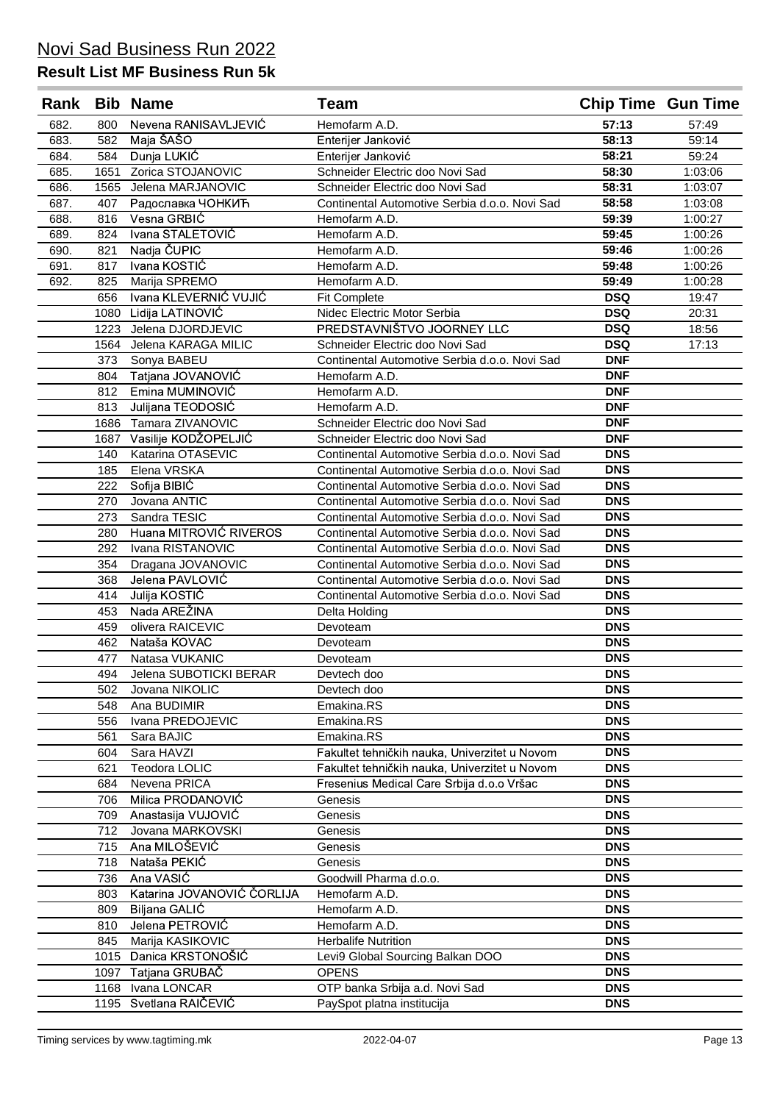|      |      | Rank Bib Name              | <b>Team</b>                                   |            | <b>Chip Time Gun Time</b> |
|------|------|----------------------------|-----------------------------------------------|------------|---------------------------|
| 682. | 800  | Nevena RANISAVLJEVIĆ       | Hemofarm A.D.                                 | 57:13      | 57:49                     |
| 683. | 582  | Maja ŠAŠO                  | Enterijer Janković                            | 58:13      | 59:14                     |
| 684. | 584  | Dunja LUKIĆ                | Enterijer Janković                            | 58:21      | 59:24                     |
| 685. | 1651 | Zorica STOJANOVIC          | Schneider Electric doo Novi Sad               | 58:30      | 1:03:06                   |
| 686. | 1565 | Jelena MARJANOVIC          | Schneider Electric doo Novi Sad               | 58:31      | 1:03:07                   |
| 687. | 407  | Радославка ЧОНКИЋ          | Continental Automotive Serbia d.o.o. Novi Sad | 58:58      | 1:03:08                   |
| 688. | 816  | Vesna GRBIĆ                | Hemofarm A.D.                                 | 59:39      | 1:00:27                   |
| 689. | 824  | Ivana STALETOVIĆ           | Hemofarm A.D.                                 | 59:45      | 1:00:26                   |
| 690. | 821  | Nadja ČUPIC                | Hemofarm A.D.                                 | 59:46      | 1:00:26                   |
| 691. | 817  | Ivana KOSTIĆ               | Hemofarm A.D.                                 | 59:48      | 1:00:26                   |
| 692. | 825  | Marija SPREMO              | Hemofarm A.D.                                 | 59:49      | 1:00:28                   |
|      | 656  | Ivana KLEVERNIĆ VUJIĆ      | <b>Fit Complete</b>                           | <b>DSQ</b> | 19:47                     |
|      |      | 1080 Lidija LATINOVIĆ      | Nidec Electric Motor Serbia                   | <b>DSQ</b> | 20:31                     |
|      | 1223 | Jelena DJORDJEVIC          | PREDSTAVNIŠTVO JOORNEY LLC                    | <b>DSQ</b> | 18:56                     |
|      |      | 1564 Jelena KARAGA MILIC   | Schneider Electric doo Novi Sad               | <b>DSQ</b> | 17:13                     |
|      | 373  | Sonya BABEU                | Continental Automotive Serbia d.o.o. Novi Sad | <b>DNF</b> |                           |
|      | 804  | Tatjana JOVANOVIĆ          | Hemofarm A.D.                                 | <b>DNF</b> |                           |
|      | 812  | Emina MUMINOVIĆ            | Hemofarm A.D.                                 | <b>DNF</b> |                           |
|      | 813  | Julijana TEODOSIĆ          | Hemofarm A.D.                                 | <b>DNF</b> |                           |
|      | 1686 | Tamara ZIVANOVIC           | Schneider Electric doo Novi Sad               | <b>DNF</b> |                           |
|      |      | 1687 Vasilije KODŽOPELJIĆ  | Schneider Electric doo Novi Sad               | <b>DNF</b> |                           |
|      | 140  | Katarina OTASEVIC          | Continental Automotive Serbia d.o.o. Novi Sad | <b>DNS</b> |                           |
|      | 185  | Elena VRSKA                | Continental Automotive Serbia d.o.o. Novi Sad | <b>DNS</b> |                           |
|      | 222  | Sofija BIBIĆ               | Continental Automotive Serbia d.o.o. Novi Sad | <b>DNS</b> |                           |
|      | 270  | Jovana ANTIC               | Continental Automotive Serbia d.o.o. Novi Sad | <b>DNS</b> |                           |
|      | 273  | Sandra TESIC               | Continental Automotive Serbia d.o.o. Novi Sad | <b>DNS</b> |                           |
|      | 280  | Huana MITROVIĆ RIVEROS     | Continental Automotive Serbia d.o.o. Novi Sad | <b>DNS</b> |                           |
|      | 292  | Ivana RISTANOVIC           | Continental Automotive Serbia d.o.o. Novi Sad | <b>DNS</b> |                           |
|      | 354  | Dragana JOVANOVIC          | Continental Automotive Serbia d.o.o. Novi Sad | <b>DNS</b> |                           |
|      | 368  | Jelena PAVLOVIĆ            | Continental Automotive Serbia d.o.o. Novi Sad | <b>DNS</b> |                           |
|      | 414  | Julija KOSTIĆ              | Continental Automotive Serbia d.o.o. Novi Sad | <b>DNS</b> |                           |
|      | 453  | Nada AREŽINA               | Delta Holding                                 | <b>DNS</b> |                           |
|      | 459  | olivera RAICEVIC           | Devoteam                                      | <b>DNS</b> |                           |
|      | 462  | Nataša KOVAC               | Devoteam                                      | <b>DNS</b> |                           |
|      | 477  | Natasa VUKANIC             | Devoteam                                      | <b>DNS</b> |                           |
|      | 494  | Jelena SUBOTICKI BERAR     | Devtech doo                                   | <b>DNS</b> |                           |
|      | 502  | Jovana NIKOLIC             | Devtech doo                                   | <b>DNS</b> |                           |
|      | 548  | Ana BUDIMIR                | Emakina.RS                                    | <b>DNS</b> |                           |
|      | 556  | Ivana PREDOJEVIC           | Emakina.RS                                    | <b>DNS</b> |                           |
|      | 561  | Sara BAJIC                 | Emakina.RS                                    | <b>DNS</b> |                           |
|      | 604  | Sara HAVZI                 | Fakultet tehničkih nauka, Univerzitet u Novom | <b>DNS</b> |                           |
|      | 621  | <b>Teodora LOLIC</b>       | Fakultet tehničkih nauka, Univerzitet u Novom | <b>DNS</b> |                           |
|      | 684  | Nevena PRICA               | Fresenius Medical Care Srbija d.o.o Vršac     | <b>DNS</b> |                           |
|      | 706  | Milica PRODANOVIĆ          | Genesis                                       | <b>DNS</b> |                           |
|      | 709  | Anastasija VUJOVIĆ         | Genesis                                       | <b>DNS</b> |                           |
|      | 712  | Jovana MARKOVSKI           | Genesis                                       | <b>DNS</b> |                           |
|      | 715  | Ana MILOŠEVIĆ              | Genesis                                       | <b>DNS</b> |                           |
|      | 718  | Nataša PEKIĆ               | Genesis                                       | <b>DNS</b> |                           |
|      | 736  | Ana VASIC                  | Goodwill Pharma d.o.o.                        | <b>DNS</b> |                           |
|      | 803  | Katarina JOVANOVIĆ ČORLIJA | Hemofarm A.D.                                 | <b>DNS</b> |                           |
|      | 809  | Biljana GALIĆ              | Hemofarm A.D.                                 | <b>DNS</b> |                           |
|      | 810  | Jelena PETROVIĆ            | Hemofarm A.D.                                 | <b>DNS</b> |                           |
|      | 845  | Marija KASIKOVIC           | <b>Herbalife Nutrition</b>                    | <b>DNS</b> |                           |
|      | 1015 | Danica KRSTONOŠIĆ          | Levi9 Global Sourcing Balkan DOO              | <b>DNS</b> |                           |
|      | 1097 | Tatjana GRUBAČ             | <b>OPENS</b>                                  | <b>DNS</b> |                           |
|      | 1168 | Ivana LONCAR               | OTP banka Srbija a.d. Novi Sad                | <b>DNS</b> |                           |
|      |      | 1195 Svetlana RAIČEVIĆ     | PaySpot platna institucija                    | <b>DNS</b> |                           |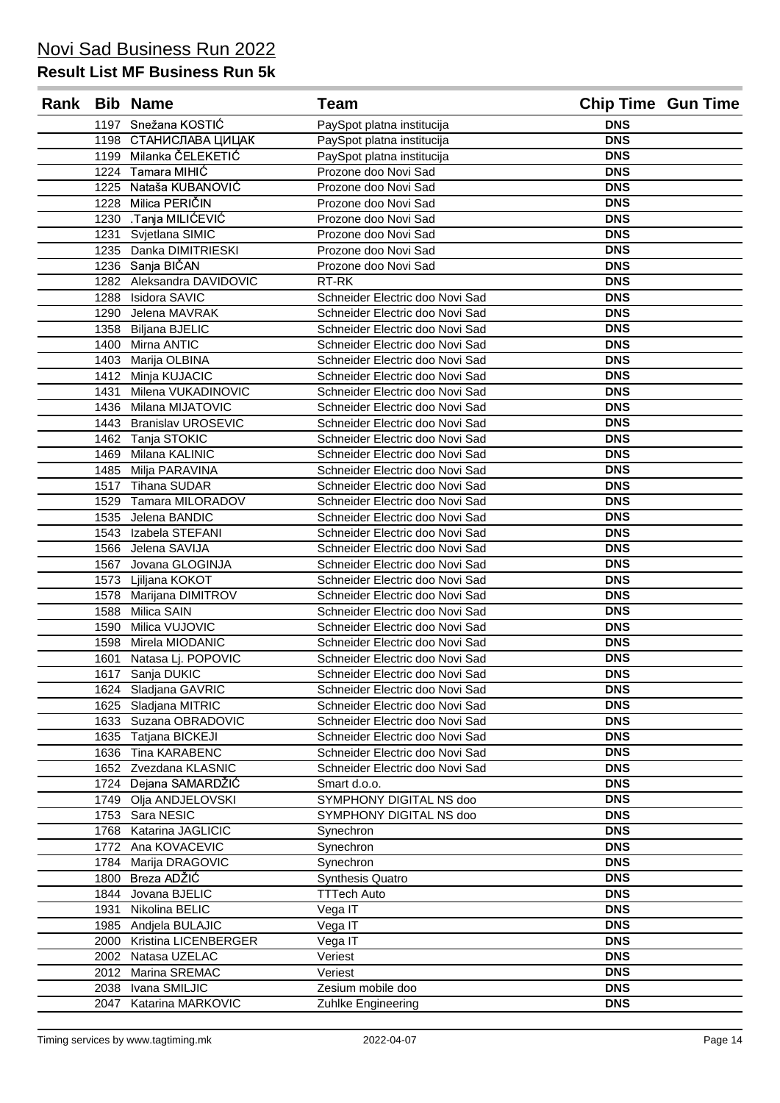| Rank Bib Name |      |                           | Team                            |            | <b>Chip Time Gun Time</b> |
|---------------|------|---------------------------|---------------------------------|------------|---------------------------|
|               |      | 1197 Snežana KOSTIĆ       | PaySpot platna institucija      | <b>DNS</b> |                           |
|               |      | 1198 СТАНИСЛАВА ЦИЦАК     | PaySpot platna institucija      | <b>DNS</b> |                           |
|               |      | 1199 Milanka ČELEKETIĆ    | PaySpot platna institucija      | <b>DNS</b> |                           |
|               |      | 1224 Tamara MIHIC         | Prozone doo Novi Sad            | <b>DNS</b> |                           |
|               | 1225 | Nataša KUBANOVIĆ          | Prozone doo Novi Sad            | <b>DNS</b> |                           |
|               | 1228 | Milica PERIČIN            | Prozone doo Novi Sad            | <b>DNS</b> |                           |
|               |      | 1230 .Tanja MILIĆEVIĆ     | Prozone doo Novi Sad            | <b>DNS</b> |                           |
|               | 1231 | Svjetlana SIMIC           | Prozone doo Novi Sad            | <b>DNS</b> |                           |
|               |      | 1235 Danka DIMITRIESKI    | Prozone doo Novi Sad            | <b>DNS</b> |                           |
|               |      | 1236 Sanja BIČAN          | Prozone doo Novi Sad            | <b>DNS</b> |                           |
|               |      | 1282 Aleksandra DAVIDOVIC | RT-RK                           | <b>DNS</b> |                           |
|               |      | 1288 Isidora SAVIC        | Schneider Electric doo Novi Sad | <b>DNS</b> |                           |
|               |      | 1290 Jelena MAVRAK        | Schneider Electric doo Novi Sad | <b>DNS</b> |                           |
|               | 1358 | <b>Biljana BJELIC</b>     | Schneider Electric doo Novi Sad | <b>DNS</b> |                           |
|               | 1400 | Mirna ANTIC               | Schneider Electric doo Novi Sad | <b>DNS</b> |                           |
|               | 1403 | Marija OLBINA             | Schneider Electric doo Novi Sad | <b>DNS</b> |                           |
|               |      | 1412 Minja KUJACIC        | Schneider Electric doo Novi Sad | <b>DNS</b> |                           |
|               | 1431 | Milena VUKADINOVIC        | Schneider Electric doo Novi Sad | <b>DNS</b> |                           |
|               |      | 1436 Milana MIJATOVIC     | Schneider Electric doo Novi Sad | <b>DNS</b> |                           |
|               |      | 1443 Branislav UROSEVIC   | Schneider Electric doo Novi Sad | <b>DNS</b> |                           |
|               |      | 1462 Tanja STOKIC         | Schneider Electric doo Novi Sad | <b>DNS</b> |                           |
|               | 1469 | Milana KALINIC            | Schneider Electric doo Novi Sad | <b>DNS</b> |                           |
|               | 1485 | Milja PARAVINA            | Schneider Electric doo Novi Sad | <b>DNS</b> |                           |
|               |      | 1517 Tihana SUDAR         | Schneider Electric doo Novi Sad | <b>DNS</b> |                           |
|               |      | 1529 Tamara MILORADOV     | Schneider Electric doo Novi Sad | <b>DNS</b> |                           |
|               |      | 1535 Jelena BANDIC        | Schneider Electric doo Novi Sad | <b>DNS</b> |                           |
|               |      | 1543 Izabela STEFANI      | Schneider Electric doo Novi Sad | <b>DNS</b> |                           |
|               |      | 1566 Jelena SAVIJA        | Schneider Electric doo Novi Sad | <b>DNS</b> |                           |
|               | 1567 | Jovana GLOGINJA           | Schneider Electric doo Novi Sad | <b>DNS</b> |                           |
|               |      | 1573 Ljiljana KOKOT       | Schneider Electric doo Novi Sad | <b>DNS</b> |                           |
|               | 1578 | Marijana DIMITROV         | Schneider Electric doo Novi Sad | <b>DNS</b> |                           |
|               | 1588 | Milica SAIN               | Schneider Electric doo Novi Sad | <b>DNS</b> |                           |
|               | 1590 | Milica VUJOVIC            | Schneider Electric doo Novi Sad | <b>DNS</b> |                           |
|               | 1598 | Mirela MIODANIC           | Schneider Electric doo Novi Sad | <b>DNS</b> |                           |
|               | 1601 | Natasa Lj. POPOVIC        | Schneider Electric doo Novi Sad | <b>DNS</b> |                           |
|               |      | 1617 Sanja DUKIC          | Schneider Electric doo Novi Sad | <b>DNS</b> |                           |
|               |      | 1624 Sladjana GAVRIC      | Schneider Electric doo Novi Sad | <b>DNS</b> |                           |
|               |      | 1625 Sladjana MITRIC      | Schneider Electric doo Novi Sad | <b>DNS</b> |                           |
|               | 1633 | Suzana OBRADOVIC          | Schneider Electric doo Novi Sad | <b>DNS</b> |                           |
|               |      | 1635 Tatjana BICKEJI      | Schneider Electric doo Novi Sad | <b>DNS</b> |                           |
|               |      | 1636 Tina KARABENC        | Schneider Electric doo Novi Sad | <b>DNS</b> |                           |
|               |      | 1652 Zvezdana KLASNIC     | Schneider Electric doo Novi Sad | <b>DNS</b> |                           |
|               | 1724 | Dejana SAMARDŽIĆ          | Smart d.o.o.                    | <b>DNS</b> |                           |
|               | 1749 | Olja ANDJELOVSKI          | SYMPHONY DIGITAL NS doo         | <b>DNS</b> |                           |
|               | 1753 | Sara NESIC                | SYMPHONY DIGITAL NS doo         | <b>DNS</b> |                           |
|               | 1768 | Katarina JAGLICIC         | Synechron                       | <b>DNS</b> |                           |
|               | 1772 | Ana KOVACEVIC             | Synechron                       | <b>DNS</b> |                           |
|               | 1784 | Marija DRAGOVIC           | Synechron                       | <b>DNS</b> |                           |
|               | 1800 | Breza ADŽIĆ               | <b>Synthesis Quatro</b>         | <b>DNS</b> |                           |
|               | 1844 | Jovana BJELIC             | <b>TTTech Auto</b>              | <b>DNS</b> |                           |
|               | 1931 | Nikolina BELIC            | Vega IT                         | <b>DNS</b> |                           |
|               | 1985 | Andjela BULAJIC           | Vega IT                         | <b>DNS</b> |                           |
|               | 2000 | Kristina LICENBERGER      | Vega IT                         | <b>DNS</b> |                           |
|               | 2002 | Natasa UZELAC             | Veriest                         | <b>DNS</b> |                           |
|               | 2012 | Marina SREMAC             | Veriest                         | <b>DNS</b> |                           |
|               | 2038 | Ivana SMILJIC             | Zesium mobile doo               | <b>DNS</b> |                           |
|               | 2047 | Katarina MARKOVIC         | Zuhlke Engineering              | <b>DNS</b> |                           |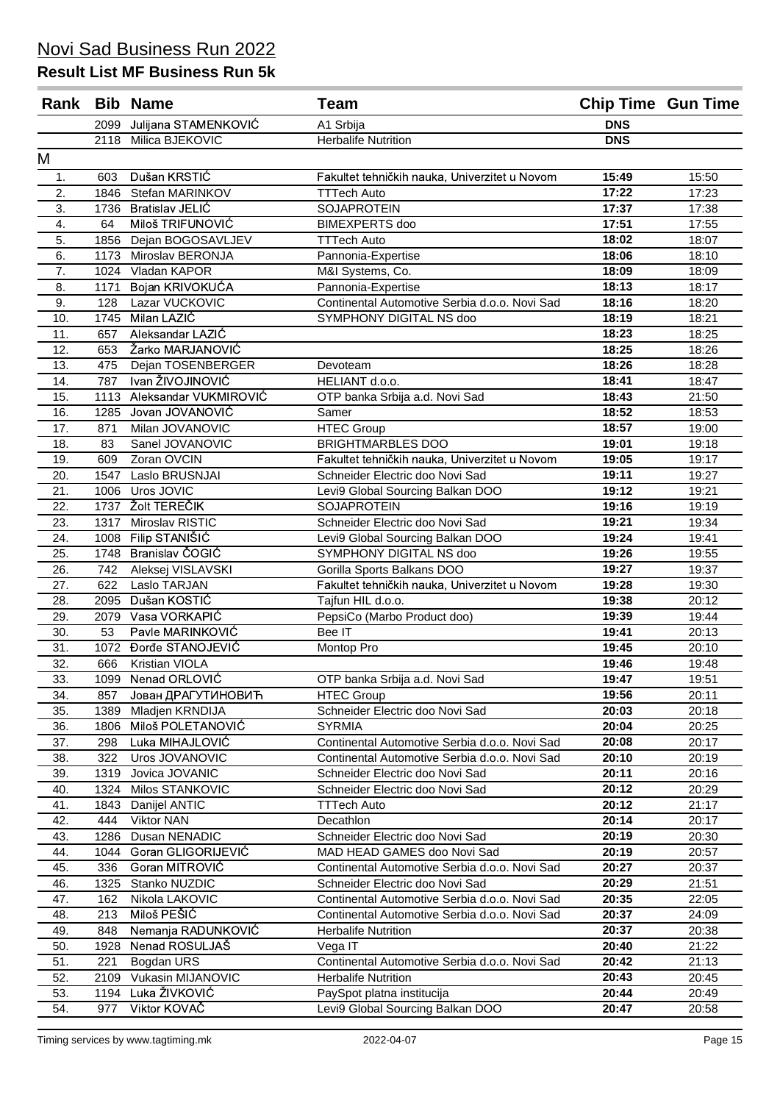| Rank |      | <b>Bib Name</b>        | <b>Team</b>                                              |            | <b>Chip Time Gun Time</b> |
|------|------|------------------------|----------------------------------------------------------|------------|---------------------------|
|      | 2099 | Julijana STAMENKOVIĆ   | A1 Srbija                                                | <b>DNS</b> |                           |
|      | 2118 | Milica BJEKOVIC        | <b>Herbalife Nutrition</b>                               | <b>DNS</b> |                           |
| М    |      |                        |                                                          |            |                           |
| 1.   | 603  | Dušan KRSTIĆ           | Fakultet tehničkih nauka, Univerzitet u Novom            | 15:49      | 15:50                     |
| 2.   | 1846 | Stefan MARINKOV        | <b>TTTech Auto</b>                                       | 17:22      | 17:23                     |
| 3.   | 1736 | <b>Bratislav JELIĆ</b> | <b>SOJAPROTEIN</b>                                       | 17:37      | 17:38                     |
| 4.   | 64   | Miloš TRIFUNOVIĆ       | <b>BIMEXPERTS</b> doo                                    | 17:51      | 17:55                     |
| 5.   | 1856 | Dejan BOGOSAVLJEV      | <b>TTTech Auto</b>                                       | 18:02      | 18:07                     |
| 6.   | 1173 | Miroslav BERONJA       | Pannonia-Expertise                                       | 18:06      | 18:10                     |
| 7.   | 1024 | Vladan KAPOR           | M&I Systems, Co.                                         | 18:09      | 18:09                     |
| 8.   | 1171 | Bojan KRIVOKUĆA        | Pannonia-Expertise                                       | 18:13      | 18:17                     |
| 9.   | 128  | Lazar VUCKOVIC         | Continental Automotive Serbia d.o.o. Novi Sad            | 18:16      | 18:20                     |
| 10.  | 1745 | Milan LAZIĆ            | SYMPHONY DIGITAL NS doo                                  | 18:19      | 18:21                     |
| 11.  | 657  | Aleksandar LAZIĆ       |                                                          | 18:23      | 18:25                     |
| 12.  | 653  | Žarko MARJANOVIĆ       |                                                          | 18:25      | 18:26                     |
| 13.  | 475  | Dejan TOSENBERGER      | Devoteam                                                 | 18:26      | 18:28                     |
| 14.  | 787  | Ivan ŽIVOJINOVIĆ       | HELIANT d.o.o.                                           | 18:41      | 18:47                     |
| 15.  | 1113 | Aleksandar VUKMIROVIĆ  | OTP banka Srbija a.d. Novi Sad                           | 18:43      | 21:50                     |
| 16.  | 1285 | Jovan JOVANOVIĆ        | Samer                                                    | 18:52      | 18:53                     |
| 17.  | 871  | Milan JOVANOVIC        | <b>HTEC Group</b>                                        | 18:57      | 19:00                     |
| 18.  | 83   | Sanel JOVANOVIC        | <b>BRIGHTMARBLES DOO</b>                                 | 19:01      | 19:18                     |
| 19.  | 609  | Zoran OVCIN            | Fakultet tehničkih nauka, Univerzitet u Novom            | 19:05      | 19:17                     |
| 20.  | 1547 | Laslo BRUSNJAI         | Schneider Electric doo Novi Sad                          | 19:11      | 19:27                     |
| 21.  | 1006 | Uros JOVIC             | Levi9 Global Sourcing Balkan DOO                         | 19:12      | 19:21                     |
| 22.  | 1737 | Žolt TEREČIK           | <b>SOJAPROTEIN</b>                                       | 19:16      | 19:19                     |
| 23.  | 1317 | Miroslav RISTIC        | Schneider Electric doo Novi Sad                          | 19:21      | 19:34                     |
| 24.  | 1008 | Filip STANIŠIĆ         | Levi9 Global Sourcing Balkan DOO                         | 19:24      | 19:41                     |
| 25.  | 1748 | Branislav ČOGIĆ        | SYMPHONY DIGITAL NS doo                                  | 19:26      | 19:55                     |
| 26.  | 742  | Aleksej VISLAVSKI      | Gorilla Sports Balkans DOO                               | 19:27      | 19:37                     |
| 27.  | 622  | Laslo TARJAN           | Fakultet tehničkih nauka, Univerzitet u Novom            | 19:28      | 19:30                     |
| 28.  | 2095 | Dušan KOSTIĆ           | Tajfun HIL d.o.o.                                        | 19:38      | 20:12                     |
| 29.  | 2079 | Vasa VORKAPIĆ          | PepsiCo (Marbo Product doo)                              | 19:39      | 19:44                     |
| 30.  | 53   | Pavle MARINKOVIĆ       | Bee IT                                                   | 19:41      | 20:13                     |
| 31.  | 1072 | Đorđe STANOJEVIĆ       | Montop Pro                                               | 19:45      | 20:10                     |
| 32.  | 666  | <b>Kristian VIOLA</b>  |                                                          | 19:46      | 19:48                     |
| 33.  | 1099 | Nenad ORLOVIĆ          | OTP banka Srbija a.d. Novi Sad                           | 19:47      | 19:51                     |
| 34.  | 857  | Јован ДРАГУТИНОВИЋ     | <b>HTEC Group</b>                                        | 19:56      | 20:11                     |
| 35.  | 1389 | Mladjen KRNDIJA        | Schneider Electric doo Novi Sad                          | 20:03      | 20:18                     |
| 36.  | 1806 | Miloš POLETANOVIĆ      | <b>SYRMIA</b>                                            | 20:04      | 20:25                     |
| 37.  | 298  | Luka MIHAJLOVIĆ        | Continental Automotive Serbia d.o.o. Novi Sad            | 20:08      | 20:17                     |
| 38.  | 322  | Uros JOVANOVIC         | Continental Automotive Serbia d.o.o. Novi Sad            | 20:10      | 20:19                     |
| 39.  | 1319 | Jovica JOVANIC         | Schneider Electric doo Novi Sad                          | 20:11      | 20:16                     |
| 40.  | 1324 | Milos STANKOVIC        | Schneider Electric doo Novi Sad                          | 20:12      | 20:29                     |
| 41.  | 1843 | Danijel ANTIC          | <b>TTTech Auto</b>                                       | 20:12      | 21:17                     |
| 42.  | 444  | <b>Viktor NAN</b>      | Decathlon                                                | 20:14      | 20:17                     |
| 43.  | 1286 | Dusan NENADIC          | Schneider Electric doo Novi Sad                          | 20:19      | 20:30                     |
| 44.  | 1044 | Goran GLIGORIJEVIĆ     | MAD HEAD GAMES doo Novi Sad                              | 20:19      | 20:57                     |
| 45.  | 336  | Goran MITROVIĆ         | Continental Automotive Serbia d.o.o. Novi Sad            | 20:27      | 20:37                     |
| 46.  | 1325 | Stanko NUZDIC          | Schneider Electric doo Novi Sad                          | 20:29      | 21:51                     |
| 47.  | 162  | Nikola LAKOVIC         | Continental Automotive Serbia d.o.o. Novi Sad            | 20:35      | 22:05                     |
| 48.  | 213  | Miloš PEŠIĆ            | Continental Automotive Serbia d.o.o. Novi Sad            | 20:37      | 24:09                     |
| 49.  | 848  | Nemanja RADUNKOVIĆ     | <b>Herbalife Nutrition</b>                               | 20:37      | 20:38                     |
| 50.  | 1928 | Nenad ROSULJAŠ         |                                                          | 20:40      | 21:22                     |
| 51.  | 221  | Bogdan URS             | Vega IT<br>Continental Automotive Serbia d.o.o. Novi Sad | 20:42      | 21:13                     |
| 52.  |      | 2109 Vukasin MIJANOVIC | <b>Herbalife Nutrition</b>                               | 20:43      | 20:45                     |
| 53.  | 1194 | Luka ŽIVKOVIĆ          | PaySpot platna institucija                               | 20:44      | 20:49                     |
| 54.  | 977  | Viktor KOVAČ           | Levi9 Global Sourcing Balkan DOO                         | 20:47      | 20:58                     |
|      |      |                        |                                                          |            |                           |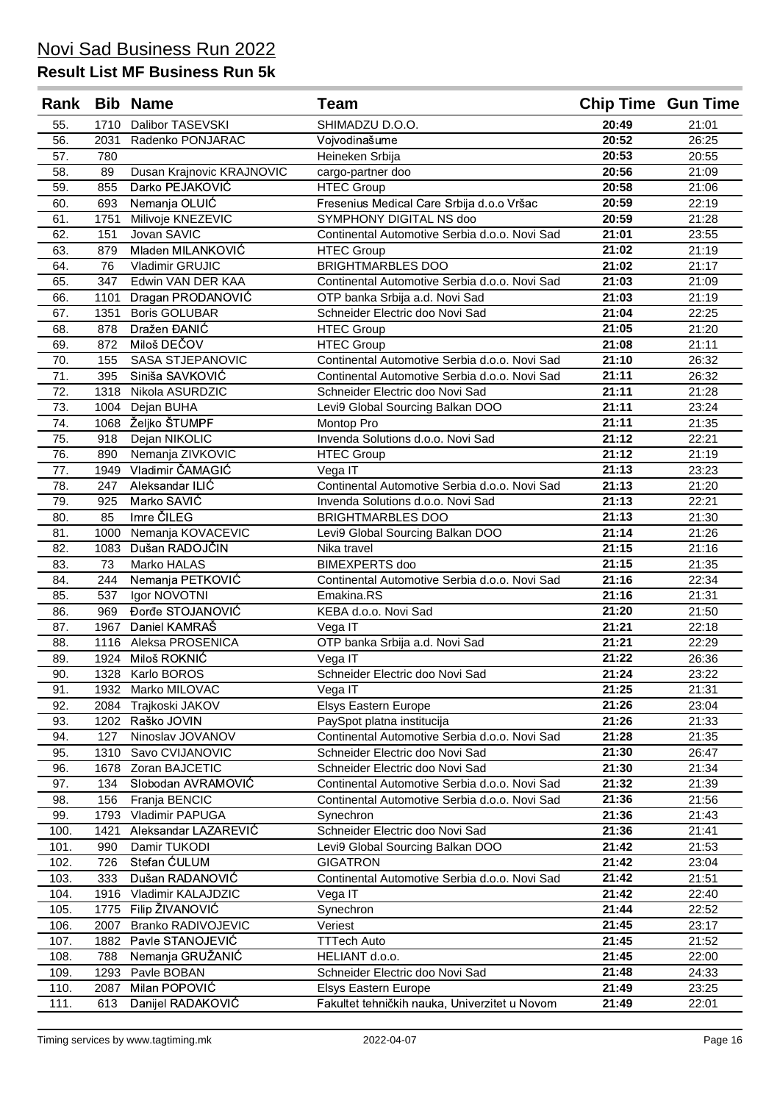| Rank |      | <b>Bib Name</b>           | Team                                          | <b>Chip Time Gun Time</b> |       |
|------|------|---------------------------|-----------------------------------------------|---------------------------|-------|
| 55.  |      | 1710 Dalibor TASEVSKI     | SHIMADZU D.O.O.                               | 20:49                     | 21:01 |
| 56.  | 2031 | Radenko PONJARAC          | Vojvodinašume                                 | 20:52                     | 26:25 |
| 57.  | 780  |                           | Heineken Srbija                               | 20:53                     | 20:55 |
| 58.  | 89   | Dusan Krajnovic KRAJNOVIC | cargo-partner doo                             | 20:56                     | 21:09 |
| 59.  | 855  | Darko PEJAKOVIĆ           | <b>HTEC Group</b>                             | 20:58                     | 21:06 |
| 60.  | 693  | Nemanja OLUIĆ             | Fresenius Medical Care Srbija d.o.o Vršac     | 20:59                     | 22:19 |
| 61.  | 1751 | Milivoje KNEZEVIC         | SYMPHONY DIGITAL NS doo                       | 20:59                     | 21:28 |
| 62.  | 151  | Jovan SAVIC               | Continental Automotive Serbia d.o.o. Novi Sad | 21:01                     | 23:55 |
| 63.  | 879  | Mladen MILANKOVIĆ         | <b>HTEC Group</b>                             | 21:02                     | 21:19 |
| 64.  | 76   | Vladimir GRUJIC           | <b>BRIGHTMARBLES DOO</b>                      | 21:02                     | 21:17 |
| 65.  | 347  | Edwin VAN DER KAA         | Continental Automotive Serbia d.o.o. Novi Sad | 21:03                     | 21:09 |
| 66.  | 1101 | Dragan PRODANOVIĆ         | OTP banka Srbija a.d. Novi Sad                | 21:03                     | 21:19 |
| 67.  | 1351 | <b>Boris GOLUBAR</b>      | Schneider Electric doo Novi Sad               | 21:04                     | 22:25 |
| 68.  | 878  | Dražen ĐANIĆ              | <b>HTEC Group</b>                             | 21:05                     | 21:20 |
| 69.  | 872  | Miloš DEČOV               | <b>HTEC Group</b>                             | 21:08                     | 21:11 |
| 70.  | 155  | SASA STJEPANOVIC          | Continental Automotive Serbia d.o.o. Novi Sad | 21:10                     | 26:32 |
| 71.  | 395  | Siniša SAVKOVIĆ           | Continental Automotive Serbia d.o.o. Novi Sad | 21:11                     | 26:32 |
| 72.  | 1318 | Nikola ASURDZIC           | Schneider Electric doo Novi Sad               | 21:11                     | 21:28 |
| 73.  | 1004 | Dejan BUHA                | Levi9 Global Sourcing Balkan DOO              | 21:11                     | 23:24 |
| 74.  | 1068 | Željko ŠTUMPF             | Montop Pro                                    | 21:11                     | 21:35 |
| 75.  | 918  | Dejan NIKOLIC             | Invenda Solutions d.o.o. Novi Sad             | 21:12                     | 22:21 |
| 76.  | 890  | Nemanja ZIVKOVIC          | <b>HTEC Group</b>                             | 21:12                     | 21:19 |
| 77.  | 1949 | Vladimir ČAMAGIĆ          | Vega IT                                       | 21:13                     | 23:23 |
| 78.  | 247  | Aleksandar ILIĆ           | Continental Automotive Serbia d.o.o. Novi Sad | 21:13                     | 21:20 |
| 79.  | 925  | Marko SAVIĆ               | Invenda Solutions d.o.o. Novi Sad             | 21:13                     | 22:21 |
| 80.  | 85   | Imre ČILEG                | <b>BRIGHTMARBLES DOO</b>                      | 21:13                     | 21:30 |
| 81.  | 1000 | Nemanja KOVACEVIC         | Levi9 Global Sourcing Balkan DOO              | 21:14                     | 21:26 |
| 82.  | 1083 | Dušan RADOJČIN            | Nika travel                                   | 21:15                     | 21:16 |
| 83.  | 73   | Marko HALAS               | <b>BIMEXPERTS</b> doo                         | 21:15                     | 21:35 |
| 84.  | 244  | Nemanja PETKOVIĆ          | Continental Automotive Serbia d.o.o. Novi Sad | 21:16                     | 22:34 |
| 85.  | 537  | Igor NOVOTNI              | Emakina.RS                                    | 21:16                     | 21:31 |
| 86.  | 969  | Đorđe STOJANOVIĆ          | KEBA d.o.o. Novi Sad                          | 21:20                     | 21:50 |
| 87.  | 1967 | Daniel KAMRAŠ             | Vega IT                                       | 21:21                     | 22:18 |
| 88.  |      | 1116 Aleksa PROSENICA     | OTP banka Srbija a.d. Novi Sad                | 21:21                     | 22:29 |
| 89.  | 1924 | Miloš ROKNIĆ              | Vega IT                                       | 21:22                     | 26:36 |
| 90.  |      | 1328 Karlo BOROS          | Schneider Electric doo Novi Sad               | 21:24                     | 23:22 |
| 91.  | 1932 | Marko MILOVAC             | Vega IT                                       | 21:25                     | 21:31 |
| 92.  | 2084 | Trajkoski JAKOV           | <b>Elsys Eastern Europe</b>                   | 21:26                     | 23:04 |
| 93.  | 1202 | Raško JOVIN               | PaySpot platna institucija                    | 21:26                     | 21:33 |
| 94.  | 127  | Ninoslav JOVANOV          | Continental Automotive Serbia d.o.o. Novi Sad | 21:28                     | 21:35 |
| 95.  | 1310 | Savo CVIJANOVIC           | Schneider Electric doo Novi Sad               | 21:30                     | 26:47 |
| 96.  | 1678 | Zoran BAJCETIC            | Schneider Electric doo Novi Sad               | 21:30                     | 21:34 |
| 97.  | 134  | Slobodan AVRAMOVIĆ        | Continental Automotive Serbia d.o.o. Novi Sad | 21:32                     | 21:39 |
| 98.  | 156  | Franja BENCIC             | Continental Automotive Serbia d.o.o. Novi Sad | 21:36                     | 21:56 |
| 99.  | 1793 | Vladimir PAPUGA           | Synechron                                     | 21:36                     | 21:43 |
| 100. | 1421 | Aleksandar LAZAREVIĆ      | Schneider Electric doo Novi Sad               | 21:36                     | 21:41 |
| 101. | 990  | Damir TUKODI              | Levi9 Global Sourcing Balkan DOO              | 21:42                     | 21:53 |
| 102. | 726  | Stefan ĆULUM              | <b>GIGATRON</b>                               | 21:42                     | 23:04 |
| 103. | 333  | Dušan RADANOVIĆ           | Continental Automotive Serbia d.o.o. Novi Sad | 21:42                     | 21:51 |
| 104. | 1916 | Vladimir KALAJDZIC        | Vega IT                                       | 21:42                     | 22:40 |
| 105. | 1775 | Filip ŽIVANOVIĆ           | Synechron                                     | 21:44                     | 22:52 |
| 106. | 2007 | <b>Branko RADIVOJEVIC</b> | Veriest                                       | 21:45                     | 23:17 |
| 107. | 1882 | Pavle STANOJEVIĆ          | <b>TTTech Auto</b>                            | 21:45                     | 21:52 |
| 108. | 788  | Nemanja GRUŽANIĆ          | HELIANT d.o.o.                                | 21:45                     | 22:00 |
| 109. | 1293 | Pavle BOBAN               | Schneider Electric doo Novi Sad               | 21:48                     | 24:33 |
| 110. | 2087 | Milan POPOVIĆ             | Elsys Eastern Europe                          | 21:49                     | 23:25 |
| 111. | 613  | Danijel RADAKOVIĆ         | Fakultet tehničkih nauka, Univerzitet u Novom | 21:49                     | 22:01 |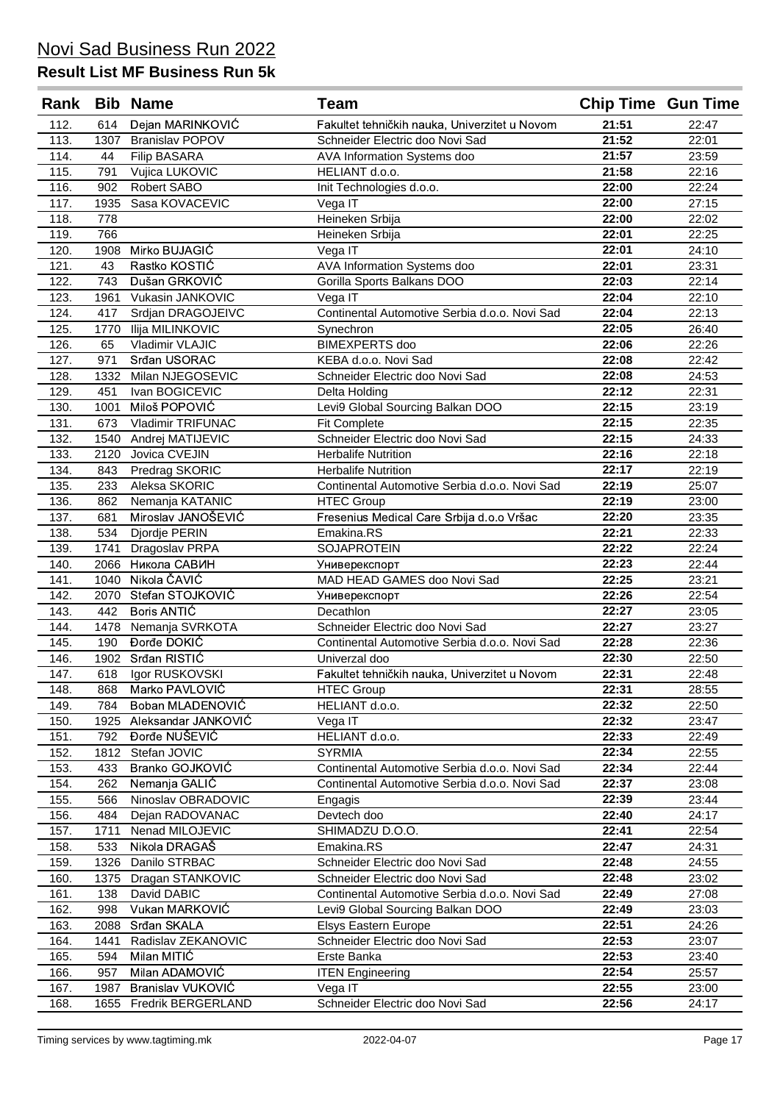| Rank |      | <b>Bib Name</b>          | <b>Team</b>                                   | <b>Chip Time Gun Time</b> |       |
|------|------|--------------------------|-----------------------------------------------|---------------------------|-------|
| 112. | 614  | Dejan MARINKOVIĆ         | Fakultet tehničkih nauka, Univerzitet u Novom | 21:51                     | 22:47 |
| 113. | 1307 | <b>Branislav POPOV</b>   | Schneider Electric doo Novi Sad               | 21:52                     | 22:01 |
| 114. | 44   | <b>Filip BASARA</b>      | AVA Information Systems doo                   | 21:57                     | 23:59 |
| 115. | 791  | Vujica LUKOVIC           | HELIANT d.o.o.                                | 21:58                     | 22:16 |
| 116. | 902  | Robert SABO              | Init Technologies d.o.o.                      | 22:00                     | 22:24 |
| 117. | 1935 | Sasa KOVACEVIC           | Vega IT                                       | 22:00                     | 27:15 |
| 118. | 778  |                          | Heineken Srbija                               | 22:00                     | 22:02 |
| 119. | 766  |                          | Heineken Srbija                               | 22:01                     | 22:25 |
| 120. | 1908 | Mirko BUJAGIĆ            | Vega IT                                       | 22:01                     | 24:10 |
| 121. | 43   | Rastko KOSTIĆ            | <b>AVA</b> Information Systems doo            | 22:01                     | 23:31 |
| 122. | 743  | Dušan GRKOVIĆ            | Gorilla Sports Balkans DOO                    | 22:03                     | 22:14 |
| 123. | 1961 | Vukasin JANKOVIC         | Vega IT                                       | 22:04                     | 22:10 |
| 124. | 417  | Srdjan DRAGOJEIVC        | Continental Automotive Serbia d.o.o. Novi Sad | 22:04                     | 22:13 |
| 125. | 1770 | Ilija MILINKOVIC         | Synechron                                     | 22:05                     | 26:40 |
| 126. | 65   | Vladimir VLAJIC          | <b>BIMEXPERTS</b> doo                         | 22:06                     | 22:26 |
| 127. | 971  | Srđan USORAC             | KEBA d.o.o. Novi Sad                          | 22:08                     | 22:42 |
| 128. | 1332 | Milan NJEGOSEVIC         | Schneider Electric doo Novi Sad               | 22:08                     | 24:53 |
| 129. | 451  | Ivan BOGICEVIC           | Delta Holding                                 | 22:12                     | 22:31 |
| 130. | 1001 | Miloš POPOVIĆ            | Levi9 Global Sourcing Balkan DOO              | 22:15                     | 23:19 |
| 131. | 673  | <b>Vladimir TRIFUNAC</b> | <b>Fit Complete</b>                           | 22:15                     | 22:35 |
| 132. | 1540 | Andrej MATIJEVIC         | Schneider Electric doo Novi Sad               | 22:15                     | 24:33 |
| 133. | 2120 | Jovica CVEJIN            | <b>Herbalife Nutrition</b>                    | 22:16                     | 22:18 |
| 134. | 843  | Predrag SKORIC           | <b>Herbalife Nutrition</b>                    | 22:17                     | 22:19 |
| 135. | 233  | Aleksa SKORIC            | Continental Automotive Serbia d.o.o. Novi Sad | 22:19                     | 25:07 |
| 136. | 862  | Nemanja KATANIC          | <b>HTEC Group</b>                             | 22:19                     | 23:00 |
| 137. | 681  | Miroslav JANOŠEVIĆ       | Fresenius Medical Care Srbija d.o.o Vršac     | 22:20                     | 23:35 |
| 138. | 534  | Djordje PERIN            | Emakina.RS                                    | 22:21                     | 22:33 |
| 139. | 1741 | Dragoslav PRPA           | <b>SOJAPROTEIN</b>                            | 22:22                     | 22:24 |
| 140. | 2066 | Никола САВИН             | Универекспорт                                 | 22:23                     | 22:44 |
| 141. | 1040 | Nikola ČAVIĆ             | MAD HEAD GAMES doo Novi Sad                   | 22:25                     | 23:21 |
| 142. | 2070 | Stefan STOJKOVIĆ         | Универекспорт                                 | 22:26                     | 22:54 |
| 143. | 442  | Boris ANTIC              | Decathlon                                     | 22:27                     | 23:05 |
| 144. | 1478 | Nemanja SVRKOTA          | Schneider Electric doo Novi Sad               | 22:27                     | 23:27 |
| 145. | 190  | Đorđe DOKIĆ              | Continental Automotive Serbia d.o.o. Novi Sad | 22:28                     | 22:36 |
| 146. | 1902 | Srđan RISTIĆ             | Univerzal doo                                 | 22:30                     | 22:50 |
| 147. | 618  | Igor RUSKOVSKI           | Fakultet tehničkih nauka, Univerzitet u Novom | 22:31                     | 22:48 |
| 148. | 868  | Marko PAVLOVIĆ           | <b>HTEC Group</b>                             | 22:31                     | 28:55 |
| 149. | 784  | Boban MLADENOVIĆ         | HELIANT d.o.o.                                | 22:32                     | 22:50 |
| 150. | 1925 | Aleksandar JANKOVIĆ      | Vega IT                                       | 22:32                     | 23:47 |
| 151. | 792  | Đorđe NUŠEVIĆ            | HELIANT d.o.o.                                | 22:33                     | 22:49 |
| 152. | 1812 | Stefan JOVIC             | <b>SYRMIA</b>                                 | 22:34                     | 22:55 |
| 153. | 433  | Branko GOJKOVIĆ          | Continental Automotive Serbia d.o.o. Novi Sad | 22:34                     | 22:44 |
| 154. | 262  | Nemanja GALIĆ            | Continental Automotive Serbia d.o.o. Novi Sad | 22:37                     | 23:08 |
| 155. | 566  | Ninoslav OBRADOVIC       | Engagis                                       | 22:39                     | 23:44 |
| 156. | 484  | Dejan RADOVANAC          | Devtech doo                                   | 22:40                     | 24:17 |
| 157. | 1711 | Nenad MILOJEVIC          | SHIMADZU D.O.O.                               | 22:41                     | 22:54 |
| 158. | 533  | Nikola DRAGAŠ            | Emakina.RS                                    | 22:47                     | 24:31 |
| 159. | 1326 | Danilo STRBAC            | Schneider Electric doo Novi Sad               | 22:48                     | 24:55 |
| 160. | 1375 | Dragan STANKOVIC         | Schneider Electric doo Novi Sad               | 22:48                     | 23:02 |
| 161. | 138  | David DABIC              | Continental Automotive Serbia d.o.o. Novi Sad | 22:49                     | 27:08 |
| 162. | 998  | Vukan MARKOVIĆ           | Levi9 Global Sourcing Balkan DOO              | 22:49                     | 23:03 |
| 163. | 2088 | Srđan SKALA              | Elsys Eastern Europe                          | 22:51                     | 24:26 |
| 164. | 1441 | Radislav ZEKANOVIC       | Schneider Electric doo Novi Sad               | 22:53                     | 23:07 |
| 165. | 594  | Milan MITIĆ              | Erste Banka                                   | 22:53                     | 23:40 |
| 166. | 957  | Milan ADAMOVIĆ           | <b>ITEN Engineering</b>                       | 22:54                     | 25:57 |
| 167. | 1987 | Branislav VUKOVIĆ        | Vega IT                                       | 22:55                     | 23:00 |
| 168. | 1655 | Fredrik BERGERLAND       | Schneider Electric doo Novi Sad               | 22:56                     | 24:17 |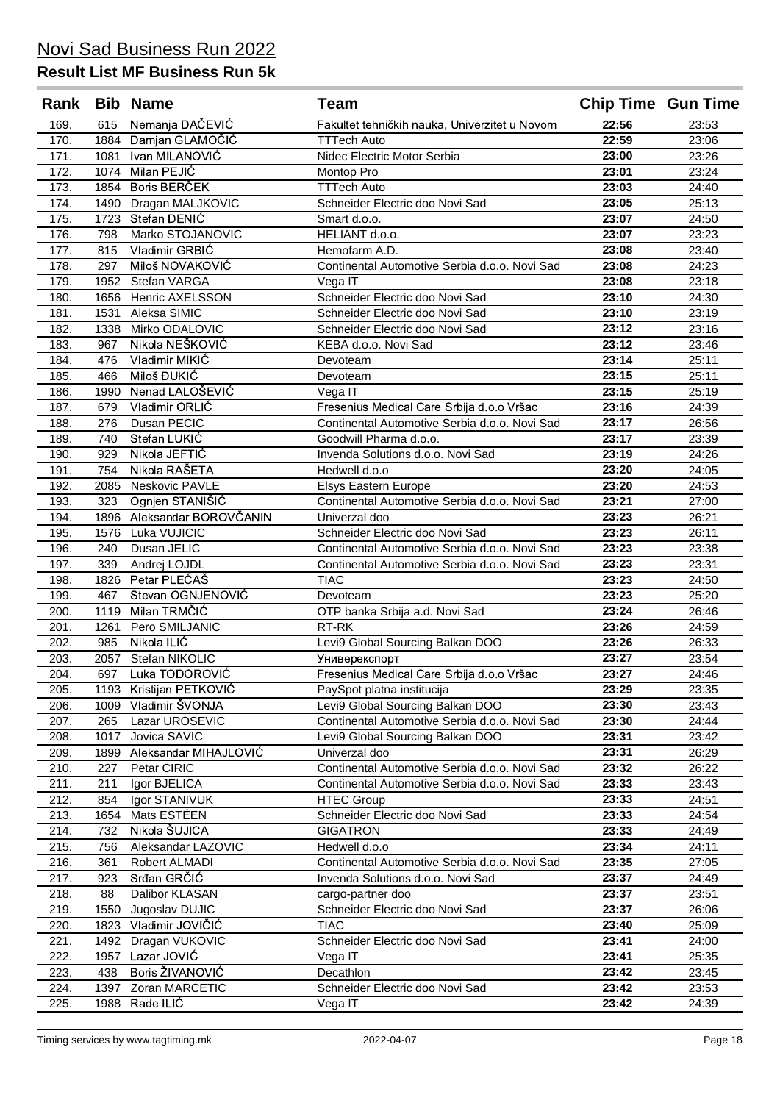| Rank         |              | <b>Bib Name</b>                    | <b>Team</b>                                    | <b>Chip Time Gun Time</b> |                |
|--------------|--------------|------------------------------------|------------------------------------------------|---------------------------|----------------|
| 169.         | 615          | Nemanja DAČEVIĆ                    | Fakultet tehničkih nauka, Univerzitet u Novom  | 22:56                     | 23:53          |
| 170.         | 1884         | Damjan GLAMOČIĆ                    | <b>TTTech Auto</b>                             | 22:59                     | 23:06          |
| 171.         | 1081         | Ivan MILANOVIC                     | Nidec Electric Motor Serbia                    | 23:00                     | 23:26          |
| 172.         | 1074         | Milan PEJIĆ                        | Montop Pro                                     | 23:01                     | 23:24          |
| 173.         | 1854         | Boris BERČEK                       | <b>TTTech Auto</b>                             | 23:03                     | 24:40          |
| 174.         | 1490         | Dragan MALJKOVIC                   | Schneider Electric doo Novi Sad                | 23:05                     | 25:13          |
| 175.         | 1723         | Stefan DENIĆ                       | Smart d.o.o.                                   | 23:07                     | 24:50          |
| 176.         | 798          | Marko STOJANOVIC                   | HELIANT d.o.o.                                 | 23:07                     | 23:23          |
| 177.         | 815          | Vladimir GRBIC                     | Hemofarm A.D.                                  | 23:08                     | 23:40          |
| 178.         | 297          | Miloš NOVAKOVIĆ                    | Continental Automotive Serbia d.o.o. Novi Sad  | 23:08                     | 24:23          |
| 179.         | 1952         | Stefan VARGA                       | Vega IT                                        | 23:08                     | 23:18          |
| 180.         | 1656         | <b>Henric AXELSSON</b>             | Schneider Electric doo Novi Sad                | 23:10                     | 24:30          |
| 181.         | 1531         | Aleksa SIMIC                       | Schneider Electric doo Novi Sad                | 23:10                     | 23:19          |
| 182.         | 1338         | Mirko ODALOVIC                     | Schneider Electric doo Novi Sad                | 23:12                     | 23:16          |
| 183.         | 967          | Nikola NEŠKOVIĆ                    | KEBA d.o.o. Novi Sad                           | 23:12                     | 23:46          |
| 184.         | 476          | Vladimir MIKIĆ                     | Devoteam                                       | 23:14                     | 25:11          |
| 185.         | 466          | Miloš ĐUKIĆ                        | Devoteam                                       | 23:15                     | 25:11          |
| 186.         | 1990         | Nenad LALOŠEVIĆ                    | Vega IT                                        | 23:15                     | 25:19          |
| 187.         | 679          | Vladimir ORLIĆ                     | Fresenius Medical Care Srbija d.o.o Vršac      | 23:16                     | 24:39          |
| 188.         | 276          | Dusan PECIC                        | Continental Automotive Serbia d.o.o. Novi Sad  | 23:17                     | 26:56          |
| 189.         | 740          | Stefan LUKIĆ                       | Goodwill Pharma d.o.o.                         | 23:17                     | 23:39          |
| 190.         | 929          | Nikola JEFTIĆ                      | Invenda Solutions d.o.o. Novi Sad              | 23:19                     | 24:26          |
| 191.         | 754          | Nikola RAŠETA                      | Hedwell d.o.o                                  | 23:20                     | 24:05          |
| 192.         | 2085         | Neskovic PAVLE                     | Elsys Eastern Europe                           | 23:20                     | 24:53          |
| 193.         | 323          | Ognjen STANIŠIĆ                    | Continental Automotive Serbia d.o.o. Novi Sad  | 23:21                     | 27:00          |
| 194.         | 1896         | Aleksandar BOROVČANIN              | Univerzal doo                                  | 23:23                     | 26:21          |
| 195.         | 1576         | Luka VUJICIC                       | Schneider Electric doo Novi Sad                | 23:23                     | 26:11          |
| 196.         | 240          | Dusan JELIC                        | Continental Automotive Serbia d.o.o. Novi Sad  | 23:23                     | 23:38          |
| 197.         | 339          | Andrej LOJDL                       | Continental Automotive Serbia d.o.o. Novi Sad  | 23:23                     | 23:31          |
| 198.         | 1826         | Petar PLEĆAŠ                       | <b>TIAC</b>                                    | 23:23                     | 24:50          |
| 199.         | 467          | Stevan OGNJENOVIĆ                  | Devoteam                                       | 23:23                     | 25:20          |
| 200.         | 1119         | Milan TRMČIĆ                       | OTP banka Srbija a.d. Novi Sad                 | 23:24                     | 26:46          |
| 201.         | 1261         | Pero SMILJANIC                     | RT-RK                                          | 23:26                     | 24:59          |
| 202.         | 985          | Nikola ILIĆ                        | Levi9 Global Sourcing Balkan DOO               | 23:26                     | 26:33          |
| 203.         | 2057         | Stefan NIKOLIC                     | Универекспорт                                  | 23:27                     | 23:54          |
| 204.         | 697          | Luka TODOROVIĆ                     | Fresenius Medical Care Srbija d.o.o Vršac      | 23:27                     | 24:46          |
| 205.         |              | 1193 Kristijan PETKOVIĆ            | PaySpot platna institucija                     | 23:29                     | 23:35          |
| 206.         | 1009         | Vladimir ŠVONJA                    | Levi9 Global Sourcing Balkan DOO               | 23:30                     | 23:43          |
| 207.         | 265          | Lazar UROSEVIC                     | Continental Automotive Serbia d.o.o. Novi Sad  | 23:30                     | 24:44          |
| 208.         | 1017         | Jovica SAVIC                       | Levi9 Global Sourcing Balkan DOO               | 23:31                     | 23:42          |
| 209.         | 1899         | Aleksandar MIHAJLOVIĆ              | Univerzal doo                                  | 23:31                     | 26:29          |
| 210.         | 227          | Petar CIRIC                        | Continental Automotive Serbia d.o.o. Novi Sad  | 23:32                     | 26:22          |
| 211.         | 211          | Igor BJELICA                       | Continental Automotive Serbia d.o.o. Novi Sad  | 23:33                     | 23:43          |
| 212.         | 854          | Igor STANIVUK                      | <b>HTEC Group</b>                              | 23:33                     | 24:51          |
| 213.         | 1654         | Mats ESTÉEN                        | Schneider Electric doo Novi Sad                | 23:33<br>23:33            | 24:54          |
| 214.         | 732          | Nikola ŠUJICA                      | <b>GIGATRON</b>                                | 23:34                     | 24:49          |
| 215.         | 756          | Aleksandar LAZOVIC                 | Hedwell d.o.o                                  | 23:35                     | 24:11          |
| 216.         | 361          | Robert ALMADI<br>Srđan GRČIĆ       | Continental Automotive Serbia d.o.o. Novi Sad  | 23:37                     | 27:05          |
| 217.         | 923          |                                    | Invenda Solutions d.o.o. Novi Sad              |                           | 24:49          |
| 218.         | 88           | Dalibor KLASAN                     | cargo-partner doo                              | 23:37<br>23:37            | 23:51          |
| 219.         | 1550         | Jugoslav DUJIC<br>Vladimir JOVIČIĆ | Schneider Electric doo Novi Sad<br><b>TIAC</b> | 23:40                     | 26:06          |
| 220.         | 1823         | Dragan VUKOVIC                     | Schneider Electric doo Novi Sad                | 23:41                     | 25:09<br>24:00 |
| 221.<br>222. | 1492<br>1957 | Lazar JOVIĆ                        |                                                | 23:41                     | 25:35          |
|              | 438          | Boris ŽIVANOVIĆ                    | Vega IT<br>Decathlon                           | 23:42                     | 23:45          |
| 223.         | 1397         | Zoran MARCETIC                     | Schneider Electric doo Novi Sad                | 23:42                     | 23:53          |
| 224.<br>225. | 1988         | Rade ILIĆ                          | Vega IT                                        | 23:42                     | 24:39          |
|              |              |                                    |                                                |                           |                |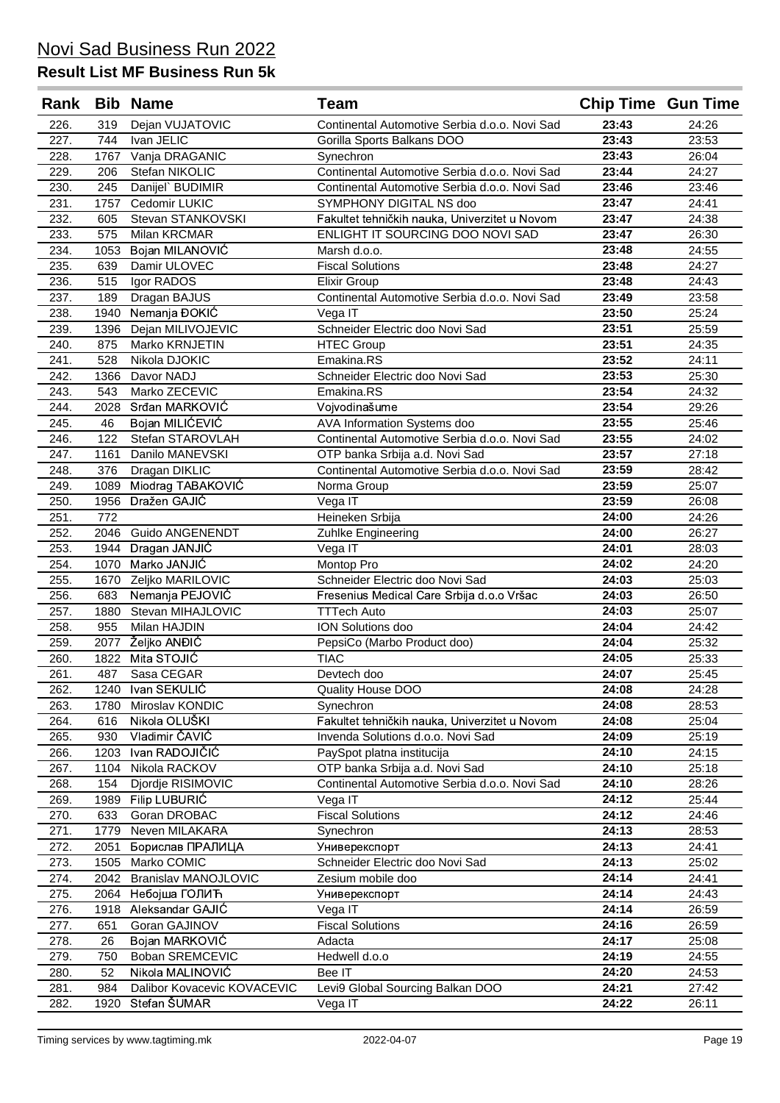| Rank         |            | <b>Bib Name</b>                 | <b>Team</b>                                                  | <b>Chip Time Gun Time</b> |                |
|--------------|------------|---------------------------------|--------------------------------------------------------------|---------------------------|----------------|
| 226.         | 319        | Dejan VUJATOVIC                 | Continental Automotive Serbia d.o.o. Novi Sad                | 23:43                     | 24:26          |
| 227.         | 744        | Ivan JELIC                      | Gorilla Sports Balkans DOO                                   | 23:43                     | 23:53          |
| 228.         | 1767       | Vanja DRAGANIC                  | Synechron                                                    | 23:43                     | 26:04          |
| 229.         | 206        | Stefan NIKOLIC                  | Continental Automotive Serbia d.o.o. Novi Sad                | 23:44                     | 24:27          |
| 230.         | 245        | Danijel` BUDIMIR                | Continental Automotive Serbia d.o.o. Novi Sad                | 23:46                     | 23:46          |
| 231.         | 1757       | Cedomir LUKIC                   | SYMPHONY DIGITAL NS doo                                      | 23:47                     | 24:41          |
| 232.         | 605        | Stevan STANKOVSKI               | Fakultet tehničkih nauka, Univerzitet u Novom                | 23:47                     | 24:38          |
| 233.         | 575        | Milan KRCMAR                    | ENLIGHT IT SOURCING DOO NOVI SAD                             | 23:47                     | 26:30          |
| 234.         | 1053       | Bojan MILANOVIĆ                 | Marsh d.o.o.                                                 | 23:48                     | 24:55          |
| 235.         | 639        | Damir ULOVEC                    | <b>Fiscal Solutions</b>                                      | 23:48                     | 24:27          |
| 236.         | 515        | Igor RADOS                      | <b>Elixir Group</b>                                          | 23:48                     | 24:43          |
| 237.         | 189        | Dragan BAJUS                    | Continental Automotive Serbia d.o.o. Novi Sad                | 23:49                     | 23:58          |
| 238.         | 1940       | Nemanja ĐOKIĆ                   | Vega IT                                                      | 23:50                     | 25:24          |
| 239.         | 1396       | Dejan MILIVOJEVIC               | Schneider Electric doo Novi Sad                              | 23:51                     | 25:59          |
| 240.         | 875        | Marko KRNJETIN                  | <b>HTEC Group</b>                                            | 23:51                     | 24:35          |
| 241.         | 528        | Nikola DJOKIC                   | Emakina.RS                                                   | 23:52                     | 24:11          |
| 242.         | 1366       | Davor NADJ                      | Schneider Electric doo Novi Sad                              | 23:53                     | 25:30          |
| 243.         | 543        | Marko ZECEVIC                   | Emakina.RS                                                   | 23:54                     | 24:32          |
| 244.         | 2028       | Srđan MARKOVIĆ                  | Vojvodinašume                                                | 23:54                     | 29:26          |
| 245.         | 46         | Bojan MILIĆEVIĆ                 | AVA Information Systems doo                                  | 23:55                     | 25:46          |
| 246.         | 122        | Stefan STAROVLAH                | Continental Automotive Serbia d.o.o. Novi Sad                | 23:55                     | 24:02          |
| 247.         | 1161       | Danilo MANEVSKI                 | OTP banka Srbija a.d. Novi Sad                               | 23:57                     | 27:18          |
| 248.         | 376        | Dragan DIKLIC                   | Continental Automotive Serbia d.o.o. Novi Sad                | 23:59                     | 28:42          |
| 249.         | 1089       | Miodrag TABAKOVIĆ               | Norma Group                                                  | 23:59                     | 25:07          |
| 250.         | 1956       | Dražen GAJIĆ                    | Vega IT                                                      | 23:59                     | 26:08          |
| 251.         | 772        |                                 | Heineken Srbija                                              | 24:00                     | 24:26          |
| 252.         | 2046       | <b>Guido ANGENENDT</b>          | Zuhlke Engineering                                           | 24:00                     | 26:27          |
| 253.         | 1944       | Dragan JANJIĆ                   | Vega IT                                                      | 24:01                     | 28:03          |
| 254.         | 1070       | Marko JANJIĆ                    | Montop Pro                                                   | 24:02                     | 24:20          |
| 255.         | 1670       | Zeljko MARILOVIC                | Schneider Electric doo Novi Sad                              | 24:03                     | 25:03          |
| 256.         | 683        | Nemanja PEJOVIĆ                 | Fresenius Medical Care Srbija d.o.o Vršac                    | 24:03                     | 26:50          |
| 257.         | 1880       | Stevan MIHAJLOVIC               | <b>TTTech Auto</b>                                           | 24:03                     | 25:07          |
| 258.         | 955        | Milan HAJDIN                    | ION Solutions doo                                            | 24:04                     | 24:42          |
| 259.         | 2077       | Željko ANĐIĆ                    | PepsiCo (Marbo Product doo)                                  | 24:04                     | 25:32          |
| 260.         | 1822       | Mita STOJIĆ                     | <b>TIAC</b>                                                  | 24:05                     | 25:33          |
| 261.         | 487        | Sasa CEGAR                      | Devtech doo                                                  | 24:07                     | 25:45          |
| 262.         |            | 1240 Ivan SEKULIĆ               | Quality House DOO                                            | 24:08                     | 24:28          |
| 263.         | 1780       | Miroslav KONDIC                 | Synechron<br>Fakultet tehničkih nauka, Univerzitet u Novom   | 24:08                     | 28:53          |
| 264.         | 616<br>930 | Nikola OLUŠKI<br>Vladimir ČAVIĆ | Invenda Solutions d.o.o. Novi Sad                            | 24:08<br>24:09            | 25:04<br>25:19 |
| 265.         | 1203       | Ivan RADOJIČIĆ                  |                                                              | 24:10                     | 24:15          |
| 266.         | 1104       | Nikola RACKOV                   | PaySpot platna institucija<br>OTP banka Srbija a.d. Novi Sad | 24:10                     | 25:18          |
| 267.<br>268. | 154        | Djordje RISIMOVIC               | Continental Automotive Serbia d.o.o. Novi Sad                | 24:10                     | 28:26          |
| 269.         | 1989       | Filip LUBURIĆ                   | Vega IT                                                      | 24:12                     | 25:44          |
| 270.         | 633        | Goran DROBAC                    | <b>Fiscal Solutions</b>                                      | 24:12                     | 24:46          |
| 271.         | 1779       | Neven MILAKARA                  | Synechron                                                    | 24:13                     | 28:53          |
| 272.         | 2051       | Борислав ПРАЛИЦА                | Универекспорт                                                | 24:13                     | 24:41          |
| 273.         | 1505       | Marko COMIC                     | Schneider Electric doo Novi Sad                              | 24:13                     | 25:02          |
| 274.         | 2042       | <b>Branislav MANOJLOVIC</b>     | Zesium mobile doo                                            | 24:14                     | 24:41          |
| 275.         | 2064       | Небојша ГОЛИЋ                   | Универекспорт                                                | 24:14                     | 24:43          |
| 276.         | 1918       | Aleksandar GAJIĆ                | Vega IT                                                      | 24:14                     | 26:59          |
| 277.         | 651        | Goran GAJINOV                   | <b>Fiscal Solutions</b>                                      | 24:16                     | 26:59          |
| 278.         | 26         | Bojan MARKOVIĆ                  | Adacta                                                       | 24:17                     | 25:08          |
| 279.         | 750        | Boban SREMCEVIC                 | Hedwell d.o.o                                                | 24:19                     | 24:55          |
| 280.         | 52         | Nikola MALINOVIĆ                | Bee IT                                                       | 24:20                     | 24:53          |
| 281.         | 984        | Dalibor Kovacevic KOVACEVIC     | Levi9 Global Sourcing Balkan DOO                             | 24:21                     | 27:42          |
| 282.         | 1920       | Stefan ŠUMAR                    | Vega IT                                                      | 24:22                     | 26:11          |
|              |            |                                 |                                                              |                           |                |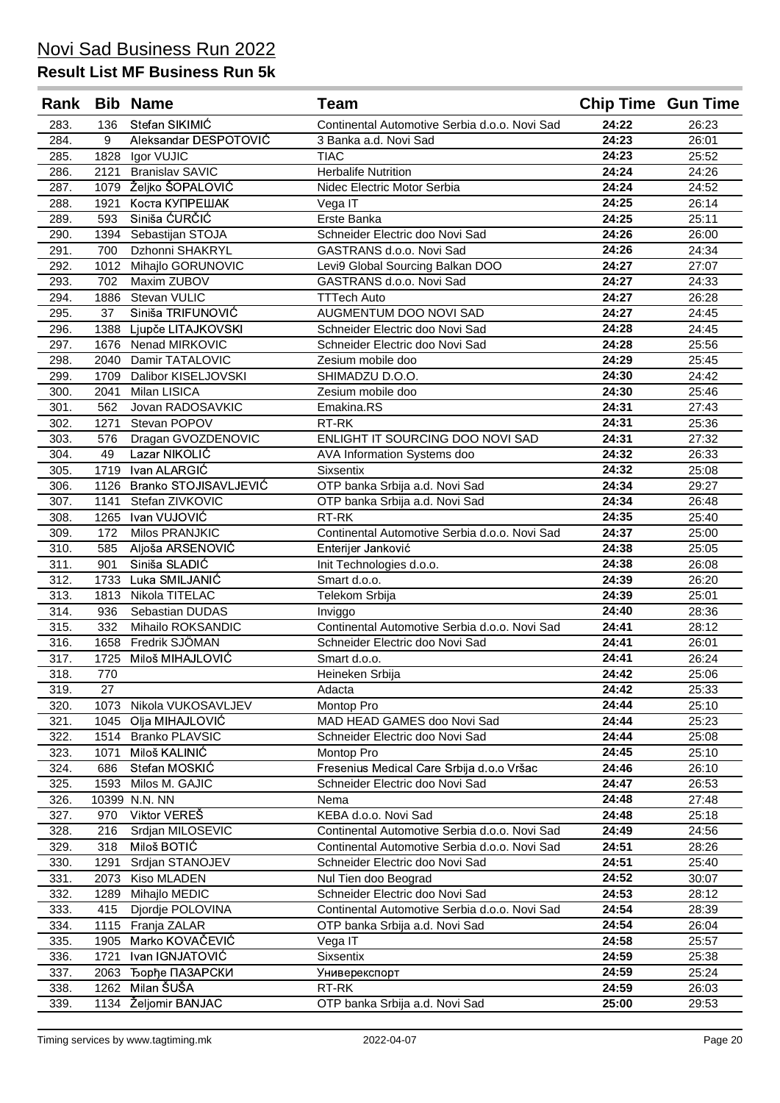| Stefan SIKIMIĆ<br>24:22<br>283.<br>136<br>Continental Automotive Serbia d.o.o. Novi Sad<br>26:23<br>24:23<br>Aleksandar DESPOTOVIĆ<br>284.<br>9<br>26:01<br>3 Banka a.d. Novi Sad<br>24:23<br>25:52<br>285.<br>1828<br>Igor VUJIC<br><b>TIAC</b><br>24:24<br><b>Herbalife Nutrition</b><br>286.<br>2121<br><b>Branislav SAVIC</b><br>24:26<br>1079 Željko ŠOPALOVIĆ<br>24:24<br>287.<br>Nidec Electric Motor Serbia<br>24:52<br>24:25<br>288.<br>Коста КУПРЕШАК<br>26:14<br>1921<br>Vega IT<br>Siniša ĆURČIĆ<br>24:25<br>289.<br>593<br>Erste Banka<br>25:11<br>24:26<br>290.<br>1394 Sebastijan STOJA<br>Schneider Electric doo Novi Sad<br>26:00<br>24:26<br>Dzhonni SHAKRYL<br>291.<br>700<br>GASTRANS d.o.o. Novi Sad<br>24:34<br>292.<br>Mihajlo GORUNOVIC<br>24:27<br>27:07<br>1012<br>Levi9 Global Sourcing Balkan DOO<br>293.<br>702<br>Maxim ZUBOV<br>24:27<br>24:33<br>GASTRANS d.o.o. Novi Sad<br>26:28<br>294.<br>Stevan VULIC<br>24:27<br>1886<br><b>TTTech Auto</b><br>295.<br>37<br>Siniša TRIFUNOVIĆ<br>AUGMENTUM DOO NOVI SAD<br>24:27<br>24:45<br>296.<br>24:28<br>24:45<br>1388<br>Ljupče LITAJKOVSKI<br>Schneider Electric doo Novi Sad<br>24:28<br>297.<br>Nenad MIRKOVIC<br>25:56<br>1676<br>Schneider Electric doo Novi Sad<br>24:29<br>298.<br>Damir TATALOVIC<br>Zesium mobile doo<br>25:45<br>2040<br>SHIMADZU D.O.O.<br>299.<br>1709<br>Dalibor KISELJOVSKI<br>24:30<br>24:42<br>300.<br>Milan LISICA<br>Zesium mobile doo<br>24:30<br>25:46<br>2041<br>27:43<br>562<br>Jovan RADOSAVKIC<br>Emakina.RS<br>24:31<br>301.<br>24:31<br>Stevan POPOV<br>RT-RK<br>25:36<br>302.<br>1271<br>ENLIGHT IT SOURCING DOO NOVI SAD<br>27:32<br>Dragan GVOZDENOVIC<br>24:31<br>303.<br>576<br>Lazar NIKOLIĆ<br>24:32<br>304.<br>49<br>26:33<br>AVA Information Systems doo<br>24:32<br>Ivan ALARGIĆ<br>1719<br>25:08<br>305.<br>Sixsentix<br>24:34<br>OTP banka Srbija a.d. Novi Sad<br>1126<br>Branko STOJISAVLJEVIĆ<br>29:27<br>306.<br>24:34<br>Stefan ZIVKOVIC<br>OTP banka Srbija a.d. Novi Sad<br>26:48<br>307.<br>1141<br>24:35<br>Ivan VUJOVIĆ<br>308.<br>1265<br>RT-RK<br>25:40<br>24:37<br>172<br>Milos PRANJKIC<br>Continental Automotive Serbia d.o.o. Novi Sad<br>25:00<br>309.<br>24:38<br>310.<br>Aljoša ARSENOVIĆ<br>25:05<br>585<br>Enterijer Janković<br>24:38<br>Siniša SLADIĆ<br>901<br>26:08<br>311.<br>Init Technologies d.o.o.<br>24:39<br>Luka SMILJANIĆ<br>312.<br>1733<br>Smart d.o.o.<br>26:20<br>24:39<br>313.<br>Nikola TITELAC<br>25:01<br>1813<br>Telekom Srbija<br>24:40<br>Sebastian DUDAS<br>28:36<br>314.<br>936<br>Inviggo<br>24:41<br>315.<br>332<br>Mihailo ROKSANDIC<br>Continental Automotive Serbia d.o.o. Novi Sad<br>28:12<br>Fredrik SJÖMAN<br>24:41<br>316.<br>26:01<br>1658<br>Schneider Electric doo Novi Sad<br>Miloš MIHAJLOVIĆ<br>24:41<br>26:24<br>317.<br>1725<br>Smart d.o.o.<br>318.<br>24:42<br>770<br>25:06<br>Heineken Srbiia<br>27<br>319.<br>Adacta<br>24:42<br>25:33<br>Nikola VUKOSAVLJEV<br>24:44<br>25:10<br>320.<br>1073<br>Montop Pro<br>Olja MIHAJLOVIĆ<br>MAD HEAD GAMES doo Novi Sad<br>24:44<br>25:23<br>321.<br>1045<br><b>Branko PLAVSIC</b><br>24:44<br>25:08<br>322.<br>1514<br>Schneider Electric doo Novi Sad<br>Miloš KALINIĆ<br>24:45<br>25:10<br>323.<br>1071<br>Montop Pro<br>324.<br>Stefan MOSKIĆ<br>Fresenius Medical Care Srbija d.o.o Vršac<br>24:46<br>26:10<br>686<br>24:47<br>26:53<br>325.<br>1593<br>Milos M. GAJIC<br>Schneider Electric doo Novi Sad<br>10399 N.N. NN<br>24:48<br>27:48<br>326.<br>Nema<br>Viktor VEREŠ<br>KEBA d.o.o. Novi Sad<br>24:48<br>25:18<br>327.<br>970<br>24:49<br>24:56<br>328.<br>216<br>Srdjan MILOSEVIC<br>Continental Automotive Serbia d.o.o. Novi Sad<br>Miloš BOTIĆ<br>24:51<br>329.<br>318<br>28:26<br>Continental Automotive Serbia d.o.o. Novi Sad<br>24:51<br>25:40<br>330.<br>1291<br>Srdjan STANOJEV<br>Schneider Electric doo Novi Sad<br>24:52<br>331.<br>Kiso MLADEN<br>30:07<br>2073<br>Nul Tien doo Beograd<br>24:53<br>332.<br>Mihajlo MEDIC<br>Schneider Electric doo Novi Sad<br>28:12<br>1289<br>24:54<br>333.<br>Djordje POLOVINA<br>28:39<br>415<br>Continental Automotive Serbia d.o.o. Novi Sad<br>24:54<br>Franja ZALAR<br>26:04<br>334.<br>1115<br>OTP banka Srbija a.d. Novi Sad<br>24:58<br>Marko KOVAČEVIĆ<br>25:57<br>335.<br>1905<br>Vega IT<br>Ivan IGNJATOVIĆ<br>24:59<br>336.<br>1721<br>Sixsentix<br>25:38<br>24:59<br>Ђорђе ПАЗАРСКИ<br>25:24<br>337.<br>2063<br>Универекспорт<br>Milan ŠUŠA<br>24:59<br>338.<br>1262<br>RT-RK<br>26:03<br>1134 Željomir BANJAC<br>OTP banka Srbija a.d. Novi Sad<br>339.<br>25:00<br>29:53 |  | Rank Bib Name | <b>Team</b> | <b>Chip Time Gun Time</b> |  |
|-------------------------------------------------------------------------------------------------------------------------------------------------------------------------------------------------------------------------------------------------------------------------------------------------------------------------------------------------------------------------------------------------------------------------------------------------------------------------------------------------------------------------------------------------------------------------------------------------------------------------------------------------------------------------------------------------------------------------------------------------------------------------------------------------------------------------------------------------------------------------------------------------------------------------------------------------------------------------------------------------------------------------------------------------------------------------------------------------------------------------------------------------------------------------------------------------------------------------------------------------------------------------------------------------------------------------------------------------------------------------------------------------------------------------------------------------------------------------------------------------------------------------------------------------------------------------------------------------------------------------------------------------------------------------------------------------------------------------------------------------------------------------------------------------------------------------------------------------------------------------------------------------------------------------------------------------------------------------------------------------------------------------------------------------------------------------------------------------------------------------------------------------------------------------------------------------------------------------------------------------------------------------------------------------------------------------------------------------------------------------------------------------------------------------------------------------------------------------------------------------------------------------------------------------------------------------------------------------------------------------------------------------------------------------------------------------------------------------------------------------------------------------------------------------------------------------------------------------------------------------------------------------------------------------------------------------------------------------------------------------------------------------------------------------------------------------------------------------------------------------------------------------------------------------------------------------------------------------------------------------------------------------------------------------------------------------------------------------------------------------------------------------------------------------------------------------------------------------------------------------------------------------------------------------------------------------------------------------------------------------------------------------------------------------------------------------------------------------------------------------------------------------------------------------------------------------------------------------------------------------------------------------------------------------------------------------------------------------------------------------------------------------------------------------------------------------------------------------------------------------------------------------------------------------------------------------------------------------------------------------------------------------------------------------------------------------------------------------------------------------------------------------------------------------------------------------------------------------------------------------------------------------------------------------------------------------------------------------------|--|---------------|-------------|---------------------------|--|
|                                                                                                                                                                                                                                                                                                                                                                                                                                                                                                                                                                                                                                                                                                                                                                                                                                                                                                                                                                                                                                                                                                                                                                                                                                                                                                                                                                                                                                                                                                                                                                                                                                                                                                                                                                                                                                                                                                                                                                                                                                                                                                                                                                                                                                                                                                                                                                                                                                                                                                                                                                                                                                                                                                                                                                                                                                                                                                                                                                                                                                                                                                                                                                                                                                                                                                                                                                                                                                                                                                                                                                                                                                                                                                                                                                                                                                                                                                                                                                                                                                                                                                                                                                                                                                                                                                                                                                                                                                                                                                                                                                                                       |  |               |             |                           |  |
|                                                                                                                                                                                                                                                                                                                                                                                                                                                                                                                                                                                                                                                                                                                                                                                                                                                                                                                                                                                                                                                                                                                                                                                                                                                                                                                                                                                                                                                                                                                                                                                                                                                                                                                                                                                                                                                                                                                                                                                                                                                                                                                                                                                                                                                                                                                                                                                                                                                                                                                                                                                                                                                                                                                                                                                                                                                                                                                                                                                                                                                                                                                                                                                                                                                                                                                                                                                                                                                                                                                                                                                                                                                                                                                                                                                                                                                                                                                                                                                                                                                                                                                                                                                                                                                                                                                                                                                                                                                                                                                                                                                                       |  |               |             |                           |  |
|                                                                                                                                                                                                                                                                                                                                                                                                                                                                                                                                                                                                                                                                                                                                                                                                                                                                                                                                                                                                                                                                                                                                                                                                                                                                                                                                                                                                                                                                                                                                                                                                                                                                                                                                                                                                                                                                                                                                                                                                                                                                                                                                                                                                                                                                                                                                                                                                                                                                                                                                                                                                                                                                                                                                                                                                                                                                                                                                                                                                                                                                                                                                                                                                                                                                                                                                                                                                                                                                                                                                                                                                                                                                                                                                                                                                                                                                                                                                                                                                                                                                                                                                                                                                                                                                                                                                                                                                                                                                                                                                                                                                       |  |               |             |                           |  |
|                                                                                                                                                                                                                                                                                                                                                                                                                                                                                                                                                                                                                                                                                                                                                                                                                                                                                                                                                                                                                                                                                                                                                                                                                                                                                                                                                                                                                                                                                                                                                                                                                                                                                                                                                                                                                                                                                                                                                                                                                                                                                                                                                                                                                                                                                                                                                                                                                                                                                                                                                                                                                                                                                                                                                                                                                                                                                                                                                                                                                                                                                                                                                                                                                                                                                                                                                                                                                                                                                                                                                                                                                                                                                                                                                                                                                                                                                                                                                                                                                                                                                                                                                                                                                                                                                                                                                                                                                                                                                                                                                                                                       |  |               |             |                           |  |
|                                                                                                                                                                                                                                                                                                                                                                                                                                                                                                                                                                                                                                                                                                                                                                                                                                                                                                                                                                                                                                                                                                                                                                                                                                                                                                                                                                                                                                                                                                                                                                                                                                                                                                                                                                                                                                                                                                                                                                                                                                                                                                                                                                                                                                                                                                                                                                                                                                                                                                                                                                                                                                                                                                                                                                                                                                                                                                                                                                                                                                                                                                                                                                                                                                                                                                                                                                                                                                                                                                                                                                                                                                                                                                                                                                                                                                                                                                                                                                                                                                                                                                                                                                                                                                                                                                                                                                                                                                                                                                                                                                                                       |  |               |             |                           |  |
|                                                                                                                                                                                                                                                                                                                                                                                                                                                                                                                                                                                                                                                                                                                                                                                                                                                                                                                                                                                                                                                                                                                                                                                                                                                                                                                                                                                                                                                                                                                                                                                                                                                                                                                                                                                                                                                                                                                                                                                                                                                                                                                                                                                                                                                                                                                                                                                                                                                                                                                                                                                                                                                                                                                                                                                                                                                                                                                                                                                                                                                                                                                                                                                                                                                                                                                                                                                                                                                                                                                                                                                                                                                                                                                                                                                                                                                                                                                                                                                                                                                                                                                                                                                                                                                                                                                                                                                                                                                                                                                                                                                                       |  |               |             |                           |  |
|                                                                                                                                                                                                                                                                                                                                                                                                                                                                                                                                                                                                                                                                                                                                                                                                                                                                                                                                                                                                                                                                                                                                                                                                                                                                                                                                                                                                                                                                                                                                                                                                                                                                                                                                                                                                                                                                                                                                                                                                                                                                                                                                                                                                                                                                                                                                                                                                                                                                                                                                                                                                                                                                                                                                                                                                                                                                                                                                                                                                                                                                                                                                                                                                                                                                                                                                                                                                                                                                                                                                                                                                                                                                                                                                                                                                                                                                                                                                                                                                                                                                                                                                                                                                                                                                                                                                                                                                                                                                                                                                                                                                       |  |               |             |                           |  |
|                                                                                                                                                                                                                                                                                                                                                                                                                                                                                                                                                                                                                                                                                                                                                                                                                                                                                                                                                                                                                                                                                                                                                                                                                                                                                                                                                                                                                                                                                                                                                                                                                                                                                                                                                                                                                                                                                                                                                                                                                                                                                                                                                                                                                                                                                                                                                                                                                                                                                                                                                                                                                                                                                                                                                                                                                                                                                                                                                                                                                                                                                                                                                                                                                                                                                                                                                                                                                                                                                                                                                                                                                                                                                                                                                                                                                                                                                                                                                                                                                                                                                                                                                                                                                                                                                                                                                                                                                                                                                                                                                                                                       |  |               |             |                           |  |
|                                                                                                                                                                                                                                                                                                                                                                                                                                                                                                                                                                                                                                                                                                                                                                                                                                                                                                                                                                                                                                                                                                                                                                                                                                                                                                                                                                                                                                                                                                                                                                                                                                                                                                                                                                                                                                                                                                                                                                                                                                                                                                                                                                                                                                                                                                                                                                                                                                                                                                                                                                                                                                                                                                                                                                                                                                                                                                                                                                                                                                                                                                                                                                                                                                                                                                                                                                                                                                                                                                                                                                                                                                                                                                                                                                                                                                                                                                                                                                                                                                                                                                                                                                                                                                                                                                                                                                                                                                                                                                                                                                                                       |  |               |             |                           |  |
|                                                                                                                                                                                                                                                                                                                                                                                                                                                                                                                                                                                                                                                                                                                                                                                                                                                                                                                                                                                                                                                                                                                                                                                                                                                                                                                                                                                                                                                                                                                                                                                                                                                                                                                                                                                                                                                                                                                                                                                                                                                                                                                                                                                                                                                                                                                                                                                                                                                                                                                                                                                                                                                                                                                                                                                                                                                                                                                                                                                                                                                                                                                                                                                                                                                                                                                                                                                                                                                                                                                                                                                                                                                                                                                                                                                                                                                                                                                                                                                                                                                                                                                                                                                                                                                                                                                                                                                                                                                                                                                                                                                                       |  |               |             |                           |  |
|                                                                                                                                                                                                                                                                                                                                                                                                                                                                                                                                                                                                                                                                                                                                                                                                                                                                                                                                                                                                                                                                                                                                                                                                                                                                                                                                                                                                                                                                                                                                                                                                                                                                                                                                                                                                                                                                                                                                                                                                                                                                                                                                                                                                                                                                                                                                                                                                                                                                                                                                                                                                                                                                                                                                                                                                                                                                                                                                                                                                                                                                                                                                                                                                                                                                                                                                                                                                                                                                                                                                                                                                                                                                                                                                                                                                                                                                                                                                                                                                                                                                                                                                                                                                                                                                                                                                                                                                                                                                                                                                                                                                       |  |               |             |                           |  |
|                                                                                                                                                                                                                                                                                                                                                                                                                                                                                                                                                                                                                                                                                                                                                                                                                                                                                                                                                                                                                                                                                                                                                                                                                                                                                                                                                                                                                                                                                                                                                                                                                                                                                                                                                                                                                                                                                                                                                                                                                                                                                                                                                                                                                                                                                                                                                                                                                                                                                                                                                                                                                                                                                                                                                                                                                                                                                                                                                                                                                                                                                                                                                                                                                                                                                                                                                                                                                                                                                                                                                                                                                                                                                                                                                                                                                                                                                                                                                                                                                                                                                                                                                                                                                                                                                                                                                                                                                                                                                                                                                                                                       |  |               |             |                           |  |
|                                                                                                                                                                                                                                                                                                                                                                                                                                                                                                                                                                                                                                                                                                                                                                                                                                                                                                                                                                                                                                                                                                                                                                                                                                                                                                                                                                                                                                                                                                                                                                                                                                                                                                                                                                                                                                                                                                                                                                                                                                                                                                                                                                                                                                                                                                                                                                                                                                                                                                                                                                                                                                                                                                                                                                                                                                                                                                                                                                                                                                                                                                                                                                                                                                                                                                                                                                                                                                                                                                                                                                                                                                                                                                                                                                                                                                                                                                                                                                                                                                                                                                                                                                                                                                                                                                                                                                                                                                                                                                                                                                                                       |  |               |             |                           |  |
|                                                                                                                                                                                                                                                                                                                                                                                                                                                                                                                                                                                                                                                                                                                                                                                                                                                                                                                                                                                                                                                                                                                                                                                                                                                                                                                                                                                                                                                                                                                                                                                                                                                                                                                                                                                                                                                                                                                                                                                                                                                                                                                                                                                                                                                                                                                                                                                                                                                                                                                                                                                                                                                                                                                                                                                                                                                                                                                                                                                                                                                                                                                                                                                                                                                                                                                                                                                                                                                                                                                                                                                                                                                                                                                                                                                                                                                                                                                                                                                                                                                                                                                                                                                                                                                                                                                                                                                                                                                                                                                                                                                                       |  |               |             |                           |  |
|                                                                                                                                                                                                                                                                                                                                                                                                                                                                                                                                                                                                                                                                                                                                                                                                                                                                                                                                                                                                                                                                                                                                                                                                                                                                                                                                                                                                                                                                                                                                                                                                                                                                                                                                                                                                                                                                                                                                                                                                                                                                                                                                                                                                                                                                                                                                                                                                                                                                                                                                                                                                                                                                                                                                                                                                                                                                                                                                                                                                                                                                                                                                                                                                                                                                                                                                                                                                                                                                                                                                                                                                                                                                                                                                                                                                                                                                                                                                                                                                                                                                                                                                                                                                                                                                                                                                                                                                                                                                                                                                                                                                       |  |               |             |                           |  |
|                                                                                                                                                                                                                                                                                                                                                                                                                                                                                                                                                                                                                                                                                                                                                                                                                                                                                                                                                                                                                                                                                                                                                                                                                                                                                                                                                                                                                                                                                                                                                                                                                                                                                                                                                                                                                                                                                                                                                                                                                                                                                                                                                                                                                                                                                                                                                                                                                                                                                                                                                                                                                                                                                                                                                                                                                                                                                                                                                                                                                                                                                                                                                                                                                                                                                                                                                                                                                                                                                                                                                                                                                                                                                                                                                                                                                                                                                                                                                                                                                                                                                                                                                                                                                                                                                                                                                                                                                                                                                                                                                                                                       |  |               |             |                           |  |
|                                                                                                                                                                                                                                                                                                                                                                                                                                                                                                                                                                                                                                                                                                                                                                                                                                                                                                                                                                                                                                                                                                                                                                                                                                                                                                                                                                                                                                                                                                                                                                                                                                                                                                                                                                                                                                                                                                                                                                                                                                                                                                                                                                                                                                                                                                                                                                                                                                                                                                                                                                                                                                                                                                                                                                                                                                                                                                                                                                                                                                                                                                                                                                                                                                                                                                                                                                                                                                                                                                                                                                                                                                                                                                                                                                                                                                                                                                                                                                                                                                                                                                                                                                                                                                                                                                                                                                                                                                                                                                                                                                                                       |  |               |             |                           |  |
|                                                                                                                                                                                                                                                                                                                                                                                                                                                                                                                                                                                                                                                                                                                                                                                                                                                                                                                                                                                                                                                                                                                                                                                                                                                                                                                                                                                                                                                                                                                                                                                                                                                                                                                                                                                                                                                                                                                                                                                                                                                                                                                                                                                                                                                                                                                                                                                                                                                                                                                                                                                                                                                                                                                                                                                                                                                                                                                                                                                                                                                                                                                                                                                                                                                                                                                                                                                                                                                                                                                                                                                                                                                                                                                                                                                                                                                                                                                                                                                                                                                                                                                                                                                                                                                                                                                                                                                                                                                                                                                                                                                                       |  |               |             |                           |  |
|                                                                                                                                                                                                                                                                                                                                                                                                                                                                                                                                                                                                                                                                                                                                                                                                                                                                                                                                                                                                                                                                                                                                                                                                                                                                                                                                                                                                                                                                                                                                                                                                                                                                                                                                                                                                                                                                                                                                                                                                                                                                                                                                                                                                                                                                                                                                                                                                                                                                                                                                                                                                                                                                                                                                                                                                                                                                                                                                                                                                                                                                                                                                                                                                                                                                                                                                                                                                                                                                                                                                                                                                                                                                                                                                                                                                                                                                                                                                                                                                                                                                                                                                                                                                                                                                                                                                                                                                                                                                                                                                                                                                       |  |               |             |                           |  |
|                                                                                                                                                                                                                                                                                                                                                                                                                                                                                                                                                                                                                                                                                                                                                                                                                                                                                                                                                                                                                                                                                                                                                                                                                                                                                                                                                                                                                                                                                                                                                                                                                                                                                                                                                                                                                                                                                                                                                                                                                                                                                                                                                                                                                                                                                                                                                                                                                                                                                                                                                                                                                                                                                                                                                                                                                                                                                                                                                                                                                                                                                                                                                                                                                                                                                                                                                                                                                                                                                                                                                                                                                                                                                                                                                                                                                                                                                                                                                                                                                                                                                                                                                                                                                                                                                                                                                                                                                                                                                                                                                                                                       |  |               |             |                           |  |
|                                                                                                                                                                                                                                                                                                                                                                                                                                                                                                                                                                                                                                                                                                                                                                                                                                                                                                                                                                                                                                                                                                                                                                                                                                                                                                                                                                                                                                                                                                                                                                                                                                                                                                                                                                                                                                                                                                                                                                                                                                                                                                                                                                                                                                                                                                                                                                                                                                                                                                                                                                                                                                                                                                                                                                                                                                                                                                                                                                                                                                                                                                                                                                                                                                                                                                                                                                                                                                                                                                                                                                                                                                                                                                                                                                                                                                                                                                                                                                                                                                                                                                                                                                                                                                                                                                                                                                                                                                                                                                                                                                                                       |  |               |             |                           |  |
|                                                                                                                                                                                                                                                                                                                                                                                                                                                                                                                                                                                                                                                                                                                                                                                                                                                                                                                                                                                                                                                                                                                                                                                                                                                                                                                                                                                                                                                                                                                                                                                                                                                                                                                                                                                                                                                                                                                                                                                                                                                                                                                                                                                                                                                                                                                                                                                                                                                                                                                                                                                                                                                                                                                                                                                                                                                                                                                                                                                                                                                                                                                                                                                                                                                                                                                                                                                                                                                                                                                                                                                                                                                                                                                                                                                                                                                                                                                                                                                                                                                                                                                                                                                                                                                                                                                                                                                                                                                                                                                                                                                                       |  |               |             |                           |  |
|                                                                                                                                                                                                                                                                                                                                                                                                                                                                                                                                                                                                                                                                                                                                                                                                                                                                                                                                                                                                                                                                                                                                                                                                                                                                                                                                                                                                                                                                                                                                                                                                                                                                                                                                                                                                                                                                                                                                                                                                                                                                                                                                                                                                                                                                                                                                                                                                                                                                                                                                                                                                                                                                                                                                                                                                                                                                                                                                                                                                                                                                                                                                                                                                                                                                                                                                                                                                                                                                                                                                                                                                                                                                                                                                                                                                                                                                                                                                                                                                                                                                                                                                                                                                                                                                                                                                                                                                                                                                                                                                                                                                       |  |               |             |                           |  |
|                                                                                                                                                                                                                                                                                                                                                                                                                                                                                                                                                                                                                                                                                                                                                                                                                                                                                                                                                                                                                                                                                                                                                                                                                                                                                                                                                                                                                                                                                                                                                                                                                                                                                                                                                                                                                                                                                                                                                                                                                                                                                                                                                                                                                                                                                                                                                                                                                                                                                                                                                                                                                                                                                                                                                                                                                                                                                                                                                                                                                                                                                                                                                                                                                                                                                                                                                                                                                                                                                                                                                                                                                                                                                                                                                                                                                                                                                                                                                                                                                                                                                                                                                                                                                                                                                                                                                                                                                                                                                                                                                                                                       |  |               |             |                           |  |
|                                                                                                                                                                                                                                                                                                                                                                                                                                                                                                                                                                                                                                                                                                                                                                                                                                                                                                                                                                                                                                                                                                                                                                                                                                                                                                                                                                                                                                                                                                                                                                                                                                                                                                                                                                                                                                                                                                                                                                                                                                                                                                                                                                                                                                                                                                                                                                                                                                                                                                                                                                                                                                                                                                                                                                                                                                                                                                                                                                                                                                                                                                                                                                                                                                                                                                                                                                                                                                                                                                                                                                                                                                                                                                                                                                                                                                                                                                                                                                                                                                                                                                                                                                                                                                                                                                                                                                                                                                                                                                                                                                                                       |  |               |             |                           |  |
|                                                                                                                                                                                                                                                                                                                                                                                                                                                                                                                                                                                                                                                                                                                                                                                                                                                                                                                                                                                                                                                                                                                                                                                                                                                                                                                                                                                                                                                                                                                                                                                                                                                                                                                                                                                                                                                                                                                                                                                                                                                                                                                                                                                                                                                                                                                                                                                                                                                                                                                                                                                                                                                                                                                                                                                                                                                                                                                                                                                                                                                                                                                                                                                                                                                                                                                                                                                                                                                                                                                                                                                                                                                                                                                                                                                                                                                                                                                                                                                                                                                                                                                                                                                                                                                                                                                                                                                                                                                                                                                                                                                                       |  |               |             |                           |  |
|                                                                                                                                                                                                                                                                                                                                                                                                                                                                                                                                                                                                                                                                                                                                                                                                                                                                                                                                                                                                                                                                                                                                                                                                                                                                                                                                                                                                                                                                                                                                                                                                                                                                                                                                                                                                                                                                                                                                                                                                                                                                                                                                                                                                                                                                                                                                                                                                                                                                                                                                                                                                                                                                                                                                                                                                                                                                                                                                                                                                                                                                                                                                                                                                                                                                                                                                                                                                                                                                                                                                                                                                                                                                                                                                                                                                                                                                                                                                                                                                                                                                                                                                                                                                                                                                                                                                                                                                                                                                                                                                                                                                       |  |               |             |                           |  |
|                                                                                                                                                                                                                                                                                                                                                                                                                                                                                                                                                                                                                                                                                                                                                                                                                                                                                                                                                                                                                                                                                                                                                                                                                                                                                                                                                                                                                                                                                                                                                                                                                                                                                                                                                                                                                                                                                                                                                                                                                                                                                                                                                                                                                                                                                                                                                                                                                                                                                                                                                                                                                                                                                                                                                                                                                                                                                                                                                                                                                                                                                                                                                                                                                                                                                                                                                                                                                                                                                                                                                                                                                                                                                                                                                                                                                                                                                                                                                                                                                                                                                                                                                                                                                                                                                                                                                                                                                                                                                                                                                                                                       |  |               |             |                           |  |
|                                                                                                                                                                                                                                                                                                                                                                                                                                                                                                                                                                                                                                                                                                                                                                                                                                                                                                                                                                                                                                                                                                                                                                                                                                                                                                                                                                                                                                                                                                                                                                                                                                                                                                                                                                                                                                                                                                                                                                                                                                                                                                                                                                                                                                                                                                                                                                                                                                                                                                                                                                                                                                                                                                                                                                                                                                                                                                                                                                                                                                                                                                                                                                                                                                                                                                                                                                                                                                                                                                                                                                                                                                                                                                                                                                                                                                                                                                                                                                                                                                                                                                                                                                                                                                                                                                                                                                                                                                                                                                                                                                                                       |  |               |             |                           |  |
|                                                                                                                                                                                                                                                                                                                                                                                                                                                                                                                                                                                                                                                                                                                                                                                                                                                                                                                                                                                                                                                                                                                                                                                                                                                                                                                                                                                                                                                                                                                                                                                                                                                                                                                                                                                                                                                                                                                                                                                                                                                                                                                                                                                                                                                                                                                                                                                                                                                                                                                                                                                                                                                                                                                                                                                                                                                                                                                                                                                                                                                                                                                                                                                                                                                                                                                                                                                                                                                                                                                                                                                                                                                                                                                                                                                                                                                                                                                                                                                                                                                                                                                                                                                                                                                                                                                                                                                                                                                                                                                                                                                                       |  |               |             |                           |  |
|                                                                                                                                                                                                                                                                                                                                                                                                                                                                                                                                                                                                                                                                                                                                                                                                                                                                                                                                                                                                                                                                                                                                                                                                                                                                                                                                                                                                                                                                                                                                                                                                                                                                                                                                                                                                                                                                                                                                                                                                                                                                                                                                                                                                                                                                                                                                                                                                                                                                                                                                                                                                                                                                                                                                                                                                                                                                                                                                                                                                                                                                                                                                                                                                                                                                                                                                                                                                                                                                                                                                                                                                                                                                                                                                                                                                                                                                                                                                                                                                                                                                                                                                                                                                                                                                                                                                                                                                                                                                                                                                                                                                       |  |               |             |                           |  |
|                                                                                                                                                                                                                                                                                                                                                                                                                                                                                                                                                                                                                                                                                                                                                                                                                                                                                                                                                                                                                                                                                                                                                                                                                                                                                                                                                                                                                                                                                                                                                                                                                                                                                                                                                                                                                                                                                                                                                                                                                                                                                                                                                                                                                                                                                                                                                                                                                                                                                                                                                                                                                                                                                                                                                                                                                                                                                                                                                                                                                                                                                                                                                                                                                                                                                                                                                                                                                                                                                                                                                                                                                                                                                                                                                                                                                                                                                                                                                                                                                                                                                                                                                                                                                                                                                                                                                                                                                                                                                                                                                                                                       |  |               |             |                           |  |
|                                                                                                                                                                                                                                                                                                                                                                                                                                                                                                                                                                                                                                                                                                                                                                                                                                                                                                                                                                                                                                                                                                                                                                                                                                                                                                                                                                                                                                                                                                                                                                                                                                                                                                                                                                                                                                                                                                                                                                                                                                                                                                                                                                                                                                                                                                                                                                                                                                                                                                                                                                                                                                                                                                                                                                                                                                                                                                                                                                                                                                                                                                                                                                                                                                                                                                                                                                                                                                                                                                                                                                                                                                                                                                                                                                                                                                                                                                                                                                                                                                                                                                                                                                                                                                                                                                                                                                                                                                                                                                                                                                                                       |  |               |             |                           |  |
|                                                                                                                                                                                                                                                                                                                                                                                                                                                                                                                                                                                                                                                                                                                                                                                                                                                                                                                                                                                                                                                                                                                                                                                                                                                                                                                                                                                                                                                                                                                                                                                                                                                                                                                                                                                                                                                                                                                                                                                                                                                                                                                                                                                                                                                                                                                                                                                                                                                                                                                                                                                                                                                                                                                                                                                                                                                                                                                                                                                                                                                                                                                                                                                                                                                                                                                                                                                                                                                                                                                                                                                                                                                                                                                                                                                                                                                                                                                                                                                                                                                                                                                                                                                                                                                                                                                                                                                                                                                                                                                                                                                                       |  |               |             |                           |  |
|                                                                                                                                                                                                                                                                                                                                                                                                                                                                                                                                                                                                                                                                                                                                                                                                                                                                                                                                                                                                                                                                                                                                                                                                                                                                                                                                                                                                                                                                                                                                                                                                                                                                                                                                                                                                                                                                                                                                                                                                                                                                                                                                                                                                                                                                                                                                                                                                                                                                                                                                                                                                                                                                                                                                                                                                                                                                                                                                                                                                                                                                                                                                                                                                                                                                                                                                                                                                                                                                                                                                                                                                                                                                                                                                                                                                                                                                                                                                                                                                                                                                                                                                                                                                                                                                                                                                                                                                                                                                                                                                                                                                       |  |               |             |                           |  |
|                                                                                                                                                                                                                                                                                                                                                                                                                                                                                                                                                                                                                                                                                                                                                                                                                                                                                                                                                                                                                                                                                                                                                                                                                                                                                                                                                                                                                                                                                                                                                                                                                                                                                                                                                                                                                                                                                                                                                                                                                                                                                                                                                                                                                                                                                                                                                                                                                                                                                                                                                                                                                                                                                                                                                                                                                                                                                                                                                                                                                                                                                                                                                                                                                                                                                                                                                                                                                                                                                                                                                                                                                                                                                                                                                                                                                                                                                                                                                                                                                                                                                                                                                                                                                                                                                                                                                                                                                                                                                                                                                                                                       |  |               |             |                           |  |
|                                                                                                                                                                                                                                                                                                                                                                                                                                                                                                                                                                                                                                                                                                                                                                                                                                                                                                                                                                                                                                                                                                                                                                                                                                                                                                                                                                                                                                                                                                                                                                                                                                                                                                                                                                                                                                                                                                                                                                                                                                                                                                                                                                                                                                                                                                                                                                                                                                                                                                                                                                                                                                                                                                                                                                                                                                                                                                                                                                                                                                                                                                                                                                                                                                                                                                                                                                                                                                                                                                                                                                                                                                                                                                                                                                                                                                                                                                                                                                                                                                                                                                                                                                                                                                                                                                                                                                                                                                                                                                                                                                                                       |  |               |             |                           |  |
|                                                                                                                                                                                                                                                                                                                                                                                                                                                                                                                                                                                                                                                                                                                                                                                                                                                                                                                                                                                                                                                                                                                                                                                                                                                                                                                                                                                                                                                                                                                                                                                                                                                                                                                                                                                                                                                                                                                                                                                                                                                                                                                                                                                                                                                                                                                                                                                                                                                                                                                                                                                                                                                                                                                                                                                                                                                                                                                                                                                                                                                                                                                                                                                                                                                                                                                                                                                                                                                                                                                                                                                                                                                                                                                                                                                                                                                                                                                                                                                                                                                                                                                                                                                                                                                                                                                                                                                                                                                                                                                                                                                                       |  |               |             |                           |  |
|                                                                                                                                                                                                                                                                                                                                                                                                                                                                                                                                                                                                                                                                                                                                                                                                                                                                                                                                                                                                                                                                                                                                                                                                                                                                                                                                                                                                                                                                                                                                                                                                                                                                                                                                                                                                                                                                                                                                                                                                                                                                                                                                                                                                                                                                                                                                                                                                                                                                                                                                                                                                                                                                                                                                                                                                                                                                                                                                                                                                                                                                                                                                                                                                                                                                                                                                                                                                                                                                                                                                                                                                                                                                                                                                                                                                                                                                                                                                                                                                                                                                                                                                                                                                                                                                                                                                                                                                                                                                                                                                                                                                       |  |               |             |                           |  |
|                                                                                                                                                                                                                                                                                                                                                                                                                                                                                                                                                                                                                                                                                                                                                                                                                                                                                                                                                                                                                                                                                                                                                                                                                                                                                                                                                                                                                                                                                                                                                                                                                                                                                                                                                                                                                                                                                                                                                                                                                                                                                                                                                                                                                                                                                                                                                                                                                                                                                                                                                                                                                                                                                                                                                                                                                                                                                                                                                                                                                                                                                                                                                                                                                                                                                                                                                                                                                                                                                                                                                                                                                                                                                                                                                                                                                                                                                                                                                                                                                                                                                                                                                                                                                                                                                                                                                                                                                                                                                                                                                                                                       |  |               |             |                           |  |
|                                                                                                                                                                                                                                                                                                                                                                                                                                                                                                                                                                                                                                                                                                                                                                                                                                                                                                                                                                                                                                                                                                                                                                                                                                                                                                                                                                                                                                                                                                                                                                                                                                                                                                                                                                                                                                                                                                                                                                                                                                                                                                                                                                                                                                                                                                                                                                                                                                                                                                                                                                                                                                                                                                                                                                                                                                                                                                                                                                                                                                                                                                                                                                                                                                                                                                                                                                                                                                                                                                                                                                                                                                                                                                                                                                                                                                                                                                                                                                                                                                                                                                                                                                                                                                                                                                                                                                                                                                                                                                                                                                                                       |  |               |             |                           |  |
|                                                                                                                                                                                                                                                                                                                                                                                                                                                                                                                                                                                                                                                                                                                                                                                                                                                                                                                                                                                                                                                                                                                                                                                                                                                                                                                                                                                                                                                                                                                                                                                                                                                                                                                                                                                                                                                                                                                                                                                                                                                                                                                                                                                                                                                                                                                                                                                                                                                                                                                                                                                                                                                                                                                                                                                                                                                                                                                                                                                                                                                                                                                                                                                                                                                                                                                                                                                                                                                                                                                                                                                                                                                                                                                                                                                                                                                                                                                                                                                                                                                                                                                                                                                                                                                                                                                                                                                                                                                                                                                                                                                                       |  |               |             |                           |  |
|                                                                                                                                                                                                                                                                                                                                                                                                                                                                                                                                                                                                                                                                                                                                                                                                                                                                                                                                                                                                                                                                                                                                                                                                                                                                                                                                                                                                                                                                                                                                                                                                                                                                                                                                                                                                                                                                                                                                                                                                                                                                                                                                                                                                                                                                                                                                                                                                                                                                                                                                                                                                                                                                                                                                                                                                                                                                                                                                                                                                                                                                                                                                                                                                                                                                                                                                                                                                                                                                                                                                                                                                                                                                                                                                                                                                                                                                                                                                                                                                                                                                                                                                                                                                                                                                                                                                                                                                                                                                                                                                                                                                       |  |               |             |                           |  |
|                                                                                                                                                                                                                                                                                                                                                                                                                                                                                                                                                                                                                                                                                                                                                                                                                                                                                                                                                                                                                                                                                                                                                                                                                                                                                                                                                                                                                                                                                                                                                                                                                                                                                                                                                                                                                                                                                                                                                                                                                                                                                                                                                                                                                                                                                                                                                                                                                                                                                                                                                                                                                                                                                                                                                                                                                                                                                                                                                                                                                                                                                                                                                                                                                                                                                                                                                                                                                                                                                                                                                                                                                                                                                                                                                                                                                                                                                                                                                                                                                                                                                                                                                                                                                                                                                                                                                                                                                                                                                                                                                                                                       |  |               |             |                           |  |
|                                                                                                                                                                                                                                                                                                                                                                                                                                                                                                                                                                                                                                                                                                                                                                                                                                                                                                                                                                                                                                                                                                                                                                                                                                                                                                                                                                                                                                                                                                                                                                                                                                                                                                                                                                                                                                                                                                                                                                                                                                                                                                                                                                                                                                                                                                                                                                                                                                                                                                                                                                                                                                                                                                                                                                                                                                                                                                                                                                                                                                                                                                                                                                                                                                                                                                                                                                                                                                                                                                                                                                                                                                                                                                                                                                                                                                                                                                                                                                                                                                                                                                                                                                                                                                                                                                                                                                                                                                                                                                                                                                                                       |  |               |             |                           |  |
|                                                                                                                                                                                                                                                                                                                                                                                                                                                                                                                                                                                                                                                                                                                                                                                                                                                                                                                                                                                                                                                                                                                                                                                                                                                                                                                                                                                                                                                                                                                                                                                                                                                                                                                                                                                                                                                                                                                                                                                                                                                                                                                                                                                                                                                                                                                                                                                                                                                                                                                                                                                                                                                                                                                                                                                                                                                                                                                                                                                                                                                                                                                                                                                                                                                                                                                                                                                                                                                                                                                                                                                                                                                                                                                                                                                                                                                                                                                                                                                                                                                                                                                                                                                                                                                                                                                                                                                                                                                                                                                                                                                                       |  |               |             |                           |  |
|                                                                                                                                                                                                                                                                                                                                                                                                                                                                                                                                                                                                                                                                                                                                                                                                                                                                                                                                                                                                                                                                                                                                                                                                                                                                                                                                                                                                                                                                                                                                                                                                                                                                                                                                                                                                                                                                                                                                                                                                                                                                                                                                                                                                                                                                                                                                                                                                                                                                                                                                                                                                                                                                                                                                                                                                                                                                                                                                                                                                                                                                                                                                                                                                                                                                                                                                                                                                                                                                                                                                                                                                                                                                                                                                                                                                                                                                                                                                                                                                                                                                                                                                                                                                                                                                                                                                                                                                                                                                                                                                                                                                       |  |               |             |                           |  |
|                                                                                                                                                                                                                                                                                                                                                                                                                                                                                                                                                                                                                                                                                                                                                                                                                                                                                                                                                                                                                                                                                                                                                                                                                                                                                                                                                                                                                                                                                                                                                                                                                                                                                                                                                                                                                                                                                                                                                                                                                                                                                                                                                                                                                                                                                                                                                                                                                                                                                                                                                                                                                                                                                                                                                                                                                                                                                                                                                                                                                                                                                                                                                                                                                                                                                                                                                                                                                                                                                                                                                                                                                                                                                                                                                                                                                                                                                                                                                                                                                                                                                                                                                                                                                                                                                                                                                                                                                                                                                                                                                                                                       |  |               |             |                           |  |
|                                                                                                                                                                                                                                                                                                                                                                                                                                                                                                                                                                                                                                                                                                                                                                                                                                                                                                                                                                                                                                                                                                                                                                                                                                                                                                                                                                                                                                                                                                                                                                                                                                                                                                                                                                                                                                                                                                                                                                                                                                                                                                                                                                                                                                                                                                                                                                                                                                                                                                                                                                                                                                                                                                                                                                                                                                                                                                                                                                                                                                                                                                                                                                                                                                                                                                                                                                                                                                                                                                                                                                                                                                                                                                                                                                                                                                                                                                                                                                                                                                                                                                                                                                                                                                                                                                                                                                                                                                                                                                                                                                                                       |  |               |             |                           |  |
|                                                                                                                                                                                                                                                                                                                                                                                                                                                                                                                                                                                                                                                                                                                                                                                                                                                                                                                                                                                                                                                                                                                                                                                                                                                                                                                                                                                                                                                                                                                                                                                                                                                                                                                                                                                                                                                                                                                                                                                                                                                                                                                                                                                                                                                                                                                                                                                                                                                                                                                                                                                                                                                                                                                                                                                                                                                                                                                                                                                                                                                                                                                                                                                                                                                                                                                                                                                                                                                                                                                                                                                                                                                                                                                                                                                                                                                                                                                                                                                                                                                                                                                                                                                                                                                                                                                                                                                                                                                                                                                                                                                                       |  |               |             |                           |  |
|                                                                                                                                                                                                                                                                                                                                                                                                                                                                                                                                                                                                                                                                                                                                                                                                                                                                                                                                                                                                                                                                                                                                                                                                                                                                                                                                                                                                                                                                                                                                                                                                                                                                                                                                                                                                                                                                                                                                                                                                                                                                                                                                                                                                                                                                                                                                                                                                                                                                                                                                                                                                                                                                                                                                                                                                                                                                                                                                                                                                                                                                                                                                                                                                                                                                                                                                                                                                                                                                                                                                                                                                                                                                                                                                                                                                                                                                                                                                                                                                                                                                                                                                                                                                                                                                                                                                                                                                                                                                                                                                                                                                       |  |               |             |                           |  |
|                                                                                                                                                                                                                                                                                                                                                                                                                                                                                                                                                                                                                                                                                                                                                                                                                                                                                                                                                                                                                                                                                                                                                                                                                                                                                                                                                                                                                                                                                                                                                                                                                                                                                                                                                                                                                                                                                                                                                                                                                                                                                                                                                                                                                                                                                                                                                                                                                                                                                                                                                                                                                                                                                                                                                                                                                                                                                                                                                                                                                                                                                                                                                                                                                                                                                                                                                                                                                                                                                                                                                                                                                                                                                                                                                                                                                                                                                                                                                                                                                                                                                                                                                                                                                                                                                                                                                                                                                                                                                                                                                                                                       |  |               |             |                           |  |
|                                                                                                                                                                                                                                                                                                                                                                                                                                                                                                                                                                                                                                                                                                                                                                                                                                                                                                                                                                                                                                                                                                                                                                                                                                                                                                                                                                                                                                                                                                                                                                                                                                                                                                                                                                                                                                                                                                                                                                                                                                                                                                                                                                                                                                                                                                                                                                                                                                                                                                                                                                                                                                                                                                                                                                                                                                                                                                                                                                                                                                                                                                                                                                                                                                                                                                                                                                                                                                                                                                                                                                                                                                                                                                                                                                                                                                                                                                                                                                                                                                                                                                                                                                                                                                                                                                                                                                                                                                                                                                                                                                                                       |  |               |             |                           |  |
|                                                                                                                                                                                                                                                                                                                                                                                                                                                                                                                                                                                                                                                                                                                                                                                                                                                                                                                                                                                                                                                                                                                                                                                                                                                                                                                                                                                                                                                                                                                                                                                                                                                                                                                                                                                                                                                                                                                                                                                                                                                                                                                                                                                                                                                                                                                                                                                                                                                                                                                                                                                                                                                                                                                                                                                                                                                                                                                                                                                                                                                                                                                                                                                                                                                                                                                                                                                                                                                                                                                                                                                                                                                                                                                                                                                                                                                                                                                                                                                                                                                                                                                                                                                                                                                                                                                                                                                                                                                                                                                                                                                                       |  |               |             |                           |  |
|                                                                                                                                                                                                                                                                                                                                                                                                                                                                                                                                                                                                                                                                                                                                                                                                                                                                                                                                                                                                                                                                                                                                                                                                                                                                                                                                                                                                                                                                                                                                                                                                                                                                                                                                                                                                                                                                                                                                                                                                                                                                                                                                                                                                                                                                                                                                                                                                                                                                                                                                                                                                                                                                                                                                                                                                                                                                                                                                                                                                                                                                                                                                                                                                                                                                                                                                                                                                                                                                                                                                                                                                                                                                                                                                                                                                                                                                                                                                                                                                                                                                                                                                                                                                                                                                                                                                                                                                                                                                                                                                                                                                       |  |               |             |                           |  |
|                                                                                                                                                                                                                                                                                                                                                                                                                                                                                                                                                                                                                                                                                                                                                                                                                                                                                                                                                                                                                                                                                                                                                                                                                                                                                                                                                                                                                                                                                                                                                                                                                                                                                                                                                                                                                                                                                                                                                                                                                                                                                                                                                                                                                                                                                                                                                                                                                                                                                                                                                                                                                                                                                                                                                                                                                                                                                                                                                                                                                                                                                                                                                                                                                                                                                                                                                                                                                                                                                                                                                                                                                                                                                                                                                                                                                                                                                                                                                                                                                                                                                                                                                                                                                                                                                                                                                                                                                                                                                                                                                                                                       |  |               |             |                           |  |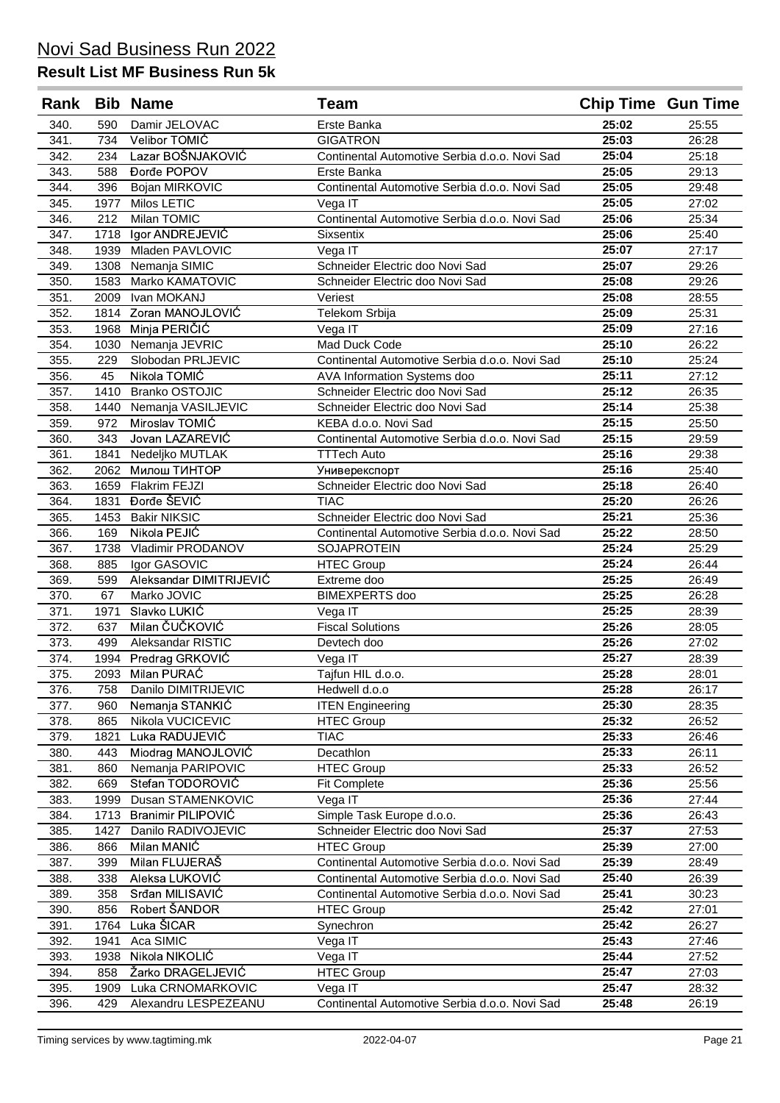| Rank         |              | <b>Bib Name</b>              | Team                                           | <b>Chip Time Gun Time</b> |                |
|--------------|--------------|------------------------------|------------------------------------------------|---------------------------|----------------|
| 340.         | 590          | Damir JELOVAC                | Erste Banka                                    | 25:02                     | 25:55          |
| 341.         | 734          | Velibor TOMIĆ                | <b>GIGATRON</b>                                | 25:03                     | 26:28          |
| 342.         | 234          | Lazar BOŠNJAKOVIĆ            | Continental Automotive Serbia d.o.o. Novi Sad  | 25:04                     | 25:18          |
| 343.         | 588          | Đorđe POPOV                  | Erste Banka                                    | 25:05                     | 29:13          |
| 344.         | 396          | Bojan MIRKOVIC               | Continental Automotive Serbia d.o.o. Novi Sad  | 25:05                     | 29:48          |
| 345.         | 1977         | Milos LETIC                  | Vega IT                                        | 25:05                     | 27:02          |
| 346.         | 212          | Milan TOMIC                  | Continental Automotive Serbia d.o.o. Novi Sad  | 25:06                     | 25:34          |
| 347.         | 1718         | Igor ANDREJEVIĆ              | <b>Sixsentix</b>                               | 25:06                     | 25:40          |
| 348.         | 1939         | Mladen PAVLOVIC              | Vega IT                                        | 25:07                     | 27:17          |
| 349.         | 1308         | Nemanja SIMIC                | Schneider Electric doo Novi Sad                | 25:07                     | 29:26          |
| 350.         | 1583         | Marko KAMATOVIC              | Schneider Electric doo Novi Sad                | 25:08                     | 29:26          |
| 351.         | 2009         | Ivan MOKANJ                  | Veriest                                        | 25:08                     | 28:55          |
| 352.         | 1814         | Zoran MANOJLOVIĆ             | Telekom Srbija                                 | 25:09                     | 25:31          |
| 353.         | 1968         | Minja PERIČIĆ                | Vega IT                                        | 25:09                     | 27:16          |
| 354.         | 1030         | Nemanja JEVRIC               | Mad Duck Code                                  | 25:10                     | 26:22          |
| 355.         | 229          | Slobodan PRLJEVIC            | Continental Automotive Serbia d.o.o. Novi Sad  | 25:10                     | 25:24          |
| 356.         | 45           | Nikola TOMIĆ                 | AVA Information Systems doo                    | 25:11                     | 27:12          |
| 357.         | 1410         | <b>Branko OSTOJIC</b>        | Schneider Electric doo Novi Sad                | 25:12                     | 26:35          |
| 358.         | 1440         | Nemanja VASILJEVIC           | Schneider Electric doo Novi Sad                | 25:14                     | 25:38          |
| 359.         | 972          | Miroslav TOMIĆ               | KEBA d.o.o. Novi Sad                           | 25:15                     | 25:50          |
| 360.         | 343          | Jovan LAZAREVIĆ              | Continental Automotive Serbia d.o.o. Novi Sad  | 25:15                     | 29:59          |
| 361.         | 1841         | Nedeljko MUTLAK              | <b>TTTech Auto</b>                             | 25:16                     | 29:38          |
| 362.         | 2062         | Милош ТИНТОР                 | Универекспорт                                  | 25:16<br>25:18            | 25:40          |
| 363.         | 1659<br>1831 | Flakrim FEJZI<br>Đorđe ŠEVIĆ | Schneider Electric doo Novi Sad                | 25:20                     | 26:40<br>26:26 |
| 364.<br>365. | 1453         | <b>Bakir NIKSIC</b>          | <b>TIAC</b><br>Schneider Electric doo Novi Sad | 25:21                     | 25:36          |
| 366.         | 169          | Nikola PEJIĆ                 | Continental Automotive Serbia d.o.o. Novi Sad  | 25:22                     | 28:50          |
| 367.         | 1738         | Vladimir PRODANOV            | SOJAPROTEIN                                    | 25:24                     | 25:29          |
| 368.         | 885          | Igor GASOVIC                 | <b>HTEC Group</b>                              | 25:24                     | 26:44          |
| 369.         | 599          | Aleksandar DIMITRIJEVIĆ      | Extreme doo                                    | 25:25                     | 26:49          |
| 370.         | 67           | Marko JOVIC                  | <b>BIMEXPERTS</b> doo                          | 25:25                     | 26:28          |
| 371.         | 1971         | Slavko LUKIĆ                 | Vega IT                                        | 25:25                     | 28:39          |
| 372.         | 637          | Milan ČUČKOVIĆ               | <b>Fiscal Solutions</b>                        | 25:26                     | 28:05          |
| 373.         | 499          | Aleksandar RISTIC            | Devtech doo                                    | 25:26                     | 27:02          |
| 374.         | 1994         | Predrag GRKOVIC              | Vega IT                                        | 25:27                     | 28:39          |
| 375.         | 2093         | Milan PURAĆ                  | Tajfun HIL d.o.o.                              | 25:28                     | 28:01          |
| 376.         | 758          | Danilo DIMITRIJEVIC          | Hedwell d.o.o                                  | 25:28                     | 26:17          |
| 377.         | 960          | Nemanja STANKIĆ              | <b>ITEN Engineering</b>                        | 25:30                     | 28:35          |
| 378.         | 865          | Nikola VUCICEVIC             | <b>HTEC Group</b>                              | 25:32                     | 26:52          |
| 379.         | 1821         | Luka RADUJEVIĆ               | <b>TIAC</b>                                    | 25:33                     | 26:46          |
| 380.         | 443          | Miodrag MANOJLOVIĆ           | Decathlon                                      | 25:33                     | 26:11          |
| 381.         | 860          | Nemanja PARIPOVIC            | <b>HTEC Group</b>                              | 25:33                     | 26:52          |
| 382.         | 669          | Stefan TODOROVIĆ             | <b>Fit Complete</b>                            | 25:36                     | 25:56          |
| 383.         | 1999         | Dusan STAMENKOVIC            | Vega IT                                        | 25:36                     | 27:44          |
| 384.         | 1713         | Branimir PILIPOVIĆ           | Simple Task Europe d.o.o.                      | 25:36                     | 26:43          |
| 385.         | 1427         | Danilo RADIVOJEVIC           | Schneider Electric doo Novi Sad                | 25:37                     | 27:53          |
| 386.         | 866          | Milan MANIC                  | <b>HTEC Group</b>                              | 25:39                     | 27:00          |
| 387.         | 399          | Milan FLUJERAŠ               | Continental Automotive Serbia d.o.o. Novi Sad  | 25:39                     | 28:49          |
| 388.         | 338          | Aleksa LUKOVIĆ               | Continental Automotive Serbia d.o.o. Novi Sad  | 25:40                     | 26:39          |
| 389.         | 358          | Srđan MILISAVIĆ              | Continental Automotive Serbia d.o.o. Novi Sad  | 25:41                     | 30:23          |
| 390.         | 856          | Robert ŠANDOR                | <b>HTEC Group</b>                              | 25:42                     | 27:01          |
| 391.         | 1764         | Luka ŠICAR                   | Synechron                                      | 25:42                     | 26:27          |
| 392.         | 1941         | Aca SIMIC                    | Vega IT                                        | 25:43                     | 27:46          |
| 393.         | 1938         | Nikola NIKOLIĆ               | Vega IT                                        | 25:44                     | 27:52          |
| 394.         | 858          | Žarko DRAGELJEVIĆ            | <b>HTEC Group</b>                              | 25:47                     | 27:03          |
| 395.         | 1909         | Luka CRNOMARKOVIC            | Vega IT                                        | 25:47                     | 28:32          |
| 396.         | 429          | Alexandru LESPEZEANU         | Continental Automotive Serbia d.o.o. Novi Sad  | 25:48                     | 26:19          |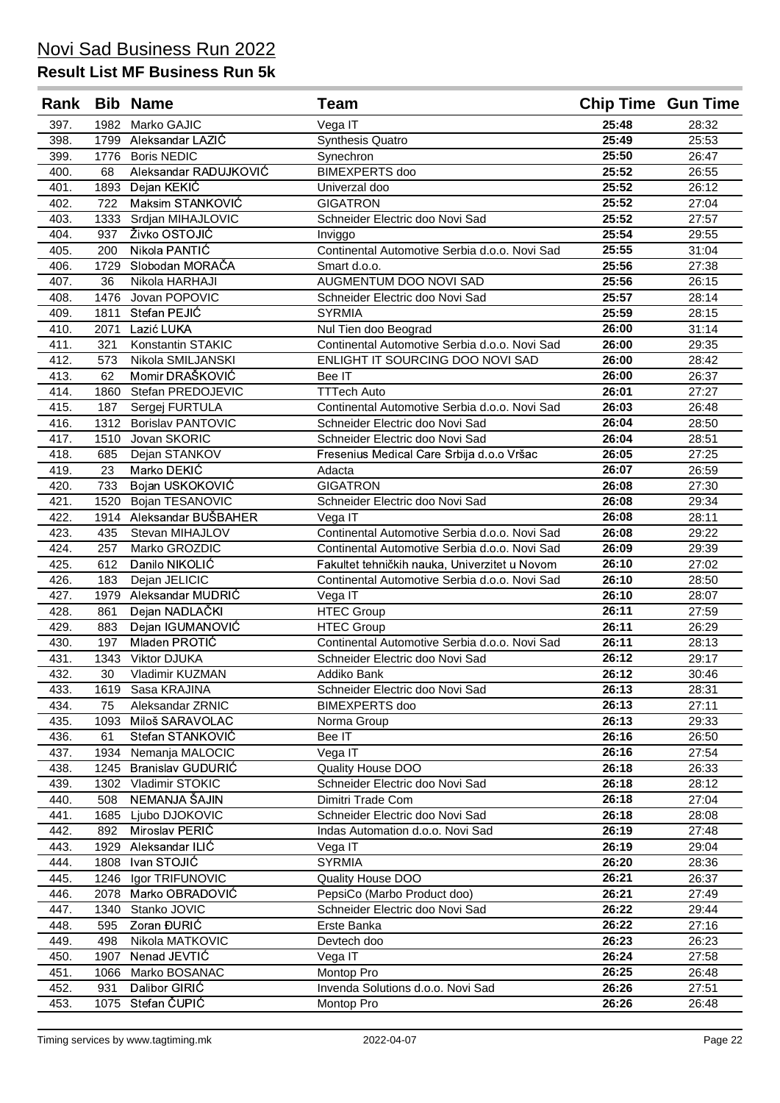| Rank         |           | <b>Bib Name</b>              | Team                                          | <b>Chip Time Gun Time</b> |                |
|--------------|-----------|------------------------------|-----------------------------------------------|---------------------------|----------------|
| 397.         | 1982      | Marko GAJIC                  | Vega IT                                       | 25:48                     | 28:32          |
| 398.         | 1799      | Aleksandar LAZIĆ             | Synthesis Quatro                              | 25:49                     | 25:53          |
| 399.         | 1776      | <b>Boris NEDIC</b>           | Synechron                                     | 25:50                     | 26:47          |
| 400.         | 68        | Aleksandar RADUJKOVIĆ        | <b>BIMEXPERTS</b> doo                         | 25:52                     | 26:55          |
| 401.         | 1893      | Dejan KEKIC                  | Univerzal doo                                 | 25:52                     | 26:12          |
| 402.         | 722       | Maksim STANKOVIĆ             | <b>GIGATRON</b>                               | 25:52                     | 27:04          |
| 403.         | 1333      | Srdjan MIHAJLOVIC            | Schneider Electric doo Novi Sad               | 25:52                     | 27:57          |
| 404.         | 937       | Živko OSTOJIĆ                | Inviggo                                       | 25:54                     | 29:55          |
| 405.         | 200       | Nikola PANTIĆ                | Continental Automotive Serbia d.o.o. Novi Sad | 25:55                     | 31:04          |
| 406.         | 1729      | Slobodan MORAČA              | Smart d.o.o.                                  | 25:56                     | 27:38          |
| 407.         | 36        | Nikola HARHAJI               | AUGMENTUM DOO NOVI SAD                        | 25:56                     | 26:15          |
| 408.         | 1476      | Jovan POPOVIC                | Schneider Electric doo Novi Sad               | 25:57                     | 28:14          |
| 409.         | 1811      | Stefan PEJIĆ                 | <b>SYRMIA</b>                                 | 25:59                     | 28:15          |
| 410.         | 2071      | Lazić LUKA                   | Nul Tien doo Beograd                          | 26:00                     | 31:14          |
| 411.         | 321       | Konstantin STAKIC            | Continental Automotive Serbia d.o.o. Novi Sad | 26:00                     | 29:35          |
| 412.         | 573       | Nikola SMILJANSKI            | ENLIGHT IT SOURCING DOO NOVI SAD              | 26:00                     | 28:42          |
| 413.         | 62        | Momir DRAŠKOVIĆ              | Bee IT                                        | 26:00                     | 26:37          |
| 414.         | 1860      | Stefan PREDOJEVIC            | <b>TTTech Auto</b>                            | 26:01                     | 27:27          |
| 415.         | 187       | Sergej FURTULA               | Continental Automotive Serbia d.o.o. Novi Sad | 26:03                     | 26:48          |
| 416.         | 1312      | <b>Borislav PANTOVIC</b>     | Schneider Electric doo Novi Sad               | 26:04                     | 28:50          |
| 417.         | 1510      | Jovan SKORIC                 | Schneider Electric doo Novi Sad               | 26:04                     | 28:51<br>27:25 |
| 418.<br>419. | 685<br>23 | Dejan STANKOV<br>Marko DEKIĆ | Fresenius Medical Care Srbija d.o.o Vršac     | 26:05<br>26:07            | 26:59          |
| 420.         | 733       | Bojan USKOKOVIĆ              | Adacta<br><b>GIGATRON</b>                     | 26:08                     | 27:30          |
| 421.         | 1520      | Bojan TESANOVIC              | Schneider Electric doo Novi Sad               | 26:08                     | 29:34          |
| 422.         | 1914      | Aleksandar BUŠBAHER          | Vega IT                                       | 26:08                     | 28:11          |
| 423.         | 435       | Stevan MIHAJLOV              | Continental Automotive Serbia d.o.o. Novi Sad | 26:08                     | 29:22          |
| 424.         | 257       | Marko GROZDIC                | Continental Automotive Serbia d.o.o. Novi Sad | 26:09                     | 29:39          |
| 425.         | 612       | Danilo NIKOLIĆ               | Fakultet tehničkih nauka, Univerzitet u Novom | 26:10                     | 27:02          |
| 426.         | 183       | Dejan JELICIC                | Continental Automotive Serbia d.o.o. Novi Sad | 26:10                     | 28:50          |
| 427.         | 1979      | Aleksandar MUDRIC            | Vega IT                                       | 26:10                     | 28:07          |
| 428.         | 861       | Dejan NADLAČKI               | <b>HTEC Group</b>                             | 26:11                     | 27:59          |
| 429.         | 883       | Dejan IGUMANOVIĆ             | <b>HTEC Group</b>                             | 26:11                     | 26:29          |
| 430.         | 197       | Mladen PROTIĆ                | Continental Automotive Serbia d.o.o. Novi Sad | 26:11                     | 28:13          |
| 431.         | 1343      | Viktor DJUKA                 | Schneider Electric doo Novi Sad               | 26:12                     | 29:17          |
| 432.         | 30        | Vladimir KUZMAN              | Addiko Bank                                   | 26:12                     | 30:46          |
| 433.         | 1619      | Sasa KRAJINA                 | Schneider Electric doo Novi Sad               | 26:13                     | 28:31          |
| 434.         | 75        | Aleksandar ZRNIC             | <b>BIMEXPERTS</b> doo                         | 26:13                     | 27:11          |
| 435.         | 1093      | Miloš SARAVOLAC              | Norma Group                                   | 26:13                     | 29:33          |
| 436.         | 61        | Stefan STANKOVIĆ             | Bee IT                                        | 26:16                     | 26:50          |
| 437.         | 1934      | Nemanja MALOCIC              | Vega IT                                       | 26:16                     | 27:54          |
| 438.         | 1245      | Branislav GUDURIĆ            | Quality House DOO                             | 26:18                     | 26:33          |
| 439.         | 1302      | Vladimir STOKIC              | Schneider Electric doo Novi Sad               | 26:18                     | 28:12          |
| 440.         | 508       | NEMANJA ŠAJIN                | Dimitri Trade Com                             | 26:18                     | 27:04          |
| 441.         | 1685      | Ljubo DJOKOVIC               | Schneider Electric doo Novi Sad               | 26:18                     | 28:08          |
| 442.         | 892       | Miroslav PERIĆ               | Indas Automation d.o.o. Novi Sad              | 26:19                     | 27:48          |
| 443.         | 1929      | Aleksandar ILIĆ              | Vega IT                                       | 26:19                     | 29:04          |
| 444.         | 1808      | Ivan STOJIĆ                  | <b>SYRMIA</b>                                 | 26:20                     | 28:36          |
| 445.         | 1246      | Igor TRIFUNOVIC              | Quality House DOO                             | 26:21                     | 26:37          |
| 446.         | 2078      | Marko OBRADOVIĆ              | PepsiCo (Marbo Product doo)                   | 26:21                     | 27:49          |
| 447.         | 1340      | Stanko JOVIC                 | Schneider Electric doo Novi Sad               | 26:22                     | 29:44          |
| 448.         | 595       | Zoran ĐURIĆ                  | Erste Banka                                   | 26:22                     | 27:16          |
| 449.         | 498       | Nikola MATKOVIC              | Devtech doo                                   | 26:23                     | 26:23          |
| 450.         | 1907      | Nenad JEVTIĆ                 | Vega IT                                       | 26:24                     | 27:58          |
| 451.         | 1066      | Marko BOSANAC                | Montop Pro                                    | 26:25                     | 26:48          |
| 452.         | 931       | Dalibor GIRIC                | Invenda Solutions d.o.o. Novi Sad             | 26:26                     | 27:51          |
| 453.         | 1075      | Stefan ČUPIĆ                 | Montop Pro                                    | 26:26                     | 26:48          |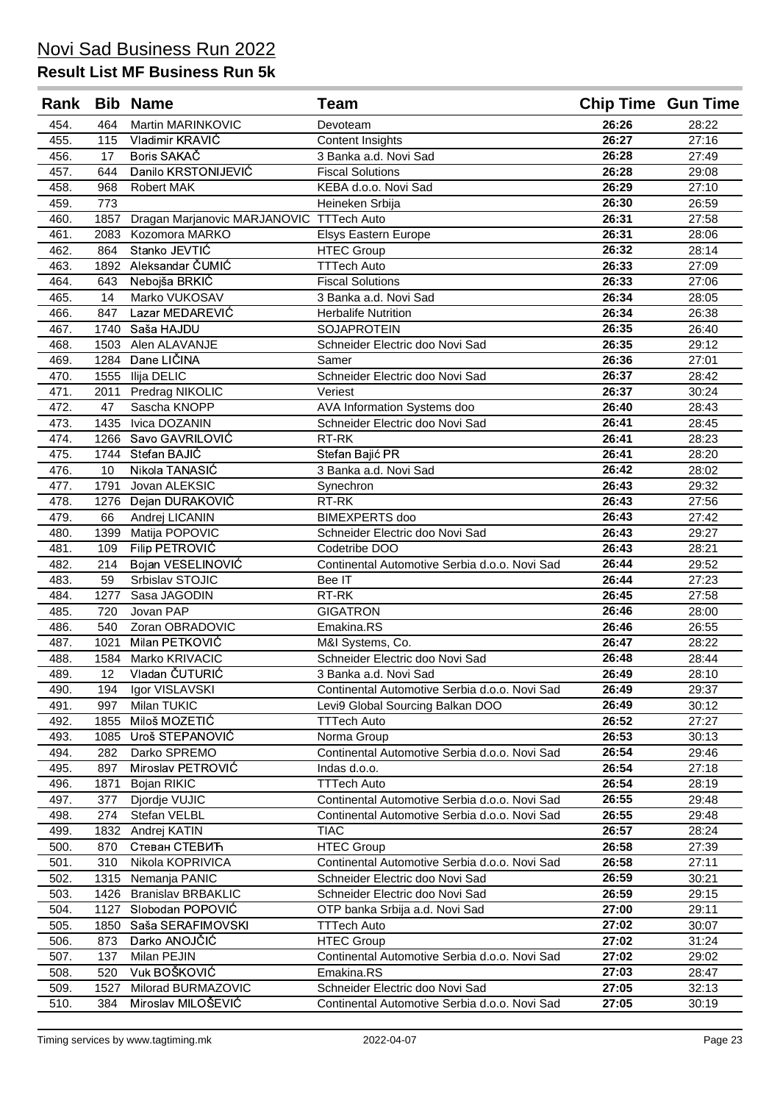| Rank |      | <b>Bib Name</b>                          | <b>Team</b>                                   | <b>Chip Time Gun Time</b> |       |
|------|------|------------------------------------------|-----------------------------------------------|---------------------------|-------|
| 454. | 464  | Martin MARINKOVIC                        | Devoteam                                      | 26:26                     | 28:22 |
| 455. | 115  | Vladimir KRAVIĆ                          | <b>Content Insights</b>                       | 26:27                     | 27:16 |
| 456. | 17   | Boris SAKAČ                              | 3 Banka a.d. Novi Sad                         | 26:28                     | 27:49 |
| 457. | 644  | Danilo KRSTONIJEVIĆ                      | <b>Fiscal Solutions</b>                       | 26:28                     | 29:08 |
| 458. | 968  | <b>Robert MAK</b>                        | KEBA d.o.o. Novi Sad                          | 26:29                     | 27:10 |
| 459. | 773  |                                          | Heineken Srbija                               | 26:30                     | 26:59 |
| 460. | 1857 | Dragan Marjanovic MARJANOVIC TTTech Auto |                                               | 26:31                     | 27:58 |
| 461. | 2083 | Kozomora MARKO                           | Elsys Eastern Europe                          | 26:31                     | 28:06 |
| 462. | 864  | Stanko JEVTIĆ                            | <b>HTEC Group</b>                             | 26:32                     | 28:14 |
| 463. | 1892 | Aleksandar ČUMIĆ                         | <b>TTTech Auto</b>                            | 26:33                     | 27:09 |
| 464. | 643  | Nebojša BRKIĆ                            | <b>Fiscal Solutions</b>                       | 26:33                     | 27:06 |
| 465. | 14   | Marko VUKOSAV                            | 3 Banka a.d. Novi Sad                         | 26:34                     | 28:05 |
| 466. | 847  | Lazar MEDAREVIĆ                          | <b>Herbalife Nutrition</b>                    | 26:34                     | 26:38 |
| 467. | 1740 | Saša HAJDU                               | <b>SOJAPROTEIN</b>                            | 26:35                     | 26:40 |
| 468. | 1503 | Alen ALAVANJE                            | Schneider Electric doo Novi Sad               | 26:35                     | 29:12 |
| 469. | 1284 | Dane LIČINA                              | Samer                                         | 26:36                     | 27:01 |
| 470. | 1555 | Ilija DELIC                              | Schneider Electric doo Novi Sad               | 26:37                     | 28:42 |
| 471. | 2011 | Predrag NIKOLIC                          | Veriest                                       | 26:37                     | 30:24 |
| 472. | 47   | Sascha KNOPP                             | AVA Information Systems doo                   | 26:40                     | 28:43 |
| 473. | 1435 | Ivica DOZANIN                            | Schneider Electric doo Novi Sad               | 26:41                     | 28:45 |
| 474. | 1266 | Savo GAVRILOVIĆ                          | RT-RK                                         | 26:41                     | 28:23 |
| 475. | 1744 | Stefan BAJIĆ                             | Stefan Bajić PR                               | 26:41                     | 28:20 |
| 476. | 10   | Nikola TANASIĆ                           | 3 Banka a.d. Novi Sad                         | 26:42                     | 28:02 |
| 477. | 1791 | Jovan ALEKSIC                            | Synechron                                     | 26:43                     | 29:32 |
| 478. | 1276 | Dejan DURAKOVIĆ                          | RT-RK                                         | 26:43                     | 27:56 |
| 479. | 66   | Andrej LICANIN                           | <b>BIMEXPERTS</b> doo                         | 26:43                     | 27:42 |
| 480. | 1399 | Matija POPOVIC                           | Schneider Electric doo Novi Sad               | 26:43                     | 29:27 |
| 481. | 109  | Filip PETROVIĆ                           | Codetribe DOO                                 | 26:43                     | 28:21 |
| 482. | 214  | Bojan VESELINOVIĆ                        | Continental Automotive Serbia d.o.o. Novi Sad | 26:44                     | 29:52 |
| 483. | 59   | Srbislav STOJIC                          | Bee IT                                        | 26:44                     | 27:23 |
| 484. | 1277 | Sasa JAGODIN                             | $RT-RK$                                       | 26:45                     | 27:58 |
| 485. | 720  | Jovan PAP                                | <b>GIGATRON</b>                               | 26:46                     | 28:00 |
| 486. | 540  | Zoran OBRADOVIC                          | Emakina.RS                                    | 26:46                     | 26:55 |
| 487. | 1021 | Milan PETKOVIĆ                           | M&I Systems, Co.                              | 26:47                     | 28:22 |
| 488. | 1584 | Marko KRIVACIC                           | Schneider Electric doo Novi Sad               | 26:48                     | 28:44 |
| 489. | 12   | Vladan ČUTURIĆ                           | 3 Banka a.d. Novi Sad                         | 26:49                     | 28:10 |
| 490. | 194  | Igor VISLAVSKI                           | Continental Automotive Serbia d.o.o. Novi Sad | 26:49                     | 29:37 |
| 491. | 997  | Milan TUKIC                              | Levi9 Global Sourcing Balkan DOO              | 26:49                     | 30:12 |
| 492. | 1855 | Miloš MOZETIĆ                            | <b>TTTech Auto</b>                            | 26:52                     | 27:27 |
| 493. | 1085 | Uroš STEPANOVIĆ                          | Norma Group                                   | 26:53                     | 30:13 |
| 494. | 282  | Darko SPREMO                             | Continental Automotive Serbia d.o.o. Novi Sad | 26:54                     | 29:46 |
| 495. | 897  | Miroslav PETROVIĆ                        | Indas d.o.o.                                  | 26:54                     | 27:18 |
| 496. | 1871 | Bojan RIKIC                              | <b>TTTech Auto</b>                            | 26:54                     | 28:19 |
| 497. | 377  | Djordje VUJIC                            | Continental Automotive Serbia d.o.o. Novi Sad | 26:55                     | 29:48 |
| 498. | 274  | Stefan VELBL                             | Continental Automotive Serbia d.o.o. Novi Sad | 26:55                     | 29:48 |
| 499. | 1832 | Andrej KATIN                             | <b>TIAC</b>                                   | 26:57                     | 28:24 |
| 500. | 870  | Стеван СТЕВИЋ                            | <b>HTEC Group</b>                             | 26:58                     | 27:39 |
| 501. | 310  | Nikola KOPRIVICA                         | Continental Automotive Serbia d.o.o. Novi Sad | 26:58                     | 27:11 |
| 502. | 1315 | Nemanja PANIC                            | Schneider Electric doo Novi Sad               | 26:59                     | 30:21 |
| 503. | 1426 | <b>Branislav BRBAKLIC</b>                | Schneider Electric doo Novi Sad               | 26:59                     | 29:15 |
| 504. | 1127 | Slobodan POPOVIĆ                         | OTP banka Srbija a.d. Novi Sad                | 27:00                     | 29:11 |
| 505. | 1850 | Saša SERAFIMOVSKI                        | <b>TTTech Auto</b>                            | 27:02                     | 30:07 |
| 506. | 873  | Darko ANOJČIĆ                            | <b>HTEC Group</b>                             | 27:02                     | 31:24 |
| 507. | 137  | Milan PEJIN                              | Continental Automotive Serbia d.o.o. Novi Sad | 27:02                     | 29:02 |
| 508. | 520  | Vuk BOŠKOVIĆ                             | Emakina.RS                                    | 27:03                     | 28:47 |
| 509. | 1527 | Milorad BURMAZOVIC                       | Schneider Electric doo Novi Sad               | 27:05                     | 32:13 |
| 510. | 384  | Miroslav MILOŠEVIĆ                       | Continental Automotive Serbia d.o.o. Novi Sad | 27:05                     | 30:19 |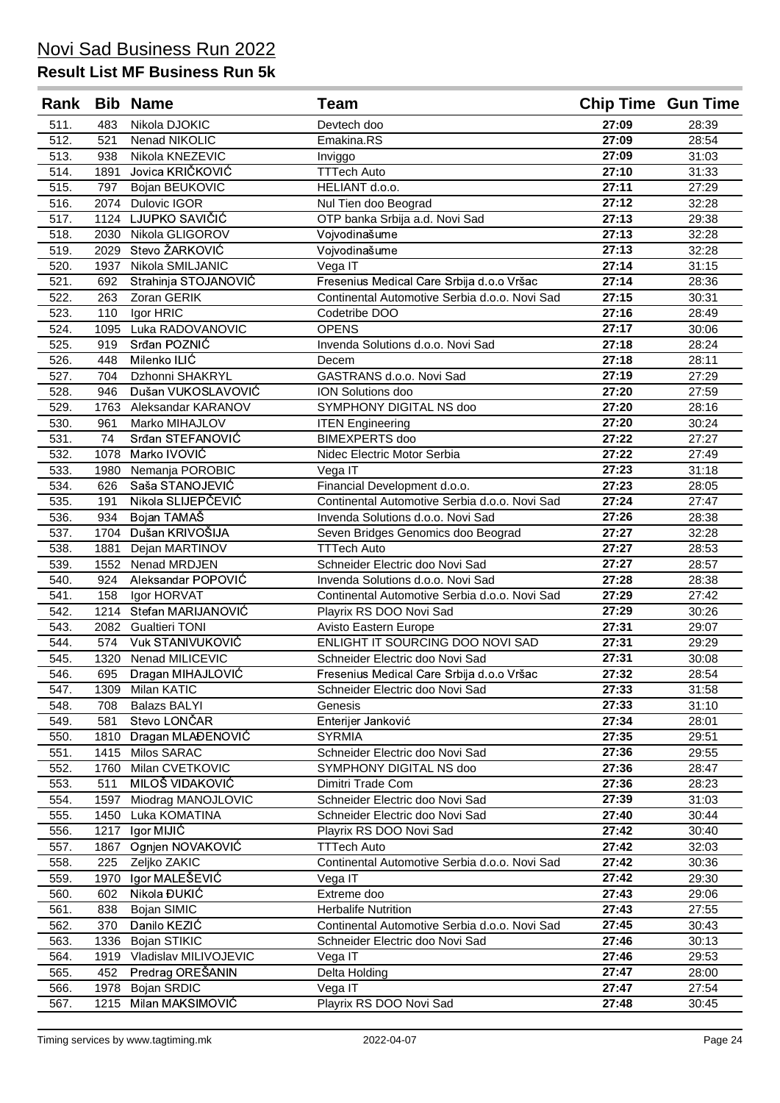| Rank         |              | <b>Bib Name</b>                     | Team                                                       | <b>Chip Time Gun Time</b> |                |
|--------------|--------------|-------------------------------------|------------------------------------------------------------|---------------------------|----------------|
| 511.         | 483          | Nikola DJOKIC                       | Devtech doo                                                | 27:09                     | 28:39          |
| 512.         | 521          | Nenad NIKOLIC                       | Emakina.RS                                                 | 27:09                     | 28:54          |
| 513.         | 938          | Nikola KNEZEVIC                     | Inviggo                                                    | 27:09                     | 31:03          |
| 514.         | 1891         | Jovica KRIČKOVIĆ                    | <b>TTTech Auto</b>                                         | 27:10                     | 31:33          |
| 515.         | 797          | Bojan BEUKOVIC                      | HELIANT d.o.o.                                             | 27:11                     | 27:29          |
| 516.         | 2074         | <b>Dulovic IGOR</b>                 | Nul Tien doo Beograd                                       | 27:12                     | 32:28          |
| 517.         | 1124         | LJUPKO SAVIČIĆ                      | OTP banka Srbija a.d. Novi Sad                             | 27:13                     | 29:38          |
| 518.         | 2030         | Nikola GLIGOROV                     | Vojvodinašume                                              | 27:13                     | 32:28          |
| 519.         | 2029         | Stevo ŽARKOVIĆ                      | Vojvodinašume                                              | 27:13                     | 32:28          |
| 520.         | 1937         | Nikola SMILJANIC                    | Vega IT                                                    | 27:14                     | 31:15          |
| 521.         | 692          | Strahinja STOJANOVIĆ                | Fresenius Medical Care Srbija d.o.o Vršac                  | 27:14                     | 28:36          |
| 522.         | 263          | Zoran GERIK                         | Continental Automotive Serbia d.o.o. Novi Sad              | 27:15                     | 30:31          |
| 523.         | 110          | Igor HRIC                           | Codetribe DOO                                              | 27:16                     | 28:49          |
| 524.         | 1095         | Luka RADOVANOVIC                    | <b>OPENS</b>                                               | 27:17                     | 30:06          |
| 525.         | 919          | Srđan POZNIĆ                        | Invenda Solutions d.o.o. Novi Sad                          | 27:18                     | 28:24          |
| 526.         | 448          | Milenko ILIĆ                        | Decem                                                      | 27:18                     | 28:11          |
| 527.         | 704          | Dzhonni SHAKRYL                     | GASTRANS d.o.o. Novi Sad                                   | 27:19                     | 27:29          |
| 528.         | 946          | Dušan VUKOSLAVOVIĆ                  | <b>ION Solutions doo</b>                                   | 27:20                     | 27:59          |
| 529.         | 1763         | Aleksandar KARANOV                  | SYMPHONY DIGITAL NS doo                                    | 27:20                     | 28:16          |
| 530.         | 961          | Marko MIHAJLOV                      | <b>ITEN Engineering</b>                                    | 27:20                     | 30:24          |
| 531.         | 74           | Srđan STEFANOVIĆ                    | <b>BIMEXPERTS</b> doo                                      | 27:22                     | 27:27          |
| 532.         | 1078         | Marko IVOVIĆ                        | Nidec Electric Motor Serbia                                | 27:22                     | 27:49          |
| 533.         | 1980         | Nemanja POROBIC                     | Vega IT                                                    | 27:23                     | 31:18          |
| 534.         | 626          | Saša STANOJEVIĆ                     | Financial Development d.o.o.                               | 27:23                     | 28:05          |
| 535.         | 191          | Nikola SLIJEPČEVIĆ                  | Continental Automotive Serbia d.o.o. Novi Sad              | 27:24                     | 27:47          |
| 536.         | 934          | Bojan TAMAŠ                         | Invenda Solutions d.o.o. Novi Sad                          | 27:26                     | 28:38          |
| 537.         | 1704         | Dušan KRIVOŠIJA                     | Seven Bridges Genomics doo Beograd                         | 27:27                     | 32:28          |
| 538.         | 1881         | Dejan MARTINOV                      | <b>TTTech Auto</b>                                         | 27:27                     | 28:53          |
| 539.         | 1552         | <b>Nenad MRDJEN</b>                 | Schneider Electric doo Novi Sad                            | 27:27                     | 28:57          |
| 540.         | 924          | Aleksandar POPOVIĆ                  | Invenda Solutions d.o.o. Novi Sad                          | 27:28                     | 28:38          |
| 541.         | 158          | Igor HORVAT                         | Continental Automotive Serbia d.o.o. Novi Sad              | 27:29                     | 27:42          |
| 542.         | 1214         | Stefan MARIJANOVIĆ                  | Playrix RS DOO Novi Sad                                    | 27:29                     | 30:26          |
| 543.         | 2082         | <b>Gualtieri TONI</b>               | Avisto Eastern Europe                                      | 27:31                     | 29:07          |
| 544.         | 574          | Vuk STANIVUKOVIĆ                    | ENLIGHT IT SOURCING DOO NOVI SAD                           | 27:31                     | 29:29          |
| 545.         | 1320         | Nenad MILICEVIC                     | Schneider Electric doo Novi Sad                            | 27:31                     | 30:08          |
| 546.         | 695          | Dragan MIHAJLOVIĆ                   | Fresenius Medical Care Srbija d.o.o Vršac                  | 27:32                     | 28:54          |
| 547.         | 1309         | Milan KATIC                         | Schneider Electric doo Novi Sad                            | 27:33                     | 31:58          |
| 548.         | 708          | <b>Balazs BALYI</b>                 | Genesis                                                    | 27:33                     | 31:10          |
| 549.         | 581          | Stevo LONČAR                        | Enterijer Janković<br><b>SYRMIA</b>                        | 27:34                     | 28:01          |
| 550.         | 1810         | Dragan MLAĐENOVIĆ                   |                                                            | 27:35                     | 29:51          |
| 551.         | 1415         | Milos SARAC<br>Milan CVETKOVIC      | Schneider Electric doo Novi Sad<br>SYMPHONY DIGITAL NS doo | 27:36<br>27:36            | 29:55          |
| 552.<br>553. | 1760<br>511  | MILOŠ VIDAKOVIĆ                     | Dimitri Trade Com                                          | 27:36                     | 28:47<br>28:23 |
| 554.         |              |                                     | Schneider Electric doo Novi Sad                            | 27:39                     | 31:03          |
| 555.         | 1597<br>1450 | Miodrag MANOJLOVIC<br>Luka KOMATINA | Schneider Electric doo Novi Sad                            | 27:40                     | 30:44          |
| 556.         | 1217         | Igor MIJIC                          | Playrix RS DOO Novi Sad                                    | 27:42                     | 30:40          |
| 557.         | 1867         | Ognjen NOVAKOVIĆ                    | <b>TTTech Auto</b>                                         | 27:42                     | 32:03          |
| 558.         | 225          | Zeljko ZAKIC                        | Continental Automotive Serbia d.o.o. Novi Sad              | 27:42                     | 30:36          |
| 559.         | 1970         | Igor MALEŠEVIĆ                      | Vega IT                                                    | 27:42                     | 29:30          |
| 560.         | 602          | Nikola ĐUKIĆ                        | Extreme doo                                                | 27:43                     | 29:06          |
| 561.         | 838          | Bojan SIMIC                         | <b>Herbalife Nutrition</b>                                 | 27:43                     | 27:55          |
| 562.         | 370          | Danilo KEZIĆ                        | Continental Automotive Serbia d.o.o. Novi Sad              | 27:45                     | 30:43          |
| 563.         | 1336         | <b>Bojan STIKIC</b>                 | Schneider Electric doo Novi Sad                            | 27:46                     | 30:13          |
| 564.         | 1919         | Vladislav MILIVOJEVIC               | Vega IT                                                    | 27:46                     | 29:53          |
| 565.         | 452          | Predrag OREŠANIN                    | Delta Holding                                              | 27:47                     | 28:00          |
| 566.         | 1978         | <b>Bojan SRDIC</b>                  | Vega IT                                                    | 27:47                     | 27:54          |
| 567.         | 1215         | Milan MAKSIMOVIĆ                    | Playrix RS DOO Novi Sad                                    | 27:48                     | 30:45          |
|              |              |                                     |                                                            |                           |                |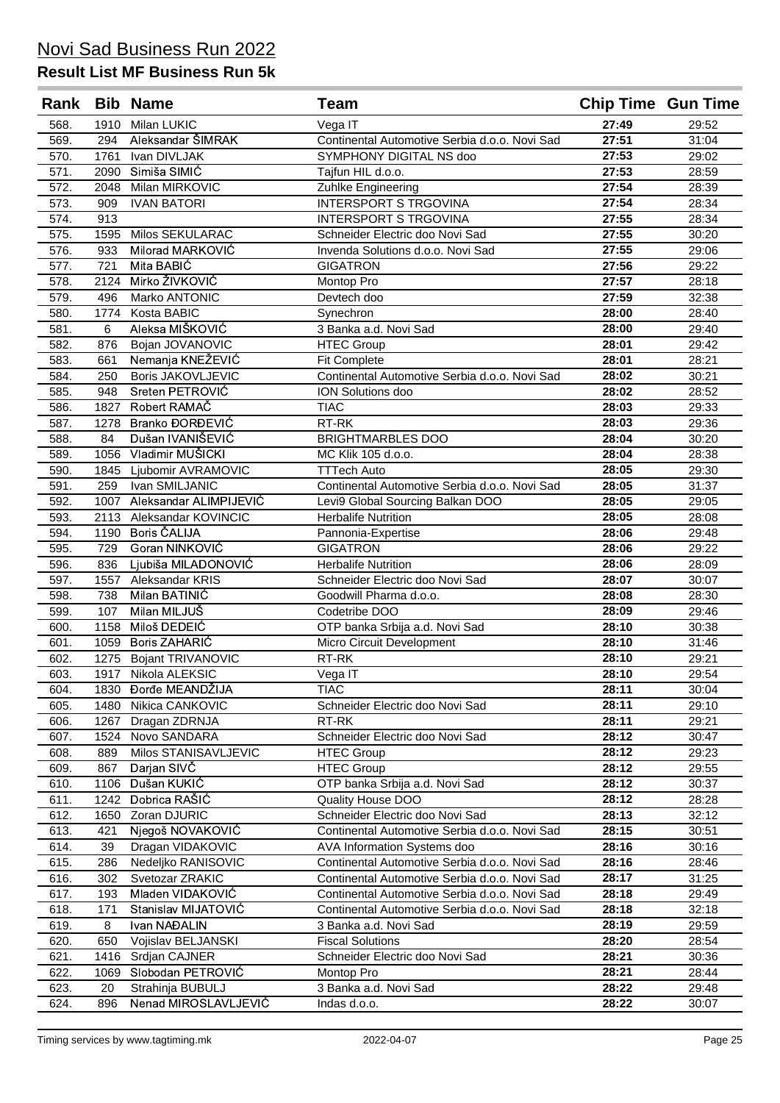| Rank         |           | <b>Bib Name</b>                          | Team                                                                   | <b>Chip Time Gun Time</b> |                |
|--------------|-----------|------------------------------------------|------------------------------------------------------------------------|---------------------------|----------------|
| 568.         | 1910      | Milan LUKIC                              | Vega IT                                                                | 27:49                     | 29:52          |
| 569.         | 294       | Aleksandar ŠIMRAK                        | Continental Automotive Serbia d.o.o. Novi Sad                          | 27:51                     | 31:04          |
| 570.         | 1761      | Ivan DIVLJAK                             | SYMPHONY DIGITAL NS doo                                                | 27:53                     | 29:02          |
| 571.         | 2090      | Simiša SIMIĆ                             | Tajfun HIL d.o.o.                                                      | 27:53                     | 28:59          |
| 572.         | 2048      | Milan MIRKOVIC                           | Zuhlke Engineering                                                     | 27:54                     | 28:39          |
| 573.         | 909       | <b>IVAN BATORI</b>                       | <b>INTERSPORT S TRGOVINA</b>                                           | 27:54                     | 28:34          |
| 574.         | 913       |                                          | <b>INTERSPORT S TRGOVINA</b>                                           | 27:55                     | 28:34          |
| 575.         | 1595      | Milos SEKULARAC                          | Schneider Electric doo Novi Sad                                        | 27:55                     | 30:20          |
| 576.         | 933       | Milorad MARKOVIĆ                         | Invenda Solutions d.o.o. Novi Sad                                      | 27:55                     | 29:06          |
| 577.         | 721       | Mita BABIC                               | <b>GIGATRON</b>                                                        | 27:56                     | 29:22          |
| 578.         | 2124      | Mirko ŽIVKOVIĆ                           | Montop Pro                                                             | 27:57                     | 28:18          |
| 579.         | 496       | Marko ANTONIC                            | Devtech doo                                                            | 27:59                     | 32:38          |
| 580.         | 1774      | Kosta BABIC                              | Synechron                                                              | 28:00                     | 28:40          |
| 581.         | 6         | Aleksa MIŠKOVIĆ                          | 3 Banka a.d. Novi Sad                                                  | 28:00                     | 29:40          |
| 582.         | 876       | Bojan JOVANOVIC                          | <b>HTEC Group</b>                                                      | 28:01                     | 29:42          |
| 583.         | 661       | Nemanja KNEŽEVIĆ                         | <b>Fit Complete</b>                                                    | 28:01                     | 28:21          |
| 584.         | 250       | <b>Boris JAKOVLJEVIC</b>                 | Continental Automotive Serbia d.o.o. Novi Sad                          | 28:02                     | 30:21          |
| 585.         | 948       | Sreten PETROVIĆ                          | ION Solutions doo                                                      | 28:02                     | 28:52          |
| 586.         | 1827      | Robert RAMAČ                             | <b>TIAC</b>                                                            | 28:03                     | 29:33          |
| 587.         | 1278      | Branko ĐORĐEVIĆ                          | RT-RK                                                                  | 28:03                     | 29:36          |
| 588.         | 84        | Dušan IVANIŠEVIĆ                         | <b>BRIGHTMARBLES DOO</b>                                               | 28:04                     | 30:20          |
| 589.         | 1056      | Vladimir MUŠICKI                         | MC Klik 105 d.o.o.                                                     | 28:04                     | 28:38          |
| 590.         | 1845      | Ljubomir AVRAMOVIC                       | <b>TTTech Auto</b>                                                     | 28:05                     | 29:30          |
| 591.         | 259       | Ivan SMILJANIC                           | Continental Automotive Serbia d.o.o. Novi Sad                          | 28:05                     | 31:37          |
| 592.         | 1007      | Aleksandar ALIMPIJEVIĆ                   | Levi9 Global Sourcing Balkan DOO                                       | 28:05                     | 29:05          |
| 593.         | 2113      | Aleksandar KOVINCIC                      | <b>Herbalife Nutrition</b>                                             | 28:05                     | 28:08          |
| 594.         | 1190      | <b>Boris ČALIJA</b>                      | Pannonia-Expertise                                                     | 28:06                     | 29:48          |
| 595.         | 729       | Goran NINKOVIĆ                           | <b>GIGATRON</b>                                                        | 28:06                     | 29:22          |
| 596.         | 836       | Ljubiša MILADONOVIĆ                      | <b>Herbalife Nutrition</b>                                             | 28:06                     | 28:09          |
| 597.         | 1557      | Aleksandar KRIS                          | Schneider Electric doo Novi Sad                                        | 28:07                     | 30:07          |
| 598.         | 738       | Milan BATINIĆ                            | Goodwill Pharma d.o.o.                                                 | 28:08                     | 28:30          |
| 599.         | 107       | Milan MILJUŠ                             | Codetribe DOO                                                          | 28:09                     | 29:46          |
| 600.         | 1158      | Miloš DEDEIĆ                             | OTP banka Srbija a.d. Novi Sad                                         | 28:10                     | 30:38          |
| 601.         | 1059      | Boris ZAHARIĆ                            | Micro Circuit Development                                              | 28:10                     | 31:46          |
| 602.         | 1275      | <b>Bojant TRIVANOVIC</b>                 | RT-RK                                                                  | 28:10                     | 29:21          |
| 603.         | 1917      | Nikola ALEKSIC                           | Vega IT                                                                | 28:10                     | 29:54          |
| 604.         |           | 1830 Đorđe MEANDŽIJA                     | <b>TIAC</b>                                                            | 28:11                     | 30:04          |
| 605.         | 1480      | Nikica CANKOVIC                          | Schneider Electric doo Novi Sad                                        | 28:11                     | 29:10          |
| 606.         | 1267      | Dragan ZDRNJA                            | RT-RK                                                                  | 28:11                     | 29:21          |
| 607.         | 1524      | Novo SANDARA                             | Schneider Electric doo Novi Sad                                        | 28:12                     | 30:47          |
| 608.         | 889       | Milos STANISAVLJEVIC                     | <b>HTEC Group</b>                                                      | 28:12                     | 29:23          |
| 609.         | 867       | Darjan SIVČ                              | <b>HTEC Group</b>                                                      | 28:12                     | 29:55          |
| 610.         | 1106      | Dušan KUKIĆ                              | OTP banka Srbija a.d. Novi Sad                                         | 28:12                     | 30:37          |
| 611.         | 1242      | Dobrica RAŠIĆ                            | Quality House DOO                                                      | 28:12                     | 28:28          |
| 612.         | 1650      | Zoran DJURIC                             | Schneider Electric doo Novi Sad                                        | 28:13                     | 32:12          |
| 613.         | 421       | Njegoš NOVAKOVIĆ                         | Continental Automotive Serbia d.o.o. Novi Sad                          | 28:15                     | 30:51          |
| 614.         | 39        | Dragan VIDAKOVIC                         | AVA Information Systems doo                                            | 28:16                     | 30:16          |
| 615.         | 286       | Nedeljko RANISOVIC                       | Continental Automotive Serbia d.o.o. Novi Sad                          | 28:16                     | 28:46          |
| 616.         | 302       | Svetozar ZRAKIC                          | Continental Automotive Serbia d.o.o. Novi Sad                          | 28:17                     | 31:25          |
| 617.         | 193       | Mladen VIDAKOVIĆ                         | Continental Automotive Serbia d.o.o. Novi Sad                          | 28:18                     | 29:49          |
| 618.         |           | Stanislav MIJATOVIĆ                      |                                                                        | 28:18                     | 32:18          |
| 619.         | 171<br>8  | Ivan NAĐALIN                             | Continental Automotive Serbia d.o.o. Novi Sad<br>3 Banka a.d. Novi Sad | 28:19                     | 29:59          |
|              |           | Vojislav BELJANSKI                       | <b>Fiscal Solutions</b>                                                | 28:20                     | 28:54          |
| 620.         | 650       |                                          |                                                                        | 28:21                     |                |
| 621.         | 1416      | Srdjan CAJNER                            | Schneider Electric doo Novi Sad                                        | 28:21                     | 30:36          |
| 622.         | 1069      | Slobodan PETROVIĆ                        | Montop Pro                                                             | 28:22                     | 28:44          |
| 623.<br>624. | 20<br>896 | Strahinja BUBULJ<br>Nenad MIROSLAVLJEVIĆ | 3 Banka a.d. Novi Sad<br>Indas d.o.o.                                  | 28:22                     | 29:48<br>30:07 |
|              |           |                                          |                                                                        |                           |                |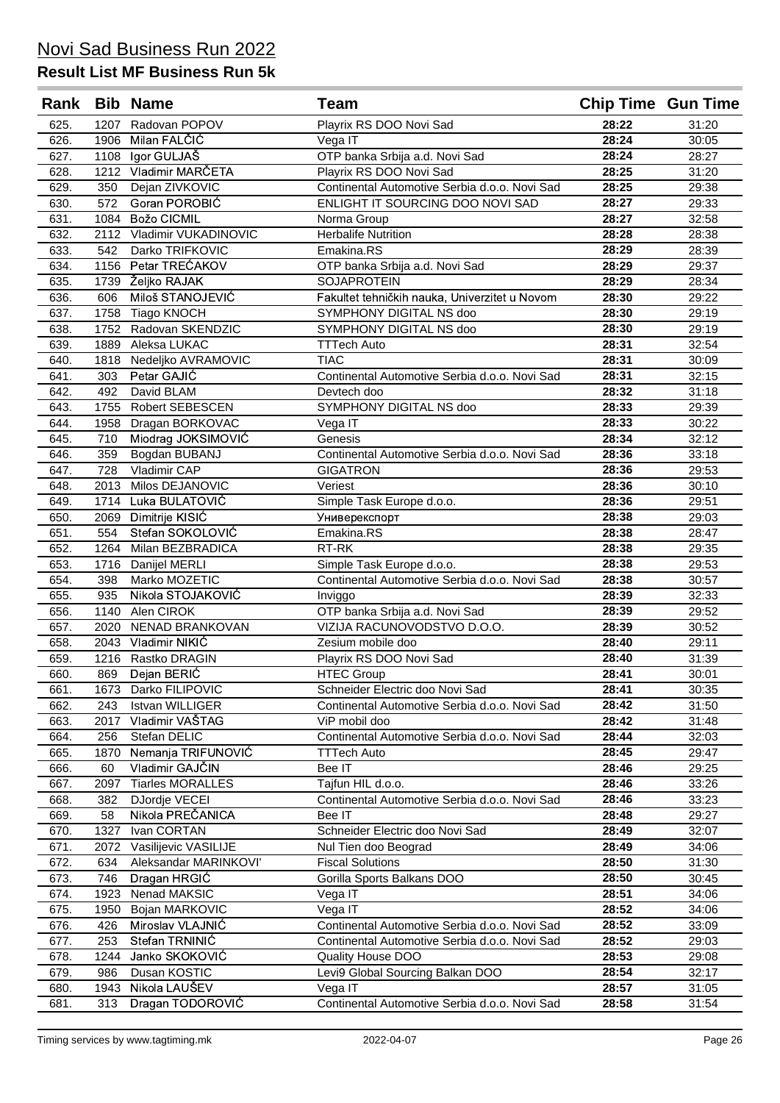| Rank         |              | <b>Bib Name</b>                      | Team                                                                             | <b>Chip Time Gun Time</b> |                |
|--------------|--------------|--------------------------------------|----------------------------------------------------------------------------------|---------------------------|----------------|
| 625.         | 1207         | Radovan POPOV                        | Playrix RS DOO Novi Sad                                                          | 28:22                     | 31:20          |
| 626.         | 1906         | Milan FALČIĆ                         | Vega IT                                                                          | 28:24                     | 30:05          |
| 627.         | 1108         | lgor GULJAŠ                          | OTP banka Srbija a.d. Novi Sad                                                   | 28:24                     | 28:27          |
| 628.         |              | 1212 Vladimir MARČETA                | Playrix RS DOO Novi Sad                                                          | 28:25                     | 31:20          |
| 629.         | 350          | Dejan ZIVKOVIC                       | Continental Automotive Serbia d.o.o. Novi Sad                                    | 28:25                     | 29:38          |
| 630.         | 572          | Goran POROBIĆ                        | ENLIGHT IT SOURCING DOO NOVI SAD                                                 | 28:27                     | 29:33          |
| 631.         | 1084         | Božo CICMIL                          | Norma Group                                                                      | 28:27                     | 32:58          |
| 632.         |              | 2112 Vladimir VUKADINOVIC            | <b>Herbalife Nutrition</b>                                                       | 28:28                     | 28:38          |
| 633.         | 542          | Darko TRIFKOVIC                      | Emakina.RS                                                                       | 28:29                     | 28:39          |
| 634.         | 1156         | Petar TREĆAKOV                       | OTP banka Srbija a.d. Novi Sad                                                   | 28:29                     | 29:37          |
| 635.         | 1739         | Željko RAJAK                         | <b>SOJAPROTEIN</b>                                                               | 28:29                     | 28:34          |
| 636.         | 606          | Miloš STANOJEVIĆ                     | Fakultet tehničkih nauka, Univerzitet u Novom                                    | 28:30                     | 29:22          |
| 637.         | 1758         | Tiago KNOCH                          | SYMPHONY DIGITAL NS doo                                                          | 28:30                     | 29:19          |
| 638.         | 1752         | Radovan SKENDZIC                     | <b>SYMPHONY DIGITAL NS doo</b>                                                   | 28:30                     | 29:19          |
| 639.         | 1889         | Aleksa LUKAC                         | <b>TTTech Auto</b>                                                               | 28:31                     | 32:54          |
| 640.         | 1818         | Nedeljko AVRAMOVIC                   | <b>TIAC</b>                                                                      | 28:31                     | 30:09          |
| 641.         | 303          | Petar GAJIĆ                          | Continental Automotive Serbia d.o.o. Novi Sad                                    | 28:31                     | 32:15          |
| 642.         | 492          | David BLAM<br><b>Robert SEBESCEN</b> | Devtech doo<br>SYMPHONY DIGITAL NS doo                                           | 28:32                     | 31:18<br>29:39 |
| 643.         | 1755<br>1958 | Dragan BORKOVAC                      | Vega IT                                                                          | 28:33<br>28:33            | 30:22          |
| 644.<br>645. | 710          | Miodrag JOKSIMOVIĆ                   | Genesis                                                                          | 28:34                     | 32:12          |
| 646.         | 359          | Bogdan BUBANJ                        | Continental Automotive Serbia d.o.o. Novi Sad                                    | 28:36                     | 33:18          |
| 647.         | 728          | Vladimir CAP                         | <b>GIGATRON</b>                                                                  | 28:36                     | 29:53          |
| 648.         | 2013         | Milos DEJANOVIC                      | Veriest                                                                          | 28:36                     | 30:10          |
| 649.         | 1714         | Luka BULATOVIĆ                       | Simple Task Europe d.o.o.                                                        | 28:36                     | 29:51          |
| 650.         | 2069         | Dimitrije KISIĆ                      | Универекспорт                                                                    | 28:38                     | 29:03          |
| 651.         | 554          | Stefan SOKOLOVIĆ                     | Emakina.RS                                                                       | 28:38                     | 28:47          |
| 652.         | 1264         | Milan BEZBRADICA                     | RT-RK                                                                            | 28:38                     | 29:35          |
| 653.         | 1716         | Danijel MERLI                        | Simple Task Europe d.o.o.                                                        | 28:38                     | 29:53          |
| 654.         | 398          | Marko MOZETIC                        | Continental Automotive Serbia d.o.o. Novi Sad                                    | 28:38                     | 30:57          |
| 655.         | 935          | Nikola STOJAKOVIĆ                    | Inviggo                                                                          | 28:39                     | 32:33          |
| 656.         | 1140         | Alen CIROK                           | OTP banka Srbija a.d. Novi Sad                                                   | 28:39                     | 29:52          |
| 657.         | 2020         | <b>NENAD BRANKOVAN</b>               | VIZIJA RACUNOVODSTVO D.O.O.                                                      | 28:39                     | 30:52          |
| 658.         |              | 2043 Vladimir NIKIĆ                  | Zesium mobile doo                                                                | 28:40                     | 29:11          |
| 659.         | 1216         | Rastko DRAGIN                        | Playrix RS DOO Novi Sad                                                          | 28:40                     | 31:39          |
| 660.         | 869          | Dejan BERIĆ                          | <b>HTEC Group</b>                                                                | 28:41                     | 30:01          |
| 661.<br>662. | 1673<br>243  | Darko FILIPOVIC<br>Istvan WILLIGER   | Schneider Electric doo Novi Sad<br>Continental Automotive Serbia d.o.o. Novi Sad | 28:41<br>28:42            | 30:35<br>31:50 |
| 663.         | 2017         | Vladimir VAŠTAG                      | ViP mobil doo                                                                    | 28:42                     | 31:48          |
| 664.         | 256          | Stefan DELIC                         | Continental Automotive Serbia d.o.o. Novi Sad                                    | 28:44                     | 32:03          |
| 665.         | 1870         | Nemanja TRIFUNOVIĆ                   | <b>TTTech Auto</b>                                                               | 28:45                     | 29:47          |
| 666.         | 60           | Vladimir GAJČIN                      | Bee IT                                                                           | 28:46                     | 29:25          |
| 667.         | 2097         | <b>Tiarles MORALLES</b>              | Tajfun HIL d.o.o.                                                                | 28:46                     | 33:26          |
| 668.         | 382          | DJordje VECEI                        | Continental Automotive Serbia d.o.o. Novi Sad                                    | 28:46                     | 33:23          |
| 669.         | 58           | Nikola PREČANICA                     | Bee IT                                                                           | 28:48                     | 29:27          |
| 670.         | 1327         | Ivan CORTAN                          | Schneider Electric doo Novi Sad                                                  | 28:49                     | 32:07          |
| 671.         | 2072         | Vasilijevic VASILIJE                 | Nul Tien doo Beograd                                                             | 28:49                     | 34:06          |
| 672.         | 634          | Aleksandar MARINKOVI'                | <b>Fiscal Solutions</b>                                                          | 28:50                     | 31:30          |
| 673.         | 746          | Dragan HRGIĆ                         | Gorilla Sports Balkans DOO                                                       | 28:50                     | 30:45          |
| 674.         | 1923         | Nenad MAKSIC                         | Vega IT                                                                          | 28:51                     | 34:06          |
| 675.         | 1950         | Bojan MARKOVIC                       | Vega IT                                                                          | 28:52                     | 34:06          |
| 676.         | 426          | Miroslav VLAJNIĆ                     | Continental Automotive Serbia d.o.o. Novi Sad                                    | 28:52                     | 33:09          |
| 677.         | 253          | Stefan TRNINIĆ                       | Continental Automotive Serbia d.o.o. Novi Sad                                    | 28:52                     | 29:03          |
| 678.         | 1244         | Janko SKOKOVIĆ                       | Quality House DOO                                                                | 28:53                     | 29:08          |
| 679.         | 986          | Dusan KOSTIC<br>Nikola LAUŠEV        | Levi9 Global Sourcing Balkan DOO                                                 | 28:54<br>28:57            | 32:17          |
| 680.<br>681. | 1943<br>313  | Dragan TODOROVIĆ                     | Vega IT<br>Continental Automotive Serbia d.o.o. Novi Sad                         | 28:58                     | 31:05<br>31:54 |
|              |              |                                      |                                                                                  |                           |                |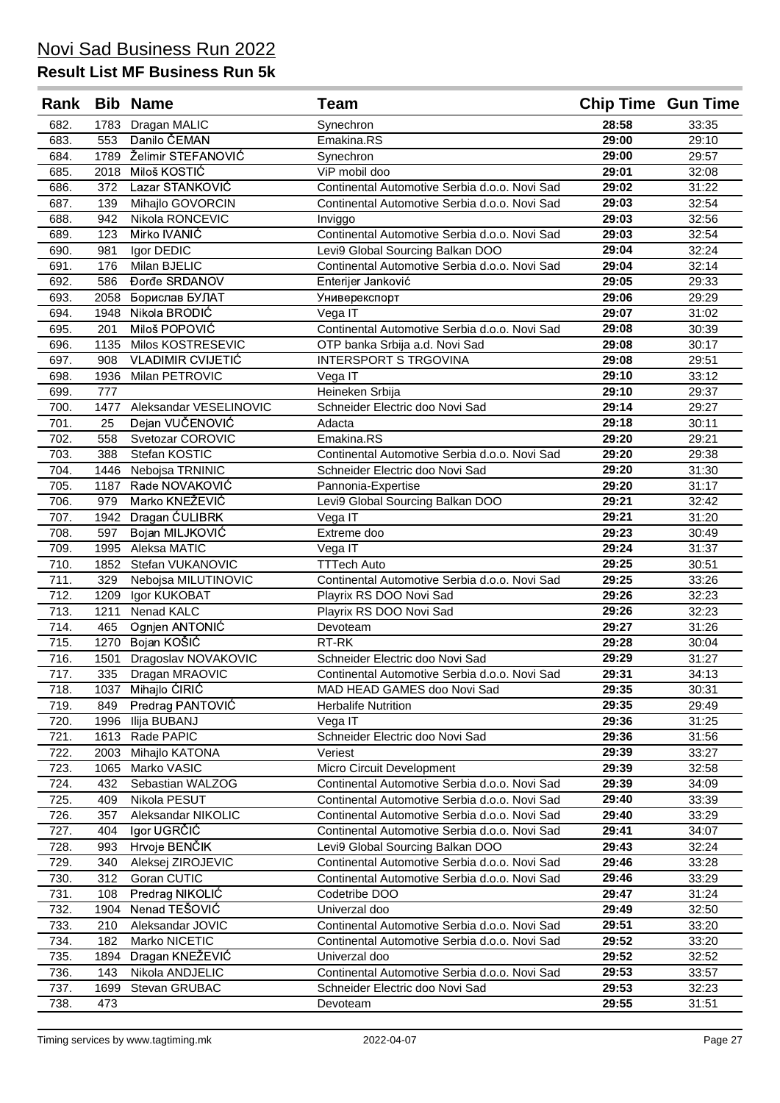| Rank         |              | <b>Bib Name</b>            | Team                                          | <b>Chip Time Gun Time</b> |                |
|--------------|--------------|----------------------------|-----------------------------------------------|---------------------------|----------------|
| 682.         | 1783         | Dragan MALIC               | Synechron                                     | 28:58                     | 33:35          |
| 683.         | 553          | Danilo ČEMAN               | Emakina.RS                                    | 29:00                     | 29:10          |
| 684.         | 1789         | Želimir STEFANOVIĆ         | Synechron                                     | 29:00                     | 29:57          |
| 685.         | 2018         | Miloš KOSTIĆ               | ViP mobil doo                                 | 29:01                     | 32:08          |
| 686.         | 372          | Lazar STANKOVIĆ            | Continental Automotive Serbia d.o.o. Novi Sad | 29:02                     | 31:22          |
| 687.         | 139          | Mihajlo GOVORCIN           | Continental Automotive Serbia d.o.o. Novi Sad | 29:03                     | 32:54          |
| 688.         | 942          | Nikola RONCEVIC            | Inviggo                                       | 29:03                     | 32:56          |
| 689.         | 123          | Mirko IVANIĆ               | Continental Automotive Serbia d.o.o. Novi Sad | 29:03                     | 32:54          |
| 690.         | 981          | Igor DEDIC                 | Levi9 Global Sourcing Balkan DOO              | 29:04                     | 32:24          |
| 691.         | 176          | Milan BJELIC               | Continental Automotive Serbia d.o.o. Novi Sad | 29:04                     | 32:14          |
| 692.         | 586          | <b>Đorđe SRDANOV</b>       | Enterijer Janković                            | 29:05                     | 29:33          |
| 693.         | 2058         | Борислав БУЛАТ             | Универекспорт                                 | 29:06                     | 29:29          |
| 694.         | 1948         | Nikola BRODIĆ              | Vega IT                                       | 29:07                     | 31:02          |
| 695.         | 201          | Miloš POPOVIĆ              | Continental Automotive Serbia d.o.o. Novi Sad | 29:08                     | 30:39          |
| 696.         | 1135         | Milos KOSTRESEVIC          | OTP banka Srbija a.d. Novi Sad                | 29:08                     | 30:17          |
| 697.         | 908          | <b>VLADIMIR CVIJETIĆ</b>   | <b>INTERSPORT S TRGOVINA</b>                  | 29:08                     | 29:51          |
| 698.         | 1936         | Milan PETROVIC             | Vega IT                                       | 29:10                     | 33:12          |
| 699.         | 777          |                            | Heineken Srbija                               | 29:10                     | 29:37          |
| 700.         | 1477         | Aleksandar VESELINOVIC     | Schneider Electric doo Novi Sad               | 29:14                     | 29:27          |
| 701.         | 25           | Dejan VUČENOVIĆ            | Adacta                                        | 29:18                     | 30:11          |
| 702.         | 558          | Svetozar COROVIC           | Emakina.RS                                    | 29:20                     | 29:21          |
| 703.         | 388          | Stefan KOSTIC              | Continental Automotive Serbia d.o.o. Novi Sad | 29:20                     | 29:38          |
| 704.         | 1446         | Nebojsa TRNINIC            | Schneider Electric doo Novi Sad               | 29:20                     | 31:30          |
| 705.         | 1187         | Rade NOVAKOVIĆ             | Pannonia-Expertise                            | 29:20                     | 31:17          |
| 706.         | 979          | Marko KNEŽEVIĆ             | Levi9 Global Sourcing Balkan DOO              | 29:21                     | 32:42          |
| 707.         | 1942         | Dragan CULIBRK             | Vega IT                                       | 29:21                     | 31:20          |
| 708.         | 597          | Bojan MILJKOVIĆ            | Extreme doo                                   | 29:23                     | 30:49          |
| 709.         | 1995         | Aleksa MATIC               | Vega IT                                       | 29:24                     | 31:37          |
| 710.         | 1852         | Stefan VUKANOVIC           | <b>TTTech Auto</b>                            | 29:25                     | 30:51          |
| 711.         | 329          | Nebojsa MILUTINOVIC        | Continental Automotive Serbia d.o.o. Novi Sad | 29:25                     | 33:26          |
| 712.         | 1209         | Igor KUKOBAT               | Playrix RS DOO Novi Sad                       | 29:26                     | 32:23          |
| 713.         | 1211         | Nenad KALC                 | Playrix RS DOO Novi Sad                       | 29:26                     | 32:23          |
| 714.         | 465          | Ognjen ANTONIĆ             | Devoteam                                      | 29:27                     | 31:26          |
| 715.         | 1270         | Bojan KOŠIĆ                | RT-RK                                         | 29:28                     | 30:04          |
| 716.         | 1501         | Dragoslav NOVAKOVIC        | Schneider Electric doo Novi Sad               | 29:29                     | 31:27          |
| 717.         | 335          | Dragan MRAOVIC             | Continental Automotive Serbia d.o.o. Novi Sad | 29:31                     | 34:13          |
| 718.         | 1037         | Mihajlo ĆIRIĆ              | MAD HEAD GAMES doo Novi Sad                   | 29:35                     | 30:31          |
| 719.<br>720. | 849          | Predrag PANTOVIC           | <b>Herbalife Nutrition</b>                    | 29:35<br>29:36            | 29:49<br>31:25 |
| 721.         | 1996<br>1613 | Ilija BUBANJ<br>Rade PAPIC | Vega IT<br>Schneider Electric doo Novi Sad    | 29:36                     | 31:56          |
| 722.         | 2003         | Mihajlo KATONA             | Veriest                                       | 29:39                     | 33:27          |
| 723.         | 1065         | Marko VASIC                | Micro Circuit Development                     | 29:39                     | 32:58          |
| 724.         | 432          | Sebastian WALZOG           | Continental Automotive Serbia d.o.o. Novi Sad | 29:39                     | 34:09          |
| 725.         | 409          | Nikola PESUT               | Continental Automotive Serbia d.o.o. Novi Sad | 29:40                     | 33:39          |
| 726.         | 357          | Aleksandar NIKOLIC         | Continental Automotive Serbia d.o.o. Novi Sad | 29:40                     | 33:29          |
| 727.         | 404          | Igor UGRČIĆ                | Continental Automotive Serbia d.o.o. Novi Sad | 29:41                     | 34:07          |
| 728.         | 993          | Hrvoje BENČIK              | Levi9 Global Sourcing Balkan DOO              | 29:43                     | 32:24          |
| 729.         | 340          | Aleksej ZIROJEVIC          | Continental Automotive Serbia d.o.o. Novi Sad | 29:46                     | 33:28          |
| 730.         | 312          | Goran CUTIC                | Continental Automotive Serbia d.o.o. Novi Sad | 29:46                     | 33:29          |
| 731.         | 108          | Predrag NIKOLIĆ            | Codetribe DOO                                 | 29:47                     | 31:24          |
| 732.         | 1904         | Nenad TEŠOVIĆ              | Univerzal doo                                 | 29:49                     | 32:50          |
| 733.         | 210          | Aleksandar JOVIC           | Continental Automotive Serbia d.o.o. Novi Sad | 29:51                     | 33:20          |
| 734.         | 182          | Marko NICETIC              | Continental Automotive Serbia d.o.o. Novi Sad | 29:52                     | 33:20          |
| 735.         | 1894         | Dragan KNEŽEVIĆ            | Univerzal doo                                 | 29:52                     | 32:52          |
| 736.         | 143          | Nikola ANDJELIC            | Continental Automotive Serbia d.o.o. Novi Sad | 29:53                     | 33:57          |
| 737.         | 1699         | Stevan GRUBAC              | Schneider Electric doo Novi Sad               | 29:53                     | 32:23          |
| 738.         | 473          |                            | Devoteam                                      | 29:55                     | 31:51          |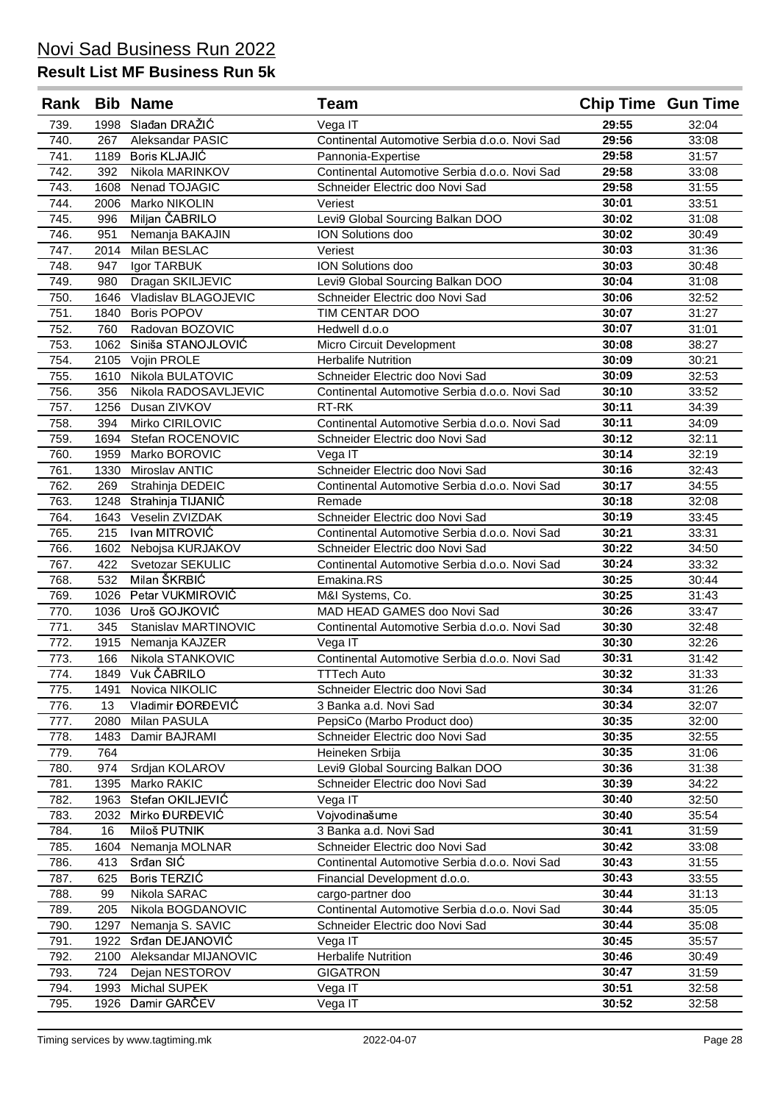| Rank         |             | <b>Bib Name</b>                  | Team                                                                             |                | <b>Chip Time Gun Time</b> |
|--------------|-------------|----------------------------------|----------------------------------------------------------------------------------|----------------|---------------------------|
| 739.         | 1998        | Slađan DRAŽIĆ                    | Vega IT                                                                          | 29:55          | 32:04                     |
| 740.         | 267         | Aleksandar PASIC                 | Continental Automotive Serbia d.o.o. Novi Sad                                    | 29:56          | 33:08                     |
| 741.         | 1189        | Boris KLJAJIĆ                    | Pannonia-Expertise                                                               | 29:58          | 31:57                     |
| 742.         | 392         | Nikola MARINKOV                  | Continental Automotive Serbia d.o.o. Novi Sad                                    | 29:58          | 33:08                     |
| 743.         | 1608        | Nenad TOJAGIC                    | Schneider Electric doo Novi Sad                                                  | 29:58          | 31:55                     |
| 744.         | 2006        | Marko NIKOLIN                    | Veriest                                                                          | 30:01          | 33:51                     |
| 745.         | 996         | Miljan ČABRILO                   | Levi9 Global Sourcing Balkan DOO                                                 | 30:02          | 31:08                     |
| 746.         | 951         | Nemanja BAKAJIN                  | ION Solutions doo                                                                | 30:02          | 30:49                     |
| 747.         | 2014        | Milan BESLAC                     | Veriest                                                                          | 30:03          | 31:36                     |
| 748.         | 947         | Igor TARBUK                      | ION Solutions doo                                                                | 30:03          | 30:48                     |
| 749.         | 980         | Dragan SKILJEVIC                 | Levi9 Global Sourcing Balkan DOO                                                 | 30:04          | 31:08                     |
| 750.         | 1646        | Vladislav BLAGOJEVIC             | Schneider Electric doo Novi Sad                                                  | 30:06          | 32:52                     |
| 751.         | 1840        | <b>Boris POPOV</b>               | TIM CENTAR DOO                                                                   | 30:07          | 31:27                     |
| 752.         | 760         | Radovan BOZOVIC                  | Hedwell d.o.o                                                                    | 30:07          | 31:01                     |
| 753.         | 1062        | Siniša STANOJLOVIĆ               | Micro Circuit Development                                                        | 30:08          | 38:27                     |
| 754.         |             | 2105 Vojin PROLE                 | <b>Herbalife Nutrition</b>                                                       | 30:09          | 30:21                     |
| 755.         | 1610        | Nikola BULATOVIC                 | Schneider Electric doo Novi Sad                                                  | 30:09          | 32:53                     |
| 756.         | 356         | Nikola RADOSAVLJEVIC             | Continental Automotive Serbia d.o.o. Novi Sad                                    | 30:10          | 33:52                     |
| 757.         | 1256        | Dusan ZIVKOV                     | RT-RK                                                                            | 30:11          | 34:39                     |
| 758.         | 394         | Mirko CIRILOVIC                  | Continental Automotive Serbia d.o.o. Novi Sad                                    | 30:11          | 34:09                     |
| 759.         | 1694        | Stefan ROCENOVIC                 | Schneider Electric doo Novi Sad                                                  | 30:12          | 32:11                     |
| 760.         | 1959        | Marko BOROVIC                    | Vega IT                                                                          | 30:14          | 32:19                     |
| 761.         | 1330        | Miroslav ANTIC                   | Schneider Electric doo Novi Sad                                                  | 30:16          | 32:43                     |
| 762.         | 269         | Strahinja DEDEIC                 | Continental Automotive Serbia d.o.o. Novi Sad                                    | 30:17          | 34:55                     |
| 763.         | 1248        | Strahinja TIJANIĆ                | Remade                                                                           | 30:18          | 32:08                     |
| 764.         | 1643        | Veselin ZVIZDAK<br>Ivan MITROVIĆ | Schneider Electric doo Novi Sad                                                  | 30:19<br>30:21 | 33:45                     |
| 765.<br>766. | 215<br>1602 | Nebojsa KURJAKOV                 | Continental Automotive Serbia d.o.o. Novi Sad<br>Schneider Electric doo Novi Sad | 30:22          | 33:31<br>34:50            |
| 767.         | 422         | Svetozar SEKULIC                 | Continental Automotive Serbia d.o.o. Novi Sad                                    | 30:24          | 33:32                     |
| 768.         | 532         | Milan ŠKRBIĆ                     | Emakina.RS                                                                       | 30:25          | 30:44                     |
| 769.         | 1026        | Petar VUKMIROVIĆ                 | M&I Systems, Co.                                                                 | 30:25          | 31:43                     |
| 770.         | 1036        | Uroš GOJKOVIĆ                    | MAD HEAD GAMES doo Novi Sad                                                      | 30:26          | 33:47                     |
| 771.         | 345         | Stanislav MARTINOVIC             | Continental Automotive Serbia d.o.o. Novi Sad                                    | 30:30          | 32:48                     |
| 772.         | 1915        | Nemanja KAJZER                   | Vega IT                                                                          | 30:30          | 32:26                     |
| 773.         | 166         | Nikola STANKOVIC                 | Continental Automotive Serbia d.o.o. Novi Sad                                    | 30:31          | 31:42                     |
| 774.         |             | 1849 Vuk ČABRILO                 | <b>TTTech Auto</b>                                                               | 30:32          | 31:33                     |
| 775.         | 1491        | Novica NIKOLIC                   | Schneider Electric doo Novi Sad                                                  | 30:34          | 31:26                     |
| 776.         | 13          | Vladimir ĐORĐEVIĆ                | 3 Banka a.d. Novi Sad                                                            | 30:34          | 32:07                     |
| 777.         | 2080        | Milan PASULA                     | PepsiCo (Marbo Product doo)                                                      | 30:35          | 32:00                     |
| 778.         | 1483        | Damir BAJRAMI                    | Schneider Electric doo Novi Sad                                                  | 30:35          | 32:55                     |
| 779.         | 764         |                                  | Heineken Srbija                                                                  | 30:35          | 31:06                     |
| 780.         | 974         | Srdjan KOLAROV                   | Levi9 Global Sourcing Balkan DOO                                                 | 30:36          | 31:38                     |
| 781.         | 1395        | Marko RAKIC                      | Schneider Electric doo Novi Sad                                                  | 30:39          | 34:22                     |
| 782.         | 1963        | Stefan OKILJEVIĆ                 | Vega IT                                                                          | 30:40          | 32:50                     |
| 783.         | 2032        | Mirko ĐURĐEVIĆ                   | Vojvodinašume                                                                    | 30:40          | 35:54                     |
| 784.         | 16          | Miloš PUTNIK                     | 3 Banka a.d. Novi Sad                                                            | 30:41          | 31:59                     |
| 785.         | 1604        | Nemanja MOLNAR<br>Srđan SIĆ      | Schneider Electric doo Novi Sad                                                  | 30:42          | 33:08                     |
| 786.<br>787. | 413<br>625  | Boris TERZIĆ                     | Continental Automotive Serbia d.o.o. Novi Sad<br>Financial Development d.o.o.    | 30:43<br>30:43 | 31:55<br>33:55            |
| 788.         | 99          | Nikola SARAC                     | cargo-partner doo                                                                | 30:44          | 31:13                     |
| 789.         | 205         | Nikola BOGDANOVIC                | Continental Automotive Serbia d.o.o. Novi Sad                                    | 30:44          | 35:05                     |
| 790.         | 1297        | Nemanja S. SAVIC                 | Schneider Electric doo Novi Sad                                                  | 30:44          | 35:08                     |
| 791.         | 1922        | Srđan DEJANOVIĆ                  | Vega IT                                                                          | 30:45          | 35:57                     |
| 792.         | 2100        | Aleksandar MIJANOVIC             | <b>Herbalife Nutrition</b>                                                       | 30:46          | 30:49                     |
| 793.         | 724         | Dejan NESTOROV                   | <b>GIGATRON</b>                                                                  | 30:47          | 31:59                     |
| 794.         | 1993        | Michal SUPEK                     | Vega IT                                                                          | 30:51          | 32:58                     |
| 795.         | 1926        | Damir GARČEV                     | Vega IT                                                                          | 30:52          | 32:58                     |
|              |             |                                  |                                                                                  |                |                           |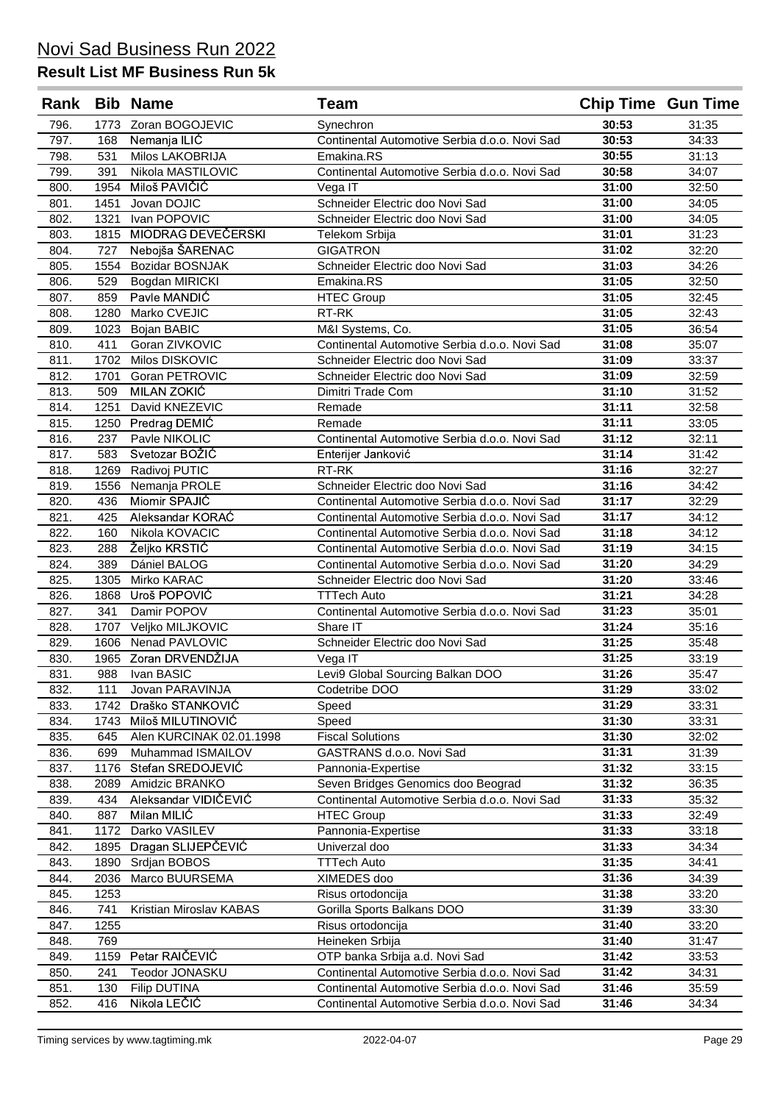| Rank         |             | <b>Bib Name</b>                 | Team                                                                | <b>Chip Time Gun Time</b> |                |
|--------------|-------------|---------------------------------|---------------------------------------------------------------------|---------------------------|----------------|
| 796.         | 1773        | Zoran BOGOJEVIC                 | Synechron                                                           | 30:53                     | 31:35          |
| 797.         | 168         | Nemanja ILIĆ                    | Continental Automotive Serbia d.o.o. Novi Sad                       | 30:53                     | 34:33          |
| 798.         | 531         | Milos LAKOBRIJA                 | Emakina, RS                                                         | 30:55                     | 31:13          |
| 799.         | 391         | Nikola MASTILOVIC               | Continental Automotive Serbia d.o.o. Novi Sad                       | 30:58                     | 34:07          |
| 800.         | 1954        | Miloš PAVIČIĆ                   | Vega IT                                                             | 31:00                     | 32:50          |
| 801.         | 1451        | Jovan DOJIC                     | Schneider Electric doo Novi Sad                                     | 31:00                     | 34:05          |
| 802.         | 1321        | Ivan POPOVIC                    | Schneider Electric doo Novi Sad                                     | 31:00                     | 34:05          |
| 803.         | 1815        | MIODRAG DEVEČERSKI              | Telekom Srbija                                                      | 31:01                     | 31:23          |
| 804.         | 727         | Nebojša ŠARENAC                 | <b>GIGATRON</b>                                                     | 31:02                     | 32:20          |
| 805.         | 1554        | Bozidar BOSNJAK                 | Schneider Electric doo Novi Sad                                     | 31:03                     | 34:26          |
| 806.         | 529         | Bogdan MIRICKI                  | Emakina.RS                                                          | 31:05                     | 32:50          |
| 807.         | 859         | Pavle MANDIĆ                    | <b>HTEC Group</b>                                                   | 31:05                     | 32:45          |
| 808.         | 1280        | Marko CVEJIC                    | RT-RK                                                               | 31:05                     | 32:43          |
| 809.         | 1023        | Bojan BABIC                     | M&I Systems, Co.                                                    | 31:05                     | 36:54          |
| 810.         | 411         | Goran ZIVKOVIC                  | Continental Automotive Serbia d.o.o. Novi Sad                       | 31:08                     | 35:07          |
| 811.         | 1702        | Milos DISKOVIC                  | Schneider Electric doo Novi Sad                                     | 31:09                     | 33:37          |
| 812.         | 1701        | Goran PETROVIC                  | Schneider Electric doo Novi Sad                                     | 31:09                     | 32:59          |
| 813.         | 509         | MILAN ZOKIĆ                     | Dimitri Trade Com                                                   | 31:10                     | 31:52          |
| 814.         | 1251        | David KNEZEVIC                  | Remade                                                              | 31:11                     | 32:58          |
| 815.         | 1250        | Predrag DEMIC                   | Remade                                                              | 31:11                     | 33:05          |
| 816.         | 237         | Pavle NIKOLIC                   | Continental Automotive Serbia d.o.o. Novi Sad                       | 31:12                     | 32:11          |
| 817.         | 583         | Svetozar BOŽIĆ                  | Enterijer Janković                                                  | 31:14                     | 31:42          |
| 818.         | 1269        | Radivoj PUTIC                   | RT-RK                                                               | 31:16                     | 32:27          |
| 819.         | 1556        | Nemanja PROLE                   | Schneider Electric doo Novi Sad                                     | 31:16                     | 34:42          |
| 820.         | 436         | Miomir SPAJIĆ                   | Continental Automotive Serbia d.o.o. Novi Sad                       | 31:17                     | 32:29          |
| 821.         | 425         | Aleksandar KORAĆ                | Continental Automotive Serbia d.o.o. Novi Sad                       | 31:17                     | 34:12          |
| 822.         | 160         | Nikola KOVACIC                  | Continental Automotive Serbia d.o.o. Novi Sad                       | 31:18                     | 34:12          |
| 823.         | 288         | Željko KRSTIĆ                   | Continental Automotive Serbia d.o.o. Novi Sad                       | 31:19                     | 34:15          |
| 824.         | 389         | Dániel BALOG                    | Continental Automotive Serbia d.o.o. Novi Sad                       | 31:20                     | 34:29          |
| 825.         | 1305        | Mirko KARAC                     | Schneider Electric doo Novi Sad                                     | 31:20<br>31:21            | 33:46          |
| 826.         | 1868        | Uroš POPOVIĆ                    | <b>TTTech Auto</b><br>Continental Automotive Serbia d.o.o. Novi Sad | 31:23                     | 34:28          |
| 827.         | 341<br>1707 | Damir POPOV<br>Veljko MILJKOVIC | Share IT                                                            | 31:24                     | 35:01<br>35:16 |
| 828.<br>829. | 1606        | Nenad PAVLOVIC                  | Schneider Electric doo Novi Sad                                     | 31:25                     | 35:48          |
| 830.         | 1965        | Zoran DRVENDŽIJA                | Vega IT                                                             | 31:25                     | 33:19          |
| 831.         | 988         | Ivan BASIC                      | Levi9 Global Sourcing Balkan DOO                                    | 31:26                     | 35:47          |
| 832.         | 111         | Jovan PARAVINJA                 | Codetribe DOO                                                       | 31:29                     | 33:02          |
| 833.         | 1742        | Draško STANKOVIĆ                | Speed                                                               | 31:29                     | 33:31          |
| 834.         | 1743        | Miloš MILUTINOVIĆ               | Speed                                                               | 31:30                     | 33:31          |
| 835.         | 645         | Alen KURCINAK 02.01.1998        | <b>Fiscal Solutions</b>                                             | 31:30                     | 32:02          |
| 836.         | 699         | Muhammad ISMAILOV               | GASTRANS d.o.o. Novi Sad                                            | 31:31                     | 31:39          |
| 837.         | 1176        | Stefan SREDOJEVIĆ               | Pannonia-Expertise                                                  | 31:32                     | 33:15          |
| 838.         | 2089        | Amidzic BRANKO                  | Seven Bridges Genomics doo Beograd                                  | 31:32                     | 36:35          |
| 839.         | 434         | Aleksandar VIDIČEVIĆ            | Continental Automotive Serbia d.o.o. Novi Sad                       | 31:33                     | 35:32          |
| 840.         | 887         | Milan MILIĆ                     | <b>HTEC Group</b>                                                   | 31:33                     | 32:49          |
| 841.         | 1172        | Darko VASILEV                   | Pannonia-Expertise                                                  | 31:33                     | 33:18          |
| 842.         | 1895        | Dragan SLIJEPČEVIĆ              | Univerzal doo                                                       | 31:33                     | 34:34          |
| 843.         | 1890        | Srdjan BOBOS                    | <b>TTTech Auto</b>                                                  | 31:35                     | 34:41          |
| 844.         | 2036        | Marco BUURSEMA                  | XIMEDES doo                                                         | 31:36                     | 34:39          |
| 845.         | 1253        |                                 | Risus ortodoncija                                                   | 31:38                     | 33:20          |
| 846.         | 741         | Kristian Miroslav KABAS         | Gorilla Sports Balkans DOO                                          | 31:39                     | 33:30          |
| 847.         | 1255        |                                 | Risus ortodoncija                                                   | 31:40                     | 33:20          |
| 848.         | 769         |                                 | Heineken Srbija                                                     | 31:40                     | 31:47          |
| 849.         | 1159        | Petar RAIČEVIĆ                  | OTP banka Srbija a.d. Novi Sad                                      | 31:42                     | 33:53          |
| 850.         | 241         | Teodor JONASKU                  | Continental Automotive Serbia d.o.o. Novi Sad                       | 31:42                     | 34:31          |
| 851.         | 130         | Filip DUTINA                    | Continental Automotive Serbia d.o.o. Novi Sad                       | 31:46                     | 35:59          |
| 852.         | 416         | Nikola LEČIĆ                    | Continental Automotive Serbia d.o.o. Novi Sad                       | 31:46                     | 34:34          |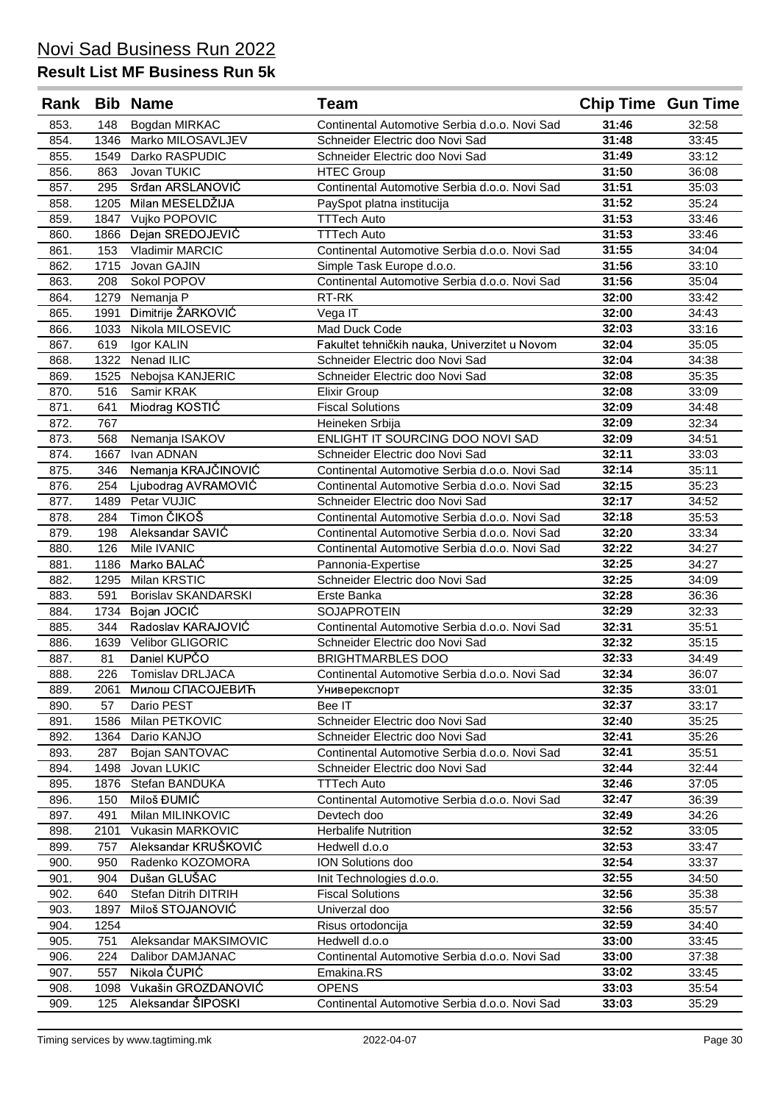| Rank |      | <b>Bib Name</b>       | Team                                          | <b>Chip Time Gun Time</b> |       |
|------|------|-----------------------|-----------------------------------------------|---------------------------|-------|
| 853. | 148  | Bogdan MIRKAC         | Continental Automotive Serbia d.o.o. Novi Sad | 31:46                     | 32:58 |
| 854. | 1346 | Marko MILOSAVLJEV     | Schneider Electric doo Novi Sad               | 31:48                     | 33:45 |
| 855. | 1549 | Darko RASPUDIC        | Schneider Electric doo Novi Sad               | 31:49                     | 33:12 |
| 856. | 863  | Jovan TUKIC           | <b>HTEC Group</b>                             | 31:50                     | 36:08 |
| 857. | 295  | Srđan ARSLANOVIĆ      | Continental Automotive Serbia d.o.o. Novi Sad | 31:51                     | 35:03 |
| 858. | 1205 | Milan MESELDŽIJA      | PaySpot platna institucija                    | 31:52                     | 35:24 |
| 859. | 1847 | Vujko POPOVIC         | <b>TTTech Auto</b>                            | 31:53                     | 33:46 |
| 860. | 1866 | Dejan SREDOJEVIĆ      | <b>TTTech Auto</b>                            | 31:53                     | 33:46 |
| 861. | 153  | Vladimir MARCIC       | Continental Automotive Serbia d.o.o. Novi Sad | 31:55                     | 34:04 |
| 862. | 1715 | Jovan GAJIN           | Simple Task Europe d.o.o.                     | 31:56                     | 33:10 |
| 863. | 208  | Sokol POPOV           | Continental Automotive Serbia d.o.o. Novi Sad | 31:56                     | 35:04 |
| 864. | 1279 | Nemanja P             | RT-RK                                         | 32:00                     | 33:42 |
| 865. | 1991 | Dimitrije ŽARKOVIĆ    | Vega IT                                       | 32:00                     | 34:43 |
| 866. | 1033 | Nikola MILOSEVIC      | Mad Duck Code                                 | 32:03                     | 33:16 |
| 867. | 619  | Igor KALIN            | Fakultet tehničkih nauka, Univerzitet u Novom | 32:04                     | 35:05 |
| 868. | 1322 | Nenad ILIC            | Schneider Electric doo Novi Sad               | 32:04                     | 34:38 |
| 869. | 1525 | Nebojsa KANJERIC      | Schneider Electric doo Novi Sad               | 32:08                     | 35:35 |
| 870. | 516  | Samir KRAK            | <b>Elixir Group</b>                           | 32:08                     | 33:09 |
| 871. | 641  | Miodrag KOSTIĆ        | <b>Fiscal Solutions</b>                       | 32:09                     | 34:48 |
| 872. | 767  |                       | Heineken Srbija                               | 32:09                     | 32:34 |
| 873. | 568  | Nemanja ISAKOV        | ENLIGHT IT SOURCING DOO NOVI SAD              | 32:09                     | 34:51 |
| 874. | 1667 | Ivan ADNAN            | Schneider Electric doo Novi Sad               | 32:11                     | 33:03 |
| 875. | 346  | Nemanja KRAJČINOVIĆ   | Continental Automotive Serbia d.o.o. Novi Sad | 32:14                     | 35:11 |
| 876. | 254  | Ljubodrag AVRAMOVIĆ   | Continental Automotive Serbia d.o.o. Novi Sad | 32:15                     | 35:23 |
| 877. | 1489 | Petar VUJIC           | Schneider Electric doo Novi Sad               | 32:17                     | 34:52 |
| 878. | 284  | Timon ČIKOŠ           | Continental Automotive Serbia d.o.o. Novi Sad | 32:18                     | 35:53 |
| 879. | 198  | Aleksandar SAVIĆ      | Continental Automotive Serbia d.o.o. Novi Sad | 32:20                     | 33:34 |
| 880. | 126  | Mile IVANIC           | Continental Automotive Serbia d.o.o. Novi Sad | 32:22                     | 34:27 |
| 881. | 1186 | Marko BALAĆ           | Pannonia-Expertise                            | 32:25                     | 34:27 |
| 882. | 1295 | Milan KRSTIC          | Schneider Electric doo Novi Sad               | 32:25                     | 34:09 |
| 883. | 591  | Borislav SKANDARSKI   | Erste Banka                                   | 32:28                     | 36:36 |
| 884. | 1734 | Bojan JOCIC           | <b>SOJAPROTEIN</b>                            | 32:29                     | 32:33 |
| 885. | 344  | Radoslav KARAJOVIĆ    | Continental Automotive Serbia d.o.o. Novi Sad | 32:31                     | 35:51 |
| 886. | 1639 | Velibor GLIGORIC      | Schneider Electric doo Novi Sad               | 32:32                     | 35:15 |
| 887. | 81   | Daniel KUPČO          | <b>BRIGHTMARBLES DOO</b>                      | 32:33                     | 34:49 |
| 888. | 226  | Tomislav DRLJACA      | Continental Automotive Serbia d.o.o. Novi Sad | 32:34                     | 36:07 |
| 889. | 2061 | Милош СПАСОЈЕВИЋ      | Универекспорт                                 | 32:35                     | 33:01 |
| 890. | 57   | Dario PEST            | Bee IT                                        | 32:37                     | 33:17 |
| 891. | 1586 | Milan PETKOVIC        | Schneider Electric doo Novi Sad               | 32:40                     | 35:25 |
| 892. | 1364 | Dario KANJO           | Schneider Electric doo Novi Sad               | 32:41                     | 35:26 |
| 893. | 287  | Bojan SANTOVAC        | Continental Automotive Serbia d.o.o. Novi Sad | 32:41                     | 35:51 |
| 894. | 1498 | Jovan LUKIC           | Schneider Electric doo Novi Sad               | 32:44                     | 32:44 |
| 895. | 1876 | Stefan BANDUKA        | <b>TTTech Auto</b>                            | 32:46                     | 37:05 |
| 896. | 150  | Miloš ĐUMIĆ           | Continental Automotive Serbia d.o.o. Novi Sad | 32:47                     | 36:39 |
| 897. | 491  | Milan MILINKOVIC      | Devtech doo                                   | 32:49                     | 34:26 |
| 898. | 2101 | Vukasin MARKOVIC      | <b>Herbalife Nutrition</b>                    | 32:52                     | 33:05 |
| 899. | 757  | Aleksandar KRUŠKOVIĆ  | Hedwell d.o.o                                 | 32:53                     | 33:47 |
| 900. | 950  | Radenko KOZOMORA      | ION Solutions doo                             | 32:54                     | 33:37 |
| 901. | 904  | Dušan GLUŠAC          | Init Technologies d.o.o.                      | 32:55                     | 34:50 |
| 902. | 640  | Stefan Ditrih DITRIH  | <b>Fiscal Solutions</b>                       | 32:56                     | 35:38 |
| 903. | 1897 | Miloš STOJANOVIĆ      | Univerzal doo                                 | 32:56                     | 35:57 |
| 904. | 1254 |                       | Risus ortodoncija                             | 32:59                     | 34:40 |
| 905. | 751  | Aleksandar MAKSIMOVIC | Hedwell d.o.o                                 | 33:00                     | 33:45 |
| 906. | 224  | Dalibor DAMJANAC      | Continental Automotive Serbia d.o.o. Novi Sad | 33:00                     | 37:38 |
| 907. | 557  | Nikola ČUPIĆ          | Emakina.RS                                    | 33:02                     | 33:45 |
| 908. | 1098 | Vukašin GROZDANOVIĆ   | <b>OPENS</b>                                  | 33:03                     | 35:54 |
| 909. | 125  | Aleksandar ŠIPOSKI    | Continental Automotive Serbia d.o.o. Novi Sad | 33:03                     | 35:29 |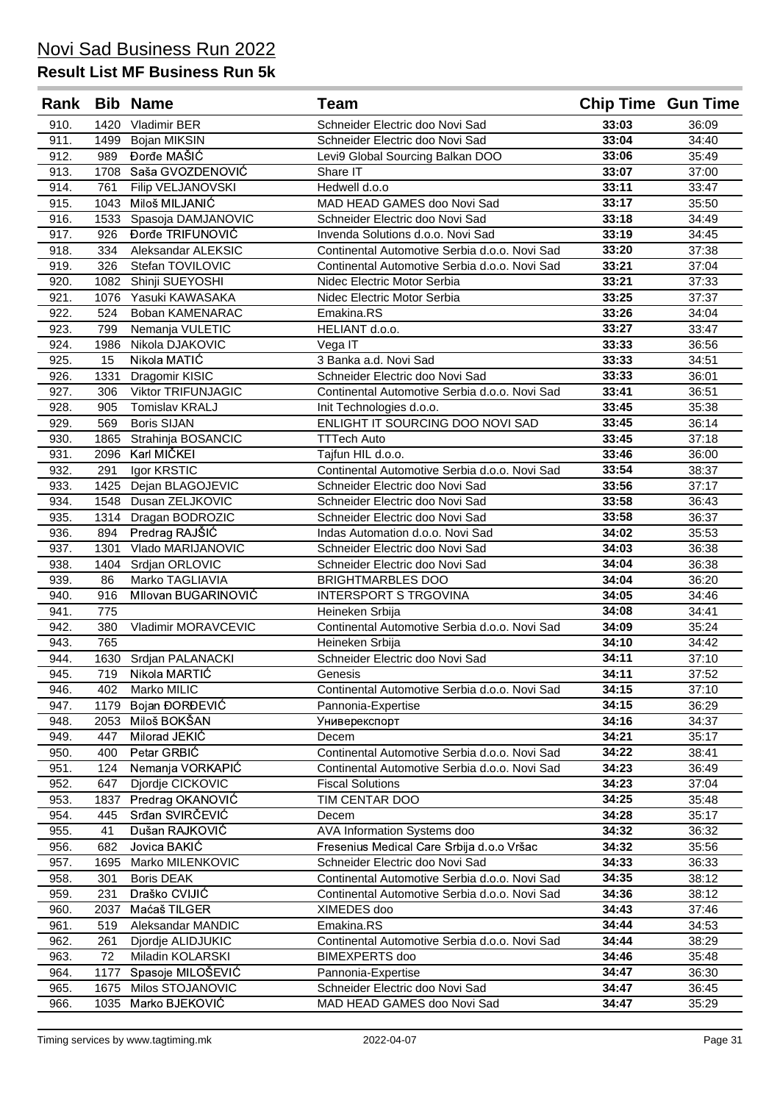| Rank |      | <b>Bib Name</b>           | <b>Team</b>                                   | <b>Chip Time Gun Time</b> |       |
|------|------|---------------------------|-----------------------------------------------|---------------------------|-------|
| 910. | 1420 | Vladimir BER              | Schneider Electric doo Novi Sad               | 33:03                     | 36:09 |
| 911. | 1499 | Bojan MIKSIN              | Schneider Electric doo Novi Sad               | 33:04                     | 34:40 |
| 912. | 989  | Đorđe MAŠIĆ               | Levi9 Global Sourcing Balkan DOO              | 33:06                     | 35:49 |
| 913. | 1708 | Saša GVOZDENOVIĆ          | Share IT                                      | 33:07                     | 37:00 |
| 914. | 761  | Filip VELJANOVSKI         | Hedwell d.o.o                                 | 33:11                     | 33:47 |
| 915. | 1043 | Miloš MILJANIĆ            | MAD HEAD GAMES doo Novi Sad                   | 33:17                     | 35:50 |
| 916. | 1533 | Spasoja DAMJANOVIC        | Schneider Electric doo Novi Sad               | 33:18                     | 34:49 |
| 917. | 926  | Dorđe TRIFUNOVIĆ          | Invenda Solutions d.o.o. Novi Sad             | 33:19                     | 34:45 |
| 918. | 334  | Aleksandar ALEKSIC        | Continental Automotive Serbia d.o.o. Novi Sad | 33:20                     | 37:38 |
| 919. | 326  | Stefan TOVILOVIC          | Continental Automotive Serbia d.o.o. Novi Sad | 33:21                     | 37:04 |
| 920. | 1082 | Shinji SUEYOSHI           | Nidec Electric Motor Serbia                   | 33:21                     | 37:33 |
| 921. | 1076 | Yasuki KAWASAKA           | Nidec Electric Motor Serbia                   | 33:25                     | 37:37 |
| 922. | 524  | Boban KAMENARAC           | Emakina.RS                                    | 33:26                     | 34:04 |
| 923. | 799  | Nemanja VULETIC           | HELIANT d.o.o.                                | 33:27                     | 33:47 |
| 924. | 1986 | Nikola DJAKOVIC           | Vega IT                                       | 33:33                     | 36:56 |
| 925. | 15   | Nikola MATIĆ              | 3 Banka a.d. Novi Sad                         | 33:33                     | 34:51 |
| 926. | 1331 | Dragomir KISIC            | Schneider Electric doo Novi Sad               | 33:33                     | 36:01 |
| 927. | 306  | <b>Viktor TRIFUNJAGIC</b> | Continental Automotive Serbia d.o.o. Novi Sad | 33:41                     | 36:51 |
| 928. | 905  | Tomislav KRALJ            | Init Technologies d.o.o.                      | 33:45                     | 35:38 |
| 929. | 569  | <b>Boris SIJAN</b>        | ENLIGHT IT SOURCING DOO NOVI SAD              | 33:45                     | 36:14 |
| 930. | 1865 | Strahinja BOSANCIC        | <b>TTTech Auto</b>                            | 33:45                     | 37:18 |
| 931. | 2096 | Karl MIČKEI               | Tajfun HIL d.o.o.                             | 33:46                     | 36:00 |
| 932. | 291  | Igor KRSTIC               | Continental Automotive Serbia d.o.o. Novi Sad | 33:54                     | 38:37 |
| 933. | 1425 | Dejan BLAGOJEVIC          | Schneider Electric doo Novi Sad               | 33:56                     | 37:17 |
| 934. |      | 1548 Dusan ZELJKOVIC      | Schneider Electric doo Novi Sad               | 33:58                     | 36:43 |
| 935. |      | 1314 Dragan BODROZIC      | Schneider Electric doo Novi Sad               | 33:58                     | 36:37 |
| 936. | 894  | Predrag RAJŠIĆ            | Indas Automation d.o.o. Novi Sad              | 34:02                     | 35:53 |
| 937. | 1301 | Vlado MARIJANOVIC         | Schneider Electric doo Novi Sad               | 34:03                     | 36:38 |
| 938. | 1404 | Srdjan ORLOVIC            | Schneider Electric doo Novi Sad               | 34:04                     | 36:38 |
| 939. | 86   | Marko TAGLIAVIA           | <b>BRIGHTMARBLES DOO</b>                      | 34:04                     | 36:20 |
| 940. | 916  | Mllovan BUGARINOVIĆ       | <b>INTERSPORT S TRGOVINA</b>                  | 34:05                     | 34:46 |
| 941. | 775  |                           | Heineken Srbija                               | 34:08                     | 34:41 |
| 942. | 380  | Vladimir MORAVCEVIC       | Continental Automotive Serbia d.o.o. Novi Sad | 34:09                     | 35:24 |
| 943. | 765  |                           | Heineken Srbija                               | 34:10                     | 34:42 |
| 944. | 1630 | Srdjan PALANACKI          | Schneider Electric doo Novi Sad               | 34:11                     | 37:10 |
| 945. | 719  | Nikola MARTIĆ             | Genesis                                       | 34:11                     | 37:52 |
| 946. | 402  | Marko MILIC               | Continental Automotive Serbia d.o.o. Novi Sad | 34:15                     | 37:10 |
| 947. | 1179 | Bojan ĐORĐEVIĆ            | Pannonia-Expertise                            | 34:15                     | 36:29 |
| 948. | 2053 | Miloš BOKŠAN              | Универекспорт                                 | 34:16                     | 34:37 |
| 949. | 447  | Milorad JEKIĆ             | Decem                                         | 34:21                     | 35:17 |
| 950. | 400  | Petar GRBIC               | Continental Automotive Serbia d.o.o. Novi Sad | 34:22                     | 38:41 |
| 951. | 124  | Nemanja VORKAPIĆ          | Continental Automotive Serbia d.o.o. Novi Sad | 34:23                     | 36:49 |
| 952. | 647  | Djordje CICKOVIC          | <b>Fiscal Solutions</b>                       | 34:23                     | 37:04 |
| 953. | 1837 | Predrag OKANOVIĆ          | TIM CENTAR DOO                                | 34:25                     | 35:48 |
| 954. | 445  | Srđan SVIRČEVIĆ           | Decem                                         | 34:28                     | 35:17 |
| 955. | 41   | Dušan RAJKOVIĆ            | AVA Information Systems doo                   | 34:32                     | 36:32 |
| 956. | 682  | Jovica BAKIĆ              | Fresenius Medical Care Srbija d.o.o Vršac     | 34:32                     | 35:56 |
| 957. | 1695 | Marko MILENKOVIC          | Schneider Electric doo Novi Sad               | 34:33                     | 36:33 |
| 958. | 301  | <b>Boris DEAK</b>         | Continental Automotive Serbia d.o.o. Novi Sad | 34:35                     | 38:12 |
| 959. | 231  | Draško CVIJIĆ             | Continental Automotive Serbia d.o.o. Novi Sad | 34:36                     | 38:12 |
| 960. | 2037 | Maćaš TILGER              | XIMEDES doo                                   | 34:43                     | 37:46 |
| 961. | 519  | Aleksandar MANDIC         | Emakina.RS                                    | 34:44                     | 34:53 |
| 962. | 261  | Djordje ALIDJUKIC         | Continental Automotive Serbia d.o.o. Novi Sad | 34:44                     | 38:29 |
| 963. | 72   | Miladin KOLARSKI          | <b>BIMEXPERTS</b> doo                         | 34:46                     | 35:48 |
| 964. | 1177 | Spasoje MILOŠEVIĆ         | Pannonia-Expertise                            | 34:47                     | 36:30 |
| 965. | 1675 | Milos STOJANOVIC          | Schneider Electric doo Novi Sad               | 34:47                     | 36:45 |
| 966. | 1035 | Marko BJEKOVIĆ            | MAD HEAD GAMES doo Novi Sad                   | 34:47                     | 35:29 |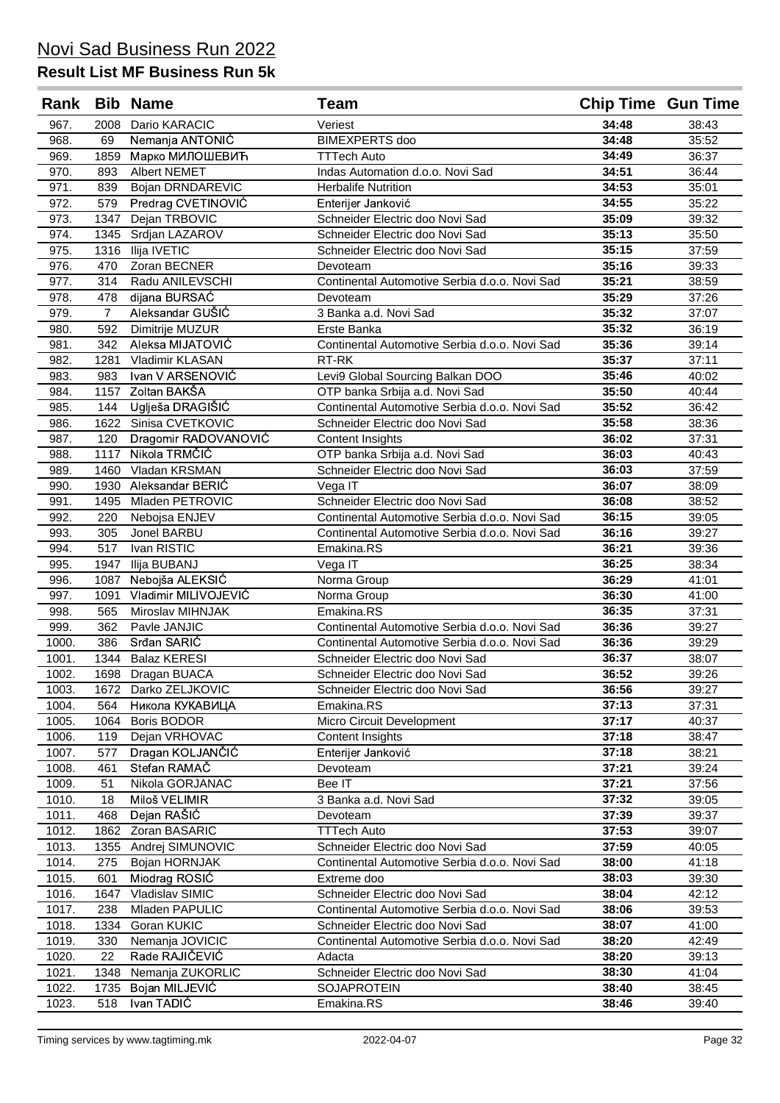| Rank           |                | <b>Bib Name</b>                      | Team                                          | <b>Chip Time Gun Time</b> |                |
|----------------|----------------|--------------------------------------|-----------------------------------------------|---------------------------|----------------|
| 967.           | 2008           | Dario KARACIC                        | Veriest                                       | 34:48                     | 38:43          |
| 968.           | 69             | Nemanja ANTONIĆ                      | <b>BIMEXPERTS</b> doo                         | 34:48                     | 35:52          |
| 969.           | 1859           | Марко МИЛОШЕВИЋ                      | <b>TTTech Auto</b>                            | 34:49                     | 36:37          |
| 970.           | 893            | Albert NEMET                         | Indas Automation d.o.o. Novi Sad              | 34:51                     | 36:44          |
| 971.           | 839            | <b>Bojan DRNDAREVIC</b>              | <b>Herbalife Nutrition</b>                    | 34:53                     | 35:01          |
| 972.           | 579            | Predrag CVETINOVIĆ                   | Enterijer Janković                            | 34:55                     | 35:22          |
| 973.           | 1347           | Dejan TRBOVIC                        | Schneider Electric doo Novi Sad               | 35:09                     | 39:32          |
| 974.           | 1345           | Srdjan LAZAROV                       | Schneider Electric doo Novi Sad               | 35:13                     | 35:50          |
| 975.           | 1316           | Ilija IVETIC                         | Schneider Electric doo Novi Sad               | 35:15                     | 37:59          |
| 976.           | 470            | Zoran BECNER                         | Devoteam                                      | 35:16                     | 39:33          |
| 977.           | 314            | Radu ANILEVSCHI                      | Continental Automotive Serbia d.o.o. Novi Sad | 35:21                     | 38:59          |
| 978.           | 478            | dijana BURSAĆ                        | Devoteam                                      | 35:29                     | 37:26          |
| 979.           | $\overline{7}$ | Aleksandar GUŠIĆ                     | 3 Banka a.d. Novi Sad                         | 35:32                     | 37:07          |
| 980.           | 592            | Dimitrije MUZUR                      | Erste Banka                                   | 35:32                     | 36:19          |
| 981.           | 342            | Aleksa MIJATOVIĆ                     | Continental Automotive Serbia d.o.o. Novi Sad | 35:36                     | 39:14          |
| 982.           | 1281           | Vladimir KLASAN                      | RT-RK                                         | 35:37                     | 37:11          |
| 983.           | 983            | Ivan V ARSENOVIĆ                     | Levi9 Global Sourcing Balkan DOO              | 35:46                     | 40:02          |
| 984.           | 1157           | Zoltan BAKŠA                         | OTP banka Srbija a.d. Novi Sad                | 35:50                     | 40:44          |
| 985.           | 144            | Uglješa DRAGIŠIĆ                     | Continental Automotive Serbia d.o.o. Novi Sad | 35:52                     | 36:42          |
| 986.           | 1622           | Sinisa CVETKOVIC                     | Schneider Electric doo Novi Sad               | 35:58                     | 38:36          |
| 987.           | 120            | Dragomir RADOVANOVIĆ                 | <b>Content Insights</b>                       | 36:02                     | 37:31          |
| 988.           | 1117           | Nikola TRMČIĆ                        | OTP banka Srbija a.d. Novi Sad                | 36:03                     | 40:43          |
| 989.           | 1460           | Vladan KRSMAN                        | Schneider Electric doo Novi Sad               | 36:03                     | 37:59          |
| 990.           | 1930           | Aleksandar BERIC                     | Vega IT                                       | 36:07                     | 38:09          |
| 991.           | 1495           | Mladen PETROVIC                      | Schneider Electric doo Novi Sad               | 36:08                     | 38:52          |
| 992.           | 220            | Nebojsa ENJEV                        | Continental Automotive Serbia d.o.o. Novi Sad | 36:15                     | 39:05          |
| 993.           | 305            | Jonel BARBU                          | Continental Automotive Serbia d.o.o. Novi Sad | 36:16                     | 39:27          |
| 994.           | 517            | Ivan RISTIC                          | Emakina.RS                                    | 36:21                     | 39:36          |
| 995.           | 1947           | Ilija BUBANJ                         | Vega IT                                       | 36:25                     | 38:34          |
| 996.           | 1087           | Nebojša ALEKSIĆ                      | Norma Group                                   | 36:29                     | 41:01          |
| 997.           | 1091           | Vladimir MILIVOJEVIĆ                 | Norma Group                                   | 36:30                     | 41:00          |
| 998.           | 565            | Miroslav MIHNJAK                     | Emakina.RS                                    | 36:35                     | 37:31          |
| 999.           | 362            | Pavle JANJIC                         | Continental Automotive Serbia d.o.o. Novi Sad | 36:36                     | 39:27          |
| 1000.          | 386            | Srđan SARIĆ                          | Continental Automotive Serbia d.o.o. Novi Sad | 36:36                     | 39:29          |
| 1001.<br>1002. | 1344           | <b>Balaz KERESI</b>                  | Schneider Electric doo Novi Sad               | 36:37                     | 38:07          |
| 1003.          |                | 1698 Dragan BUACA<br>Darko ZELJKOVIC | Schneider Electric doo Novi Sad               | 36:52<br>36:56            | 39:26          |
| 1004.          | 1672<br>564    | Никола КУКАВИЦА                      | Schneider Electric doo Novi Sad<br>Emakina.RS | 37:13                     | 39:27<br>37:31 |
| 1005.          | 1064           | <b>Boris BODOR</b>                   | Micro Circuit Development                     | 37:17                     | 40:37          |
| 1006.          | 119            | Dejan VRHOVAC                        | Content Insights                              | 37:18                     | 38:47          |
| 1007.          | 577            | Dragan KOLJANČIĆ                     | Enterijer Janković                            | 37:18                     | 38:21          |
| 1008.          | 461            | Stefan RAMAČ                         | Devoteam                                      | 37:21                     | 39:24          |
| 1009.          | 51             | Nikola GORJANAC                      | Bee IT                                        | 37:21                     | 37:56          |
| 1010.          | 18             | Miloš VELIMIR                        | 3 Banka a.d. Novi Sad                         | 37:32                     | 39:05          |
| 1011.          | 468            | Dejan RAŠIĆ                          | Devoteam                                      | 37:39                     | 39:37          |
| 1012.          | 1862           | Zoran BASARIC                        | <b>TTTech Auto</b>                            | 37:53                     | 39:07          |
| 1013.          | 1355           | Andrej SIMUNOVIC                     | Schneider Electric doo Novi Sad               | 37:59                     | 40:05          |
| 1014.          | 275            | Bojan HORNJAK                        | Continental Automotive Serbia d.o.o. Novi Sad | 38:00                     | 41:18          |
| 1015.          | 601            | Miodrag ROSIĆ                        | Extreme doo                                   | 38:03                     | 39:30          |
| 1016.          | 1647           | Vladislav SIMIC                      | Schneider Electric doo Novi Sad               | 38:04                     | 42:12          |
| 1017.          | 238            | Mladen PAPULIC                       | Continental Automotive Serbia d.o.o. Novi Sad | 38:06                     | 39:53          |
| 1018.          | 1334           | Goran KUKIC                          | Schneider Electric doo Novi Sad               | 38:07                     | 41:00          |
| 1019.          | 330            | Nemanja JOVICIC                      | Continental Automotive Serbia d.o.o. Novi Sad | 38:20                     | 42:49          |
| 1020.          | 22             | Rade RAJIČEVIĆ                       | Adacta                                        | 38:20                     | 39:13          |
| 1021.          | 1348           | Nemanja ZUKORLIC                     | Schneider Electric doo Novi Sad               | 38:30                     | 41:04          |
| 1022.          | 1735           | Bojan MILJEVIĆ                       | SOJAPROTEIN                                   | 38:40                     | 38:45          |
| 1023.          | 518            | Ivan TADIĆ                           | Emakina.RS                                    | 38:46                     | 39:40          |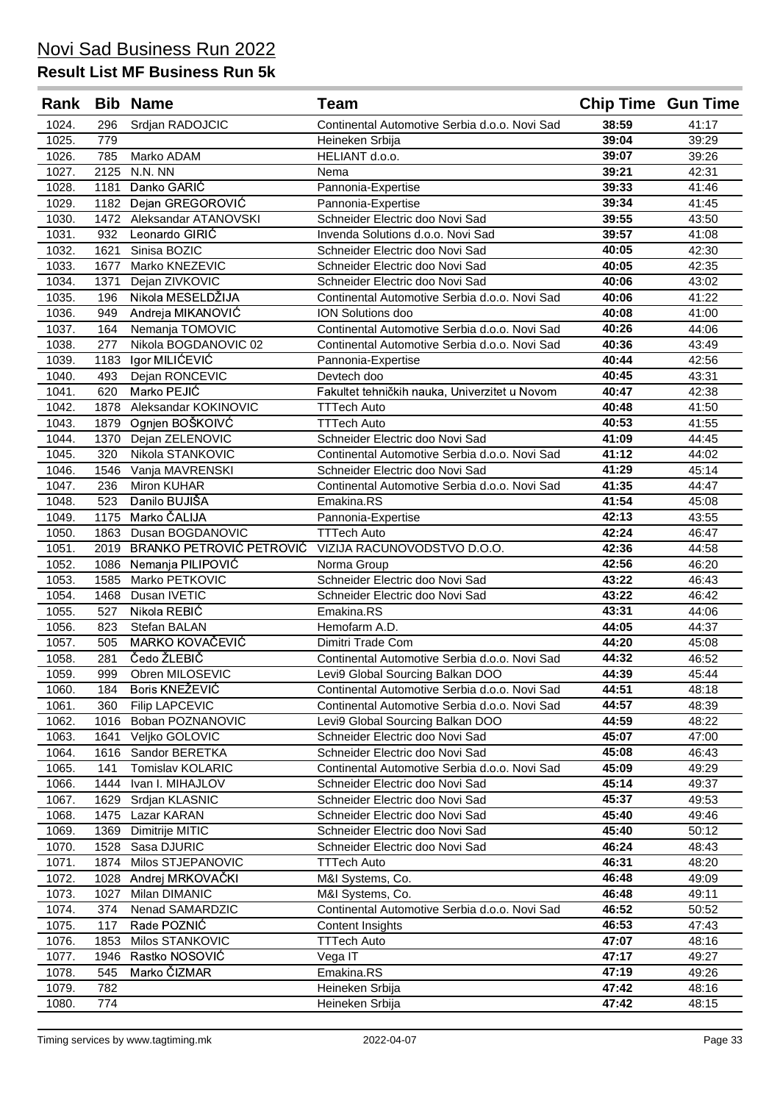| Rank           |              | <b>Bib Name</b>                           | <b>Team</b>                                                         | <b>Chip Time Gun Time</b> |                |
|----------------|--------------|-------------------------------------------|---------------------------------------------------------------------|---------------------------|----------------|
| 1024.          | 296          | Srdjan RADOJCIC                           | Continental Automotive Serbia d.o.o. Novi Sad                       | 38:59                     | 41:17          |
| 1025.          | 779          |                                           | Heineken Srbija                                                     | 39:04                     | 39:29          |
| 1026.          | 785          | Marko ADAM                                | HELIANT d.o.o.                                                      | 39:07                     | 39:26          |
| 1027.          | 2125         | N.N. NN                                   | Nema                                                                | 39:21                     | 42:31          |
| 1028.          | 1181         | Danko GARIĆ                               | Pannonia-Expertise                                                  | 39:33                     | 41:46          |
| 1029.          | 1182         | Dejan GREGOROVIĆ                          | Pannonia-Expertise                                                  | 39:34                     | 41:45          |
| 1030.          | 1472         | Aleksandar ATANOVSKI                      | Schneider Electric doo Novi Sad                                     | 39:55                     | 43:50          |
| 1031.          | 932          | Leonardo GIRIC                            | Invenda Solutions d.o.o. Novi Sad                                   | 39:57                     | 41:08          |
| 1032.          | 1621         | Sinisa BOZIC                              | Schneider Electric doo Novi Sad                                     | 40:05                     | 42:30          |
| 1033.          | 1677         | Marko KNEZEVIC                            | Schneider Electric doo Novi Sad                                     | 40:05                     | 42:35          |
| 1034.          | 1371<br>196  | Dejan ZIVKOVIC<br>Nikola MESELDŽIJA       | Schneider Electric doo Novi Sad                                     | 40:06                     | 43:02<br>41:22 |
| 1035.<br>1036. | 949          | Andreja MIKANOVIĆ                         | Continental Automotive Serbia d.o.o. Novi Sad<br>ION Solutions doo  | 40:06<br>40:08            | 41:00          |
| 1037.          | 164          | Nemanja TOMOVIC                           | Continental Automotive Serbia d.o.o. Novi Sad                       | 40:26                     | 44:06          |
| 1038.          | 277          | Nikola BOGDANOVIC 02                      | Continental Automotive Serbia d.o.o. Novi Sad                       | 40:36                     | 43:49          |
| 1039.          | 1183         | Igor MILIĆEVIĆ                            | Pannonia-Expertise                                                  | 40:44                     | 42:56          |
| 1040.          | 493          | Dejan RONCEVIC                            | Devtech doo                                                         | 40:45                     | 43:31          |
| 1041.          | 620          | Marko PEJIĆ                               | Fakultet tehničkih nauka, Univerzitet u Novom                       | 40:47                     | 42:38          |
| 1042.          | 1878         | Aleksandar KOKINOVIC                      | <b>TTTech Auto</b>                                                  | 40:48                     | 41:50          |
| 1043.          | 1879         | Ognjen BOŠKOIVĆ                           | <b>TTTech Auto</b>                                                  | 40:53                     | 41:55          |
| 1044.          | 1370         | Dejan ZELENOVIC                           | Schneider Electric doo Novi Sad                                     | 41:09                     | 44:45          |
| 1045.          | 320          | Nikola STANKOVIC                          | Continental Automotive Serbia d.o.o. Novi Sad                       | 41:12                     | 44:02          |
| 1046.          | 1546         | Vanja MAVRENSKI                           | Schneider Electric doo Novi Sad                                     | 41:29                     | 45:14          |
| 1047.          | 236          | <b>Miron KUHAR</b>                        | Continental Automotive Serbia d.o.o. Novi Sad                       | 41:35                     | 44:47          |
| 1048.          | 523          | Danilo BUJIŠA                             | Emakina.RS                                                          | 41:54                     | 45:08          |
| 1049.          | 1175         | Marko ČALIJA                              | Pannonia-Expertise                                                  | 42:13                     | 43:55          |
| 1050.          | 1863         | Dusan BOGDANOVIC                          | <b>TTTech Auto</b>                                                  | 42:24                     | 46:47          |
| 1051.          | 2019         | BRANKO PETROVIĆ PETROVIĆ                  | VIZIJA RACUNOVODSTVO D.O.O.                                         | 42:36                     | 44:58          |
| 1052.          | 1086         | Nemanja PILIPOVIĆ                         | Norma Group                                                         | 42:56                     | 46:20          |
| 1053.          | 1585         | Marko PETKOVIC                            | Schneider Electric doo Novi Sad                                     | 43:22                     | 46:43          |
| 1054.          | 1468         | Dusan IVETIC                              | Schneider Electric doo Novi Sad                                     | 43:22                     | 46:42          |
| 1055.          | 527          | Nikola REBIĆ                              | Emakina, RS                                                         | 43:31                     | 44:06          |
| 1056.          | 823          | Stefan BALAN                              | Hemofarm A.D.                                                       | 44:05                     | 44:37          |
| 1057.          | 505          | MARKO KOVAČEVIĆ                           | Dimitri Trade Com                                                   | 44:20                     | 45:08          |
| 1058.          | 281          | Čedo ŽLEBIČ                               | Continental Automotive Serbia d.o.o. Novi Sad                       | 44:32                     | 46:52          |
| 1059.          | 999          | Obren MILOSEVIC                           | Levi9 Global Sourcing Balkan DOO                                    | 44:39                     | 45:44          |
| 1060.          | 184          | Boris KNEŽEVIĆ                            | Continental Automotive Serbia d.o.o. Novi Sad                       | 44:51                     | 48:18          |
| 1061.          | 360          | <b>Filip LAPCEVIC</b><br>Boban POZNANOVIC | Continental Automotive Serbia d.o.o. Novi Sad                       | 44:57                     | 48:39          |
| 1062.<br>1063. | 1016<br>1641 | Veljko GOLOVIC                            | Levi9 Global Sourcing Balkan DOO<br>Schneider Electric doo Novi Sad | 44:59<br>45:07            | 48:22<br>47:00 |
| 1064.          | 1616         | Sandor BERETKA                            | Schneider Electric doo Novi Sad                                     | 45:08                     | 46:43          |
| 1065.          | 141          | Tomislav KOLARIC                          | Continental Automotive Serbia d.o.o. Novi Sad                       | 45:09                     | 49:29          |
| 1066.          | 1444         | Ivan I. MIHAJLOV                          | Schneider Electric doo Novi Sad                                     | 45:14                     | 49:37          |
| 1067.          | 1629         | Srdjan KLASNIC                            | Schneider Electric doo Novi Sad                                     | 45:37                     | 49:53          |
| 1068.          | 1475         | Lazar KARAN                               | Schneider Electric doo Novi Sad                                     | 45:40                     | 49:46          |
| 1069.          | 1369         | Dimitrije MITIC                           | Schneider Electric doo Novi Sad                                     | 45:40                     | 50:12          |
| 1070.          | 1528         | Sasa DJURIC                               | Schneider Electric doo Novi Sad                                     | 46:24                     | 48:43          |
| 1071.          | 1874         | Milos STJEPANOVIC                         | <b>TTTech Auto</b>                                                  | 46:31                     | 48:20          |
| 1072.          | 1028         | Andrej MRKOVAČKI                          | M&I Systems, Co.                                                    | 46:48                     | 49:09          |
| 1073.          | 1027         | Milan DIMANIC                             | M&I Systems, Co.                                                    | 46:48                     | 49:11          |
| 1074.          | 374          | Nenad SAMARDZIC                           | Continental Automotive Serbia d.o.o. Novi Sad                       | 46:52                     | 50:52          |
| 1075.          | 117          | Rade POZNIĆ                               | Content Insights                                                    | 46:53                     | 47:43          |
| 1076.          | 1853         | Milos STANKOVIC                           | <b>TTTech Auto</b>                                                  | 47:07                     | 48:16          |
| 1077.          | 1946         | Rastko NOSOVIĆ                            | Vega IT                                                             | 47:17                     | 49:27          |
| 1078.          | 545          | Marko ČIZMAR                              | Emakina.RS                                                          | 47:19                     | 49:26          |
| 1079.          | 782          |                                           | Heineken Srbija                                                     | 47:42                     | 48:16          |
| 1080.          | 774          |                                           | Heineken Srbija                                                     | 47:42                     | 48:15          |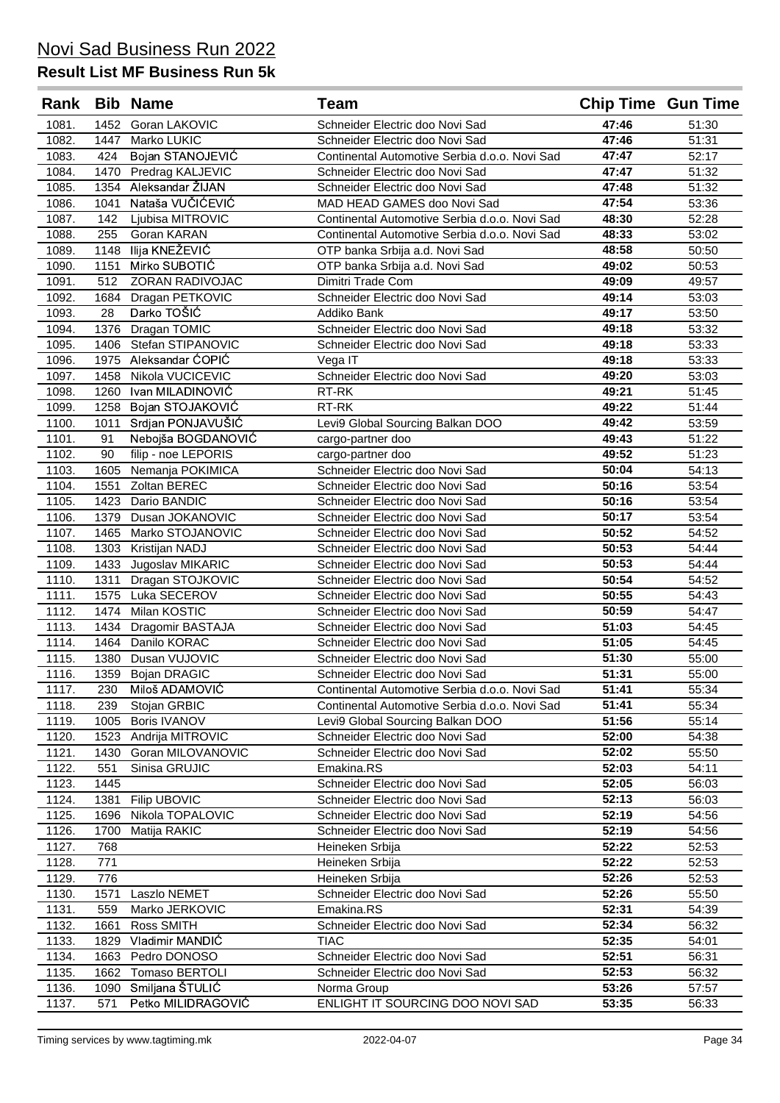|       |      | Rank Bib Name         | <b>Team</b>                                   | <b>Chip Time Gun Time</b> |       |
|-------|------|-----------------------|-----------------------------------------------|---------------------------|-------|
| 1081. |      | 1452 Goran LAKOVIC    | Schneider Electric doo Novi Sad               | 47:46                     | 51:30 |
| 1082. | 1447 | Marko LUKIC           | Schneider Electric doo Novi Sad               | 47:46                     | 51:31 |
| 1083. | 424  | Bojan STANOJEVIĆ      | Continental Automotive Serbia d.o.o. Novi Sad | 47:47                     | 52:17 |
| 1084. |      | 1470 Predrag KALJEVIC | Schneider Electric doo Novi Sad               | 47:47                     | 51:32 |
| 1085. | 1354 | Aleksandar ŽIJAN      | Schneider Electric doo Novi Sad               | 47:48                     | 51:32 |
| 1086. | 1041 | Nataša VUČIĆEVIĆ      | MAD HEAD GAMES doo Novi Sad                   | 47:54                     | 53:36 |
| 1087. | 142  | Ljubisa MITROVIC      | Continental Automotive Serbia d.o.o. Novi Sad | 48:30                     | 52:28 |
| 1088. | 255  | Goran KARAN           | Continental Automotive Serbia d.o.o. Novi Sad | 48:33                     | 53:02 |
| 1089. | 1148 | Ilija KNEŽEVIĆ        | OTP banka Srbija a.d. Novi Sad                | 48:58                     | 50:50 |
| 1090. | 1151 | Mirko SUBOTIĆ         | OTP banka Srbija a.d. Novi Sad                | 49:02                     | 50:53 |
| 1091. | 512  | ZORAN RADIVOJAC       | Dimitri Trade Com                             | 49:09                     | 49:57 |
| 1092. |      | 1684 Dragan PETKOVIC  | Schneider Electric doo Novi Sad               | 49:14                     | 53:03 |
| 1093. | 28   | Darko TOŠIĆ           | Addiko Bank                                   | 49:17                     | 53:50 |
| 1094. | 1376 | Dragan TOMIC          | Schneider Electric doo Novi Sad               | 49:18                     | 53:32 |
| 1095. | 1406 | Stefan STIPANOVIC     | Schneider Electric doo Novi Sad               | 49:18                     | 53:33 |
| 1096. | 1975 | Aleksandar ĆOPIĆ      | Vega IT                                       | 49:18                     | 53:33 |
| 1097. | 1458 | Nikola VUCICEVIC      | Schneider Electric doo Novi Sad               | 49:20                     | 53:03 |
| 1098. | 1260 | Ivan MILADINOVIĆ      | RT-RK                                         | 49:21                     | 51:45 |
| 1099. | 1258 | Bojan STOJAKOVIĆ      | RT-RK                                         | 49:22                     | 51:44 |
| 1100. | 1011 | Srdjan PONJAVUŠIĆ     | Levi9 Global Sourcing Balkan DOO              | 49:42                     | 53:59 |
| 1101. | 91   | Nebojša BOGDANOVIĆ    | cargo-partner doo                             | 49:43                     | 51:22 |
| 1102. | 90   | filip - noe LEPORIS   | cargo-partner doo                             | 49:52                     | 51:23 |
| 1103. | 1605 | Nemanja POKIMICA      | Schneider Electric doo Novi Sad               | 50:04                     | 54:13 |
| 1104. | 1551 | Zoltan BEREC          | Schneider Electric doo Novi Sad               | 50:16                     | 53:54 |
| 1105. | 1423 | Dario BANDIC          | Schneider Electric doo Novi Sad               | 50:16                     | 53:54 |
| 1106. | 1379 | Dusan JOKANOVIC       | Schneider Electric doo Novi Sad               | 50:17                     | 53:54 |
| 1107. | 1465 | Marko STOJANOVIC      | Schneider Electric doo Novi Sad               | 50:52                     | 54:52 |
| 1108. | 1303 | Kristijan NADJ        | Schneider Electric doo Novi Sad               | 50:53                     | 54:44 |
| 1109. | 1433 | Jugoslav MIKARIC      | Schneider Electric doo Novi Sad               | 50:53                     | 54:44 |
| 1110. | 1311 | Dragan STOJKOVIC      | Schneider Electric doo Novi Sad               | 50:54                     | 54:52 |
| 1111. | 1575 | Luka SECEROV          | Schneider Electric doo Novi Sad               | 50:55                     | 54:43 |
| 1112. | 1474 | Milan KOSTIC          | Schneider Electric doo Novi Sad               | 50:59                     | 54:47 |
| 1113. |      | 1434 Dragomir BASTAJA | Schneider Electric doo Novi Sad               | 51:03                     | 54:45 |
| 1114. |      | 1464 Danilo KORAC     | Schneider Electric doo Novi Sad               | 51:05                     | 54:45 |
| 1115. |      | 1380 Dusan VUJOVIC    | Schneider Electric doo Novi Sad               | 51:30                     | 55:00 |
| 1116. |      | 1359 Bojan DRAGIC     | Schneider Electric doo Novi Sad               | 51:31                     | 55:00 |
| 1117. | 230  | Miloš ADAMOVIĆ        | Continental Automotive Serbia d.o.o. Novi Sad | 51:41                     | 55:34 |
| 1118. | 239  | Stojan GRBIC          | Continental Automotive Serbia d.o.o. Novi Sad | 51:41                     | 55:34 |
| 1119. | 1005 | <b>Boris IVANOV</b>   | Levi9 Global Sourcing Balkan DOO              | 51:56                     | 55:14 |
| 1120. | 1523 | Andrija MITROVIC      | Schneider Electric doo Novi Sad               | 52:00                     | 54:38 |
| 1121. | 1430 | Goran MILOVANOVIC     | Schneider Electric doo Novi Sad               | 52:02                     | 55:50 |
| 1122. | 551  | Sinisa GRUJIC         | Emakina.RS                                    | 52:03                     | 54:11 |
| 1123. | 1445 |                       | Schneider Electric doo Novi Sad               | 52:05                     | 56:03 |
| 1124. | 1381 | Filip UBOVIC          | Schneider Electric doo Novi Sad               | 52:13                     | 56:03 |
| 1125. | 1696 | Nikola TOPALOVIC      | Schneider Electric doo Novi Sad               | 52:19                     | 54:56 |
| 1126. | 1700 | Matija RAKIC          | Schneider Electric doo Novi Sad               | 52:19                     | 54:56 |
| 1127. | 768  |                       | Heineken Srbija                               | 52:22                     | 52:53 |
| 1128. | 771  |                       | Heineken Srbija                               | 52:22                     | 52:53 |
| 1129. | 776  |                       | Heineken Srbija                               | 52:26                     | 52:53 |
| 1130. | 1571 | Laszlo NEMET          | Schneider Electric doo Novi Sad               | 52:26                     | 55:50 |
| 1131. | 559  | Marko JERKOVIC        | Emakina.RS                                    | 52:31                     | 54:39 |
| 1132. | 1661 | Ross SMITH            | Schneider Electric doo Novi Sad               | 52:34                     | 56:32 |
| 1133. | 1829 | Vladimir MANDIC       | <b>TIAC</b>                                   | 52:35                     | 54:01 |
| 1134. | 1663 | Pedro DONOSO          | Schneider Electric doo Novi Sad               | 52:51                     | 56:31 |
| 1135. | 1662 | Tomaso BERTOLI        | Schneider Electric doo Novi Sad               | 52:53                     | 56:32 |
| 1136. | 1090 | Smiljana ŠTULIĆ       | Norma Group                                   | 53:26                     | 57:57 |
| 1137. | 571  | Petko MILIDRAGOVIĆ    | ENLIGHT IT SOURCING DOO NOVI SAD              | 53:35                     | 56:33 |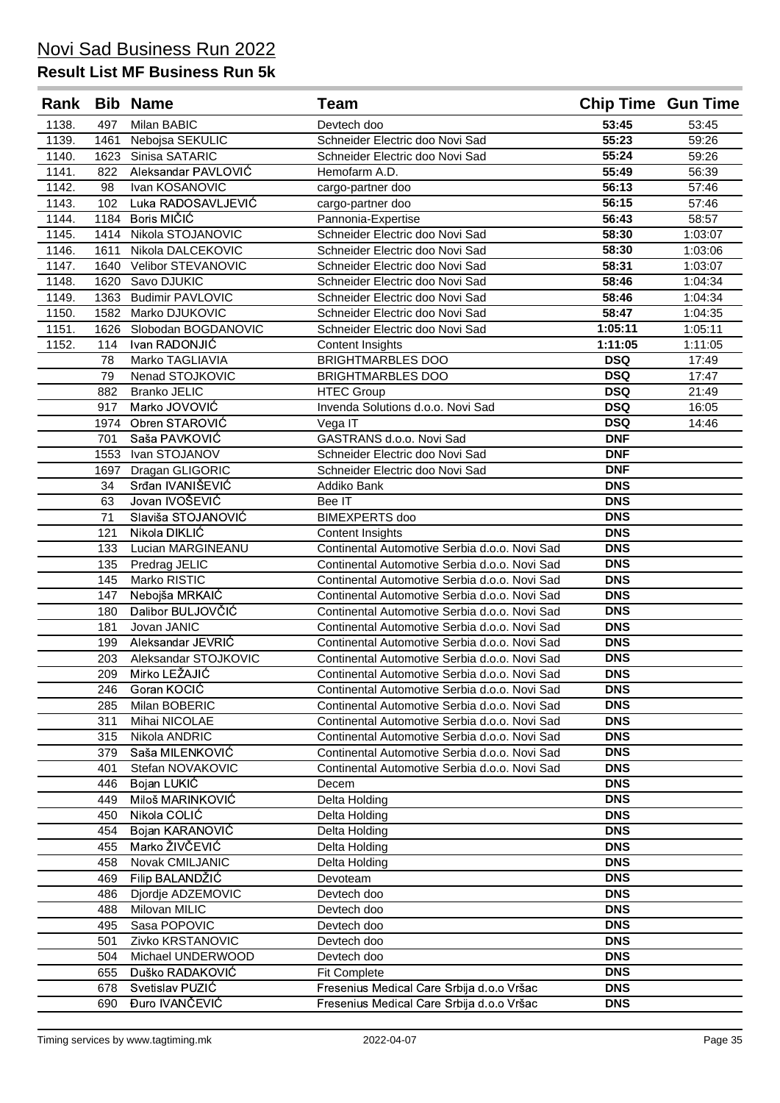|       |            | Rank Bib Name                         | <b>Team</b>                                                                                    | <b>Chip Time Gun Time</b> |         |
|-------|------------|---------------------------------------|------------------------------------------------------------------------------------------------|---------------------------|---------|
| 1138. | 497        | Milan BABIC                           | Devtech doo                                                                                    | 53:45                     | 53:45   |
| 1139. | 1461       | Nebojsa SEKULIC                       | Schneider Electric doo Novi Sad                                                                | 55:23                     | 59:26   |
| 1140. | 1623       | Sinisa SATARIC                        | Schneider Electric doo Novi Sad                                                                | 55:24                     | 59:26   |
| 1141. | 822        | Aleksandar PAVLOVIĆ                   | Hemofarm A.D.                                                                                  | 55:49                     | 56:39   |
| 1142. | 98         | Ivan KOSANOVIC                        | cargo-partner doo                                                                              | 56:13                     | 57:46   |
| 1143. | 102        | Luka RADOSAVLJEVIĆ                    | cargo-partner doo                                                                              | 56:15                     | 57:46   |
| 1144. | 1184       | Boris MIČIĆ                           | Pannonia-Expertise                                                                             | 56:43                     | 58:57   |
| 1145. |            | 1414 Nikola STOJANOVIC                | Schneider Electric doo Novi Sad                                                                | 58:30                     | 1:03:07 |
| 1146. | 1611       | Nikola DALCEKOVIC                     | Schneider Electric doo Novi Sad                                                                | 58:30                     | 1:03:06 |
| 1147. |            | 1640 Velibor STEVANOVIC               | Schneider Electric doo Novi Sad                                                                | 58:31                     | 1:03:07 |
| 1148. |            | 1620 Savo DJUKIC                      | Schneider Electric doo Novi Sad                                                                | 58:46                     | 1:04:34 |
| 1149. |            | 1363 Budimir PAVLOVIC                 | Schneider Electric doo Novi Sad                                                                | 58:46                     | 1:04:34 |
| 1150. |            | 1582 Marko DJUKOVIC                   | Schneider Electric doo Novi Sad                                                                | 58:47                     | 1:04:35 |
| 1151. | 1626       | Slobodan BOGDANOVIC                   | Schneider Electric doo Novi Sad                                                                | 1:05:11                   | 1:05:11 |
| 1152. | 114        | Ivan RADONJIĆ                         | Content Insights                                                                               | 1:11:05                   | 1:11:05 |
|       | 78         | Marko TAGLIAVIA                       | <b>BRIGHTMARBLES DOO</b>                                                                       | <b>DSQ</b>                | 17:49   |
|       | 79         | Nenad STOJKOVIC                       | <b>BRIGHTMARBLES DOO</b>                                                                       | <b>DSQ</b>                | 17:47   |
|       | 882        | <b>Branko JELIC</b>                   | <b>HTEC Group</b>                                                                              | <b>DSQ</b>                | 21:49   |
|       | 917        | Marko JOVOVIĆ                         | Invenda Solutions d.o.o. Novi Sad                                                              | <b>DSQ</b>                | 16:05   |
|       |            | 1974 Obren STAROVIĆ                   | Vega IT                                                                                        | <b>DSQ</b>                | 14:46   |
|       | 701        | Saša PAVKOVIĆ                         | GASTRANS d.o.o. Novi Sad                                                                       | <b>DNF</b>                |         |
|       | 1553       | Ivan STOJANOV                         | Schneider Electric doo Novi Sad                                                                | <b>DNF</b>                |         |
|       | 1697       | Dragan GLIGORIC                       | Schneider Electric doo Novi Sad                                                                | <b>DNF</b>                |         |
|       | 34         | Srđan IVANIŠEVIĆ                      | Addiko Bank                                                                                    | <b>DNS</b>                |         |
|       | 63         | Jovan IVOŠEVIĆ                        | Bee IT                                                                                         | <b>DNS</b>                |         |
|       | 71         | Slaviša STOJANOVIĆ                    | <b>BIMEXPERTS</b> doo                                                                          | <b>DNS</b>                |         |
|       | 121        | Nikola DIKLIĆ                         | <b>Content Insights</b>                                                                        | <b>DNS</b>                |         |
|       | 133        | Lucian MARGINEANU                     | Continental Automotive Serbia d.o.o. Novi Sad                                                  | <b>DNS</b>                |         |
|       | 135        | Predrag JELIC                         | Continental Automotive Serbia d.o.o. Novi Sad                                                  | <b>DNS</b>                |         |
|       | 145        | Marko RISTIC                          | Continental Automotive Serbia d.o.o. Novi Sad                                                  | <b>DNS</b>                |         |
|       | 147        | Nebojša MRKAIĆ                        | Continental Automotive Serbia d.o.o. Novi Sad                                                  | <b>DNS</b>                |         |
|       | 180        | Dalibor BULJOVČIĆ                     | Continental Automotive Serbia d.o.o. Novi Sad                                                  | <b>DNS</b>                |         |
|       | 181        | Jovan JANIC                           | Continental Automotive Serbia d.o.o. Novi Sad                                                  | <b>DNS</b>                |         |
|       | 199        | Aleksandar JEVRIC                     | Continental Automotive Serbia d.o.o. Novi Sad                                                  | <b>DNS</b>                |         |
|       | 203        | Aleksandar STOJKOVIC<br>Mirko LEŽAJIĆ | Continental Automotive Serbia d.o.o. Novi Sad                                                  | <b>DNS</b>                |         |
|       | 209        |                                       | Continental Automotive Serbia d.o.o. Novi Sad                                                  | <b>DNS</b>                |         |
|       | 246        | Goran KOCIĆ                           | Continental Automotive Serbia d.o.o. Novi Sad                                                  | <b>DNS</b><br><b>DNS</b>  |         |
|       | 285        | Milan BOBERIC                         | Continental Automotive Serbia d.o.o. Novi Sad<br>Continental Automotive Serbia d.o.o. Novi Sad | <b>DNS</b>                |         |
|       | 311<br>315 | Mihai NICOLAE<br>Nikola ANDRIC        | Continental Automotive Serbia d.o.o. Novi Sad                                                  | <b>DNS</b>                |         |
|       | 379        | Saša MILENKOVIĆ                       | Continental Automotive Serbia d.o.o. Novi Sad                                                  | <b>DNS</b>                |         |
|       | 401        | Stefan NOVAKOVIC                      | Continental Automotive Serbia d.o.o. Novi Sad                                                  | <b>DNS</b>                |         |
|       | 446        | Bojan LUKIĆ                           | Decem                                                                                          | <b>DNS</b>                |         |
|       | 449        | Miloš MARINKOVIĆ                      | Delta Holding                                                                                  | <b>DNS</b>                |         |
|       | 450        | Nikola COLIĆ                          | Delta Holding                                                                                  | <b>DNS</b>                |         |
|       | 454        | Bojan KARANOVIĆ                       | Delta Holding                                                                                  | <b>DNS</b>                |         |
|       | 455        | Marko ŽIVČEVIĆ                        | Delta Holding                                                                                  | <b>DNS</b>                |         |
|       | 458        | Novak CMILJANIC                       | Delta Holding                                                                                  | <b>DNS</b>                |         |
|       | 469        | Filip BALANDŽIĆ                       | Devoteam                                                                                       | <b>DNS</b>                |         |
|       | 486        | Djordje ADZEMOVIC                     | Devtech doo                                                                                    | <b>DNS</b>                |         |
|       | 488        | Milovan MILIC                         | Devtech doo                                                                                    | <b>DNS</b>                |         |
|       | 495        | Sasa POPOVIC                          | Devtech doo                                                                                    | <b>DNS</b>                |         |
|       | 501        | Zivko KRSTANOVIC                      | Devtech doo                                                                                    | <b>DNS</b>                |         |
|       | 504        | Michael UNDERWOOD                     | Devtech doo                                                                                    | <b>DNS</b>                |         |
|       | 655        | Duško RADAKOVIĆ                       | <b>Fit Complete</b>                                                                            | <b>DNS</b>                |         |
|       | 678        | Svetislav PUZIĆ                       | Fresenius Medical Care Srbija d.o.o Vršac                                                      | <b>DNS</b>                |         |
|       | 690        | Đuro IVANČEVIĆ                        | Fresenius Medical Care Srbija d.o.o Vršac                                                      | <b>DNS</b>                |         |
|       |            |                                       |                                                                                                |                           |         |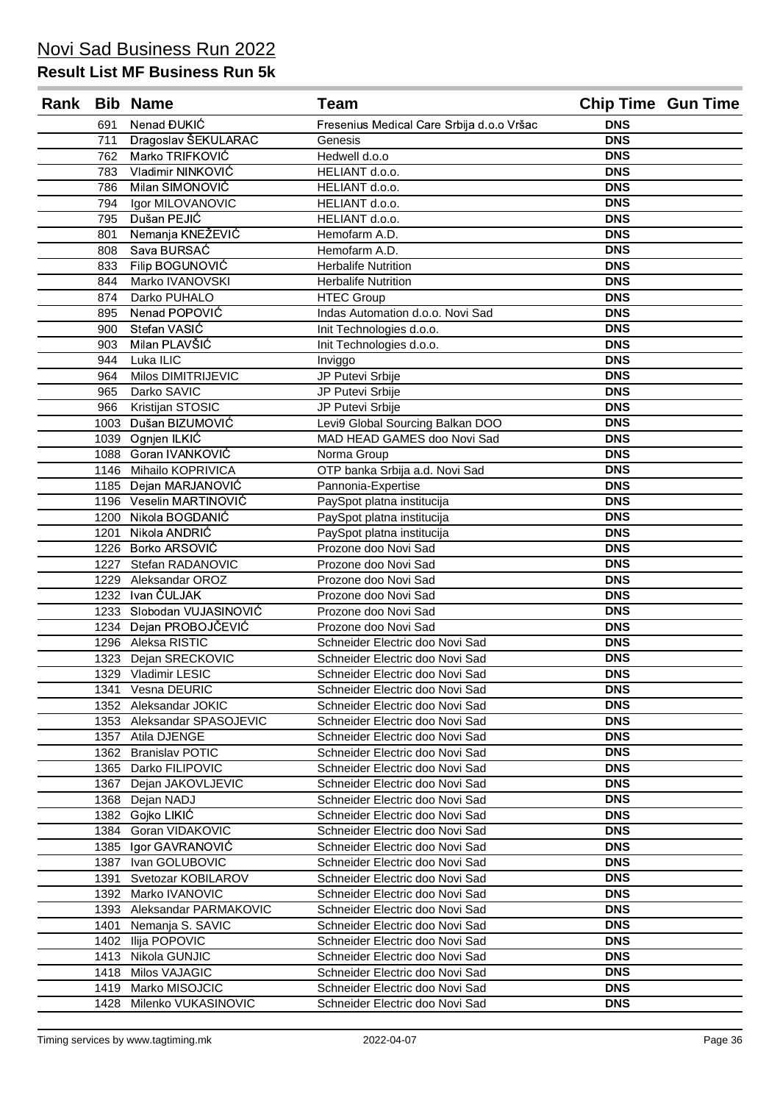|              | Rank Bib Name                       | <b>Team</b>                                                        | <b>Chip Time Gun Time</b> |  |
|--------------|-------------------------------------|--------------------------------------------------------------------|---------------------------|--|
| 691          | Nenad ĐUKIĆ                         | Fresenius Medical Care Srbija d.o.o Vršac                          | <b>DNS</b>                |  |
| 711          | Dragoslav ŠEKULARAC                 | Genesis                                                            | <b>DNS</b>                |  |
| 762          | Marko TRIFKOVIĆ                     | Hedwell d.o.o                                                      | <b>DNS</b>                |  |
| 783          | Vladimir NINKOVIĆ                   | HELIANT d.o.o.                                                     | <b>DNS</b>                |  |
| 786          | Milan SIMONOVIĆ                     | HELIANT d.o.o.                                                     | <b>DNS</b>                |  |
| 794          | Igor MILOVANOVIC                    | HELIANT d.o.o.                                                     | <b>DNS</b>                |  |
| 795          | Dušan PEJIĆ                         | HELIANT d.o.o.                                                     | <b>DNS</b>                |  |
| 801          | Nemanja KNEŽEVIĆ                    | Hemofarm A.D.                                                      | <b>DNS</b>                |  |
| 808          | Sava BURSAĆ                         | Hemofarm A.D.                                                      | <b>DNS</b>                |  |
| 833          | Filip BOGUNOVIĆ                     | <b>Herbalife Nutrition</b>                                         | <b>DNS</b>                |  |
| 844          | Marko IVANOVSKI                     | <b>Herbalife Nutrition</b>                                         | <b>DNS</b>                |  |
| 874          | Darko PUHALO                        | <b>HTEC Group</b>                                                  | <b>DNS</b>                |  |
| 895          | Nenad POPOVIĆ                       | Indas Automation d.o.o. Novi Sad                                   | <b>DNS</b>                |  |
| 900          | Stefan VASIĆ                        | Init Technologies d.o.o.                                           | <b>DNS</b>                |  |
| 903          | Milan PLAVŠIĆ                       | Init Technologies d.o.o.                                           | <b>DNS</b>                |  |
| 944          | Luka ILIC                           | Inviggo                                                            | <b>DNS</b>                |  |
| 964          | <b>Milos DIMITRIJEVIC</b>           | JP Putevi Srbije                                                   | <b>DNS</b>                |  |
| 965          | Darko SAVIC                         | JP Putevi Srbije                                                   | <b>DNS</b><br><b>DNS</b>  |  |
| 966<br>1003  | Kristijan STOSIC<br>Dušan BIZUMOVIĆ | JP Putevi Srbije                                                   | <b>DNS</b>                |  |
|              | Ognjen ILKIĆ                        | Levi9 Global Sourcing Balkan DOO<br>MAD HEAD GAMES doo Novi Sad    | <b>DNS</b>                |  |
| 1039         | 1088 Goran IVANKOVIĆ                | Norma Group                                                        | <b>DNS</b>                |  |
|              | 1146 Mihailo KOPRIVICA              | OTP banka Srbija a.d. Novi Sad                                     | <b>DNS</b>                |  |
|              | 1185 Dejan MARJANOVIĆ               | Pannonia-Expertise                                                 | <b>DNS</b>                |  |
|              | 1196 Veselin MARTINOVIĆ             | PaySpot platna institucija                                         | <b>DNS</b>                |  |
|              | 1200 Nikola BOGDANIĆ                | PaySpot platna institucija                                         | <b>DNS</b>                |  |
| 1201         | Nikola ANDRIĆ                       | PaySpot platna institucija                                         | <b>DNS</b>                |  |
|              | 1226 Borko ARSOVIĆ                  | Prozone doo Novi Sad                                               | <b>DNS</b>                |  |
| 1227         | Stefan RADANOVIC                    | Prozone doo Novi Sad                                               | <b>DNS</b>                |  |
|              | 1229 Aleksandar OROZ                | Prozone doo Novi Sad                                               | <b>DNS</b>                |  |
|              | 1232 Ivan ČULJAK                    | Prozone doo Novi Sad                                               | <b>DNS</b>                |  |
|              | 1233 Slobodan VUJASINOVIĆ           | Prozone doo Novi Sad                                               | <b>DNS</b>                |  |
|              | 1234 Dejan PROBOJČEVIĆ              | Prozone doo Novi Sad                                               | <b>DNS</b>                |  |
|              | 1296 Aleksa RISTIC                  | Schneider Electric doo Novi Sad                                    | <b>DNS</b>                |  |
| 1323         | Dejan SRECKOVIC                     | Schneider Electric doo Novi Sad                                    | <b>DNS</b>                |  |
|              | 1329 Vladimir LESIC                 | Schneider Electric doo Novi Sad                                    | <b>DNS</b>                |  |
|              | 1341 Vesna DEURIC                   | Schneider Electric doo Novi Sad                                    | <b>DNS</b>                |  |
|              | 1352 Aleksandar JOKIC               | Schneider Electric doo Novi Sad                                    | <b>DNS</b>                |  |
|              | 1353 Aleksandar SPASOJEVIC          | Schneider Electric doo Novi Sad                                    | <b>DNS</b>                |  |
| 1357         | Atila DJENGE                        | Schneider Electric doo Novi Sad                                    | <b>DNS</b>                |  |
| 1362         | <b>Branislav POTIC</b>              | Schneider Electric doo Novi Sad                                    | <b>DNS</b>                |  |
| 1365         | Darko FILIPOVIC                     | Schneider Electric doo Novi Sad                                    | <b>DNS</b>                |  |
| 1367         | Dejan JAKOVLJEVIC                   | Schneider Electric doo Novi Sad                                    | <b>DNS</b>                |  |
| 1368         | Dejan NADJ                          | Schneider Electric doo Novi Sad                                    | <b>DNS</b>                |  |
| 1382         | Gojko LIKIĆ                         | Schneider Electric doo Novi Sad                                    | <b>DNS</b>                |  |
| 1384         | Goran VIDAKOVIC                     | Schneider Electric doo Novi Sad                                    | <b>DNS</b>                |  |
| 1385         | Igor GAVRANOVIĆ                     | Schneider Electric doo Novi Sad                                    | <b>DNS</b>                |  |
| 1387         | Ivan GOLUBOVIC                      | Schneider Electric doo Novi Sad                                    | <b>DNS</b>                |  |
| 1391         | Svetozar KOBILAROV                  | Schneider Electric doo Novi Sad                                    | <b>DNS</b>                |  |
| 1392         | Marko IVANOVIC                      | Schneider Electric doo Novi Sad                                    | <b>DNS</b>                |  |
| 1393         | Aleksandar PARMAKOVIC               | Schneider Electric doo Novi Sad                                    | <b>DNS</b>                |  |
| 1401         | Nemanja S. SAVIC                    | Schneider Electric doo Novi Sad                                    | <b>DNS</b>                |  |
| 1402         | Ilija POPOVIC                       | Schneider Electric doo Novi Sad                                    | <b>DNS</b>                |  |
| 1413         | Nikola GUNJIC                       | Schneider Electric doo Novi Sad                                    | <b>DNS</b><br><b>DNS</b>  |  |
| 1418<br>1419 | Milos VAJAGIC<br>Marko MISOJCIC     | Schneider Electric doo Novi Sad<br>Schneider Electric doo Novi Sad | <b>DNS</b>                |  |
| 1428         | Milenko VUKASINOVIC                 | Schneider Electric doo Novi Sad                                    | <b>DNS</b>                |  |
|              |                                     |                                                                    |                           |  |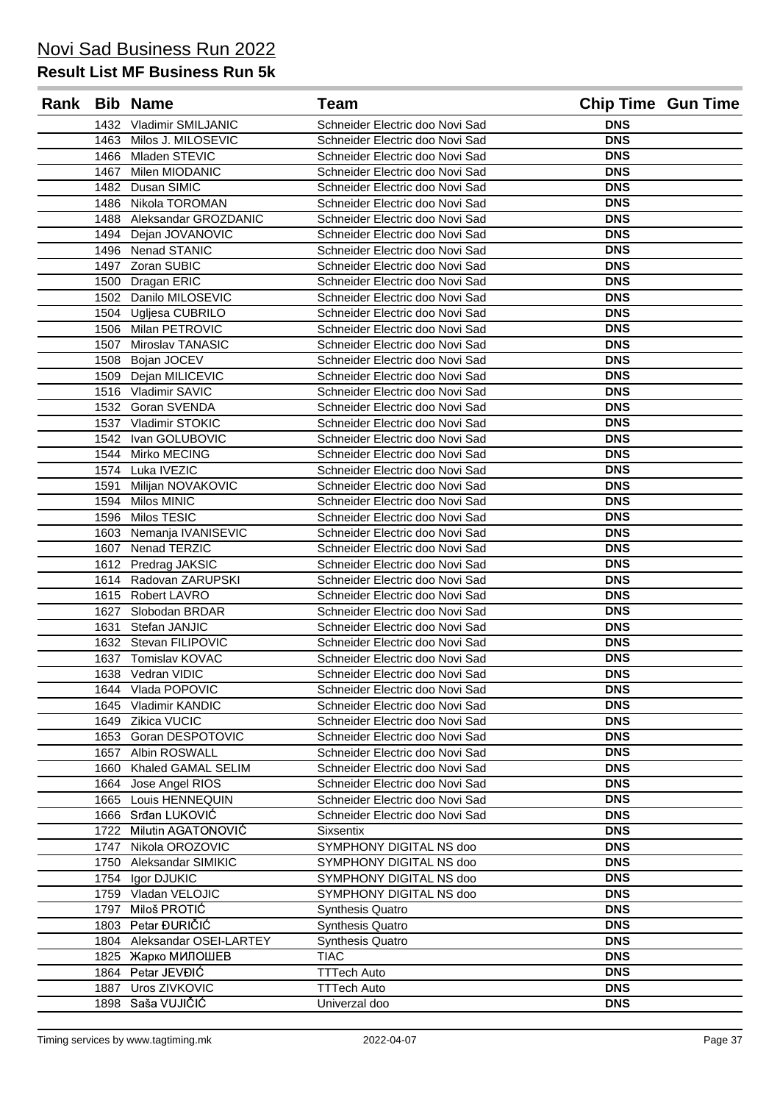|      | Rank Bib Name             | <b>Team</b>                     |            | <b>Chip Time Gun Time</b> |
|------|---------------------------|---------------------------------|------------|---------------------------|
|      | 1432 Vladimir SMILJANIC   | Schneider Electric doo Novi Sad | <b>DNS</b> |                           |
|      | 1463 Milos J. MILOSEVIC   | Schneider Electric doo Novi Sad | <b>DNS</b> |                           |
|      | 1466 Mladen STEVIC        | Schneider Electric doo Novi Sad | <b>DNS</b> |                           |
| 1467 | Milen MIODANIC            | Schneider Electric doo Novi Sad | <b>DNS</b> |                           |
|      | 1482 Dusan SIMIC          | Schneider Electric doo Novi Sad | <b>DNS</b> |                           |
|      | 1486 Nikola TOROMAN       | Schneider Electric doo Novi Sad | <b>DNS</b> |                           |
|      | 1488 Aleksandar GROZDANIC | Schneider Electric doo Novi Sad | <b>DNS</b> |                           |
|      | 1494 Dejan JOVANOVIC      | Schneider Electric doo Novi Sad | <b>DNS</b> |                           |
|      | 1496 Nenad STANIC         | Schneider Electric doo Novi Sad | <b>DNS</b> |                           |
|      | 1497 Zoran SUBIC          | Schneider Electric doo Novi Sad | <b>DNS</b> |                           |
|      | 1500 Dragan ERIC          | Schneider Electric doo Novi Sad | <b>DNS</b> |                           |
|      | 1502 Danilo MILOSEVIC     | Schneider Electric doo Novi Sad | <b>DNS</b> |                           |
|      | 1504 Ugljesa CUBRILO      | Schneider Electric doo Novi Sad | <b>DNS</b> |                           |
|      | 1506 Milan PETROVIC       | Schneider Electric doo Novi Sad | <b>DNS</b> |                           |
|      | 1507 Miroslav TANASIC     | Schneider Electric doo Novi Sad | <b>DNS</b> |                           |
|      | 1508 Bojan JOCEV          | Schneider Electric doo Novi Sad | <b>DNS</b> |                           |
|      | 1509 Dejan MILICEVIC      | Schneider Electric doo Novi Sad | <b>DNS</b> |                           |
|      | 1516 Vladimir SAVIC       | Schneider Electric doo Novi Sad | <b>DNS</b> |                           |
|      | 1532 Goran SVENDA         | Schneider Electric doo Novi Sad | <b>DNS</b> |                           |
|      | 1537 Vladimir STOKIC      | Schneider Electric doo Novi Sad | <b>DNS</b> |                           |
|      | 1542 Ivan GOLUBOVIC       | Schneider Electric doo Novi Sad | <b>DNS</b> |                           |
|      | 1544 Mirko MECING         | Schneider Electric doo Novi Sad | <b>DNS</b> |                           |
|      | 1574 Luka IVEZIC          | Schneider Electric doo Novi Sad | <b>DNS</b> |                           |
|      | 1591 Milijan NOVAKOVIC    | Schneider Electric doo Novi Sad | <b>DNS</b> |                           |
|      | 1594 Milos MINIC          | Schneider Electric doo Novi Sad | <b>DNS</b> |                           |
|      | 1596 Milos TESIC          | Schneider Electric doo Novi Sad | <b>DNS</b> |                           |
|      | 1603 Nemanja IVANISEVIC   | Schneider Electric doo Novi Sad | <b>DNS</b> |                           |
|      | 1607 Nenad TERZIC         | Schneider Electric doo Novi Sad | <b>DNS</b> |                           |
|      | 1612 Predrag JAKSIC       | Schneider Electric doo Novi Sad | <b>DNS</b> |                           |
|      | 1614 Radovan ZARUPSKI     | Schneider Electric doo Novi Sad | <b>DNS</b> |                           |
|      | 1615 Robert LAVRO         | Schneider Electric doo Novi Sad | <b>DNS</b> |                           |
|      | 1627 Slobodan BRDAR       | Schneider Electric doo Novi Sad | <b>DNS</b> |                           |
|      | 1631 Stefan JANJIC        | Schneider Electric doo Novi Sad | <b>DNS</b> |                           |
|      | 1632 Stevan FILIPOVIC     | Schneider Electric doo Novi Sad | <b>DNS</b> |                           |
|      | 1637 Tomislav KOVAC       | Schneider Electric doo Novi Sad | <b>DNS</b> |                           |
|      | 1638 Vedran VIDIC         | Schneider Electric doo Novi Sad | <b>DNS</b> |                           |
|      | 1644 Vlada POPOVIC        | Schneider Electric doo Novi Sad | <b>DNS</b> |                           |
| 1645 | Vladimir KANDIC           | Schneider Electric doo Novi Sad | <b>DNS</b> |                           |
| 1649 | Zikica VUCIC              | Schneider Electric doo Novi Sad | <b>DNS</b> |                           |
| 1653 | Goran DESPOTOVIC          | Schneider Electric doo Novi Sad | <b>DNS</b> |                           |
| 1657 | Albin ROSWALL             | Schneider Electric doo Novi Sad | <b>DNS</b> |                           |
| 1660 | Khaled GAMAL SELIM        | Schneider Electric doo Novi Sad | <b>DNS</b> |                           |
| 1664 | Jose Angel RIOS           | Schneider Electric doo Novi Sad | <b>DNS</b> |                           |
| 1665 | Louis HENNEQUIN           | Schneider Electric doo Novi Sad | <b>DNS</b> |                           |
| 1666 | Srđan LUKOVIĆ             | Schneider Electric doo Novi Sad | <b>DNS</b> |                           |
| 1722 | Milutin AGATONOVIĆ        | <b>Sixsentix</b>                | <b>DNS</b> |                           |
| 1747 | Nikola OROZOVIC           | SYMPHONY DIGITAL NS doo         | <b>DNS</b> |                           |
| 1750 | Aleksandar SIMIKIC        | SYMPHONY DIGITAL NS doo         | <b>DNS</b> |                           |
| 1754 | Igor DJUKIC               | SYMPHONY DIGITAL NS doo         | <b>DNS</b> |                           |
| 1759 | Vladan VELOJIC            | SYMPHONY DIGITAL NS doo         | <b>DNS</b> |                           |
| 1797 | Miloš PROTIĆ              | <b>Synthesis Quatro</b>         | <b>DNS</b> |                           |
| 1803 | Petar ĐURIČIĆ             | <b>Synthesis Quatro</b>         | <b>DNS</b> |                           |
| 1804 | Aleksandar OSEI-LARTEY    | <b>Synthesis Quatro</b>         | <b>DNS</b> |                           |
|      | 1825 Жарко МИЛОШЕВ        | <b>TIAC</b>                     | <b>DNS</b> |                           |
| 1864 | Petar JEVĐIĆ              | <b>TTTech Auto</b>              | <b>DNS</b> |                           |
| 1887 | Uros ZIVKOVIC             | <b>TTTech Auto</b>              | <b>DNS</b> |                           |
| 1898 | Saša VUJIČIĆ              | Univerzal doo                   | <b>DNS</b> |                           |